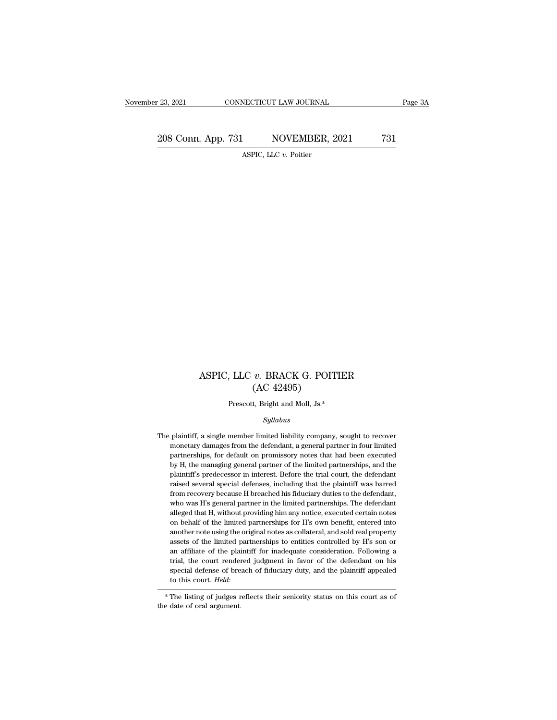#### ASPIC, LLC *v.* BRACK G. POITIER *v.* BRACK G. POIT<br>(AC 42495)<br>t, Bright and Moll, Js.\* , LLC  $v$ . BRACK G. POITIER<br>
(AC 42495)<br>
Prescott, Bright and Moll, Js.\*<br>
Sullabus

#### *Syllabus*

 ${\rm (AC~42495)}$   ${\rm 648~Sylabus}$  The plaintiff, a single member limited liability company, sought to recover<br>monetary damages from the defendant, a general partner in four limited Prescott, Bright and Moll, Js.\*<br>Syllabus<br>plaintiff, a single member limited liability company, sought to recover<br>monetary damages from the defendant, a general partner in four limited<br>partnerships, for default on promissor Prescott, Bright and Moll, Js.\*<br>Syllabus<br>plaintiff, a single member limited liability company, sought to recover<br>monetary damages from the defendant, a general partner in four limited<br>partnerships, for default on promissor Syllabus<br>plaintiff, a single member limited liability company, sought to recover<br>monetary damages from the defendant, a general partner in four limited<br>partnerships, for default on promissory notes that had been executed<br>b syttabus<br>plaintiff, a single member limited liability company, sought to recover<br>monetary damages from the defendant, a general partner in four limited<br>partnerships, for default on promissory notes that had been executed<br>b plaintiff, a single member limited liability company, sought to recover<br>monetary damages from the defendant, a general partner in four limited<br>partnerships, for default on promissory notes that had been executed<br>by H, the monetary damages from the defendant, a general partner in four limited partnerships, for default on promissory notes that had been executed by H, the managing general partner of the limited partnerships, and the plaintiff' partnerships, for default on promissory notes that had been executed by H, the managing general partner of the limited partnerships, and the plaintiff's predecessor in interest. Before the trial court, the defendant raised by H, the managing general partner of the limited partnerships, and the plaintiff's predecessor in interest. Before the trial court, the defendant raised several special defenses, including that the plaintiff was barred fr plaintiff's predecessor in interest. Before the trial court, the defendant raised several special defenses, including that the plaintiff was barred from recovery because H breached his fiduciary duties to the defendant, wh raised several special defenses, including that the plaintiff was barred<br>from recovery because H breached his fiduciary duties to the defendant,<br>who was H's general partner in the limited partnerships. The defendant<br>allege from recovery because H breached his fiduciary duties to the defendant, who was H's general partner in the limited partnerships. The defendant alleged that H, without providing him any notice, executed certain notes on beh who was H's general partner in the limited partnerships. The defendant alleged that H, without providing him any notice, executed certain notes on behalf of the limited partnerships for H's own benefit, entered into anothe alleged that H, without providing him any notice, executed certain notes<br>on behalf of the limited partnerships for H's own benefit, entered into<br>another note using the original notes as collateral, and sold real property<br>a on behalf of the limited partnerships for H's own benefit, entered into another note using the original notes as collateral, and sold real property assets of the limited partnerships to entities controlled by H's son or an another note using the original notes as collateral, and sold real property assets of the limited partnerships to entities controlled by H's son or an affiliate of the plaintiff for inadequate consideration. Following a tr % special defense of breach of fiduciary duty, and the plaintiff appealed<br>to this court. Held:<br> $*$  The listing of judges reflects their seniority status on this court as of<br>the date of oral argument.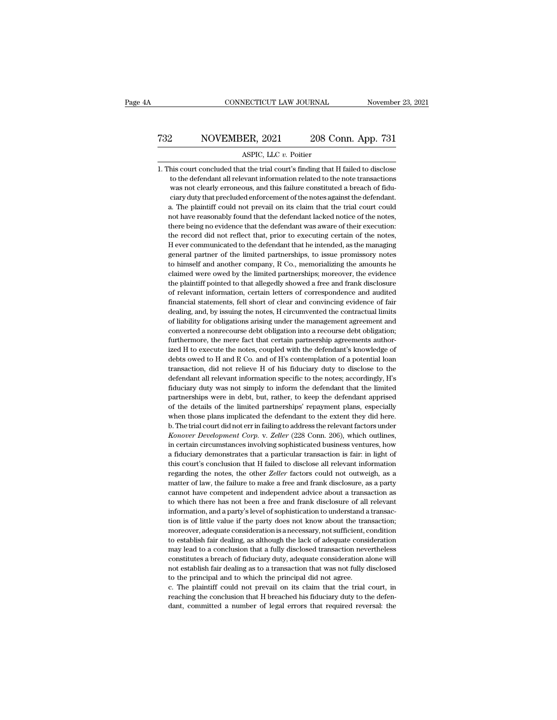### CONNECTICUT LAW JOURNAL November 23, 2021<br>
732 NOVEMBER, 2021 208 Conn. App. 731<br>
ASPIC, LLC v. Poitier NECTICUT LAW JOURNAL<br>ER, 2021 208 Contains 2011<br>ASPIC, LLC *v.* Poitier<br>at the trial court's finding that 1

 $1.732$  NOVEMBER, 2021 208 Conn. App. 731<br>ASPIC, LLC  $v$ . Poitier<br>1. This court concluded that the trial court's finding that H failed to disclose<br>to the defendant all relevant information related to the note transactions  $\begin{minipage}[t]{0.5\linewidth} \begin{tabular}{c} NOVEMBER, 2021 & 208 Conn. App. 731 \\ ASPIC, LLC $v$. Poitier \\ \hline \end{tabular} \end{minipage} \begin{minipage}[t]{0.5\linewidth} \begin{tabular}{c} ASPIC, LLC $v$. Poitier \\ \hline \end{tabular} \end{minipage} \begin{minipage}[t]{0.5\linewidth} \begin{tabular}{c} ASPIC, LIC $v$. Poitier \\ \hline \end{tabular} \end{minipage} \end{minipage} \begin{minipage}[t]{0.5\linewidth} \begin{tabular}{c} ASPIC, LIC $v$. Poitier \\$ MOVEMBER, 2021 208 Conn. App. 731<br>ASPIC, LLC v. Poitier<br>his court concluded that the trial court's finding that H failed to disclose<br>to the defendant all relevant information related to the note transactions<br>was not clearl ASPIC, LLC v. Poitier<br>his court concluded that the trial court's finding that H failed to disclose<br>to the defendant all relevant information related to the note transactions<br>was not clearly erroneous, and this failure cons ASPIC, LLC  $v$ . Poitier<br>
This court concluded that the trial court's finding that H failed to disclose<br>
to the defendant all relevant information related to the note transactions<br>
was not clearly erroneous, and this failu have reasonably found that the defendant in the failed to disclose to the defendant all relevant information related to the note transactions was not clearly erroneous, and this failure constituted a breach of fiduciary du to the defendant all relevant information related to the note transactions<br>to the defendant all relevant information related to the note transactions<br>was not clearly erroneous, and this failure constituted a breach of fidu was not clearly erroneous, and this failure constituted a breach of fiduciary duty that precluded enforcement of the notes against the defendant.<br>a. The plaintiff could not prevail on its claim that the trial court could n exercity that precluded enforcement of the notes against the defendant.<br>
a. The plaintiff could not prevail on its claim that the trial court could<br>
not have reasonably found that the defendant lacked notice of the notes,<br> a. The plaintiff could not prevail on its claim that the trial court could not have reasonably found that the defendant lacked notice of the notes, there being no evidence that the defendant was aware of their execution: t to the personably found that the defendant lacked notice of the notes, there being no evidence that the defendant was aware of their execution: the record did not reflect that, prior to executing certain of the notes, H ev there being no evidence that the defendant was aware of their execution:<br>the record did not reflect that, prior to executing certain of the notes,<br>H ever communicated to the defendant that he intended, as the managing<br>gene the record did not reflect that, prior to executing certain of the notes, H ever communicated to the defendant that he intended, as the managing general partner of the limited partnerships, to issue promissory notes to him H ever communicated to the defendant that he intended, as the managing general partner of the limited partnerships, to issue promissory notes to himself and another company, R Co., memorializing the amounts he claimed were financial partner of the limited partnerships, to issue promissory notes<br>general partner of the limited partnerships, to issue promissory notes<br>to himself and another company, R Co., memorializing the amounts he<br>claimed we to himself and another company, R Co., memorializing the amouts he claimed were owed by the limited partnerships; moreover, the evidence the plaintiff pointed to that allegedly showed a free and frank disclosure of relevan claimed were owed by the limited partnerships; moreover, the evidence claimed were owed by the limited partnerships; moreover, the evidence of relevant information, certain letters of correspondence and audited financial s the plaintiff pointed to that allegedly showed a free and frank disclosure of relevant information, certain letters of correspondence and audited financial statements, fell short of clear and convincing evidence of fair de for relevant information, certain letters of correspondence and audited financial statements, fell short of clear and convincing evidence of fair dealing, and, by issuing the notes, H circumvented the contractual limits of In anciel statements, fell short of clear and convincing evidence of fair fleading, and, by issuing the notes, H circumvented the contractual limits of liability for obligations arising under the management agreement and dealing, and, by issuing the notes, H circumvented the contractual limits of liability for obligations arising under the management agreement and converted a nonrecourse debt obligation into a recourse debt obligation; fur of liability for obligations arising under the management agreement and converted a nonrecourse debt obligation into a recourse debt obligation; furthermore, the mere fact that certain partnership agreements authorized H t converted a nonrecourse debt obligation into a recourse debt obligation;<br>furthermore, the mere fact that certain partnership agreements author-<br>ized H to execute the notes, coupled with the defendant's knowledge of<br>debts o furthermore, the mere fact that certain partnership agreements authorized H to execute the notes, coupled with the defendant's knowledge of debts owed to H and R Co. and of H's contemplation of a potential loan transaction ized H to execute the notes, coupled with the defendant's knowledge of debts owed to H and R Co. and of H's contemplation of a potential loan transaction, did not relieve H of his fiduciary duty to disclose to the defendan debts owed to H and R Co. and of H's contemplation of a potential loan<br>transaction, did not relieve H of his fiduciary duty to disclose to the<br>defendant all relevant information specific to the notes; accordingly, H's<br>fidu transaction, did not relieve H of his fiduciary duty to disclose to the defendant all relevant information specific to the notes; accordingly, H's fiduciary duty was not simply to inform the defendant that the limited part defendant all relevant information specific to the notes; accordingly, H's<br>defendant all relevant information specific to the notes; accordingly, H's<br>fiduciary duty was not simply to inform the defendant that the limited<br>p *Konover development corp.* v. *Zeller* (28 Corp. 206), accordingly, the fiduciary duty was not simply to inform the defendant that the limited partnerships were in debt, but, rather, to keep the defendant apprised of the partnerships were in debt, but, rather, to keep the defendant apprised<br>of the details of the limited partnerships' repayment plans, especially<br>when those plans implicated the defendant to the extent they did here.<br>b. The t for the details of the limited partnerships' repayment plans, especially when those plans implicated the defendant to the extent they did here.<br>b. The trial court did not err in failing to address the relevant factors unde when those plans implicated the defendant to the extent they did here.<br>b. The trial court did not err in failing to address the relevant factors under<br>*Konover Development Corp.* v. *Zeller* (228 Conn. 206), which outlines b. The trial court did not err in failing to address the relevant factors under *Konover Development Corp.* v. *Zeller* (228 Conn. 206), which outlines, in certain circumstances involving sophisticated business ventures, h Konover Development Corp. v. Zeller (228 Conn. 206), which outlines, in certain circumstances involving sophisticated business ventures, how a fiduciary demonstrates that a particular transaction is fair: in light of this in certain circumstances involving sophisticated business ventures, how<br>a fiduciary demonstrates that a particular transaction is fair: in light of<br>this court's conclusion that H failed to disclose all relevant information an diduciary demonstrates that a particular transaction is fair: in light of this court's conclusion that H failed to disclose all relevant information regarding the notes, the other *Zeller* factors could not outweigh, as a fiduciary demonstrates that a particular transaction is fair: in light of this court's conclusion that H failed to disclose all relevant information regarding the notes, the other *Zeller* factors could not outweigh, as regarding the notes, the other *Zeller* factors could not outweigh, as a matter of law, the failure to make a free and frank disclosure, as a party cannot have competent and independent advice about a transaction as to whi regarding the failure to make a free and frank disclosure, as a party cannot have competent and independent advice about a transaction as to which there has not been a free and frank disclosure of all relevant information, reamot have competent and independent advice about a transaction as<br>to which there has not been a free and frank disclosure of all relevant<br>information, and a party's level of sophistication to understand a transac-<br>tion i to which there has not been a free and frank disclosure of all relevant<br>information, and a party's level of sophistication to understand a transac-<br>tion is of little value if the party does not know about the transaction;<br> information, and a party's level of sophistication to understand a transaction is of little value if the party does not know about the transaction; moreover, adequate consideration is a necessary, not sufficient, condition not is of little value if the party does not know about the transaction;<br>moreover, adequate consideration is a necessary, not sufficient, condition<br>to establish fair dealing, as although the lack of adequate consideration<br> moreover, adequate consideration is a necessary, not sufficient, consideration is a necessary, not sufficient, constablish fair dealing, as although the lack of adequate consideration and principal did not agree.<br>The princ to establish fair dealing, as although the lack of adequate consideration may lead to a conclusion that a fully disclosed transaction nevertheless constitutes a breach of fiduciary duty, adequate consideration alone will n reaching the conclusion that a fully disclosed transaction nevertheless<br>constitutes a breach of fiduciary duty, adequate consideration alone will<br>not establish fair dealing as to a transaction that was not fully disclosed<br> dant, committed a number of legal errors that required reversal: the values constitutes a breach of fiduciary duty, adequate consideration alone will not establish fair dealing as to a transaction that was not fully disclo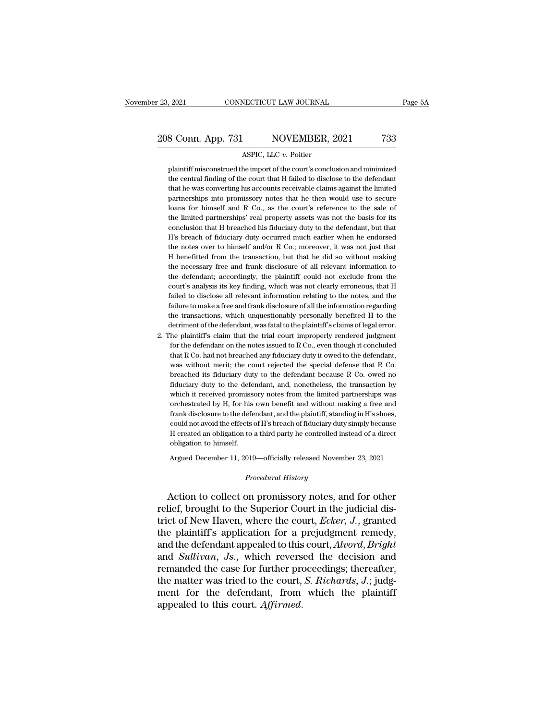### 23, 2021 CONNECTICUT LAW JOURNAL Page 5A<br>
208 Conn. App. 731 NOVEMBER, 2021 733<br>
ASPIC, LLC v. Poitier 923, 2021 CONNECTICUT LAW JOURNAL<br>208 Conn. App. 731 NOVEMBER, 2021 733<br>ASPIC, LLC *v*. Poitier<br>plaintiff misconstrued the import of the court's conclusion and minimized

8 Conn. App. 731 NOVEMBER, 2021 733<br>ASPIC, LLC v. Poitier<br>plaintiff misconstrued the import of the court's conclusion and minimized<br>the central finding of the court that H failed to disclose to the defendant 8 Conn. App. 731 NOVEMBER, 2021 733<br>ASPIC, LLC v. Poitier<br>plaintiff misconstrued the import of the court's conclusion and minimized<br>the central finding of the court that H failed to disclose to the defendant<br>that he was co 8 Conn. App. 731 NOVEMBER, 2021 733<br>ASPIC, LLC v. Poitier<br>plaintiff misconstrued the import of the court's conclusion and minimized<br>the central finding of the court that H failed to disclose to the defendant<br>that he was co ASPIC, LLC  $v$ . Poitier<br>plaintiff misconstrued the import of the court's conclusion and minimized<br>the central finding of the court that H failed to disclose to the defendant<br>that he was converting his accounts receivable ASPIC, LLC  $v$ . Poitier<br>plaintiff misconstrued the import of the court's conclusion and minimized<br>the central finding of the court that H failed to disclose to the defendant<br>that he was converting his accounts receivable plaintiff misconstrued the import of the court's conclusion and minimized<br>the central finding of the court that H failed to disclose to the defendant<br>that he was converting his accounts receivable claims against the limite the central finding of the court that H failed to disclose to the defendant that he was converting his accounts receivable claims against the limited partnerships into promissory notes that he then would use to secure loan that he was converting his accounts receivable claims against the limited partnerships into promissory notes that he then would use to secure loans for himself and R Co., as the court's reference to the sale of the limited partnerships into promissory notes that he then would use to secure<br>loans for himself and R Co., as the court's reference to the sale of<br>the limited partnerships' real property assets was not the basis for its<br>conclusion t loans for himself and R Co., as the court's reference to the sale of<br>the limited partnerships' real property assets was not the basis for its<br>conclusion that H breached his fiduciary duty to the defendant, but that<br>H's bre the limited partnerships' real property assets was not the basis for its conclusion that H breached his fiduciary duty to the defendant, but that H's breach of fiduciary duty occurred much earlier when he endorsed the note conclusion that H breached his fiduciary duty to the defendant, but that H's breach of fiduciary duty occurred much earlier when he endorsed the notes over to himself and/or R Co.; moreover, it was not just that H benefitt H's breach of fiduciary duty occurred much earlier when he endorsed<br>the notes over to himself and/or R Co.; moreover, it was not just that<br>H benefitted from the transaction, but that he did so without making<br>the necessary the notes over to himself and/or R Co.; moreover, it was not just that H benefitted from the transaction, but that he did so without making the necessary free and frank disclosure of all relevant information to the defenda H benefitted from the transaction, but that he did so without making<br>the necessary free and frank disclosure of all relevant information to<br>the defendant; accordingly, the plaintiff could not exclude from the<br>court's analy the necessary free and frank disclosure of all relevant information to<br>the defendant; accordingly, the plaintiff could not exclude from the<br>court's analysis its key finding, which was not clearly erroneous, that H<br>failed t the defendant; accordingly, the plaintiff could not exclude from the court's analysis its key finding, which was not clearly erroneous, that H failed to disclose all relevant information relating to the notes, and the fai failed to disclose all relevant information relating to the notes, and the failure to make a free and frank disclosure of all the information regarding the transactions, which unquestionably personally benefited H to the l

2. The plaintiff's claim that the trial court improperly rendered judgment for the defendant on the notes issued to R Co., even though it concluded that R Co. had not breached any fiduciary duty it owed to the defendant, failure to make a free and frank disclosure of all the information regarding<br>the transactions, which unquestionably personally benefited H to the<br>detriment of the defendant, was fatal to the plaintiff's claims of legal err the transactions, which unquestionably personally benefited H to the detriment of the defendant, was fatal to the plaintiff's claims of legal error.<br>he plaintiff's claim that the trial court improperly rendered judgment<br>fo detriment of the defendant, was fatal to the plaintiff's claims of legal error.<br>he plaintiff's claim that the trial court improperly rendered judgment<br>for the defendant on the notes issued to R Co., even though it conclude he plaintiff's claim that the trial court improperly rendered judgment<br>for the defendant on the notes issued to R Co., even though it concluded<br>that R Co. had not breached any fiduciary duty it owed to the defendant,<br>was w for the defendant on the notes issued to R Co., even though it concluded that R Co. had not breached any fiduciary duty it owed to the defendant, was without merit; the court rejected the special defense that R Co. breache that R Co. had not breached any fiduciary duty it owed to the defendant, was without merit; the court rejected the special defense that R Co. breached its fiduciary duty to the defendant because R Co. owed no fiduciary dut was without merit; the court rejected the special defense that R Co.<br>breached its fiduciary duty to the defendant, because R Co. owed no<br>fiduciary duty to the defendant, and, nonetheless, the transaction by<br>which it receiv breached its fiduciary duty to the defendant because R Co. owed no<br>fiduciary duty to the defendant, and, nonetheless, the transaction by<br>which it received promissory notes from the limited partnerships was<br>orchestrated by fiduciary duty to the defendant, and, nonetheless, the transaction by<br>which it received promissory notes from the limited partnerships was<br>orchestrated by H, for his own benefit and without making a free and<br>frank disclosu which it received promiss<br>orchestrated by H, for his<br>frank disclosure to the defe<br>could not avoid the effects<br>H created an obligation to<br>obligation to himself.<br>Argued December 11, 2019 frank disclosure to the defendant, and the plaintiff, standing in H's shoes, could not avoid the effects of H's breach of fiduciary duty simply because H created an obligation to a third party he controlled instead of a d *Procedural History* Action to collect only<br>and *Procedural History* Action to collect on promissory notes, and for other<br>Action to collect on promissory notes, and for other

could not avoid the effects of H's breach of fiduciary duty simply because<br>
H created an obligation to a third party he controlled instead of a direct<br>
obligation to himself.<br>
Argued December 11, 2019—officially released N relief, brought to the Superior Court in the judicial district of New Haven, where the court, *Ecker*, *J*., granted the plaintiff's application for a promision of the plaintiff's application for a promision  $\frac{1}{2}$  and Argued December 11, 2019—officially released November 23, 2021<br> *Procedural History*<br>
Action to collect on promissory notes, and for other<br>
relief, brought to the Superior Court in the judicial dis-<br>
trict of New Haven, wh Argued December 11, 2019—officially released November 23, 2021<br>
Procedural History<br>
Action to collect on promissory notes, and for other<br>
relief, brought to the Superior Court in the judicial dis-<br>
trict of New Haven, wher *Procedural History*<br>Action to collect on promissory notes, and for other<br>relief, brought to the Superior Court in the judicial dis-<br>trict of New Haven, where the court, *Ecker*, *J*., granted<br>the plaintiff's application f Action to collect on promissory notes, and for other<br>relief, brought to the Superior Court in the judicial dis-<br>trict of New Haven, where the court, *Ecker*, *J*., granted<br>the plaintiff's application for a prejudgment reme Action to collect on promissory notes, and for other<br>relief, brought to the Superior Court in the judicial dis-<br>trict of New Haven, where the court, *Ecker*, *J*., granted<br>the plaintiff's application for a prejudgment rem relief, brought to the Superior Court in the judicial district of New Haven, where the court, *Ecker*, *J*., granted<br>the plaintiff's application for a prejudgment remedy,<br>and the defendant appealed to this court, *Alvord*, trict of New Haven, where the court, *Ecker*, *J*., granted<br>the plaintiff's application for a prejudgment remedy,<br>and the defendant appealed to this court, *Alvord*, *Bright*<br>and *Sullivan*, *Js.*, which reversed the decis the plaintiff's application for a <sub>1</sub><br>and the defendant appealed to this<br>and *Sullivan*, *Js.*, which revers<br>remanded the case for further pro<br>the matter was tried to the court,<br>ment for the defendant, from<br>appealed to thi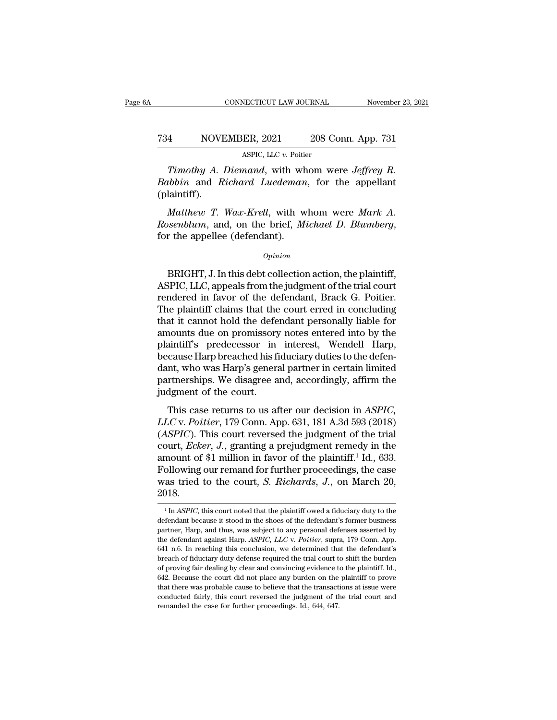### CONNECTICUT LAW JOURNAL November 23, 2021<br>
734 NOVEMBER, 2021 208 Conn. App. 731<br>
ASPIC, LLC v. Poitier NECTICUT LAW JOURNAL<br>ER, 2021 208 Contract 208<br>ASPIC, LLC *v.* Poitier<br>*mand* with whom we

*Timothy A. Diemand*, with whom were *Jeffrey R.*<br> *Timothy A. Diemand*, with whom were *Jeffrey R.*<br> *Libbin* and *Richard Luedeman*, for the appellant leintiff) *Babbin* and *Richard Luedeman*, for the appellant (plaintiff).<br> *Babbin* and *Richard Luedeman*, for the appellant (plaintiff). (plaintiff). *MOVEMBER, 2021* 208 Conn. App. 731<br> *Mathew A. Diemand, with whom were <i>Jeffrey R.*<br> *Mobin and Richard Luedeman, for the appellant*<br> *Matthew T. Wax-Krell, with whom were Mark A.*<br> *Matthew T. Wax-Krell, with whom were M Rasence, LLC v. Poitier*<br> *Rimothy A. Diemand, with whom were Jeffrey R.*<br> *Rabbin* and *Richard Luedeman*, for the appellant<br> *Rosenblum, and, on the brief, Michael D. Blumberg,*<br>
for the appellee (defendant).<br> *Opinion* 

Matthew T. Wax-Krell, with whom were Mark A.<br>
Seenblum, and, on the brief, Michael D. Blumberg,<br>
r the appellee (defendant).<br>
Opinion<br>
BRIGHT, J. In this debt collection action, the plaintiff,<br>
SPIC, LLC, appeals from the

#### *Opinion*

Matthew T. Wax-Krell, with whom were Mark A.<br>
Rosenblum, and, on the brief, Michael D. Blumberg,<br>
for the appellee (defendant).<br>  $\overline{O}$ <br>
BRIGHT, J. In this debt collection action, the plaintiff,<br>
ASPIC, LLC, appeals fro *Rosenblum*, and, on the brief, *Michael D. Blumberg*,<br>for the appellee (defendant).<br> $\frac{Opinion}{P}$ <br>BRIGHT, J. In this debt collection action, the plaintiff,<br>ASPIC, LLC, appeals from the judgment of the trial court<br>rendered  $\phi_{pinion}$ <br>
BRIGHT, J. In this debt collection action, the plaintiff,<br>
ASPIC, LLC, appeals from the judgment of the trial court<br>
rendered in favor of the defendant, Brack G. Poitier.<br>
The plaintiff claims that the court err **EXAMPLE CONTE CONTENT OF SET OF SET OF SET OF SET OF SET OF SET ON A SPIC, LLC, appeals from the judgment of the trial court**<br>rendered in favor of the defendant, Brack G. Poitier.<br>The plaintiff claims that the court erred BRIGHT, J. In this debt collection action, the plaintiff,<br>ASPIC, LLC, appeals from the judgment of the trial court<br>rendered in favor of the defendant, Brack G. Poitier.<br>The plaintiff claims that the court erred in concludi BRIGHT, J. In this debt collection action, the plaintiff,<br>ASPIC, LLC, appeals from the judgment of the trial court<br>rendered in favor of the defendant, Brack G. Poitier.<br>The plaintiff claims that the court erred in concludi ASPIC, LLC, appeals from the judgment of the trial court<br>rendered in favor of the defendant, Brack G. Poitier.<br>The plaintiff claims that the court erred in concluding<br>that it cannot hold the defendant personally liable for rendered in favor of the defendant, Brack G. Poitier.<br>The plaintiff claims that the court erred in concluding<br>that it cannot hold the defendant personally liable for<br>amounts due on promissory notes entered into by the<br>plai The plaintiff claims that the court erred in concluding<br>that it cannot hold the defendant personally liable for<br>amounts due on promissory notes entered into by the<br>plaintiff's predecessor in interest, Wendell Harp,<br>because that it cannot hold the defe<br>amounts due on promissory<br>plaintiff's predecessor in<br>because Harp breached his fi<br>dant, who was Harp's genera<br>partnerships. We disagree a<br>judgment of the court.<br>This case returns to us af Frankliff's predecessor in interest, Wendell Harp,<br>cause Harp breached his fiduciary duties to the defen-<br>nt, who was Harp's general partner in certain limited<br>rtnerships. We disagree and, accordingly, affirm the<br>dgment of *LLC* v. *Pointer*, *Protecessor* and *Lucitus, Lucitus Lucitus* because Harp breached his fiduciary duties to the defendant, who was Harp's general partner in certain limited partnerships. We disagree and, accordingly

because rial percacled institutently duties to the decided<br>dant, who was Harp's general partner in certain limited<br>partnerships. We disagree and, accordingly, affirm the<br>judgment of the court.<br>This case returns to us after partnerships. We disagree and, accordingly, affirm the<br>judgment of the court.<br>This case returns to us after our decision in *ASPIC*,<br>*LLC* v. *Poitier*, 179 Conn. App. 631, 181 A.3d 593 (2018)<br>(*ASPIC*). This court reverse full distribute the court.<br>
This case returns to us after our decision in *ASPIC*,<br> *LLC* v. *Poitier*, 179 Conn. App. 631, 181 A.3d 593 (2018)<br>
(*ASPIC*). This court reversed the judgment of the trial<br>
court, *Ecker*, *J* This case returns to us after our decision in *ASPIC*,<br>*LLC* v. *Poitier*, 179 Conn. App. 631, 181 A.3d 593 (2018)<br>(*ASPIC*). This court reversed the judgment of the trial<br>court, *Ecker*, *J*., granting a prejudgment reme This case returns to us after our decision in *ASPIC*,<br>*LLC* v. *Poitier*, 179 Conn. App. 631, 181 A.3d 593 (2018)<br>(*ASPIC*). This court reversed the judgment of the trial<br>court, *Ecker*, *J*., granting a prejudgment remed 2018. amount of \$1 million in favor of the plaintiff.<sup>1</sup> Id., 633.<br>Following our remand for further proceedings, the case<br>was tried to the court, *S. Richards*, *J.*, on March 20,<br>2018.<br><sup>1</sup> In *ASPIC*, this court noted that the Following our remand for further proceedings, the case<br>was tried to the court, *S. Richards*, *J.*, on March 20,<br>2018.<br><sup>1</sup> In *ASPIC*, this court noted that the plaintiff owed a fiduciary duty to the<br>defendant because it s

was tried to the court, *S. Richards*, *J.*, on March 20,<br>2018.<br><sup>1</sup>In *ASPIC*, this court noted that the plaintiff owed a fiduciary duty to the<br>defendant because it stood in the shoes of the defendant's former business<br>par the defendant against Harp. *ASPIC, LLC* <sup>v</sup>*. Poitier*, supra, 179 Conn. App.  $\frac{1}{1}$  In *ASPIC*, this court noted that the plaintiff owed a fiduciary duty to the defendant because it stood in the shoes of the defendant's former business partner, Harp, and thus, was subject to any personal defens <sup>1</sup> In *ASPIC*, this court noted that the plaintiff owed a fiduciary duty to the defendant because it stood in the shoes of the defendant's former business partner, Harp, and thus, was subject to any personal defenses ass defendant because it stood in the shoes of the defendant's former business<br>partner, Harp, and thus, was subject to any personal defenses asserted by<br>the defendant against Harp.  $ASPIC$ ,  $LLC$  v.  $Poitier$ , supra, 179 Conn. App.<br>6 partner, Harp, and thus, was subject to any personal defenses asserted by the defendant against Harp. *ASPIC*, *LLC* v. *Poitier*, supra, 179 Conn. App. 641 n.6. In reaching this conclusion, we determined that the defendan predicted find and many states. The defendant against Harp. ASPIC, LLC v. Poitier, supra, 179 Conn. App. 641 n.6. In reaching this conclusion, we determined that the defendant's breach of fiduciary duty defense required th and the defendant's mapped that the defendant's breach of fiduciary duty defense required the trial court to shift the burden of proving fair dealing by clear and convincing evidence to the plaintiff. Id., 642. Because the breach of fiduciary duty defense required the trial court to shift the burden<br>of proving fair dealing by clear and convincing evidence to the plaintiff. Id.,<br>642. Because the court did not place any burden on the plaintiff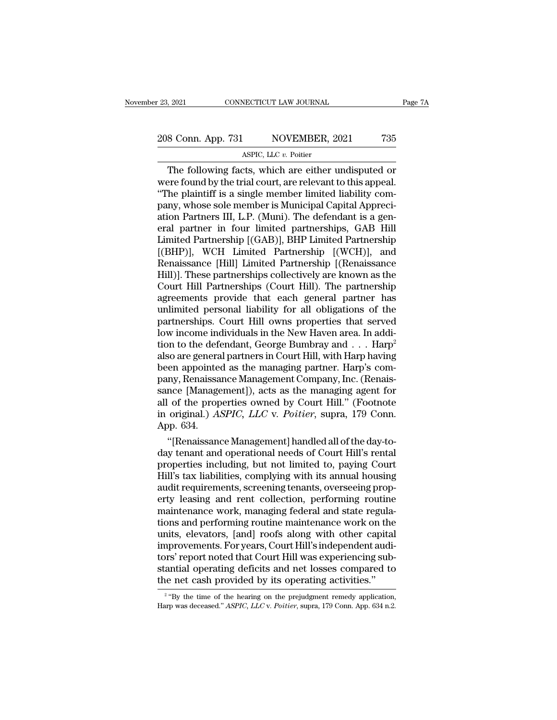### 23, 2021 CONNECTICUT LAW JOURNAL Page 7A<br>208 Conn. App. 731 NOVEMBER, 2021 735<br>ASPIC, LLC v. Poitier NECTICUT LAW JOURNAL<br>NOVEMBER, 2<br>ASPIC, LLC *v.* Poitier<br>Tts which are either 1

 $\begin{array}{r|l} \text{7.3021} & \text{COMNETICUT LAW JOURNAL} & \text{Page 7A} \ \hline \text{8 Conn. App. 731} & \text{NOVEMBER, 2021} & \text{735} \ \hline \text{ASPLC, LLC } v. \text{ Poitier} \ \hline \text{The following facts, which are either undisputed or} \text{ere found by the trial court, are relevant to this appeal.} \ \hline \text{the relativistic a single member limited liability.} \end{array}$ 208 Conn. App. 731 NOVEMBER, 2021 735<br>ASPIC, LLC  $v$ . Poitier<br>The following facts, which are either undisputed or<br>were found by the trial court, are relevant to this appeal.<br>"The plaintiff is a single member limited liabi 208 Conn. App. 731 NOVEMBER, 2021 735<br>ASPIC, LLC  $v$ . Poitier<br>The following facts, which are either undisputed or<br>were found by the trial court, are relevant to this appeal.<br>"The plaintiff is a single member limited liabi 208 Conn. App. 731 NOVEMBER, 2021 735<br>ASPIC, LLC  $v$ . Poitier<br>The following facts, which are either undisputed or<br>were found by the trial court, are relevant to this appeal.<br>"The plaintiff is a single member limited liabi aspic, LLC v. Poitier<br>
The following facts, which are either undisputed or<br>
were found by the trial court, are relevant to this appeal.<br>
"The plaintiff is a single member limited liability com-<br>
pany, whose sole member is ASPIC, LLC  $v$ . Poitier<br>
The following facts, which are either undisputed or<br>
were found by the trial court, are relevant to this appeal.<br>
"The plaintiff is a single member limited liability com-<br>
pany, whose sole member The following facts, which are either undisputed or<br>were found by the trial court, are relevant to this appeal.<br>"The plaintiff is a single member limited liability com-<br>pany, whose sole member is Municipal Capital Appreciwere found by the trial court, are relevant to this appeal.<br>
"The plaintiff is a single member limited liability company, whose sole member is Municipal Capital Appreciation Partners III, L.P. (Muni). The defendant is a ge "The plaintiff is a single member limited liability company, whose sole member is Municipal Capital Appreciation Partners III, L.P. (Muni). The defendant is a general partner in four limited partnerships, GAB Hill Limited pany, whose sole member is Municipal Capital Appreciation Partners III, L.P. (Muni). The defendant is a general partner in four limited partnerships, GAB Hill<br>Limited Partnership [(GAB)], BHP Limited Partnership<br>[(BHP)], W ation Partners III, L.P. (Muni). The defendant is a general partner in four limited partnerships, GAB Hill<br>Limited Partnership [(GAB)], BHP Limited Partnership<br>[(BHP)], WCH Limited Partnership [(WCH)], and<br>Renaissance [Hil eral partner in four limited partnerships, GAB Hill<br>Limited Partnership [(GAB)], BHP Limited Partnership<br>[(BHP)], WCH Limited Partnership [(WCH)], and<br>Renaissance [Hill] Limited Partnership [(Renaissance<br>Hill)]. These part Limited Partnership [(GAB)], BHP Limited Partnership<br>[(BHP)], WCH Limited Partnership [(WCH)], and<br>Renaissance [Hill] Limited Partnership [(Renaissance<br>Hill)]. These partnerships collectively are known as the<br>Court Hill Pa [(BHP)], WCH Limited Partnership [(WCH)], and<br>Renaissance [Hill] Limited Partnership [(Renaissance<br>Hill)]. These partnerships collectively are known as the<br>Court Hill Partnerships (Court Hill). The partnership<br>agreements p Renaissance [Hill] Limited Partnership [(Renaissance<br>Hill)]. These partnerships collectively are known as the<br>Court Hill Partnerships (Court Hill). The partnership<br>agreements provide that each general partner has<br>unlimited Hill)]. These partnerships collectively are known as the<br>Court Hill Partnerships (Court Hill). The partnership<br>agreements provide that each general partner has<br>unlimited personal liability for all obligations of the<br>partne Court Hill Partnerships (Court Hill). The partnership<br>agreements provide that each general partner has<br>unlimited personal liability for all obligations of the<br>partnerships. Court Hill owns properties that served<br>low income agreements provide that each general partner has<br>unlimited personal liability for all obligations of the<br>partnerships. Court Hill owns properties that served<br>low income individuals in the New Haven area. In addi-<br>tion to t unlimited personal liability for all obligations of the<br>partnerships. Court Hill owns properties that served<br>low income individuals in the New Haven area. In addi-<br>tion to the defendant, George Bumbray and . . . Harp<sup>2</sup><br>al partnerships. Court Hill owns properties that served<br>low income individuals in the New Haven area. In addi-<br>tion to the defendant, George Bumbray and . . . Harp<sup>2</sup><br>also are general partners in Court Hill, with Harp having low income individuals in the New Haven area. In addition to the defendant, George Bumbray and . . . Harp<sup>2</sup><br>also are general partners in Court Hill, with Harp having<br>been appointed as the managing partner. Harp's com-<br>pan tion to the defendant, George Bumbray and . . . Harp<sup>2</sup><br>also are general partners in Court Hill, with Harp having<br>been appointed as the managing partner. Harp's com-<br>pany, Renaissance Management Company, Inc. (Renais-<br>sanc also are genera<br>been appointe<br>pany, Renaissa<br>sance [Manage<br>all of the prop<br>in original.) A<br>App. 634.<br>"[Renaissang en appointed as the managing partner. Harp's com-<br>ny, Renaissance Management Company, Inc. (Renais-<br>nce [Management]), acts as the managing agent for<br>of the properties owned by Court Hill." (Footnote<br>original.) *ASPIC, LLC* pany, Renaissance Management Company, Inc. (Renaissance [Management]), acts as the managing agent for<br>all of the properties owned by Court Hill." (Footnote<br>in original.) *ASPIC, LLC* v. *Poitier*, supra, 179 Conn.<br>App. 634

sance [Management]), acts as the managing agent for<br>all of the properties owned by Court Hill." (Footnote<br>in original.) *ASPIC, LLC* v. *Poitier*, supra, 179 Conn.<br>App. 634.<br>"[Renaissance Management] handled all of the day all of the properties owned by Court Hill." (Footnote<br>in original.) *ASPIC, LLC* v. *Poitier*, supra, 179 Conn.<br>App. 634.<br>"[Renaissance Management] handled all of the day-to-<br>day tenant and operational needs of Court Hill' in original.) *ASPIC, LLC v. Pottier,* supra, 179 Conn.<br>App. 634.<br>"[Renaissance Management] handled all of the day-to-<br>day tenant and operational needs of Court Hill's rental<br>properties including, but not limited to, payin App. 634.<br>
"[Renaissance Management] handled all of the day-to-<br>
day tenant and operational needs of Court Hill's rental<br>
properties including, but not limited to, paying Court<br>
Hill's tax liabilities, complying with its a "[Renaissance Management] handled all of the day-to-<br>day tenant and operational needs of Court Hill's rental<br>properties including, but not limited to, paying Court<br>Hill's tax liabilities, complying with its annual housing<br> day tenant and operational needs of Court Hill's rental<br>properties including, but not limited to, paying Court<br>Hill's tax liabilities, complying with its annual housing<br>audit requirements, screening tenants, overseeing pro properties including, but not limited to, paying Court<br>Hill's tax liabilities, complying with its annual housing<br>audit requirements, screening tenants, overseeing prop-<br>erty leasing and rent collection, performing routine<br> Hill's tax liabilities, complying with its annual housing<br>audit requirements, screening tenants, overseeing prop-<br>erty leasing and rent collection, performing routine<br>maintenance work, managing federal and state regula-<br>ti audit requirements, screening tenants, overseeing property leasing and rent collection, performing routine<br>maintenance work, managing federal and state regulations and performing routine maintenance work on the<br>units, elev erty leasing and rent collection, performing routine<br>maintenance work, managing federal and state regula-<br>tions and performing routine maintenance work on the<br>units, elevators, [and] roofs along with other capital<br>improvem maintenance work, managing federal and state regulations and performing routine maintenance work on the units, elevators, [and] roofs along with other capital improvements. For years, Court Hill's independent auditors' rep provements. For years, Court Hill's independent audi-<br>
"S" report noted that Court Hill was experiencing sub-<br>
initial operating deficits and net losses compared to<br>
"By the time of the hearing on the prejudgment remedy ap tors' report noted that Court Hill was experiencing substantial operating deficits and net losses compared to the net cash provided by its operating activities."<br><sup>2</sup> "By the time of the hearing on the prejudgment remedy ap

<sup>&</sup>lt;sup>2</sup> "By the time of the hearing on the prejudgment remedy application,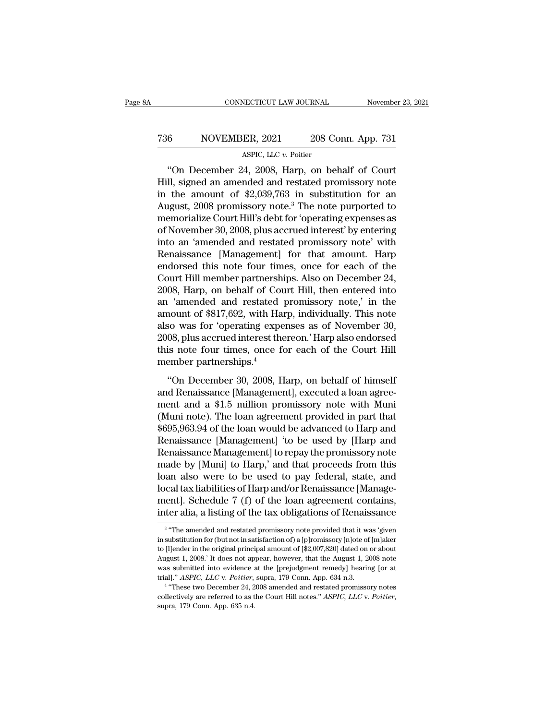### CONNECTICUT LAW JOURNAL November 23, 2021<br>
736 NOVEMBER, 2021 208 Conn. App. 731<br>
ASPIC, LLC v. Poitier NECTICUT LAW JOURNAL<br>ER, 2021 208 Contract 2011<br>ASPIC, LLC *v.* Poitier<br>24 2008 Harn on be

CONNECTICUT LAW JOURNAL November 23, 2021<br>
6 NOVEMBER, 2021 208 Conn. App. 731<br>
ASPIC, LLC v. Poitier<br>
"On December 24, 2008, Harp, on behalf of Court<br>
II, signed an amended and restated promissory note<br>
the smount of \$2,0 T36 NOVEMBER, 2021 208 Conn. App. 731<br>ASPIC, LLC v. Poitier<br>
"On December 24, 2008, Harp, on behalf of Court<br>
Hill, signed an amended and restated promissory note<br>
in the amount of \$2,039,763 in substitution for an<br>
Augus T36 NOVEMBER, 2021 208 Conn. App. 731<br>ASPIC, LLC v. Poitier<br>
"On December 24, 2008, Harp, on behalf of Court<br>
Hill, signed an amended and restated promissory note<br>
in the amount of \$2,039,763 in substitution for an<br>
Augus T36 NOVEMBER, 2021 208 Conn. App. 731<br>ASPIC, LLC v. Poitier<br>
"On December 24, 2008, Harp, on behalf of Court<br>
Hill, signed an amended and restated promissory note<br>
in the amount of \$2,039,763 in substitution for an<br>
Augus ASPIC, LLC v. Poitier<br>
"On December 24, 2008, Harp, on behalf of Court<br>
Hill, signed an amended and restated promissory note<br>
in the amount of \$2,039,763 in substitution for an<br>
August, 2008 promissory note.<sup>3</sup> The note p ASPIC, LLC  $v$ . Poller<br>
"On December 24, 2008, Harp, on behalf of Court<br>
Hill, signed an amended and restated promissory note<br>
in the amount of \$2,039,763 in substitution for an<br>
August, 2008 promissory note.<sup>3</sup> The note "On December 24, 2008, Harp, on behalf of Court<br>Hill, signed an amended and restated promissory note<br>in the amount of \$2,039,763 in substitution for an<br>August, 2008 promissory note.<sup>3</sup> The note purported to<br>memorialize Co Hill, signed an amended and restated promissory note<br>in the amount of \$2,039,763 in substitution for an<br>August, 2008 promissory note.<sup>3</sup> The note purported to<br>memorialize Court Hill's debt for 'operating expenses as<br>of Nov in the amount of \$2,039,763 in substitution for an<br>August, 2008 promissory note.<sup>3</sup> The note purported to<br>memorialize Court Hill's debt for 'operating expenses as<br>of November 30, 2008, plus accrued interest' by entering<br>in August, 2008 promissory note.<sup>3</sup> The note purported to<br>memorialize Court Hill's debt for 'operating expenses as<br>of November 30, 2008, plus accrued interest' by entering<br>into an 'amended and restated promissory note' with<br>R memorialize Court Hill's debt for 'operating expenses as<br>of November 30, 2008, plus accrued interest' by entering<br>into an 'amended and restated promissory note' with<br>Renaissance [Management] for that amount. Harp<br>endorsed of November 30, 2008, plus accrued interest' by entering<br>into an 'amended and restated promissory note' with<br>Renaissance [Management] for that amount. Harp<br>endorsed this note four times, once for each of the<br>Court Hill mem into an 'amended and restated promissory note' with<br>Renaissance [Management] for that amount. Harp<br>endorsed this note four times, once for each of the<br>Court Hill member partnerships. Also on December 24,<br>2008, Harp, on beh Renaissance [Management] for that amount. Harp<br>endorsed this note four times, once for each of the<br>Court Hill member partnerships. Also on December 24,<br>2008, Harp, on behalf of Court Hill, then entered into<br>an 'amended and endorsed this note four times, once for each of the<br>Court Hill member partnerships. Also on December 24,<br>2008, Harp, on behalf of Court Hill, then entered into<br>an 'amended and restated promissory note,' in the<br>amount of \$8 Court Hill member partnerships. Also on December 24, 2008, Harp, on behalf of Court Hill, then entered into an 'amended and restated promissory note,' in the amount of \$817,692, with Harp, individually. This note also was 2008, Harp, on behalf of Cou<br>an 'amended and restated<br>amount of \$817,692, with Ha<br>also was for 'operating expe<br>2008, plus accrued interest the<br>this note four times, once for<br>member partnerships.<sup>4</sup><br>''On December 30, 2008, From the set of \$817,692, with Harp, individually. This note<br>so was for 'operating expenses as of November 30,<br>08, plus accrued interest thereon.' Harp also endorsed<br>is note four times, once for each of the Court Hill<br>emb also was for 'operating expenses as of November 30,<br>2008, plus accrued interest thereon.' Harp also endorsed<br>this note four times, once for each of the Court Hill<br>member partnerships.<sup>4</sup><br>"On December 30, 2008, Harp, on beh

2008, plus accrued interest thereon.' Harp also endorsed<br>this note four times, once for each of the Court Hill<br>member partnerships.<sup>4</sup><br>"On December 30, 2008, Harp, on behalf of himself<br>and Renaissance [Management], execut Every practice interest interest. The parts enterted this note four times, once for each of the Court Hill<br>member partnerships.<sup>4</sup><br>"On December 30, 2008, Harp, on behalf of himself<br>and Renaissance [Management], executed a member partnerships.<sup>4</sup><br>
"On December 30, 2008, Harp, on behalf of himself<br>
and Renaissance [Management], executed a loan agree-<br>
ment and a \$1.5 million promissory note with Muni<br>
(Muni note). The loan agreement provided "On December 30, 2008, Harp, on behalf of himself<br>and Renaissance [Management], executed a loan agree-<br>ment and a \$1.5 million promissory note with Muni<br>(Muni note). The loan agreement provided in part that<br>\$695,963.94 of "On December 30, 2008, Harp, on behalf of himself<br>and Renaissance [Management], executed a loan agreement and a \$1.5 million promissory note with Muni<br>(Muni note). The loan agreement provided in part that<br>\$695,963.94 of t and Renaissance [Management], executed a loan agreement and a \$1.5 million promissory note with Muni<br>(Muni note). The loan agreement provided in part that<br>\$695,963.94 of the loan would be advanced to Harp and<br>Renaissance [ ment and a \$1.5 million promissory note with Muni<br>(Muni note). The loan agreement provided in part that<br>\$695,963.94 of the loan would be advanced to Harp and<br>Renaissance [Management] 'to be used by [Harp and<br>Renaissance Ma (Muni note). The loan agreement provided in part that \$695,963.94 of the loan would be advanced to Harp and Renaissance [Management] 'to be used by [Harp and Renaissance Management] to repay the promissory note made by [Mu \$695,963.94 of the loan would be advanced to Harp and<br>Renaissance [Management] 'to be used by [Harp and<br>Renaissance Management] to repay the promissory note<br>made by [Muni] to Harp,' and that proceeds from this<br>loan also we Renaissance [Management] 'to be used by [Harp and<br>Renaissance Management] to repay the promissory note<br>made by [Muni] to Harp,' and that proceeds from this<br>loan also were to be used to pay federal, state, and<br>local tax lia and also were to be used to pay rederal, state, and<br>cal tax liabilities of Harp and/or Renaissance [Manage-<br>ent]. Schedule 7 (f) of the loan agreement contains,<br>er alia, a listing of the tax obligations of Renaissance<br>"The local tax liabilities of Harp and/or Renaissance [Management]. Schedule 7 (f) of the loan agreement contains, inter alia, a listing of the tax obligations of Renaissance<br><sup>3</sup> "The amended and restated promissory note provi

<sup>3 &</sup>quot;Tho ։ ment]. Schedule 7 (f) of the loan agreement contains,<br>inter alia, a listing of the tax obligations of Renaissance<br><sup>3</sup> "The amended and restated promissory note provided that it was 'given<br>in substitution for (but not in s Inter alia, a listing of the tax obligations of Renaissance<br>
<sup>3</sup> "The amended and restated promissory note provided that it was 'given<br>
in substitution for (but not in satisfaction of) a [p]romissory [n]ote of [m]aker<br>
to The and, a fisting of the tax obligations of Rehassance<br>
<sup>3</sup> "The amended and restated promissory note provided that it was 'given<br>
in substitution for (but not in satisfaction of) a [p]romissory [n]ote of [m]aker<br>
to [l] <sup>3</sup> "The amended and restated promissory note provided that it was in substitution for (but not in satisfaction of) a [p]romissory [n]ote of to [l]ender in the original principal amount of [\$2,007,820] dated on 4 August 1 in substitution for (but not in satisfaction of) a [p]romissory [n]ote of [m]aker to [l]ender in the original principal amount of [\$2,007,820] dated on or about August 1, 2008.' It does not appear, however, that the Augus resussation for the original principal amount of [\$2,007,820] dated on or about August 1, 2008. It does not appear, however, that the August 1, 2008 note was submitted into evidence at the [prejudgment remedy] hearing [or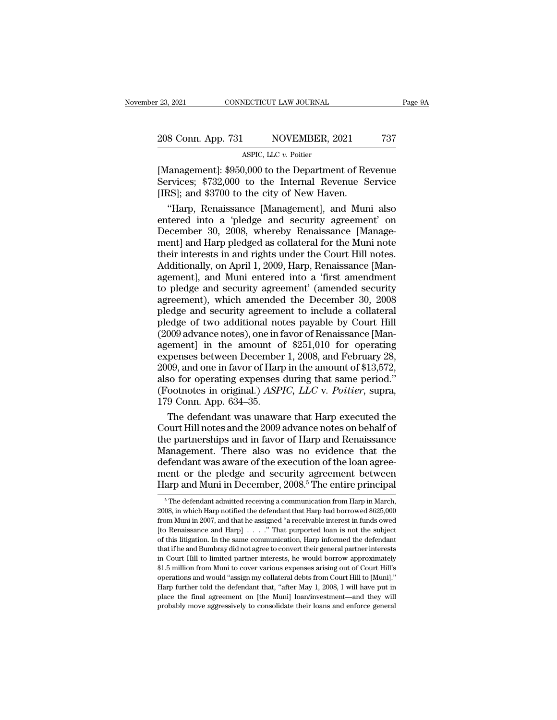Fage 9A<br>
208 Conn. App. 731 NOVEMBER, 2021 737<br>
ASPIC, LLC v. Poitier<br>
Management]: \$950,000 to the Department of Revenue<br>
Services; \$732,000 to the Internal Revenue Service<br>
[IRS]: and \$3700 to the city of New Havenue 208 Conn. App. 731 NOVEMBER, 2021 737<br>ASPIC, LLC v. Poitier<br>[Management]: \$950,000 to the Department of Revenue<br>Services; \$732,000 to the Internal Revenue Service<br>[IRS]; and \$3700 to the city of New Haven. 208 Conn. App. 731 NOVEMBER, 2021<br>ASPIC, LLC v. Poitier<br>[Management]: \$950,000 to the Department of Re<br>Services; \$732,000 to the Internal Revenue S<br>[IRS]; and \$3700 to the city of New Haven.<br>"Harp, Renaissance [Management] 8 Conn. App. 731 NOVEMBER, 2021 737<br>ASPIC, LLC v. Poitier<br>Ianagement]: \$950,000 to the Department of Revenue<br>rvices; \$732,000 to the Internal Revenue Service<br>RS]; and \$3700 to the city of New Haven.<br>"Harp, Renaissance [Man

ASPIC, LLC  $v$ . Poitier<br>
[Management]: \$950,000 to the Department of Revenue<br>
Services; \$732,000 to the Internal Revenue Service<br>
[IRS]; and \$3700 to the city of New Haven.<br>
"Harp, Renaissance [Management], and Muni also<br>  $\overline{\text{A}}$  and  $\overline{\text{A}}$  and  $\overline{\text{B}}$  and  $\overline{\text{B}}$  30,000 to the Department of Revenue<br>Services; \$732,000 to the Internal Revenue Service<br>[IRS]; and \$3700 to the city of New Haven.<br>"Harp, Renaissance [Management], an [Management]: \$950,000 to the Department of Revenue<br>Services; \$732,000 to the Internal Revenue Service<br>[IRS]; and \$3700 to the city of New Haven.<br>"Harp, Renaissance [Management], and Muni also<br>entered into a 'pledge and se Services; \$732,000 to the Internal Revenue Service<br>[IRS]; and \$3700 to the city of New Haven.<br>"Harp, Renaissance [Management], and Muni also<br>entered into a 'pledge and security agreement' on<br>December 30, 2008, whereby Rena [IRS]; and \$3700 to the city of New Haven.<br>
"Harp, Renaissance [Management], and Muni also<br>
entered into a 'pledge and security agreement' on<br>
December 30, 2008, whereby Renaissance [Management] and Harp pledged as collate "Harp, Renaissance [Management], and Muni also<br>entered into a 'pledge and security agreement' on<br>December 30, 2008, whereby Renaissance [Manage-<br>ment] and Harp pledged as collateral for the Muni note<br>their interests in and entered into a 'pledge and security agreement' on<br>December 30, 2008, whereby Renaissance [Manage-<br>ment] and Harp pledged as collateral for the Muni note<br>their interests in and rights under the Court Hill notes.<br>Additionall December 30, 2008, whereby Renaissance [Management] and Harp pledged as collateral for the Muni note<br>their interests in and rights under the Court Hill notes.<br>Additionally, on April 1, 2009, Harp, Renaissance [Man-<br>agement ment] and Harp pledged as collateral for the Muni note<br>their interests in and rights under the Court Hill notes.<br>Additionally, on April 1, 2009, Harp, Renaissance [Man-<br>agement], and Muni entered into a 'first amendment<br>to their interests in and rights under the Court Hill notes.<br>Additionally, on April 1, 2009, Harp, Renaissance [Management], and Muni entered into a 'first amendment<br>to pledge and security agreement' (amended security<br>agreeme Additionally, on April 1, 2009, Harp, Renaissance [Management], and Muni entered into a 'first amendment<br>to pledge and security agreement' (amended security<br>agreement), which amended the December 30, 2008<br>pledge and securi agement], and Muni entered into a 'first amendment<br>to pledge and security agreement' (amended security<br>agreement), which amended the December 30, 2008<br>pledge and security agreement to include a collateral<br>pledge of two add to pledge and security agreement' (amended security<br>agreement), which amended the December 30, 2008<br>pledge and security agreement to include a collateral<br>pledge of two additional notes payable by Court Hill<br>(2009 advance n agreement), which amended the December 30, 2008<br>pledge and security agreement to include a collateral<br>pledge of two additional notes payable by Court Hill<br>(2009 advance notes), one in favor of Renaissance [Man-<br>agement] i pledge and security agreement to include a collateral<br>pledge of two additional notes payable by Court Hill<br>(2009 advance notes), one in favor of Renaissance [Man-<br>agement] in the amount of \$251,010 for operating<br>expenses pledge of two additional notes payable by Court Hill<br>(2009 advance notes), one in favor of Renaissance [Man-<br>agement] in the amount of \$251,010 for operating<br>expenses between December 1, 2008, and February 28,<br>2009, and on  $[2009]$  advance notes), one in f<br>agement] in the amount of<br>expenses between December<br>2009, and one in favor of Harplands and the process (Footnotes in original.) ASP.<br>179 Conn. App. 634–35.<br>The defendant was unawa ement] in the amount of \$251,010 for operating<br>penses between December 1, 2008, and February 28,<br>09, and one in favor of Harp in the amount of \$13,572,<br>so for operating expenses during that same period."<br>ootnotes in origin expenses between December 1, 2008, and February 28,<br>2009, and one in favor of Harp in the amount of \$13,572,<br>also for operating expenses during that same period."<br>(Footnotes in original.) *ASPIC, LLC* v. *Poitier*, supra,<br>

2009, and one in favor of Harp in the amount of \$13,572,<br>also for operating expenses during that same period."<br>(Footnotes in original.) *ASPIC, LLC* v. *Poitier*, supra,<br>179 Conn. App. 634–35.<br>The defendant was unaware th also for operating expenses during that same period."<br>(Footnotes in original.) *ASPIC, LLC* v. *Poitier*, supra,<br>179 Conn. App. 634–35.<br>The defendant was unaware that Harp executed the<br>Court Hill notes and the 2009 advance (Footnotes in original.) *ASPIC, LLC* v. *Poitier*, supra,<br>179 Conn. App. 634–35.<br>The defendant was unaware that Harp executed the<br>Court Hill notes and the 2009 advance notes on behalf of<br>the partnerships and in favor of 179 Conn. App. 634–35.<br>The defendant was unaware that Harp executed the<br>Court Hill notes and the 2009 advance notes on behalf of<br>the partnerships and in favor of Harp and Renaissance<br>Management. There also was no evidence The defendant was unaware that Harp executed the<br>Court Hill notes and the 2009 advance notes on behalf of<br>the partnerships and in favor of Harp and Renaissance<br>Management. There also was no evidence that the<br>defendant was [anagement. There also was no evidence that the efendant was aware of the execution of the loan agreement or the pledge and security agreement between arp and Muni in December, 2008.<sup>5</sup> The entire principal  $\frac{5}{10}$  The defendant was aware of the execution of the loan agreement or the pledge and security agreement between Harp and Muni in December, 2008.<sup>5</sup> The entire principal <sup>5</sup> The defendant admitted receiving a communication from Har

ment or the pledge and security agreement between<br>Harp and Muni in December, 2008.<sup>5</sup> The entire principal<br><sup>5</sup> The defendant admitted receiving a communication from Harp in March,<br>2008, in which Harp notified the defendan Harp and Muni in December,  $2008.^5$  The entire principal<br>  $\frac{1}{1000}$   $\frac{1}{1000}$   $\frac{1}{1000}$   $\frac{1}{1000}$   $\frac{1}{1000}$   $\frac{1}{1000}$   $\frac{1}{1000}$   $\frac{1}{1000}$   $\frac{1}{1000}$   $\frac{1}{1000}$   $\frac{1}{1000}$   $\frac{1}{1000}$   $\frac{1}{1$ Traffy and Multi III December, 2000. The entire principal<br>
<sup>5</sup> The defendant admitted receiving a communication from Harp in March,<br>
2008, in which Harp notified the defendant that Harp had borrowed \$625,000<br>
from Muni in <sup>5</sup> The defendant admitted receiving a communication from Harp in March, 2008, in which Harp notified the defendant that Harp had borrowed \$625,000 from Muni in 2007, and that he assigned "a receivable interest in funds o 2008, in which Harp notified the defendant that Harp had borrowed \$625,000 from Muni in 2007, and that he assigned "a receivable interest in funds owed [to Renaissance and Harp]  $\ldots$  ." That purported loan is not the sub from Muni in 2007, and that he assigned "a receivable interest in funds owed<br>[to Renaissance and Harp]  $\ldots$  ." That purported loan is not the subject<br>of this litigation. In the same communication, Harp informed the defen [to Renaissance and Harp]  $\ldots$  ." That purported loan is not the subject of this litigation. In the same communication, Harp informed the defendant that if he and Bumbray did not agree to convert their general partner in for this litigation. In the same communication, Harp informed the defendant that if he and Bumbray did not agree to convert their general partner interests in Court Hill to limited partner interests, he would borrow approx that if he and Bumbray did not agree to convert their general partner interests<br>in Court Hill to limited partner interests, he would borrow approximately<br>\$1.5 million from Muni to cover various expenses arising out of Cour in Court Hill to limited partner interests, he would borrow approximately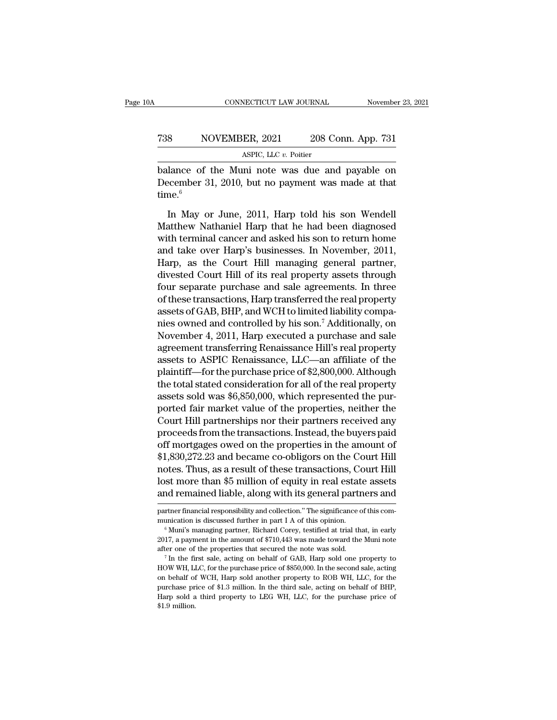### CONNECTICUT LAW JOURNAL November 23, 2021<br>
738 NOVEMBER, 2021 208 Conn. App. 731<br>
ASPIC, LLC v. Poitier NECTICUT LAW JOURNAL<br>ER, 2021 208 Contract 2011<br>ASPIC, LLC *v.* Poitier<br>Initianted was due and

CONNECTICUT LAW JOURNAL November 23, 2021<br>
Balance of the Muni note was due and payable on<br>
December 31, 2010, but no payment was made at that T38 NOVEMBER, 2021 208 Conn. App. 731<br>ASPIC, LLC v. Poitier<br>balance of the Muni note was due and payable on<br>December 31, 2010, but no payment was made at that<br>time.<sup>6</sup> time. $6$  $\frac{\text{ASPC, LLC } v. \text{ Poiter}}{\text{ASPC, LLC } v. \text{ Poiter}}$ <br>
Lance of the Muni note was due and payable on<br>
ecember 31, 2010, but no payment was made at that<br>
the.<sup>6</sup><br>
In May or June, 2011, Harp told his son Wendell<br>
atthew Nathaniel Harp tha

ASPIC, LLC  $v$ . Poitier<br>
balance of the Muni note was due and payable on<br>
December 31, 2010, but no payment was made at that<br>
time.<sup>6</sup><br>
In May or June, 2011, Harp told his son Wendell<br>
Matthew Nathaniel Harp that he had b balance of the Muni note was due and payable on<br>December 31, 2010, but no payment was made at that<br>time.<sup>6</sup><br>In May or June, 2011, Harp told his son Wendell<br>Matthew Nathaniel Harp that he had been diagnosed<br>with terminal ca December 31, 2010, but no payment was made at that<br>time.<sup>6</sup><br>In May or June, 2011, Harp told his son Wendell<br>Matthew Nathaniel Harp that he had been diagnosed<br>with terminal cancer and asked his son to return home<br>and take o time.<sup>6</sup><br>In May or June, 2011, Harp told his son Wendell<br>Matthew Nathaniel Harp that he had been diagnosed<br>with terminal cancer and asked his son to return home<br>and take over Harp's businesses. In November, 2011,<br>Harp, as In May or June, 2011, Harp told his son Wendell<br>Matthew Nathaniel Harp that he had been diagnosed<br>with terminal cancer and asked his son to return home<br>and take over Harp's businesses. In November, 2011,<br>Harp, as the Court In May or June, 2011, Harp told his son Wendell<br>Matthew Nathaniel Harp that he had been diagnosed<br>with terminal cancer and asked his son to return home<br>and take over Harp's businesses. In November, 2011,<br>Harp, as the Court Matthew Nathaniel Harp that he had been diagnosed<br>with terminal cancer and asked his son to return home<br>and take over Harp's businesses. In November, 2011,<br>Harp, as the Court Hill managing general partner,<br>divested Court H with terminal cancer and asked his son to return home<br>and take over Harp's businesses. In November, 2011,<br>Harp, as the Court Hill managing general partner,<br>divested Court Hill of its real property assets through<br>four separ and take over Harp's businesses. In November, 2011,<br>Harp, as the Court Hill managing general partner,<br>divested Court Hill of its real property assets through<br>four separate purchase and sale agreements. In three<br>of these tr Harp, as the Court Hill managing general partner,<br>divested Court Hill of its real property assets through<br>four separate purchase and sale agreements. In three<br>of these transactions, Harp transferred the real property<br>asset divested Court Hill of its real property assets through<br>four separate purchase and sale agreements. In three<br>of these transactions, Harp transferred the real property<br>assets of GAB, BHP, and WCH to limited liability compafour separate purchase and sale agreements. In three<br>of these transactions, Harp transferred the real property<br>assets of GAB, BHP, and WCH to limited liability compa-<br>nies owned and controlled by his son.<sup>7</sup> Additionally, of these transactions, Harp transferred the real property<br>assets of GAB, BHP, and WCH to limited liability compa-<br>nies owned and controlled by his son.<sup>7</sup> Additionally, on<br>November 4, 2011, Harp executed a purchase and sal assets of GAB, BHP, and WCH to limited liability compa-<br>nies owned and controlled by his son.<sup>7</sup> Additionally, on<br>November 4, 2011, Harp executed a purchase and sale<br>agreement transferring Renaissance Hill's real property<br> nies owned and controlled by his son.' Additionally, on<br>November 4, 2011, Harp executed a purchase and sale<br>agreement transferring Renaissance Hill's real property<br>assets to ASPIC Renaissance, LLC—an affiliate of the<br>plain November 4, 2011, Harp executed a purchase and sale<br>agreement transferring Renaissance Hill's real property<br>assets to ASPIC Renaissance, LLC—an affiliate of the<br>plaintiff—for the purchase price of \$2,800,000. Although<br>the agreement transferring Renaissance Hill's real property<br>assets to ASPIC Renaissance, LLC—an affiliate of the<br>plaintiff—for the purchase price of \$2,800,000. Although<br>the total stated consideration for all of the real prope assets to ASPIC Renaissance, LLC—an affiliate of the<br>plaintiff—for the purchase price of \$2,800,000. Although<br>the total stated consideration for all of the real property<br>assets sold was \$6,850,000, which represented the pu plaintiff—for the purchase price of \$2,800,000. Although<br>the total stated consideration for all of the real property<br>assets sold was \$6,850,000, which represented the pur-<br>ported fair market value of the properties, neithe the total stated consideration for all of the real property<br>assets sold was \$6,850,000, which represented the pur-<br>ported fair market value of the properties, neither the<br>Court Hill partnerships nor their partners received assets sold was \$6,850,000, which represented the pur-<br>ported fair market value of the properties, neither the<br>Court Hill partnerships nor their partners received any<br>proceeds from the transactions. Instead, the buyers pai ported fair market value of the properties, neither the<br>Court Hill partnerships nor their partners received any<br>proceeds from the transactions. Instead, the buyers paid<br>off mortgages owed on the properties in the amount of Court Hill partnerships nor their partners received any<br>proceeds from the transactions. Instead, the buyers paid<br>off mortgages owed on the properties in the amount of<br>\$1,830,272.23 and became co-obligors on the Court Hill<br> \$1,830,272.23 and became co-obligors on the Court Hill notes. Thus, as a result of these transactions, Court Hill lost more than \$5 million of equity in real estate assets and remained liable, along with its general partn motes. Thus, as a result of these transactions, Court Hill<br>lost more than \$5 million of equity in real estate assets<br>and remained liable, along with its general partners and<br>partner financial responsibility and collection.

and remained liable, along with its general partners and<br>partner financial responsibility and collection." The significance of this com-<br>munication is discussed further in part I A of this opinion.<br><sup>6</sup> Muni's managing part and Fentanted nable, along with its general partners and<br>partner financial responsibility and collection." The significance of this com-<br>munication is discussed further in part I A of this opinion.<br><sup>6</sup> Muni's managing part

munication is discussed further in part I A of this opinion.<br>
<sup>6</sup> Muni's managing partner, Richard Corey, testified at trial that, in early<br>
2017, a payment in the amount of \$710,443 was made toward the Muni note<br>
after on <sup>6</sup> Muni's managing partner, Richard Corey, testified at trial that, in early 2017, a payment in the amount of \$710,443 was made toward the Muni note after one of the properties that secured the note was sold.<br><sup>7</sup> In the 2017, a payment in the amount of \$710,443 was made toward the Muni note after one of the properties that secured the note was sold.<br>
<sup>7</sup> In the first sale, acting on behalf of GAB, Harp sold one property to HOW WH, LLC, f  $\frac{7}{1}$  In the first sale, acting on behalf of GAB, Harp sold one property to HOW WH, LLC, for the purchase price of \$850,000. In the second sale, acting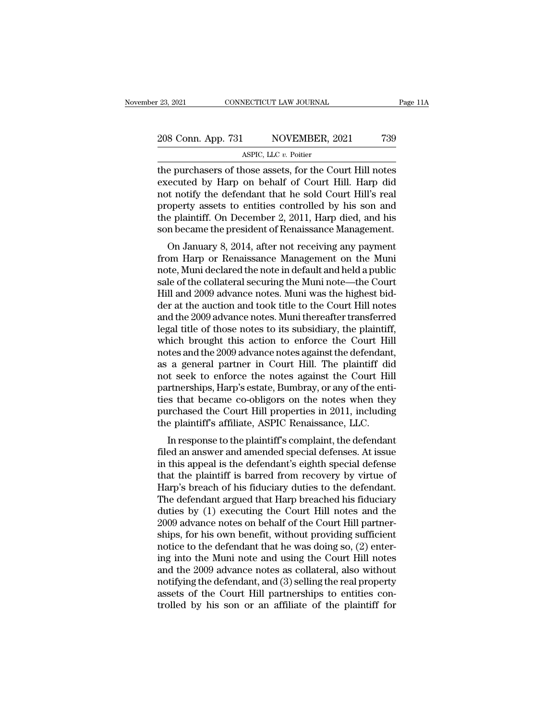### 23, 2021 CONNECTICUT LAW JOURNAL Page 11A<br>208 Conn. App. 731 NOVEMBER, 2021 739<br>ASPIC, LLC v. Poitier NECTICUT LAW JOURNAL<br>NOVEMBER, 2<br>ASPIC, LLC *v.* Poitier<br>nose assets for the Cc

The purchasers of those assets, for the Court Hill notes<br>executed by Harp on behalf of Court Hill notes<br>not notify the defendent that he seld Court Hill's real 208 Conn. App. 731 NOVEMBER, 2021 739<br>ASPIC, LLC  $v$ . Poitier<br>the purchasers of those assets, for the Court Hill notes<br>executed by Harp on behalf of Court Hill. Harp did<br>not notify the defendant that he sold Court Hill's 208 Conn. App. 731 NOVEMBER, 2021 739<br>ASPIC, LLC  $v$ . Poitier<br>the purchasers of those assets, for the Court Hill notes<br>executed by Harp on behalf of Court Hill. Harp did<br>not notify the defendant that he sold Court Hill's 208 Conn. App. 731 NOVEMBER, 2021 739<br>ASPIC, LLC  $v$ . Poitier<br>the purchasers of those assets, for the Court Hill notes<br>executed by Harp on behalf of Court Hill. Harp did<br>not notify the defendant that he sold Court Hill's ASPIC, LLC v. Poitier<br>
the purchasers of those assets, for the Court Hill notes<br>
executed by Harp on behalf of Court Hill. Harp did<br>
not notify the defendant that he sold Court Hill's real<br>
property assets to entities cont ASPIC, LLC  $v$ . Potter<br>the purchasers of those assets, for the Court Hill notes<br>executed by Harp on behalf of Court Hill. Harp did<br>not notify the defendant that he sold Court Hill's real<br>property assets to entities contro e purchasers of those assets, for the Court Hill. Harp did<br>t notify the defendant that he sold Court Hill's real<br>operty assets to entities controlled by his son and<br>e plaintiff. On December 2, 2011, Harp died, and his<br>n be executed by Harp on behand of Court Hill. Harp did<br>not notify the defendant that he sold Court Hill's real<br>property assets to entities controlled by his son and<br>the plaintiff. On December 2, 2011, Harp died, and his<br>son be

not nothy the defendant that he sold Court Till s real<br>property assets to entities controlled by his son and<br>the plaintiff. On December 2, 2011, Harp died, and his<br>son became the president of Renaissance Management.<br>On Jan property assets to entries controlled by his solid and<br>the plaintiff. On December 2, 2011, Harp died, and his<br>son became the president of Renaissance Management.<br>On January 8, 2014, after not receiving any payment<br>from Har the plantin. On December 2, 2011, 11arp died, and his<br>son became the president of Renaissance Management.<br>On January 8, 2014, after not receiving any payment<br>from Harp or Renaissance Management on the Muni<br>note, Muni decla son became the president of Nenaissance Management.<br>
On January 8, 2014, after not receiving any payment<br>
from Harp or Renaissance Management on the Muni<br>
note, Muni declared the note in default and held a public<br>
sale of On January 8, 2014, after not receiving any payment<br>from Harp or Renaissance Management on the Muni<br>note, Muni declared the note in default and held a public<br>sale of the collateral securing the Muni note—the Court<br>Hill and from Harp or Renaissance Management on the Muni<br>note, Muni declared the note in default and held a public<br>sale of the collateral securing the Muni note—the Court<br>Hill and 2009 advance notes. Muni was the highest bid-<br>der a note, Muni declared the note in default and held a public<br>sale of the collateral securing the Muni note—the Court<br>Hill and 2009 advance notes. Muni was the highest bid-<br>der at the auction and took title to the Court Hill n sale of the collateral securing the Muni note—the Court<br>Hill and 2009 advance notes. Muni was the highest bid-<br>der at the auction and took title to the Court Hill notes<br>and the 2009 advance notes. Muni thereafter transferr Hill and 2009 advance notes. Muni was the highest bid-<br>der at the auction and took title to the Court Hill notes<br>and the 2009 advance notes. Muni thereafter transferred<br>legal title of those notes to its subsidiary, the pla der at the auction and took title to the Court Hill notes<br>and the 2009 advance notes. Muni thereafter transferred<br>legal title of those notes to its subsidiary, the plaintiff,<br>which brought this action to enforce the Court and the 2009 advance notes. Muni thereafter transferred<br>legal title of those notes to its subsidiary, the plaintiff,<br>which brought this action to enforce the Court Hill<br>notes and the 2009 advance notes against the defendan legal title of those notes to its subsidiary, the plaintiff,<br>which brought this action to enforce the Court Hill<br>notes and the 2009 advance notes against the defendant,<br>as a general partner in Court Hill. The plaintiff did which brought this action to enforce the Court Hill<br>notes and the 2009 advance notes against the defendant,<br>as a general partner in Court Hill. The plaintiff did<br>not seek to enforce the notes against the Court Hill<br>partner notes and the 2009 advance notes against the defendant, as a general partner in Court Hill. The plaintiff did not seek to enforce the notes against the Court Hill partnerships, Harp's estate, Bumbray, or any of the entitie a general partier in Court Till. The plaintiff und<br>it seek to enforce the notes against the Court Hill<br>princrships, Harp's estate, Bumbray, or any of the enti-<br>is that became co-obligors on the notes when they<br>rehased the filed an answer and amended special defenses.<br>They are the communities that became co-obligors on the notes when they<br>purchased the Court Hill properties in 2011, including<br>the plaintiff's affiliate, ASPIC Renaissance, LLC

partierships, riarp's estate, buttoray, or any or the entire-<br>ties that became co-obligors on the notes when they<br>purchased the Court Hill properties in 2011, including<br>the plaintiff's affiliate, ASPIC Renaissance, LLC.<br>In the state became co-obigots on the hotes when they<br>purchased the Court Hill properties in 2011, including<br>the plaintiff's affiliate, ASPIC Renaissance, LLC.<br>In response to the plaintiff's complaint, the defendant<br>filed an purchased the Court Tim properties in 2011, including<br>the plaintiff's affiliate, ASPIC Renaissance, LLC.<br>In response to the plaintiff's complaint, the defendant<br>filed an answer and amended special defenses. At issue<br>in thi In response to the plaintiff's complaint, the defendant<br>filed an answer and amended special defenses. At issue<br>in this appeal is the defendant's eighth special defense<br>that the plaintiff is barred from recovery by virtue o In response to the plaintiff's complaint, the defendant<br>filed an answer and amended special defenses. At issue<br>in this appeal is the defendant's eighth special defense<br>that the plaintiff is barred from recovery by virtue o filed an answer and amended special defenses. At issue<br>in this appeal is the defendant's eighth special defense<br>that the plaintiff is barred from recovery by virtue of<br>Harp's breach of his fiduciary duties to the defendant in this appeal is the defendant's eighth special defense<br>that the plaintiff is barred from recovery by virtue of<br>Harp's breach of his fiduciary duties to the defendant.<br>The defendant argued that Harp breached his fiduciary that the plaintiff is barred from recovery by virtue of Harp's breach of his fiduciary duties to the defendant.<br>The defendant argued that Harp breached his fiduciary<br>duties by (1) executing the Court Hill notes and the<br>200 Harp's breach of his fiduciary duties to the defendant.<br>The defendant argued that Harp breached his fiduciary<br>duties by (1) executing the Court Hill notes and the<br>2009 advance notes on behalf of the Court Hill partner-<br>sh The defendant argued that Harp breached his fiduciary<br>duties by (1) executing the Court Hill notes and the<br>2009 advance notes on behalf of the Court Hill partner-<br>ships, for his own benefit, without providing sufficient<br>no duties by (1) executing the Court Hill notes and the<br>2009 advance notes on behalf of the Court Hill partner-<br>ships, for his own benefit, without providing sufficient<br>notice to the defendant that he was doing so, (2) enter-2009 advance notes on behalf of the Court Hill partner-<br>ships, for his own benefit, without providing sufficient<br>notice to the defendant that he was doing so, (2) enter-<br>ing into the Muni note and using the Court Hill note ships, for his own benefit, without providing sufficient<br>notice to the defendant that he was doing so, (2) enter-<br>ing into the Muni note and using the Court Hill notes<br>and the 2009 advance notes as collateral, also without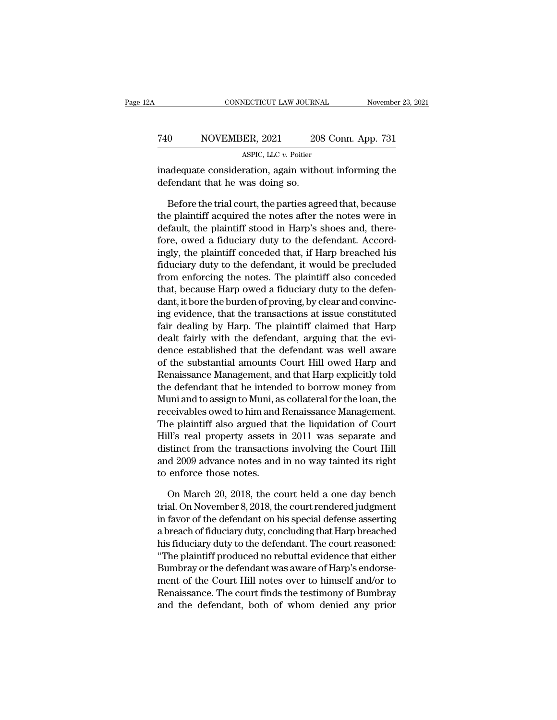|     | CONNECTICUT LAW JOURNAL                                                                  | November 23, 2021  |
|-----|------------------------------------------------------------------------------------------|--------------------|
| 740 | NOVEMBER, 2021                                                                           | 208 Conn. App. 731 |
|     | ASPIC, LLC v. Poitier                                                                    |                    |
|     | inadequate consideration, again without informing the<br>defendant that he was doing so. |                    |
|     | Before the trial court, the parties agreed that, because                                 |                    |

 $\begin{array}{r} 0 \hbox{NOWEMBER, 2021} \hbox{208 Conn. App. 731} \ \hline \text{ASPC, LLC } v. \text{ Poitier} \ \hline \end{array}$ <br>adequate consideration, again without informing the fendant that he was doing so.<br>Before the trial court, the parties agreed that, because e plaint  $\frac{ABPL, 2021}{ABPL, 202}$  asplies and  $\frac{ABPL, 2021}{BC}$  and  $\frac{BCL, 2021}{BC}$  and  $\frac{BCL, 2021}{BC}$  and  $\frac{BCL, 2021}{BC}$  and  $\frac{BCL}{BC}$  and  $\frac{BCL}{BC}$  and  $\frac{BCL}{BC}$  and  $\frac{BCL}{BC}$  and  $\frac{BCL}{BC}$  and  $\frac{BCL}{BC}$  and  $\frac{BCL}{BC}$  a  $\frac{\text{ASPLC, LLC } v. \text{ Poiter}}{\text{inadequate consideration, again without informing the}\end{equation}$ <br>defendant that he was doing so.<br>Before the trial court, the parties agreed that, because<br>the plaintiff acquired the notes after the notes were in<br>default, the plaintiff stood in H inadequate consideration, again without informing the<br>defendant that he was doing so.<br>Before the trial court, the parties agreed that, because<br>the plaintiff acquired the notes after the notes were in<br>default, the plaintiff defendant that he was doing so.<br>
Before the trial court, the parties agreed that, because<br>
the plaintiff acquired the notes after the notes were in<br>
default, the plaintiff stood in Harp's shoes and, there-<br>
fore, owed a fi Before the trial court, the parties agreed that, because<br>the plaintiff acquired the notes after the notes were in<br>default, the plaintiff stood in Harp's shoes and, there-<br>fore, owed a fiduciary duty to the defendant. Accor Before the trial court, the parties agreed that, because<br>the plaintiff acquired the notes after the notes were in<br>default, the plaintiff stood in Harp's shoes and, there-<br>fore, owed a fiduciary duty to the defendant. Accor the plaintiff acquired the notes after the notes were in<br>default, the plaintiff stood in Harp's shoes and, there-<br>fore, owed a fiduciary duty to the defendant. Accord-<br>ingly, the plaintiff conceded that, if Harp breached h default, the plaintiff stood in Harp's shoes and, there-<br>fore, owed a fiduciary duty to the defendant. Accord-<br>ingly, the plaintiff conceded that, if Harp breached his<br>fiduciary duty to the defendant, it would be precluded fore, owed a fiduciary duty to the defendant. Accordingly, the plaintiff conceded that, if Harp breached his fiduciary duty to the defendant, it would be precluded from enforcing the notes. The plaintiff also conceded that ingly, the plaintiff conceded that, if Harp breached his<br>fiduciary duty to the defendant, it would be precluded<br>from enforcing the notes. The plaintiff also conceded<br>that, because Harp owed a fiduciary duty to the defen-<br>d fiduciary duty to the defendant, it would be precluded<br>from enforcing the notes. The plaintiff also conceded<br>that, because Harp owed a fiduciary duty to the defen-<br>dant, it bore the burden of proving, by clear and convincfrom enforcing the notes. The plaintiff also conceded<br>that, because Harp owed a fiduciary duty to the defen-<br>dant, it bore the burden of proving, by clear and convinc-<br>ing evidence, that the transactions at issue constitut that, because Harp owed a fiduciary duty to the defen-<br>dant, it bore the burden of proving, by clear and convinc-<br>ing evidence, that the transactions at issue constituted<br>fair dealing by Harp. The plaintiff claimed that Ha dant, it bore the burden of proving, by clear and convincing<br>evidence, that the transactions at issue constituted<br>fair dealing by Harp. The plaintiff claimed that Harp<br>dealt fairly with the defendant, arguing that the eviing evidence, that the transactions at issue constituted<br>fair dealing by Harp. The plaintiff claimed that Harp<br>dealt fairly with the defendant, arguing that the evi-<br>dence established that the defendant was well aware<br>of t fair dealing by Harp. The plaintiff claimed that Harp<br>dealt fairly with the defendant, arguing that the evi-<br>dence established that the defendant was well aware<br>of the substantial amounts Court Hill owed Harp and<br>Renaissan dealt fairly with the defendant, arguing that the evi-<br>dence established that the defendant was well aware<br>of the substantial amounts Court Hill owed Harp and<br>Renaissance Management, and that Harp explicitly told<br>the defen dence established that the defendant was well aware<br>of the substantial amounts Court Hill owed Harp and<br>Renaissance Management, and that Harp explicitly told<br>the defendant that he intended to borrow money from<br>Muni and to of the substantial amounts Court Hill owed Harp and<br>Renaissance Management, and that Harp explicitly told<br>the defendant that he intended to borrow money from<br>Muni and to assign to Muni, as collateral for the loan, the<br>rece Renaissance Management, and that Harp explicitly told<br>the defendant that he intended to borrow money from<br>Muni and to assign to Muni, as collateral for the loan, the<br>receivables owed to him and Renaissance Management.<br>The the detendant that he intended to borrow money from<br>Muni and to assign to Muni, as collateral for the loan, the<br>receivables owed to him and Renaissance Management.<br>The plaintiff also argued that the liquidation of Court<br>Hi Muni and to assign to Muni, as<br>receivables owed to him and<br>The plaintiff also argued tha<br>Hill's real property assets i<br>distinct from the transactior<br>and 2009 advance notes and<br>to enforce those notes.<br>On March 20, 2018, the is plaintiff also argued that the liquidation of Court<br>ll's real property assets in 2011 was separate and<br>stinct from the transactions involving the Court Hill<br>d 2009 advance notes and in no way tainted its right<br>enforce t Hill's real property assets in 2011 was separate and<br>distinct from the transactions involving the Court Hill<br>and 2009 advance notes and in no way tainted its right<br>to enforce those notes.<br>On March 20, 2018, the court held

distinct from the transactions involving the Court Hill<br>and 2009 advance notes and in no way tainted its right<br>to enforce those notes.<br>On March 20, 2018, the court held a one day bench<br>trial. On November 8, 2018, the court and 2009 advance notes and in no way tainted its right<br>to enforce those notes.<br>On March 20, 2018, the court held a one day bench<br>trial. On November 8, 2018, the court rendered judgment<br>in favor of the defendant on his spec to enforce those notes.<br>
On March 20, 2018, the court held a one day bench<br>
trial. On November 8, 2018, the court rendered judgment<br>
in favor of the defendant on his special defense asserting<br>
a breach of fiduciary duty, c On March 20, 2018, the court held a one day bench<br>trial. On November 8, 2018, the court rendered judgment<br>in favor of the defendant on his special defense asserting<br>a breach of fiduciary duty, concluding that Harp breached On March 20, 2018, the court held a one day bench<br>trial. On November 8, 2018, the court rendered judgment<br>in favor of the defendant on his special defense asserting<br>a breach of fiduciary duty, concluding that Harp breached trial. On November 8, 2018, the court rendered judgment<br>in favor of the defendant on his special defense asserting<br>a breach of fiduciary duty, concluding that Harp breached<br>his fiduciary duty to the defendant. The court re in favor of the defendant on his special defense asserting<br>a breach of fiduciary duty, concluding that Harp breached<br>his fiduciary duty to the defendant. The court reasoned:<br>"The plaintiff produced no rebuttal evidence tha a breach of hauclary duty, concluding that Harp breached<br>his fiduciary duty to the defendant. The court reasoned:<br>"The plaintiff produced no rebuttal evidence that either<br>Bumbray or the defendant was aware of Harp's endors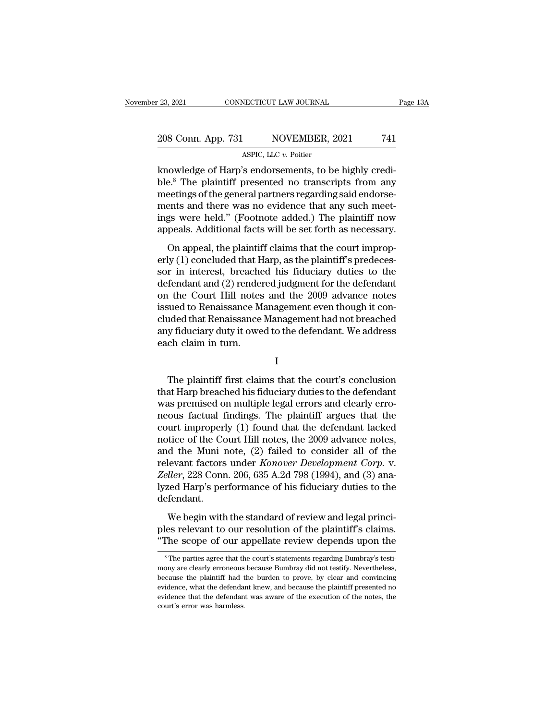### 23, 2021 CONNECTICUT LAW JOURNAL Page 13A<br>
208 Conn. App. 731 NOVEMBER, 2021 741<br>
ASPIC, LLC v. Poitier NECTICUT LAW JOURNAL<br>NOVEMBER, 2<br>ASPIC, LLC *v.* Poitier<br>'s endorsements to be

knowledge of Harp's endorsements, to be highly credi-<br>
Rowledge of Harp's endorsements, to be highly credi-<br>
Mowledge of Harp's endorsements, to be highly credi-<br>
Due.<sup>8</sup> The plaintiff presented no transcripts from any mee 208 Conn. App. 731 NOVEMBER, 2021 741<br>ASPIC, LLC v. Poitier<br>Rowledge of Harp's endorsements, to be highly credi-<br>ble.<sup>8</sup> The plaintiff presented no transcripts from any<br>meetings of the general partners regarding said endor 208 Conn. App. 731 NOVEMBER, 2021 741<br>ASPIC, LLC  $v$ . Poitier<br>knowledge of Harp's endorsements, to be highly credi-<br>ble.<sup>8</sup> The plaintiff presented no transcripts from any<br>meetings of the general partners regarding said e 208 Conn. App. 731 NOVEMBER, 2021 741<br>ASPIC, LLC  $v$ . Poitier<br>knowledge of Harp's endorsements, to be highly credi-<br>ble.<sup>8</sup> The plaintiff presented no transcripts from any<br>meetings of the general partners regarding said e ASPIC, LLC v. Poitier<br>
ASPIC, LLC v. Poitier<br>
knowledge of Harp's endorsements, to be highly credi-<br>
ble.<sup>8</sup> The plaintiff presented no transcripts from any<br>
meetings of the general partners regarding said endorse-<br>
ments ASPIC, LLC v. Potter<br>
knowledge of Harp's endorsements, to be highly credi-<br>
ble.<sup>8</sup> The plaintiff presented no transcripts from any<br>
meetings of the general partners regarding said endorse-<br>
ments and there was no evidenc Example of Harp's endorscritents, to be highly ered-<br>
E.<sup>8</sup> The plaintiff presented no transcripts from any<br>
setings of the general partners regarding said endorse-<br>
ents and there was no evidence that any such meet-<br>
gs w erly (1) concluded that Harp, as the plaintiff's predeces-<br>server held." (Footnote added.) The plaintiff now<br>appeals. Additional facts will be set forth as necessary.<br>On appeal, the plaintiff claims that the court improp-

meetings of the general partners regarding state entorse<br>ments and there was no evidence that any such meet-<br>ings were held." (Footnote added.) The plaintiff now<br>appeals. Additional facts will be set forth as necessary.<br>On ments and after was no evidence and any such meet<br>ings were held." (Footnote added.) The plaintiff now<br>appeals. Additional facts will be set forth as necessary.<br>On appeal, the plaintiff claims that the court improp-<br>erly ( mgs were near. (I comode aladea.) The plantin flow<br>appeals. Additional facts will be set forth as necessary.<br>On appeal, the plaintiff claims that the court improp-<br>erly (1) concluded that Harp, as the plaintiff's predecesis on appeals. Hadiabhai has some seculoral as necessary.<br>
On appeal, the plaintiff claims that the court improperly (1) concluded that Harp, as the plaintiff's predecessor in interest, breached his fiduciary duties to the On appeal, the plaintiff claims that the court improp-<br>erly (1) concluded that Harp, as the plaintiff's predeces-<br>sor in interest, breached his fiduciary duties to the<br>defendant and (2) rendered judgment for the defendant<br> erly (1) concluded that Harp, as the plaintiff's predecessor in interest, breached his fiduciary duties to the defendant and (2) rendered judgment for the defendant on the Court Hill notes and the 2009 advance notes issued sor in interest, breache<br>defendant and (2) render<br>on the Court Hill notes<br>issued to Renaissance M<br>cluded that Renaissance<br>any fiduciary duty it owe<br>each claim in turn. sued to Renaissance Management even though it con-<br>1ded that Renaissance Management had not breached<br>1 y fiduciary duty it owed to the defendant. We address<br>1 claim in turn.<br>I<br>The plaintiff first claims that the court's co

I

cluded that Renaissance Management had not breached<br>any fiduciary duty it owed to the defendant. We address<br>each claim in turn.<br>I<br>The plaintiff first claims that the court's conclusion<br>that Harp breached his fiduciary duti any fiduciary duty it owed to the defendant. We address<br>each claim in turn.<br>I<br>The plaintiff first claims that the court's conclusion<br>that Harp breached his fiduciary duties to the defendant<br>was premised on multiple legal e reach claim in turn.<br>
I<br>
The plaintiff first claims that the court's conclusion<br>
that Harp breached his fiduciary duties to the defendant<br>
was premised on multiple legal errors and clearly erro-<br>
neous factual findings. Th I<br>
The plaintiff first claims that the court's conclusion<br>
that Harp breached his fiduciary duties to the defendant<br>
was premised on multiple legal errors and clearly erro-<br>
neous factual findings. The plaintiff argues tha The plaintiff first claims that the court's conclusion<br>that Harp breached his fiduciary duties to the defendant<br>was premised on multiple legal errors and clearly erro-<br>neous factual findings. The plaintiff argues that the The plaintiff first claims that the court's conclusion<br>that Harp breached his fiduciary duties to the defendant<br>was premised on multiple legal errors and clearly erro-<br>neous factual findings. The plaintiff argues that the that Harp breached his fiduciary duties to the defendant<br>was premised on multiple legal errors and clearly erro-<br>neous factual findings. The plaintiff argues that the<br>court improperly (1) found that the defendant lacked<br>no was premised on multiple legal errors and clearly erro-<br>neous factual findings. The plaintiff argues that the<br>court improperly (1) found that the defendant lacked<br>notice of the Court Hill notes, the 2009 advance notes,<br>and neous factual findings. The plaintiff argues that the court improperly (1) found that the defendant lacked notice of the Court Hill notes, the 2009 advance notes, and the Muni note, (2) failed to consider all of the releva defendant. delice of the court rim notes, the 2009 datacter hotes,<br>d the Muni note, (2) failed to consider all of the<br>levant factors under *Konover Development Corp.* v.<br>*ller*, 228 Conn. 206, 635 A.2d 798 (1994), and (3) ana-<br>red Ha relevant factors under *Konover Development Corp.* v.<br> *Zeller*, 228 Conn. 206, 635 A.2d 798 (1994), and (3) ana-<br>
lyzed Harp's performance of his fiduciary duties to the<br>
defendant.<br>
We begin with the standard of review a Leven the score of the score process provided to the *Seller*, 228 Conn. 206, 635 A.2d 798 (1994), and (3) analyzed Harp's performance of his fiduciary duties to the defendant.<br>We begin with the standard of review and lega

We begin with the standard of review and legal princi-<br>les relevant to our resolution of the plaintiff's claims.<br>The scope of our appellate review depends upon the<br><sup>8</sup>The parties agree that the court's statements regarding We begin with the standard of review and legal princi-<br>ples relevant to our resolution of the plaintiff's claims.<br>"The scope of our appellate review depends upon the<br>"The parties agree that the court's statements regarding

ples relevant to our resolution of the plaintiff's claims.<br>
"The scope of our appellate review depends upon the<br>
<sup>8</sup>The parties agree that the court's statements regarding Bumbray's testi-<br>
mony are clearly erroneous becau "The scope of our appellate review depends upon the<br>
<sup>8</sup>The parties agree that the court's statements regarding Bumbray's testimony are clearly erroneous because Bumbray did not testify. Nevertheless,<br>
because the plaintif The Scope of our appenate review depends upon the<br><sup>8</sup>The parties agree that the court's statements regarding Bumbray's testi-<br>mony are clearly erroneous because Bumbray did not testify. Nevertheless,<br>because the plaintiff  $\degree$  The parties agree that the mony are clearly erroreous because the plaintiff had tevidence, what the defendance widence that the defendance court's error was harmless.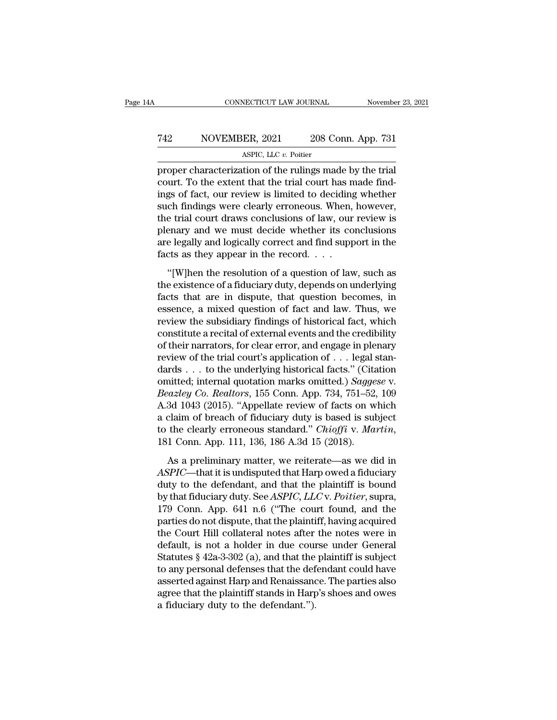### CONNECTICUT LAW JOURNAL November 23, 2021<br>
742 NOVEMBER, 2021 208 Conn. App. 731<br>
ASPIC, LLC v. Poitier NECTICUT LAW JOURNAL<br>ER, 2021 208 Contains 2011<br>ASPIC, LLC *v.* Poitier<br>Tion of the rulings ma

cONNECTICUT LAW JOURNAL November 23, 20<br>
T42 NOVEMBER, 2021 208 Conn. App. 731<br>
ASPIC, LLC v. Poitier<br>
proper characterization of the rulings made by the trial<br>
court. To the extent that the trial court has made find-<br>
ing THE TREE THE SUCKET MOVEMBER, 2021 208 Conn. App. 731<br>ASPIC, LLC  $v$ . Poitier<br>proper characterization of the rulings made by the trial<br>court. To the extent that the trial court has made find-<br>ings of fact, our review is l T42 NOVEMBER, 2021 208 Conn. App. 731<br>ASPIC, LLC  $v$ . Poitier<br>proper characterization of the rulings made by the trial<br>court. To the extent that the trial court has made find-<br>ings of fact, our review is limited to decidi  $\begin{array}{ll} \hline \text{TOVEMBER, 2021} & \text{208 Conn. App. 731} \\ \hline \text{ASPIC, LLC } v. \text{ Poitier} \\ \hline \text{proper characterization of the rulings made by the trial} \\ \text{court. To the extent that the trial court has made findings of fact, our review is limited to deciding whether such findings were clearly erroneous. When, however, the trial court draws conclusions of law, our review is planar, and we must decide whether its conclusions on the original work. \end{array}$ ASPIC, LLC  $v$ . Poitier<br>proper characterization of the rulings made by the trial<br>court. To the extent that the trial court has made find-<br>ings of fact, our review is limited to deciding whether<br>such findings were clearly ASPIC, LEC  $\dot{v}$ . Polder<br>proper characterization of the rulings made by the trial<br>court. To the extent that the trial court has made find-<br>ings of fact, our review is limited to deciding whether<br>such findings were clear proper characterization of the rulings made by the trial<br>court. To the extent that the trial court has made find-<br>ings of fact, our review is limited to deciding whether<br>such findings were clearly erroneous. When, however, court. To the extent that the trial court has n<br>ings of fact, our review is limited to deciding<br>such findings were clearly erroneous. When,<br>the trial court draws conclusions of law, our<br>plenary and we must decide whether i (b) the resolution of a question of law, such as existence in the resolutions of law, our review is enary and we must decide whether its conclusions e legally and logically correct and find support in the rets as they appe From the trial court draws conclusions of law, our review is<br>plenary and we must decide whether its conclusions<br>are legally and logically correct and find support in the<br>facts as they appear in the record....<br>"[W]hen the r

Fremary and we must decide whether its conclusions<br>are legally and logically correct and find support in the<br>facts as they appear in the record. . . .<br>"[W]hen the resolution of a question of law, such as<br>the existence of a essence, a mixed vertex when the subspace of a find support in the facts as they appear in the record. . . .<br>
"[W]hen the resolution of a question of law, such as<br>
the existence of a fiduciary duty, depends on underlying<br> review the resolution of a question of law, such as<br>
"[W]hen the resolution of a question of law, such as<br>
the existence of a fiduciary duty, depends on underlying<br>
facts that are in dispute, that question becomes, in<br>
ess "[W]hen the resolution of a question of law, such as<br>the existence of a fiduciary duty, depends on underlying<br>facts that are in dispute, that question becomes, in<br>essence, a mixed question of fact and law. Thus, we<br>review "[W]hen the resolution of a question of law, such as<br>the existence of a fiduciary duty, depends on underlying<br>facts that are in dispute, that question becomes, in<br>essence, a mixed question of fact and law. Thus, we<br>review the existence of a fiduciary duty, depends on underlying facts that are in dispute, that question becomes, in essence, a mixed question of fact and law. Thus, we review the subsidiary findings of historical fact, which co facts that are in dispute, that question becomes, in<br>essence, a mixed question of fact and law. Thus, we<br>review the subsidiary findings of historical fact, which<br>constitute a recital of external events and the credibility essence, a mixed question of fact and law. Thus, we<br>review the subsidiary findings of historical fact, which<br>constitute a recital of external events and the credibility<br>of their narrators, for clear error, and engage in pl review the subsidiary findings of historical fact, which<br>constitute a recital of external events and the credibility<br>of their narrators, for clear error, and engage in plenary<br>review of the trial court's application of . . constitute a recital of external events and the credibility<br>of their narrators, for clear error, and engage in plenary<br>review of the trial court's application of  $\ldots$  legal stan-<br>dards  $\ldots$  to the underlying historical of their narrators, for clear error, and engage in plenary<br>review of the trial court's application of . . . legal stan-<br>dards . . . to the underlying historical facts." (Citation<br>omitted; internal quotation marks omitted. review of the trial court's application of . . . legal standards . . . to the underlying historical facts." (Citation omitted; internal quotation marks omitted.) *Saggese* v. *Beazley Co. Realtors*, 155 Conn. App. 734, 751 eazley Co. Realtors, 155 Conn. App. 734, 751–52, 109<br>3d 1043 (2015). "Appellate review of facts on which<br>claim of breach of fiduciary duty is based is subject<br>the clearly erroneous standard." Chioffi v. Martin,<br>1 Conn. App A.3d 1043 (2015). "Appellate review of facts on which<br>a claim of breach of fiduciary duty is based is subject<br>to the clearly erroneous standard." *Chioffi* v. *Martin*,<br>181 Conn. App. 111, 136, 186 A.3d 15 (2018).<br>As a pr

a claim of breach of fiduciary duty is based is subject<br>to the clearly erroneous standard." *Chioffi* v. *Martin*,<br>181 Conn. App. 111, 136, 186 A.3d 15 (2018).<br>As a preliminary matter, we reiterate—as we did in<br>ASPIC—that by the clearly erroneous standard." *Chioffi* v*. Martin*, 181 Conn. App. 111, 136, 186 A.3d 15 (2018).<br>As a preliminary matter, we reiterate—as we did in *ASPIC*—that it is undisputed that Harp owed a fiduciary duty to th 181 Conn. App. 111, 136, 186 A.3d 15 (2018).<br>
As a preliminary matter, we reiterate—as we did in<br>  $ASPIC$ —that it is undisputed that Harp owed a fiduciary<br>
duty to the defendant, and that the plaintiff is bound<br>
by that fidu As a preliminary matter, we reiterate—as we did in  $ASPIC$ —that it is undisputed that Harp owed a fiduciary<br>duty to the defendant, and that the plaintiff is bound<br>by that fiduciary duty. See ASPIC, LLC v. Poitier, supra,<br>179 As a preliminary matter, we reiterate—as we did in<br>ASPIC—that it is undisputed that Harp owed a fiduciary<br>duty to the defendant, and that the plaintiff is bound<br>by that fiduciary duty. See ASPIC, LLC v. Poitier, supra,<br>17 ASPIC—that it is undisputed that Harp owed a fiduciary<br>duty to the defendant, and that the plaintiff is bound<br>by that fiduciary duty. See ASPIC, LLC v. Poitier, supra,<br>179 Conn. App. 641 n.6 ("The court found, and the<br>par duty to the defendant, and that the plaintiff is bound<br>by that fiduciary duty. See *ASPIC*, *LLC* v. *Poitier*, supra,<br>179 Conn. App. 641 n.6 ("The court found, and the<br>parties do not dispute, that the plaintiff, having ac by that fiduciary duty. See *ASPIC*, *LLC* v. *Poitier*, supra,<br>179 Conn. App. 641 n.6 ("The court found, and the<br>parties do not dispute, that the plaintiff, having acquired<br>the Court Hill collateral notes after the notes 179 Conn. App. 641 n.6 ("The court found, and the<br>parties do not dispute, that the plaintiff, having acquired<br>the Court Hill collateral notes after the notes were in<br>default, is not a holder in due course under General<br>Sta parties do not dispute, that the plaintiff, having acquired<br>the Court Hill collateral notes after the notes were in<br>default, is not a holder in due course under General<br>Statutes § 42a-3-302 (a), and that the plaintiff is s the Court Hill collateral notes after<br>default, is not a holder in due cour<br>Statutes § 42a-3-302 (a), and that the<br>to any personal defenses that the def<br>asserted against Harp and Renaissana<br>agree that the plaintiff stands i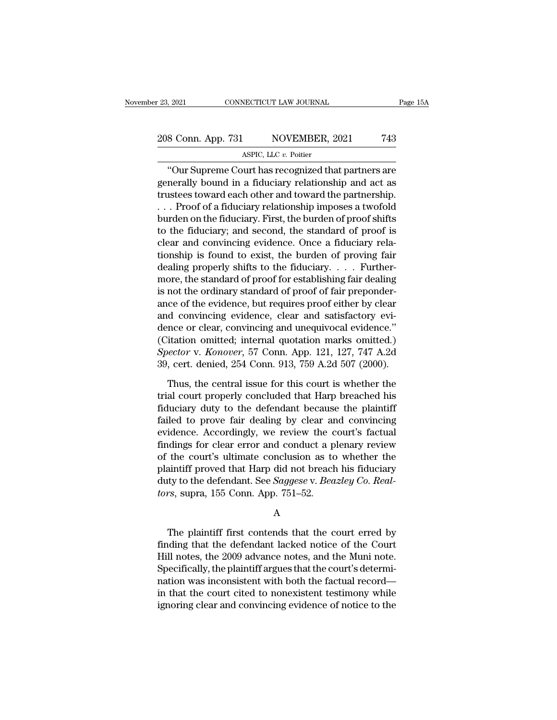### 23, 2021 CONNECTICUT LAW JOURNAL Page 15A<br>
208 Conn. App. 731 NOVEMBER, 2021 743<br>
ASPIC, LLC v. Poitier NECTICUT LAW JOURNAL<br>NOVEMBER, 2<br>ASPIC, LLC *v.* Poitier<br>Nurt has recognized tha

9. 2021 CONNECTICUT LAW JOURNAL Page 15A<br>
8 Conn. App. 731 NOVEMBER, 2021 743<br>
4SPIC, LLC v. Poitier<br>
"Our Supreme Court has recognized that partners are<br>
nerally bound in a fiduciary relationship and act as 208 Conn. App. 731 NOVEMBER, 2021 743<br>ASPIC, LLC v. Poitier<br>"Our Supreme Court has recognized that partners are<br>generally bound in a fiduciary relationship and act as<br>trustees toward each other and toward the partnership.<br> 208 Conn. App. 731 NOVEMBER, 2021 743<br>ASPIC, LLC v. Poitier<br>
"Our Supreme Court has recognized that partners are<br>generally bound in a fiduciary relationship and act as<br>
trustees toward each other and toward the partnershi 208 Conn. App. 731 NOVEMBER, 2021 743<br>ASPIC, LLC  $v$ . Poitier<br>
"Our Supreme Court has recognized that partners are<br>
generally bound in a fiduciary relationship and act as<br>
trustees toward each other and toward the partner ASPIC, LLC  $v$ . Poitier<br>
"Our Supreme Court has recognized that partners are<br>
generally bound in a fiduciary relationship and act as<br>
trustees toward each other and toward the partnership.<br>
. . . Proof of a fiduciary rela ASPIC, ELC *v*. Folder<br>
"Our Supreme Court has recognized that partners are<br>
generally bound in a fiduciary relationship and act as<br>
trustees toward each other and toward the partnership.<br>
. . . Proof of a fiduciary relat "Our Supreme Court has recognized that partners are<br>generally bound in a fiduciary relationship and act as<br>trustees toward each other and toward the partnership.<br>... Proof of a fiduciary relationship imposes a twofold<br>bur generally bound in a fiduciary relationship and act as<br>trustees toward each other and toward the partnership.<br>... Proof of a fiduciary relationship imposes a twofold<br>burden on the fiduciary. First, the burden of proof shif trustees toward each other and toward the partnership.<br>
. . . Proof of a fiduciary relationship imposes a twofold<br>
burden on the fiduciary. First, the burden of proof shifts<br>
to the fiduciary; and second, the standard of p . . . Proof of a fiduciary relationship imposes a twofold<br>burden on the fiduciary. First, the burden of proof shifts<br>to the fiduciary; and second, the standard of proof is<br>clear and convincing evidence. Once a fiduciary re burden on the fiduciary. First, the burden of proof shifts<br>to the fiduciary; and second, the standard of proof is<br>clear and convincing evidence. Once a fiduciary rela-<br>tionship is found to exist, the burden of proving fair to the fiduciary; and second, the standard of proof is<br>clear and convincing evidence. Once a fiduciary rela-<br>tionship is found to exist, the burden of proving fair<br>dealing properly shifts to the fiduciary. . . . Further-<br>m clear and convincing evidence. Once a fiduciary rela-<br>tionship is found to exist, the burden of proving fair<br>dealing properly shifts to the fiduciary.... Further-<br>more, the standard of proof for establishing fair dealing<br> tionship is found to exist, the burden of proving fair<br>dealing properly shifts to the fiduciary.... Further-<br>more, the standard of proof for establishing fair dealing<br>is not the ordinary standard of proof of fair preponde dealing properly shifts to the fiduciary. . . . Furthermore, the standard of proof for establishing fair dealing<br>is not the ordinary standard of proof of fair preponder-<br>ance of the evidence, but requires proof either by more, the standard of proof for establishing fair dealing<br>is not the ordinary standard of proof of fair preponder-<br>ance of the evidence, but requires proof either by clear<br>and convincing evidence, clear and satisfactory ev is not the ordinary standard of proof of fair preponder-<br>ance of the evidence, but requires proof either by clear<br>and convincing evidence, clear and satisfactory evi-<br>dence or clear, convincing and unequivocal evidence."<br>( d convincing evidence, clear and satisfactory evi-<br>nce or clear, convincing and unequivocal evidence."<br>itation omitted; internal quotation marks omitted.)<br>*ector* v. *Konover*, 57 Conn. App. 121, 127, 747 A.2d<br>, cert. deni dence or clear, convincing and unequivocal evidence."<br>
(Citation omitted; internal quotation marks omitted.)<br>
Spector v. Konover, 57 Conn. App. 121, 127, 747 A.2d<br>
39, cert. denied, 254 Conn. 913, 759 A.2d 507 (2000).<br>
Thu

(Citation omitted; internal quotation marks omitted.)<br>
Spector v. Konover, 57 Conn. App. 121, 127, 747 A.2d<br>
39, cert. denied, 254 Conn. 913, 759 A.2d 507 (2000).<br>
Thus, the central issue for this court is whether the<br>
tr Spector v. Konover, 57 Conn. App. 121, 127, 747 A.2d<br>39, cert. denied, 254 Conn. 913, 759 A.2d 507 (2000).<br>Thus, the central issue for this court is whether the<br>trial court properly concluded that Harp breached his<br>fiduci 39, cert. denied, 254 Conn. 913, 759 A.2d 507 (2000).<br>Thus, the central issue for this court is whether the<br>trial court properly concluded that Harp breached his<br>fiduciary duty to the defendant because the plaintiff<br>faile Thus, the central issue for this court is whether the<br>trial court properly concluded that Harp breached his<br>fiduciary duty to the defendant because the plaintiff<br>failed to prove fair dealing by clear and convincing<br>evidenc Thus, the central issue for this court is whether the<br>trial court properly concluded that Harp breached his<br>fiduciary duty to the defendant because the plaintiff<br>failed to prove fair dealing by clear and convincing<br>evidenc trial court properly concluded that Harp breached his<br>fiduciary duty to the defendant because the plaintiff<br>failed to prove fair dealing by clear and convincing<br>evidence. Accordingly, we review the court's factual<br>findings fiduciary duty to the defendant because the plaintiff<br>failed to prove fair dealing by clear and convincing<br>evidence. Accordingly, we review the court's factual<br>findings for clear error and conduct a plenary review<br>of the c failed to prove fair dealing by clear arevidence. Accordingly, we review the c<br>findings for clear error and conduct a p<br>of the court's ultimate conclusion as to<br>plaintiff proved that Harp did not breach<br>duty to the defenda the court's uninate conclusion as to whether the<br>aintiff proved that Harp did not breach his fiduciary<br>ty to the defendant. See *Saggese* v. *Beazley Co. Real-*<br>rs, supra, 155 Conn. App. 751–52.<br>A<br>The plaintiff first conte

A

plantin proved that riarp dud not breach his inductary<br>duty to the defendant. See *Saggese* v. *Beazley Co. Real-<br>tors*, supra, 155 Conn. App. 751–52.<br>A<br>The plaintiff first contends that the court erred by<br>finding that the duty to the defendant. See *Suggese v. Beazley Co. Real-*<br> *H*<br> *H*<br>
The plaintiff first contends that the court erred by<br>
finding that the defendant lacked notice of the Court<br>
Hill notes, the 2009 advance notes, and the Free plaintiff first contends that the court erred by<br>The plaintiff first contends that the court erred by<br>finding that the defendant lacked notice of the Court<br>Hill notes, the 2009 advance notes, and the Muni note.<br>Specif A<br>The plaintiff first contends that the court erred by<br>finding that the defendant lacked notice of the Court<br>Hill notes, the 2009 advance notes, and the Muni note.<br>Specifically, the plaintiff argues that the court's determ The plaintiff first contends that the court erred by<br>finding that the defendant lacked notice of the Court<br>Hill notes, the 2009 advance notes, and the Muni note.<br>Specifically, the plaintiff argues that the court's determi-The plaintiff first contends that the court erred by<br>finding that the defendant lacked notice of the Court<br>Hill notes, the 2009 advance notes, and the Muni note.<br>Specifically, the plaintiff argues that the court's determi-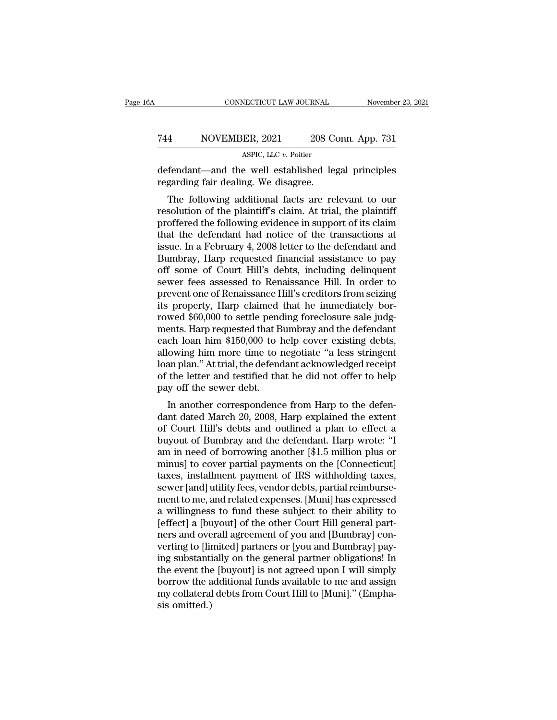#### CONNECTICUT LAW JOURNAL November 23, 2021<br>
744 NOVEMBER, 2021 208 Conn. App. 731<br>
ASPIC, LLC v. Poitier NECTICUT LAW JOURNAL<br>ER, 2021 208 Contract 2011<br>ASPIC, LLC *v.* Poitier<br>P. Well established leg CONNECTICUT LAW JOURNAL November 23, 2021<br>
T44 NOVEMBER, 2021 208 Conn. App. 731<br>
ASPIC, LLC v. Poitier<br>
defendant—and the well established legal principles<br>
regarding fair dealing. We disagree. The Taures of November, 2021 208 C<br>
ASPIC, LLC v. Poitier<br>
defendant—and the well established leg<br>
regarding fair dealing. We disagree.<br>
The following additional facts are re

MOVEMBER, 2021 208 Conn. App. 731<br>ASPIC, LLC v. Poitier<br>Fendant—and the well established legal principles<br>garding fair dealing. We disagree.<br>The following additional facts are relevant to our<br>solution of the plaintiff's cl THE TREVIEW THE POSITION OF THE PRESENTATION ASPIC, LLC v. Poitier<br>defendant—and the well established legal principles<br>regarding fair dealing. We disagree.<br>The following additional facts are relevant to our<br>resolution of ASPIC, LLC  $v$ . Poitier<br>
defendant—and the well established legal principles<br>
regarding fair dealing. We disagree.<br>
The following additional facts are relevant to our<br>
resolution of the plaintiff's claim. At trial, the pl defendant—and the well established legal principles<br>regarding fair dealing. We disagree.<br>The following additional facts are relevant to our<br>resolution of the plaintiff's claim. At trial, the plaintiff<br>proffered the followi defendant—and the wen established legal principles<br>regarding fair dealing. We disagree.<br>The following additional facts are relevant to our<br>resolution of the plaintiff's claim. At trial, the plaintiff<br>proffered the followin regarding ran dealing. We disagree.<br>The following additional facts are relevant to our<br>resolution of the plaintiff's claim. At trial, the plaintiff<br>proffered the following evidence in support of its claim<br>that the defendan The following additional facts are relevant to our<br>resolution of the plaintiff's claim. At trial, the plaintiff<br>proffered the following evidence in support of its claim<br>that the defendant had notice of the transactions at<br> resolution of the plaintiff's claim. At trial, the plaintiff<br>proffered the following evidence in support of its claim<br>that the defendant had notice of the transactions at<br>issue. In a February 4, 2008 letter to the defendan proffered the following evidence in support of its claim<br>that the defendant had notice of the transactions at<br>issue. In a February 4, 2008 letter to the defendant and<br>Bumbray, Harp requested financial assistance to pay<br>off that the defendant had notice of the transactions at<br>issue. In a February 4, 2008 letter to the defendant and<br>Bumbray, Harp requested financial assistance to pay<br>off some of Court Hill's debts, including delinquent<br>sewer f issue. In a February 4, 2008 letter to the defendant and<br>Bumbray, Harp requested financial assistance to pay<br>off some of Court Hill's debts, including delinquent<br>sewer fees assessed to Renaissance Hill. In order to<br>prevent Bumbray, Harp requested financial assistance to pay<br>off some of Court Hill's debts, including delinquent<br>sewer fees assessed to Renaissance Hill. In order to<br>prevent one of Renaissance Hill's creditors from seizing<br>its pro off some of Court Hill's debts, including delinquent<br>sewer fees assessed to Renaissance Hill. In order to<br>prevent one of Renaissance Hill's creditors from seizing<br>its property, Harp claimed that he immediately bor-<br>rowed \$ sewer fees assessed to Renaissance Hill. In order to<br>prevent one of Renaissance Hill's creditors from seizing<br>its property, Harp claimed that he immediately bor-<br>rowed \$60,000 to settle pending foreclosure sale judg-<br>ments prevent one of Renaissance Hill's creditors from seizing<br>its property, Harp claimed that he immediately bor-<br>rowed \$60,000 to settle pending foreclosure sale judg-<br>ments. Harp requested that Bumbray and the defendant<br>each its property, Harp claimed that he immediately bor-<br>rowed \$60,000 to settle pending foreclosure sale judg-<br>ments. Harp requested that Bumbray and the defendant<br>each loan him \$150,000 to help cover existing debts,<br>allowing rowed \$60,000 to settle pend<br>ments. Harp requested that B<br>each loan him \$150,000 to l<br>allowing him more time to 1<br>loan plan." At trial, the defend<br>of the letter and testified tha<br>pay off the sewer debt.<br>In another correspo Ents. Harp requested that Bumbray and the defendant<br>ch loan him \$150,000 to help cover existing debts,<br>owing him more time to negotiate "a less stringent<br>an plan." At trial, the defendant acknowledged receipt<br>the letter an each foar finn \$150,000 to help cover existing debts,<br>allowing him more time to negotiate "a less stringent<br>loan plan." At trial, the defendant acknowledged receipt<br>of the letter and testified that he did not offer to help

allowing film note time to negotiate a less stringent<br>loan plan." At trial, the defendant acknowledged receipt<br>of the letter and testified that he did not offer to help<br>pay off the sewer debt.<br>In another correspondence fro buyout of the letter and testified that he did not offer to help<br>pay off the sewer debt.<br>In another correspondence from Harp to the defen-<br>dant dated March 20, 2008, Harp explained the extent<br>of Court Hill's debts and outl of the sewer debt.<br>
In another correspondence from Harp to the defen-<br>
dant dated March 20, 2008, Harp explained the extent<br>
of Court Hill's debts and outlined a plan to effect a<br>
buyout of Bumbray and the defendant. Harp pay on the sewer debt.<br>In another correspondence from Harp to the defen-<br>dant dated March 20, 2008, Harp explained the extent<br>of Court Hill's debts and outlined a plan to effect a<br>buyout of Bumbray and the defendant. Harp In another correspondence from Harp to the defen-<br>dant dated March 20, 2008, Harp explained the extent<br>of Court Hill's debts and outlined a plan to effect a<br>buyout of Bumbray and the defendant. Harp wrote: "I<br>am in need of dant dated March 20, 2008, Harp explained the extent<br>of Court Hill's debts and outlined a plan to effect a<br>buyout of Bumbray and the defendant. Harp wrote: "I<br>am in need of borrowing another [\$1.5 million plus or<br>minus] to of Court Hill's debts and outlined a plan to effect a<br>buyout of Bumbray and the defendant. Harp wrote: "I<br>am in need of borrowing another [\$1.5 million plus or<br>minus] to cover partial payments on the [Connecticut]<br>taxes, i buyout of Bumbray and the defendant. Harp wrote: "I<br>am in need of borrowing another [\$1.5 million plus or<br>minus] to cover partial payments on the [Connecticut]<br>taxes, installment payment of IRS withholding taxes,<br>sewer [an am in need of borrowing another [\$1.5 million plus or<br>minus] to cover partial payments on the [Connecticut]<br>taxes, installment payment of IRS withholding taxes,<br>sewer [and] utility fees, vendor debts, partial reimburse-<br>me minus] to cover partial payments on the [Connecticut]<br>taxes, installment payment of IRS withholding taxes,<br>sewer [and] utility fees, vendor debts, partial reimburse-<br>ment to me, and related expenses. [Muni] has expressed<br>a taxes, installment payment of IRS withholding taxes,<br>sewer [and] utility fees, vendor debts, partial reimburse-<br>ment to me, and related expenses. [Muni] has expressed<br>a willingness to fund these subject to their ability to sewer [and] utility fees, vendor debts, partial reimbursement to me, and related expenses. [Muni] has expressed<br>a willingness to fund these subject to their ability to<br>[effect] a [buyout] of the other Court Hill general pa ment to me, and related expenses. [Muni] has expressed<br>a willingness to fund these subject to their ability to<br>[effect] a [buyout] of the other Court Hill general part-<br>ners and overall agreement of you and [Bumbray] con-<br> a willingness to fund these subject to their ability to<br>[effect] a [buyout] of the other Court Hill general part-<br>ners and overall agreement of you and [Bumbray] con-<br>verting to [limited] partners or [you and Bumbray] pay-[effect] a [buyout] of the other Court Hill general partners and overall agreement of you and [Bumbray] converting to [limited] partners or [you and Bumbray] paying substantially on the general partner obligations! In the ners and ove<br>verting to [lin<br>ing substanti<br>the event the<br>borrow the a<br>my collateral<br>sis omitted.)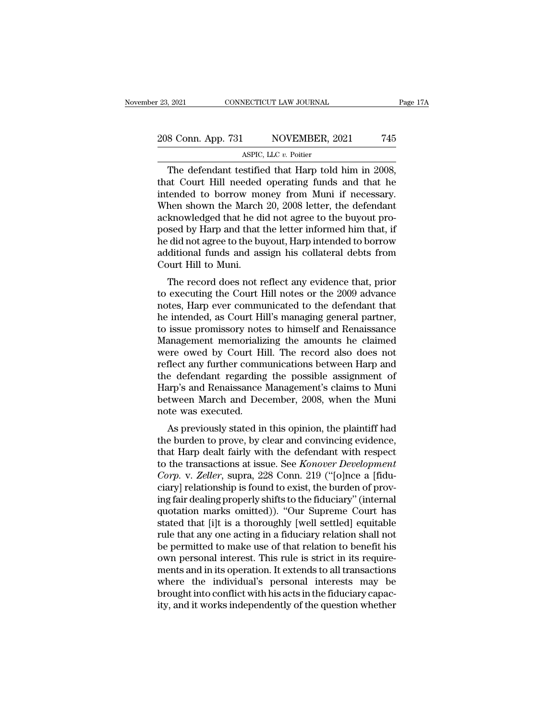### 23, 2021 CONNECTICUT LAW JOURNAL Page 17A<br>208 Conn. App. 731 NOVEMBER, 2021 745<br>ASPIC, LLC v. Poitier NECTICUT LAW JOURNAL<br>NOVEMBER, 2<br>ASPIC, LLC *v.* Poitier<br>Astified that Harn told

9. 2021 CONNECTICUT LAW JOURNAL Page 1<br>
8 Conn. App. 731 NOVEMBER, 2021 745<br>
ASPIC, LLC v. Poitier<br>
The defendant testified that Harp told him in 2008,<br>
at Court Hill needed operating funds and that he<br>
tended to berrow mo 208 Conn. App. 731 NOVEMBER, 2021 745<br>ASPIC, LLC v. Poitier<br>The defendant testified that Harp told him in 2008,<br>that Court Hill needed operating funds and that he<br>intended to borrow money from Muni if necessary.<br>When shown 208 Conn. App. 731 NOVEMBER, 2021 745<br>ASPIC, LLC  $v$ . Poitier<br>The defendant testified that Harp told him in 2008,<br>that Court Hill needed operating funds and that he<br>intended to borrow money from Muni if necessary.<br>When sh 208 Conn. App. 731 NOVEMBER, 2021 745<br>ASPIC, LLC  $v$ . Poitier<br>The defendant testified that Harp told him in 2008,<br>that Court Hill needed operating funds and that he<br>intended to borrow money from Muni if necessary.<br>When sh ASPIC, LLC  $v$ . Poitier<br>
The defendant testified that Harp told him in 2008,<br>
that Court Hill needed operating funds and that he<br>
intended to borrow money from Muni if necessary.<br>
When shown the March 20, 2008 letter, the ASPIC, LLC  $v$ . Potter<br>The defendant testified that Harp told him in 2008,<br>that Court Hill needed operating funds and that he<br>intended to borrow money from Muni if necessary.<br>When shown the March 20, 2008 letter, the defe The defendant testified that Harp told him in 2008,<br>that Court Hill needed operating funds and that he<br>intended to borrow money from Muni if necessary.<br>When shown the March 20, 2008 letter, the defendant<br>acknowledged that that Court Hill needed operating funds and that he<br>intended to borrow money from Muni if necessary.<br>When shown the March 20, 2008 letter, the defendant<br>acknowledged that he did not agree to the buyout pro-<br>posed by Harp an intended to borrow mc<br>When shown the March<br>acknowledged that he di<br>posed by Harp and that<br>he did not agree to the bu<br>additional funds and as<br>Court Hill to Muni.<br>The record does not r Franchi and that the did not agree to the buyout pro-<br>Seed by Harp and that the letter informed him that, if<br>did not agree to the buyout, Harp intended to borrow<br>ditional funds and assign his collateral debts from<br>burt Hil acknowledged that he duffiot agree to the buyout pro-<br>posed by Harp and that the letter informed him that, if<br>he did not agree to the buyout, Harp intended to borrow<br>additional funds and assign his collateral debts from<br>Co

posed by Harp and that the letter miorined finit that, if<br>he did not agree to the buyout, Harp intended to borrow<br>additional funds and assign his collateral debts from<br>Court Hill to Muni.<br>The record does not reflect any ev he und not agree to the buyout, frarp intended to borrow<br>additional funds and assign his collateral debts from<br>Court Hill to Muni.<br>The record does not reflect any evidence that, prior<br>to executing the Court Hill notes or t Example 1 and assign its conateral debts from<br>Court Hill to Muni.<br>The record does not reflect any evidence that, prior<br>to executing the Court Hill notes or the 2009 advance<br>notes, Harp ever communicated to the defendant th Court rim to multi.<br>The record does not reflect any evidence that, prior<br>to executing the Court Hill notes or the 2009 advance<br>notes, Harp ever communicated to the defendant that<br>he intended, as Court Hill's managing gener The record does not reflect any evidence that, prior<br>to executing the Court Hill notes or the 2009 advance<br>notes, Harp ever communicated to the defendant that<br>he intended, as Court Hill's managing general partner,<br>to issue to executing the Court Hill notes or the 2009 advance<br>notes, Harp ever communicated to the defendant that<br>he intended, as Court Hill's managing general partner,<br>to issue promissory notes to himself and Renaissance<br>Manageme notes, Harp ever communicated to the defendant that<br>he intended, as Court Hill's managing general partner,<br>to issue promissory notes to himself and Renaissance<br>Management memorializing the amounts he claimed<br>were owed by C he intended, as Court Hill's managing general partner,<br>to issue promissory notes to himself and Renaissance<br>Management memorializing the amounts he claimed<br>were owed by Court Hill. The record also does not<br>reflect any furt to issue promissory notes to himself and Renaissance<br>Management memorializing the amounts he claimed<br>were owed by Court Hill. The record also does not<br>reflect any further communications between Harp and<br>the defendant regar Management memorializ<br>were owed by Court Hi<br>reflect any further comm<br>the defendant regarding<br>Harp's and Renaissance<br>between March and Dec<br>note was executed.<br>As previously stated in Fre owed by Court Till. The record also does not<br>flect any further communications between Harp and<br>e defendant regarding the possible assignment of<br>arp's and Renaissance Management's claims to Muni<br>tween March and December renect any further communications between Harp and<br>the defendant regarding the possible assignment of<br>Harp's and Renaissance Management's claims to Muni<br>between March and December, 2008, when the Muni<br>note was executed.<br>As

the defendant regarding the possible assignment of<br>Harp's and Renaissance Management's claims to Muni<br>between March and December, 2008, when the Muni<br>note was executed.<br>As previously stated in this opinion, the plaintiff h Trarp's and Renaissance Management's crains to Muni<br>between March and December, 2008, when the Muni<br>note was executed.<br>As previously stated in this opinion, the plaintiff had<br>the burden to prove, by clear and convincing ev *Corp.* when the Multimeter was executed.<br>
As previously stated in this opinion, the plaintiff had<br>
the burden to prove, by clear and convincing evidence,<br>
that Harp dealt fairly with the defendant with respect<br>
to the tra As previously stated in this opinion, the plaintiff had<br>the burden to prove, by clear and convincing evidence,<br>that Harp dealt fairly with the defendant with respect<br>to the transactions at issue. See *Konover Development* As previously stated in this opinion, the plaintiff had<br>the burden to prove, by clear and convincing evidence,<br>that Harp dealt fairly with the defendant with respect<br>to the transactions at issue. See *Konover Development*<br> the burden to prove, by clear and convincing evidence,<br>that Harp dealt fairly with the defendant with respect<br>to the transactions at issue. See *Konover Development*<br>*Corp.* v. *Zeller*, supra, 228 Conn. 219 ("[o]nce a [fi that Harp dealt fairly with the defendant with respect<br>to the transactions at issue. See *Konover Development*<br>Corp. v. Zeller, supra, 228 Conn. 219 ("[o]nce a [fidu-<br>ciary] relationship is found to exist, the burden of pr to the transactions at issue. See *Konover Development*<br>Corp. v. Zeller, supra, 228 Conn. 219 ("[o]nce a [fidu-<br>ciary] relationship is found to exist, the burden of prov-<br>ing fair dealing properly shifts to the fiduciary" Corp. v. Zeller, supra, 228 Conn. 219 ("[o]nce a [fiduciary] relationship is found to exist, the burden of proving fair dealing properly shifts to the fiduciary" (internal quotation marks omitted)). "Our Supreme Court has ciary] relationship is found to exist, the burden of proving fair dealing properly shifts to the fiduciary" (internal quotation marks omitted)). "Our Supreme Court has stated that [i]t is a thoroughly [well settled] equita ing fair dealing properly shifts to the fiduciary" (internal<br>quotation marks omitted)). "Our Supreme Court has<br>stated that [i]t is a thoroughly [well settled] equitable<br>rule that any one acting in a fiduciary relation shal quotation marks omitted)). "Our Supreme Court has<br>stated that [i]t is a thoroughly [well settled] equitable<br>rule that any one acting in a fiduciary relation shall not<br>be permitted to make use of that relation to benefit hi stated that [i]t is a thoroughly [well settled] equitable<br>rule that any one acting in a fiduciary relation shall not<br>be permitted to make use of that relation to benefit his<br>own personal interest. This rule is strict in it rule that any one acting in a fiduciary relation shall not<br>be permitted to make use of that relation to benefit his<br>own personal interest. This rule is strict in its require-<br>ments and in its operation. It extends to all t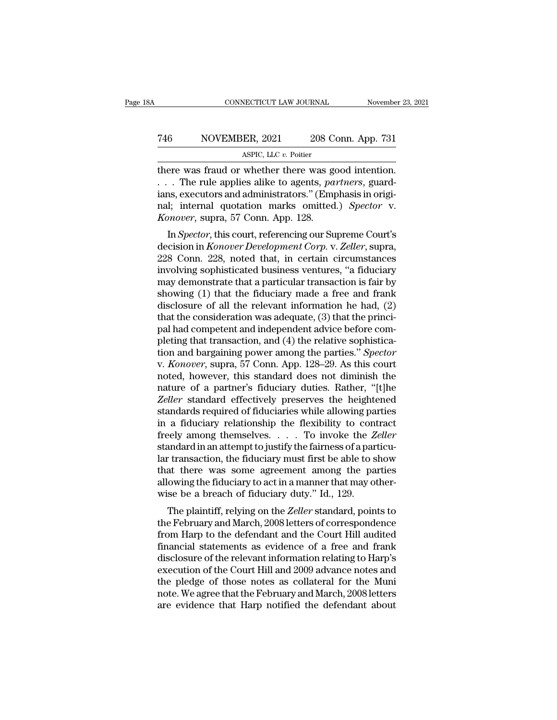### CONNECTICUT LAW JOURNAL November 23, 2021<br>
746 NOVEMBER, 2021 208 Conn. App. 731<br>
ASPIC, LLC v. Poitier NECTICUT LAW JOURNAL<br>ER, 2021 208 Contract 208<br>ASPIC, LLC *v.* Poitier<br>whether there was go

CONNECTICUT LAW JOURNAL November 23, 2<br>
T46 NOVEMBER, 2021 208 Conn. App. 731<br>
ASPIC, LLC v. Poitier<br>
there was fraud or whether there was good intention.<br>
... The rule applies alike to agents, partners, guard-<br>
inexecutor The Taures are NOVEMBER, 2021 208 Conn. App. 731<br>ASPIC, LLC v. Poitier<br>There was fraud or whether there was good intention.<br>C. . . . The rule applies alike to agents, *partners*, guard-<br>Lins, executors and administrators." For all the MOVEMBER, 2021 and 208 Conn. App. 731<br>
ASPIC, LLC v. Poitier<br>
there was fraud or whether there was good intention.<br>
... The rule applies alike to agents, partners, guard-<br>
ians, executors and administrators.'' NOVEMBER, 2021 208 Conn. App. 731<br>ASPIC, LLC v. Poitier<br>there was fraud or whether there was good intention.<br>... The rule applies alike to agents, partners, guard-<br>ians, executors and administrators." (Emphasis in origi-<br>n *Konover, 2021* 208 Conn. App. 731<br> *KSPIC, LLC v. Poitier*<br> *KSPIC, LLC v. Poitier*<br> *Konover*, and or whether there was good intention.<br> *Konover*, supra, 57 Conn. App. 128.<br> *Konover*, supra, 57 Conn. App. 128.<br> *Konove* ere was fraud or whether there was good intention.<br>
. The rule applies alike to agents, *partners*, guard-<br>
ns, executors and administrators." (Emphasis in origi-<br>
l; internal quotation marks omitted.) *Spector* v.<br> *Nonov* decision in *Konover Development Corp. v. Zeller, supramisms, executors and administrators." (Emphasis in original; internal quotation marks omitted.) <i>Spector* v. *Konover, supra, 57 Conn. App. 128.*<br>In *Spector*, this co

228 Conn. 228, noted business ventures, "and increase involving sophisticated business ventures, "applement Corp" v.<br>
228 Conn. 228, noted that, in certain circumstances<br>
involving sophisticated business ventures, "a fidu rails, executors and administrators. (Emphasis in original; internal quotation marks omitted.) Spector v.<br> *Konover*, supra, 57 Conn. App. 128.<br>
In Spector, this court, referencing our Supreme Court's<br>
decision in *Konover* may demonstrate that a particular transaction in *Spector*, this court, referencing our Supreme Court's decision in *Konover Development Corp.* v. *Zeller*, supra, 228 Conn. 228, noted that, in certain circumstances invol Showier, supra, 37 Coluit. App. 128.<br>
In *Spector*, this court, referencing our Supreme Court's<br>
decision in *Konover Development Corp.* v. *Zeller*, supra,<br>
228 Conn. 228, noted that, in certain circumstances<br>
involving In *Spector*, this court, referencing our Supreme Court's<br>decision in *Konover Development Corp.* v. *Zeller*, supra,<br>228 Conn. 228, noted that, in certain circumstances<br>involving sophisticated business ventures, "a fiduci decision in *Konover Development Corp.* v. *Zeller*, supra, 228 Conn. 228, noted that, in certain circumstances<br>involving sophisticated business ventures, "a fiduciary<br>may demonstrate that a particular transaction is fair 228 Conn. 228, noted that, in certain circumstances<br>involving sophisticated business ventures, "a fiduciary<br>may demonstrate that a particular transaction is fair by<br>showing (1) that the fiduciary made a free and frank<br>dis involving sophisticated business ventures, "a fiduciary<br>may demonstrate that a particular transaction is fair by<br>showing (1) that the fiduciary made a free and frank<br>disclosure of all the relevant information he had, (2)<br> may demonstrate that a particular transaction is fair by<br>showing (1) that the fiduciary made a free and frank<br>disclosure of all the relevant information he had, (2)<br>that the consideration was adequate, (3) that the princishowing (1) that the fiduciary made a free and frank<br>disclosure of all the relevant information he had, (2)<br>that the consideration was adequate, (3) that the princi-<br>pal had competent and independent advice before com-<br>ple disclosure of all the relevant information he had,  $(2)$ <br>that the consideration was adequate,  $(3)$  that the princi-<br>pal had competent and independent advice before com-<br>pleting that transaction, and  $(4)$  the relative so that the consideration was adequate, (3) that the princi-<br>pal had competent and independent advice before com-<br>pleting that transaction, and (4) the relative sophistica-<br>tion and bargaining power among the parties." Specto pal had competent and independent advice before completing that transaction, and (4) the relative sophistication and bargaining power among the parties." *Spector* v. *Konover*, supra, 57 Conn. App. 128–29. As this court n pleting that transaction, and (4) the relative sophistication and bargaining power among the parties." Spector v. Konover, supra, 57 Conn. App. 128–29. As this court noted, however, this standard does not diminish the natu tion and bargaining power among the parties." Spector<br>v. Konover, supra, 57 Conn. App. 128–29. As this court<br>noted, however, this standard does not diminish the<br>nature of a partner's fiduciary duties. Rather, "[t]he<br>Zelle v. *Konover*, supra, 57 Conn. App. 128–29. As this court<br>noted, however, this standard does not diminish the<br>nature of a partner's fiduciary duties. Rather, "[t]he<br>*Zeller* standard effectively preserves the heightened<br>sta noted, however, this standard does not diminish the<br>nature of a partner's fiduciary duties. Rather, "[t]he<br>*Zeller* standard effectively preserves the heightened<br>standards required of fiduciaries while allowing parties<br>in nature of a partner's fiduciary duties. Rather, "[t]he *Zeller* standard effectively preserves the heightened standards required of fiduciaries while allowing parties in a fiduciary relationship the flexibility to contract *Zeller* standard effectively preserves the heightened<br>standards required of fiduciaries while allowing parties<br>in a fiduciary relationship the flexibility to contract<br>freely among themselves. . . . To invoke the *Zeller* standards required of fiduciaries while allowing parties<br>in a fiduciary relationship the flexibility to contract<br>freely among themselves.  $\ldots$  To invoke the *Zeller*<br>standard in an attempt to justify the fairness of a pa in a fiduciary relationship the flexibility to confreely among themselves.  $\ldots$  To invoke the  $Z$  standard in an attempt to justify the fairness of a par lar transaction, the fiduciary must first be able to s that there Figure 2018 and an attempt to justify the fairness of a particular transaction, the fiduciary must first be able to show<br>at there was some agreement among the parties<br>owing the fiduciary to act in a manner that may other-<br> standard in an attempt to justify the raintess of a particu-<br>lar transaction, the fiduciary must first be able to show<br>that there was some agreement among the parties<br>allowing the fiduciary to act in a manner that may othe

rat transaction, the nutchary must first be able to show<br>that there was some agreement among the parties<br>allowing the fiduciary to act in a manner that may other-<br>wise be a breach of fiduciary duty." Id., 129.<br>The plaintif final there was some agreement among the parties<br>allowing the fiduciary to act in a manner that may other-<br>wise be a breach of fiduciary duty." Id., 129.<br>The plaintiff, relying on the *Zeller* standard, points to<br>the Febru allowing the Hutchary to act in a mathlet that may other-<br>wise be a breach of fiduciary duty." Id., 129.<br>The plaintiff, relying on the *Zeller* standard, points to<br>the February and March, 2008 letters of correspondence<br>fro wise be a breach of huuclary duty. Td., 125.<br>The plaintiff, relying on the *Zeller* standard, points to<br>the February and March, 2008 letters of correspondence<br>from Harp to the defendant and the Court Hill audited<br>financia The plaintiff, relying on the *Zeller* standard, points to<br>the February and March, 2008 letters of correspondence<br>from Harp to the defendant and the Court Hill audited<br>financial statements as evidence of a free and frank<br>d the February and March, 2008 letters of correspondence<br>from Harp to the defendant and the Court Hill audited<br>financial statements as evidence of a free and frank<br>disclosure of the relevant information relating to Harp's<br>ex from Harp to the defendant and the Court Hill audited<br>financial statements as evidence of a free and frank<br>disclosure of the relevant information relating to Harp's<br>execution of the Court Hill and 2009 advance notes and<br>th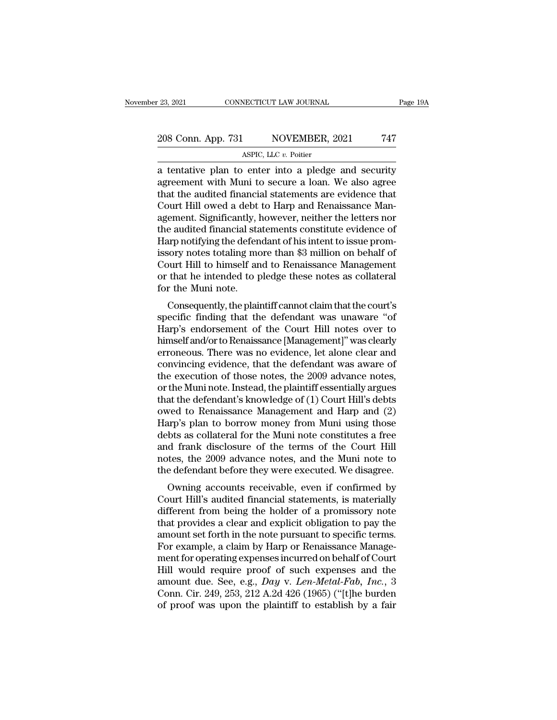### 23, 2021 CONNECTICUT LAW JOURNAL Page 19A<br>
208 Conn. App. 731 NOVEMBER, 2021 747<br>
ASPIC, LLC v. Poitier NECTICUT LAW JOURNAL<br>NOVEMBER, 2<br>ASPIC, LLC *v.* Poitier<br>Penter into a pledge

23, 2021 CONNECTICUT LAW JOURNAL Page 19A<br>
208 Conn. App. 731 NOVEMBER, 2021 747<br>
ASPIC, LLC  $v$ . Poitier<br>
a tentative plan to enter into a pledge and security<br>
agreement with Muni to secure a loan. We also agree<br>
that th  $\frac{208 \text{ Conn. App. 731}}{\text{ASPC, LLC } v. \text{ Poiter}}$ <br>
a tentative plan to enter into a pledge and security<br>
agreement with Muni to secure a loan. We also agree<br>
that the audited financial statements are evidence that<br>
Court Hill owed a 208 Conn. App. 731 NOVEMBER, 2021 747<br>ASPIC, LLC  $v$ . Poitier<br>a tentative plan to enter into a pledge and security<br>agreement with Muni to secure a loan. We also agree<br>that the audited financial statements are evidence tha 208 Conn. App. 731 NOVEMBER, 2021 747<br>ASPIC, LLC  $v$ . Poitier<br>a tentative plan to enter into a pledge and security<br>agreement with Muni to secure a loan. We also agree<br>that the audited financial statements are evidence tha ASPIC, LLC  $v$ . Poitier<br>
a tentative plan to enter into a pledge and security<br>
agreement with Muni to secure a loan. We also agree<br>
that the audited financial statements are evidence that<br>
Court Hill owed a debt to Harp a ASPIC, LLC  $v$ . Potter<br>
a tentative plan to enter into a pledge and security<br>
agreement with Muni to secure a loan. We also agree<br>
that the audited financial statements are evidence that<br>
Court Hill owed a debt to Harp an a tentative plan to enter into a pledge and security<br>agreement with Muni to secure a loan. We also agree<br>that the audited financial statements are evidence that<br>Court Hill owed a debt to Harp and Renaissance Man-<br>agement. agreement with Muni to secure a loan. We also agree<br>that the audited financial statements are evidence that<br>Court Hill owed a debt to Harp and Renaissance Man-<br>agement. Significantly, however, neither the letters nor<br>the a that the audited financial statements are evidence that<br>Court Hill owed a debt to Harp and Renaissance Man-<br>agement. Significantly, however, neither the letters nor<br>the audited financial statements constitute evidence of<br>H Court Hill owed a debt to Harp and Renaissance Man-<br>agement. Significantly, however, neither the letters nor<br>the audited financial statements constitute evidence of<br>Harp notifying the defendant of his intent to issue promagement. Significantly, l<br>the audited financial sta<br>Harp notifying the defen<br>issory notes totaling me<br>Court Hill to himself ar<br>or that he intended to p<br>for the Muni note.<br>Consequently, the plain e addited miancial statements constitute evidence of<br>the proposity notes totaling more than \$3 million on behalf of<br>burt Hill to himself and to Renaissance Management<br>that he intended to pledge these notes as collateral<br>r riarp nothying the defendant of his intent to issue prohi-<br>issory notes totaling more than \$3 million on behalf of<br>Court Hill to himself and to Renaissance Management<br>or that he intended to pledge these notes as collateral

Harpton Thorem and the Court Hill to himself and to Renaissance Management<br>or that he intended to pledge these notes as collateral<br>for the Muni note.<br>Consequently, the plaintiff cannot claim that the court's<br>specific findi Court Im to finisen and to Renaissance management<br>or that he intended to pledge these notes as collateral<br>for the Muni note.<br>Consequently, the plaintiff cannot claim that the court's<br>specific finding that the defendant was or that he intended to pledge these hotes as conateral<br>for the Muni note.<br>Consequently, the plaintiff cannot claim that the court's<br>specific finding that the defendant was unaware "of<br>Harp's endorsement of the Court Hill n consequently, the plaintiff cannot claim that the court's<br>specific finding that the defendant was unaware "of<br>Harp's endorsement of the Court Hill notes over to<br>himself and/or to Renaissance [Management]" was clearly<br>erron Consequently, the plaintiff cannot claim that the court's<br>specific finding that the defendant was unaware "of<br>Harp's endorsement of the Court Hill notes over to<br>himself and/or to Renaissance [Management]" was clearly<br>erron specific finding that the defendant was unaware "of<br>Harp's endorsement of the Court Hill notes over to<br>himself and/or to Renaissance [Management]" was clearly<br>erroneous. There was no evidence, let alone clear and<br>convincin Harp's endorsement of the Court Hill notes over to<br>himself and/or to Renaissance [Management]" was clearly<br>erroneous. There was no evidence, let alone clear and<br>convincing evidence, that the defendant was aware of<br>the exec himself and/or to Renaissance [Management]" was clearly<br>erroneous. There was no evidence, let alone clear and<br>convincing evidence, that the defendant was aware of<br>the execution of those notes, the 2009 advance notes,<br>or th erroneous. There was no evidence, let alone clear and<br>convincing evidence, that the defendant was aware of<br>the execution of those notes, the 2009 advance notes,<br>or the Muni note. Instead, the plaintiff essentially argues<br>t convincing evidence, that the defendant was aware of<br>the execution of those notes, the 2009 advance notes,<br>or the Muni note. Instead, the plaintiff essentially argues<br>that the defendant's knowledge of (1) Court Hill's debt the execution of those notes, the 2009 advance notes,<br>or the Muni note. Instead, the plaintiff essentially argues<br>that the defendant's knowledge of (1) Court Hill's debts<br>owed to Renaissance Management and Harp and (2)<br>Har or the Muni note. Instead, the plaintiff essentially argues<br>that the defendant's knowledge of (1) Court Hill's debts<br>owed to Renaissance Management and Harp and (2)<br>Harp's plan to borrow money from Muni using those<br>debts a that the defendant's knowledge of (1) Court Hill's debts<br>owed to Renaissance Management and Harp and (2)<br>Harp's plan to borrow money from Muni using those<br>debts as collateral for the Muni note constitutes a free<br>and frank bed to Renaissance management and Harp and  $(z)$ <br>
urp's plan to borrow money from Muni using those<br>
bts as collateral for the Muni note constitutes a free<br>
d frank disclosure of the terms of the Court Hill<br>
tes, the 2009 a Trarp's plant to borrow money from Multi-using those<br>debts as collateral for the Muni note constitutes a free<br>and frank disclosure of the terms of the Court Hill<br>notes, the 2009 advance notes, and the Muni note to<br>the defe

debts as conateral for the Multi hole constitutes a free<br>and frank disclosure of the terms of the Court Hill<br>notes, the 2009 advance notes, and the Muni note to<br>the defendant before they were executed. We disagree.<br>Owning and frank disclosure of the terms of the Court film<br>notes, the 2009 advance notes, and the Muni note to<br>the defendant before they were executed. We disagree.<br>Owning accounts receivable, even if confirmed by<br>Court Hill's au rotes, the 2009 advance notes, and the munt note to<br>the defendant before they were executed. We disagree.<br>Owning accounts receivable, even if confirmed by<br>Court Hill's audited financial statements, is materially<br>different For executed. We usagree.<br>
Owning accounts receivable, even if confirmed by<br>
Court Hill's audited financial statements, is materially<br>
different from being the holder of a promissory note<br>
that provides a clear and explici Owning accounts receivable, even if confirmed by<br>Court Hill's audited financial statements, is materially<br>different from being the holder of a promissory note<br>that provides a clear and explicit obligation to pay the<br>amoun Court Hill's audited financial statements, is materially<br>different from being the holder of a promissory note<br>that provides a clear and explicit obligation to pay the<br>amount set forth in the note pursuant to specific term different from being the holder of a promissory note<br>that provides a clear and explicit obligation to pay the<br>amount set forth in the note pursuant to specific terms.<br>For example, a claim by Harp or Renaissance Manage-<br>men that provides a clear and explicit obligation to pay the<br>amount set forth in the note pursuant to specific terms.<br>For example, a claim by Harp or Renaissance Manage-<br>ment for operating expenses incurred on behalf of Court<br> amount set forth in the note pursuant to specific terms.<br>For example, a claim by Harp or Renaissance Management for operating expenses incurred on behalf of Court<br>Hill would require proof of such expenses and the<br>amount du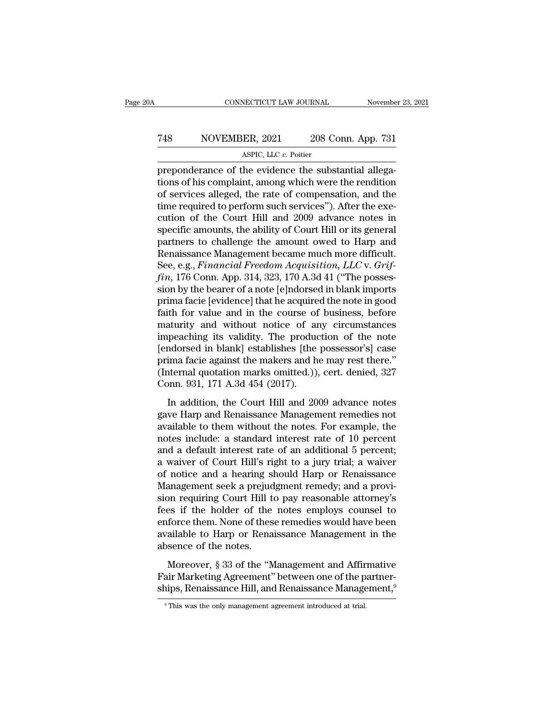### CONNECTICUT LAW JOURNAL November 23, 2021<br>
748 NOVEMBER, 2021 208 Conn. App. 731<br>
ASPIC, LLC v. Poitier NECTICUT LAW JOURNAL<br>ER, 2021 208 Contract 2011<br>ASPIC, LLC *v*. Poitier<br>the evidence the subs

CONNECTICUT LAW JOURNAL November<br>
T48 NOVEMBER, 2021 208 Conn. App. 731<br>
ASPIC, LLC v. Poitier<br>
preponderance of the evidence the substantial allega-<br>
tions of his complaint, among which were the rendition<br>
of services all The MOVEMBER, 2021 208 Conn. App. 731<br>ASPIC, LLC  $v$ . Poitier<br>preponderance of the evidence the substantial allega-<br>tions of his complaint, among which were the rendition<br>of services alleged, the rate of compensation, and The sum of the Court Hill and 2000 advance notes in a series alleged, the rate of compensation, and the rate of compensation, and the rate of compensation, and the time required to perform such services''). After the exec The required to perform such services in the control of the evidence the substantial allegations of his complaint, among which were the rendition of services alleged, the rate of compensation, and the time required to per ASPIC, LLC  $v$ . Poitier<br>preponderance of the evidence the substantial allega-<br>tions of his complaint, among which were the rendition<br>of services alleged, the rate of compensation, and the<br>time required to perform such ser  $\overline{\text{APIC, LLC } v. \text{ Pouter}}$ <br>preponderance of the evidence the substantial allega-<br>tions of his complaint, among which were the rendition<br>of services alleged, the rate of compensation, and the<br>time required to perform such serv preponderance of the evidence the substantial allegations of his complaint, among which were the rendition<br>of services alleged, the rate of compensation, and the<br>time required to perform such services"). After the exe-<br>cut tions of his complaint, among which were the rendition<br>of services alleged, the rate of compensation, and the<br>time required to perform such services"). After the exe-<br>cution of the Court Hill and 2009 advance notes in<br>spec of services alleged, the rate of compensation, and the<br>time required to perform such services"). After the exe-<br>cution of the Court Hill and 2009 advance notes in<br>specific amounts, the ability of Court Hill or its general<br> time required to perform such services"). After the execution of the Court Hill and 2009 advance notes in specific amounts, the ability of Court Hill or its general partners to challenge the amount owed to Harp and Renaiss cution of the Court Hill and 2009 advance notes in<br>specific amounts, the ability of Court Hill or its general<br>partners to challenge the amount owed to Harp and<br>Renaissance Management became much more difficult.<br>See, e.g., specific amounts, the ability of Court Hill or its general<br>partners to challenge the amount owed to Harp and<br>Renaissance Management became much more difficult.<br>See, e.g., *Financial Freedom Acquisition*, *LLC* v. *Grif-*<br>f partners to challenge the amount owed to Harp and<br>Renaissance Management became much more difficult.<br>See, e.g., *Financial Freedom Acquisition*, *LLC* v. *Grif-*<br>fin, 176 Conn. App. 314, 323, 170 A.3d 41 ("The posses-<br>sion Renaissance Management became much more difficult.<br>See, e.g., *Financial Freedom Acquisition*, *LLC* v. *Grif-*<br>*fin*, 176 Conn. App. 314, 323, 170 A.3d 41 ("The posses-<br>sion by the bearer of a note [e]ndorsed in blank imp See, e.g., *Financial Freedom Acquisition*, *LLC* v. *Griffin*, 176 Conn. App. 314, 323, 170 A.3d 41 ("The possession by the bearer of a note [e]ndorsed in blank imports prima facie [evidence] that he acquired the note in fin, 176 Conn. App. 314, 323, 170 A.3d 41 ("The possession by the bearer of a note [e]ndorsed in blank imports<br>prima facie [evidence] that he acquired the note in good<br>faith for value and in the course of business, before sion by the bearer of a note [e]ndorsed in blank imports<br>prima facie [evidence] that he acquired the note in good<br>faith for value and in the course of business, before<br>maturity and without notice of any circumstances<br>impea prima facie [evidence] that he acquired the note in good<br>faith for value and in the course of business, before<br>maturity and without notice of any circumstances<br>impeaching its validity. The production of the note<br>[endorsed faith for value and in the course of<br>maturity and without notice of are<br>impeaching its validity. The produc<br>[endorsed in blank] establishes [the<br>prima facie against the makers and h<br>(Internal quotation marks omitted.)),<br>Co maturity and whilout holde of any chromological<br>peaching its validity. The production of the note<br>ndorsed in blank] establishes [the possessor's] case<br>ima facie against the makers and he may rest there."<br>ternal quotation m Inspeasing as vanday. The production of the note<br>
[endorsed in blank] establishes [the possessor's] case<br>
prima facie against the makers and he may rest there."<br>
(Internal quotation marks omitted.)), cert. denied, 327<br>
Con

prima facie against the makers and he may rest there."<br>(Internal quotation marks omitted.)), cert. denied, 327<br>Conn. 931, 171 A.3d 454 (2017).<br>In addition, the Court Hill and 2009 advance notes<br>gave Harp and Renaissance Ma (Internal quotation marks omitted.)), cert. denied, 327<br>Conn. 931, 171 A.3d 454 (2017).<br>In addition, the Court Hill and 2009 advance notes<br>gave Harp and Renaissance Management remedies not<br>available to them without the no Conn. 931, 171 A.3d 454 (2017).<br>
In addition, the Court Hill and 2009 advance notes<br>
gave Harp and Renaissance Management remedies not<br>
available to them without the notes. For example, the<br>
notes include: a standard inte In addition, the Court Hill and 2009 advance notes<br>gave Harp and Renaissance Management remedies not<br>available to them without the notes. For example, the<br>notes include: a standard interest rate of 10 percent<br>and a default In addition, the Court Hill and 2009 advance notes<br>gave Harp and Renaissance Management remedies not<br>available to them without the notes. For example, the<br>notes include: a standard interest rate of 10 percent;<br>and a defaul gave Harp and Renaissance Management remedies not<br>available to them without the notes. For example, the<br>notes include: a standard interest rate of 10 percent<br>and a default interest rate of an additional 5 percent;<br>a waiver available to them without the notes. For example, the<br>notes include: a standard interest rate of 10 percent<br>and a default interest rate of an additional 5 percent;<br>a waiver of Court Hill's right to a jury trial; a waiver<br>o notes include: a standard interest rate of 10 percent<br>and a default interest rate of an additional 5 percent;<br>a waiver of Court Hill's right to a jury trial; a waiver<br>of notice and a hearing should Harp or Renaissance<br>Mana and a default interest rate of an additional 5 percent;<br>a waiver of Court Hill's right to a jury trial; a waiver<br>of notice and a hearing should Harp or Renaissance<br>Management seek a prejudgment remedy; and a provi-<br>sion re a waiver of Court Hill's right to a jury trial; a waiver<br>of notice and a hearing should Harp or Renaissance<br>Management seek a prejudgment remedy; and a provi-<br>sion requiring Court Hill to pay reasonable attorney's<br>fees if of notice and a hearing sl<br>Management seek a prejud<br>sion requiring Court Hill t<br>fees if the holder of the<br>enforce them. None of thes<br>available to Harp or Rena<br>absence of the notes.<br>Moreover, § 33 of the "M magement seen a prejagnent refined, and a provided attention on requiring Court Hill to pay reasonable attorney's<br>ses if the holder of the notes employs counsel to<br>force them. None of these remedies would have been<br>ailable Frame of the notes employs counsel to<br>fees if the holder of the notes employs counsel to<br>enforce them. None of these remedies would have been<br>available to Harp or Renaissance Management in the<br>absence of the notes.<br>Moreove ships, Renaissance Management in the absence of the notes.<br>Moreover, § 33 of the "Management and Affirmative Fair Marketing Agreement" between one of the partner-<br>ships, Renaissance Hill, and Renaissance Management,<sup>9</sup><br>Fin

Moreover, § 33 of the "Management and Affirmative Fair Marketing Agreement" between one of the partner-<br>ships, Renaissance Hill, and Renaissance Management,<sup>9</sup><br><sup>9</sup> This was the only management agreement introduced at tria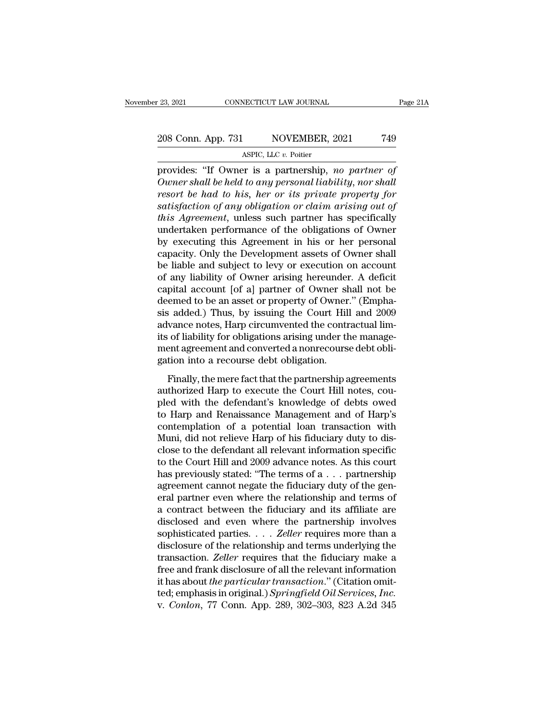### 23, 2021 CONNECTICUT LAW JOURNAL Page 21A<br>208 Conn. App. 731 NOVEMBER, 2021 749<br>ASPIC, LLC v. Poitier NECTICUT LAW JOURNAL<br>NOVEMBER, 2<br>ASPIC, LLC *v.* Poitier<br>Pr is a nartnershin

provides: '23, 2021 CONNECTICUT LAW JOURNAL Page 21,<br>
208 Conn. App. 731 NOVEMBER, 2021 749<br>
ASPIC, LLC v. Poitier<br>
provides: ''If Owner is a partnership, *no partner of*<br> *Owner shall be held to any personal liability, no Owner shall be held to any personal liability, nor shall resort be had to his, her or its private property for resort be had to his, her or its private property for*<br> *resort be had to his, her or its private property for*<br> *resort be had to his, her or its private property for*<br> *resort be had to his, her or its private property* <sup>208</sup> Conn. App. 731 MOVEMBER, 2021 749<br>
<sup>ASPIC, LLC v. Poitier<br>
provides: "If Owner is a partnership, *no partner of*<br> *Owner shall be held to any personal liability, nor shall*<br> *resort be had to his, her or its private </sup> ASPIC, LLC v. Poitier*<br> *ASPIC, LLC v. Poitier*<br> *provides: "If Owner is a partnership, no partner of*<br> *Owner shall be held to any personal liability, nor shall*<br> *resort be had to his, her or its private property for*<br> ASPIC, LLC v. Potter<br>provides: "If Owner is a partnership, no partner of<br>Owner shall be held to any personal liability, nor shall<br>resort be had to his, her or its private property for<br>satisfaction of any obligation or cla provides: "If Owner is a partnership, *no partner of*<br>Owner shall be held to any personal liability, nor shall<br>resort be had to his, her or its private property for<br>satisfaction of any obligation or claim arising out of<br>th Owner shall be held to any personal liability, nor shall<br>resort be had to his, her or its private property for<br>satisfaction of any obligation or claim arising out of<br>this Agreement, unless such partner has specifically<br>un resort be had to his, her or its private property for<br>satisfaction of any obligation or claim arising out of<br>this Agreement, unless such partner has specifically<br>undertaken performance of the obligations of Owner<br>by execut satisfaction of any obligation or claim arising out of<br>this Agreement, unless such partner has specifically<br>undertaken performance of the obligations of Owner<br>by executing this Agreement in his or her personal<br>capacity. On this Agreement, unless such partner has specifically<br>undertaken performance of the obligations of Owner<br>by executing this Agreement in his or her personal<br>capacity. Only the Development assets of Owner shall<br>be liable and undertaken performance of the obligations of Owner<br>by executing this Agreement in his or her personal<br>capacity. Only the Development assets of Owner shall<br>be liable and subject to levy or execution on account<br>of any liabil by executing this Agreement in his or her personal<br>capacity. Only the Development assets of Owner shall<br>be liable and subject to levy or execution on account<br>of any liability of Owner arising hereunder. A deficit<br>capital a capacity. Only the Development assets of Owner shall<br>be liable and subject to levy or execution on account<br>of any liability of Owner arising hereunder. A deficit<br>capital account [of a] partner of Owner shall not be<br>deemed be liable and subject to levy or execution on account<br>of any liability of Owner arising hereunder. A deficit<br>capital account [of a] partner of Owner shall not be<br>deemed to be an asset or property of Owner." (Empha-<br>sis add of any liability of Owner arising hereunder. A deficit<br>capital account [of a] partner of Owner shall not be<br>deemed to be an asset or property of Owner." (Empha-<br>sis added.) Thus, by issuing the Court Hill and 2009<br>advance capital account [of a] partner of Owner sl<br>deemed to be an asset or property of Owner<br>sis added.) Thus, by issuing the Court Hil<br>advance notes, Harp circumvented the contr<br>its of liability for obligations arising under th<br> Finally, the mere fact that the partnership agreements<br>that the management agreement and converted the contractual lim-<br>of liability for obligations arising under the manage-<br>ent agreement and converted a nonrecourse debt advance notes, Harp circumvented the contractual lim-<br>advance notes, Harp circumvented the contractual lim-<br>its of liability for obligations arising under the manage-<br>ment agreement and converted a nonrecourse debt obli-<br>g

ratival for the management and converted are confided at minits of liability for obligations arising under the management agreement and converted a nonrecourse debt obligation.<br>Finally, the mere fact that the partnership a the oriental and converted a nonrecourse debt obligation into a recourse debt obligation.<br>Finally, the mere fact that the partnership agreements<br>authorized Harp to execute the Court Hill notes, cou-<br>pled with the defendant mem agreement and converted a nonrecourse dest oon<br>gation into a recourse debt obligation.<br>Finally, the mere fact that the partnership agreements<br>authorized Harp to execute the Court Hill notes, cou-<br>pled with the defendan Finally, the mere fact that the partnership agreements<br>authorized Harp to execute the Court Hill notes, cou-<br>pled with the defendant's knowledge of debts owed<br>to Harp and Renaissance Management and of Harp's<br>contemplation Finally, the mere fact that the partnership agreements<br>authorized Harp to execute the Court Hill notes, cou-<br>pled with the defendant's knowledge of debts owed<br>to Harp and Renaissance Management and of Harp's<br>contemplation authorized Harp to execute the Court Hill notes, coupled with the defendant's knowledge of debts owed<br>to Harp and Renaissance Management and of Harp's<br>contemplation of a potential loan transaction with<br>Muni, did not reliev pled with the defendant's knowledge of debts owed<br>to Harp and Renaissance Management and of Harp's<br>contemplation of a potential loan transaction with<br>Muni, did not relieve Harp of his fiduciary duty to dis-<br>close to the de to Harp and Renaissance Management and of Harp's<br>contemplation of a potential loan transaction with<br>Muni, did not relieve Harp of his fiduciary duty to dis-<br>close to the defendant all relevant information specific<br>to the contemplation of a potential loan transaction with<br>Muni, did not relieve Harp of his fiduciary duty to dis-<br>close to the defendant all relevant information specific<br>to the Court Hill and 2009 advance notes. As this court<br> Muni, did not relieve Harp of his fiduciary duty to disclose to the defendant all relevant information specific<br>to the Court Hill and 2009 advance notes. As this court<br>has previously stated: "The terms of a  $\dots$  partnersh close to the defendant all relevant information specific<br>to the Court Hill and 2009 advance notes. As this court<br>has previously stated: "The terms of a  $\dots$  partnership<br>agreement cannot negate the fiduciary duty of the ge to the Court Hill and 2009 advance notes. As this court<br>has previously stated: "The terms of a . . . partnership<br>agreement cannot negate the fiduciary duty of the gen-<br>eral partner even where the relationship and terms of<br> has previously stated: "The terms of  $a \dots$  partnership<br>agreement cannot negate the fiduciary duty of the gen-<br>eral partner even where the relationship and terms of<br>a contract between the fiduciary and its affiliate are<br>di agreement cannot negate the fiduciary duty of the general partner even where the relationship and terms of a contract between the fiduciary and its affiliate are disclosed and even where the partnership involves sophistica eral partner even where the relationship and terms of<br>a contract between the fiduciary and its affiliate are<br>disclosed and even where the partnership involves<br>sophisticated parties.... Zeller requires more than a<br>disclosu a contract between the fiduciary and its affiliate are<br>disclosed and even where the partnership involves<br>sophisticated parties.... *Zeller* requires more than a<br>disclosure of the relationship and terms underlying the<br>trans disclosed and even where the partnership involves<br>sophisticated parties. . . . *Zeller* requires more than a<br>disclosure of the relationship and terms underlying the<br>transaction. *Zeller* requires that the fiduciary make a<br> sophisticated parties. . . . *Zeller* requires more than a disclosure of the relationship and terms underlying the transaction. *Zeller* requires that the fiduciary make a free and frank disclosure of all the relevant info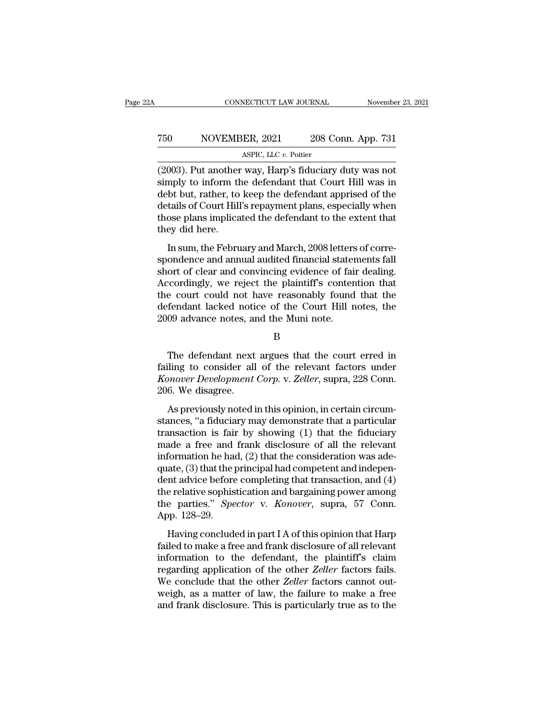### CONNECTICUT LAW JOURNAL November 23, 2021<br>
750 NOVEMBER, 2021 208 Conn. App. 731<br>
ASPIC, LLC v. Poitier NECTICUT LAW JOURNAL<br>ER, 2021 208 Contract 2011<br>ASPIC, LLC *v.* Poitier<br>way Harn's fiduciary

(2003). Put another to keep the defendant may be the court of the defendant of the defendant of the defendant may be defendent and determined of the defendant matter of the defendant matter of the defendant matter of the d Simply different MOVEMBER, 2021 208 Conn. App. 731<br>ASPIC, LLC v. Poitier<br>(2003). Put another way, Harp's fiduciary duty was not<br>simply to inform the defendant that Court Hill was in<br>debt but, rather, to keep the defendant debt but, rather, to keep the defendant apprised of the  $\begin{tabular}{ll} 750 & NOVEMBER, 2021 & 208 Conn. App. 731 \\ \hline & \text{ASPIC, LLC } v. \text{ Poitier} \\ \hline \end{tabular}$  (2003). Put another way, Harp's fiduciary duty was not simply to inform the defendant that Court Hill was in debt but, rather, to keep the defendant a ASPIC, LLC  $v$ . Poitier<br>
(2003). Put another way, Harp's fiduciary duty was not<br>
simply to inform the defendant that Court Hill was in<br>
debt but, rather, to keep the defendant apprised of the<br>
details of Court Hill's repa (2003). Put another<br>simply to inform th<br>debt but, rather, to<br>details of Court Hill<br>those plans implica<br>they did here.<br>In sum, the Febru For the February and March, 2008 letters of corre-<br>In sum, the February and March, 2008 letters of the<br>tails of Court Hill's repayment plans, especially when<br>ose plans implicated the defendant to the extent that<br>ey did her shipty to mornt the detendant that Court I'll was in<br>debt but, rather, to keep the defendant apprised of the<br>details of Court Hill's repayment plans, especially when<br>those plans implicated the defendant to the extent that<br>

short of clear and convincing evidence of fair dealing.<br>In sum, the February and March, 2008 letters of correspondence and annual audited financial statements fall<br>short of clear and convincing evidence of fair dealing.<br>Ac details of South Inf stepaylient plans, especially with<br>those plans implicated the defendant to the extent that<br>they did here.<br>In sum, the February and March, 2008 letters of corre-<br>spondence and annual audited financial s they did here.<br>
In sum, the February and March, 2008 letters of correspondence and annual audited financial statements fall<br>
short of clear and convincing evidence of fair dealing.<br>
Accordingly, we reject the plaintiff's c In sum, the February and March, 2008 letters of correspondence and annual audited financial statements fall short of clear and convincing evidence of fair dealing.<br>Accordingly, we reject the plaintiff's contention that the In sum, the February and March, 2008 letters<br>spondence and annual audited financial stater<br>short of clear and convincing evidence of fai<br>Accordingly, we reject the plaintiff's conter<br>the court could not have reasonably fou coordingly, we reject the plaintiff's contention that<br>
e court could not have reasonably found that the<br>
fendant lacked notice of the Court Hill notes, the<br>
09 advance notes, and the Muni note.<br>
B<br>
The defendant next argu

B

the court could not have reasonably found that the<br>defendant lacked notice of the Court Hill notes, the<br>2009 advance notes, and the Muni note.<br>B<br>The defendant next argues that the court erred in<br>failing to consider all of defendant lacked notice of the Court Hill notes, the 2009 advance notes, and the Muni note.<br>B<br>**Konover Development Corp.** v. *Zeller*, supra, 228 Conn.<br>206. We disagree. 2009 advance notes, an<br>The defendant next<br>failing to consider all<br>*Konover Development*<br>206. We disagree.<br>As previously noted i B<br>The defendant next argues that the court erred in<br>ling to consider all of the relevant factors under<br>mover Development Corp. v. Zeller, supra, 228 Conn.<br>6. We disagree.<br>As previously noted in this opinion, in certain cir The defendant next argues that the court erred in<br>failing to consider all of the relevant factors under<br>*Konover Development Corp.* v. *Zeller*, supra, 228 Conn.<br>206. We disagree.<br>As previously noted in this opinion, in ce

The detendant field algets and the court effect in<br>failing to consider all of the relevant factors under<br>*Konover Development Corp.* v. *Zeller*, supra, 228 Conn.<br>206. We disagree.<br>As previously noted in this opinion, in c Konover Development Corp. v. Zeller, supra, 228 Conn.<br>206. We disagree.<br>As previously noted in this opinion, in certain circumstances, "a fiduciary may demonstrate that a particular<br>transaction is fair by showing (1) that From the best<br>separation of the consideration of the disagree.<br>As previously noted in this opinion, in certain circum-<br>stances, "a fiduciary may demonstrate that a particular<br>transaction is fair by showing (1) that the fi As previously noted in this opinion, in certain circumstances, "a fiduciary may demonstrate that a particular transaction is fair by showing  $(1)$  that the fiduciary made a free and frank disclosure of all the relevant in As previously noted in this opinion, in certain circum-<br>stances, "a fiduciary may demonstrate that a particular<br>transaction is fair by showing (1) that the fiduciary<br>made a free and frank disclosure of all the relevant<br>in stances, "a fiduciary may demonstrate that a particular<br>transaction is fair by showing (1) that the fiduciary<br>made a free and frank disclosure of all the relevant<br>information he had, (2) that the consideration was ade-<br>qu transaction is fair by showing (1) that the fiduciary<br>made a free and frank disclosure of all the relevant<br>information he had, (2) that the consideration was ade-<br>quate, (3) that the principal had competent and indepen-<br>de made a free and<br>information he has<br>quate, (3) that the j<br>dent advice before<br>the relative sophis<br>the parties." *Spe*<br>App. 128–29.<br>Having conclude defination it has, (2) and the consideration was date ate, (3) that the principal had competent and independent advice before completing that transaction, and (4) e relative sophistication and bargaining power among e par dent advice before completing that transaction, and (4)<br>the relative sophistication and bargaining power among<br>the parties." *Spector* v. *Konover*, supra, 57 Conn.<br>App. 128–29.<br>Having concluded in part I A of this opinio

definitive serior completing and dialistication, and (3)<br>the relative sophistication and bargaining power among<br>the parties." *Spector* v. *Konover*, supra, 57 Conn.<br>App. 128–29.<br>Having concluded in part I A of this opinio regarding application and surgining power antong<br>the parties." *Spector* v. *Konover*, supra, 57 Conn.<br>App. 128–29.<br>Having concluded in part I A of this opinion that Harp<br>failed to make a free and frank disclosure of all r App. 128–29.<br>
Having concluded in part I A of this opinion that Harp<br>
failed to make a free and frank disclosure of all relevant<br>
information to the defendant, the plaintiff's claim<br>
regarding application of the other *Zel* Having concluded in part I A of this opinion that Harp<br>failed to make a free and frank disclosure of all relevant<br>information to the defendant, the plaintiff's claim<br>regarding application of the other Zeller factors fails Having concluded in part I A of this opinion that Harp failed to make a free and frank disclosure of all relevant information to the defendant, the plaintiff's claim regarding application of the other *Zeller* factors fail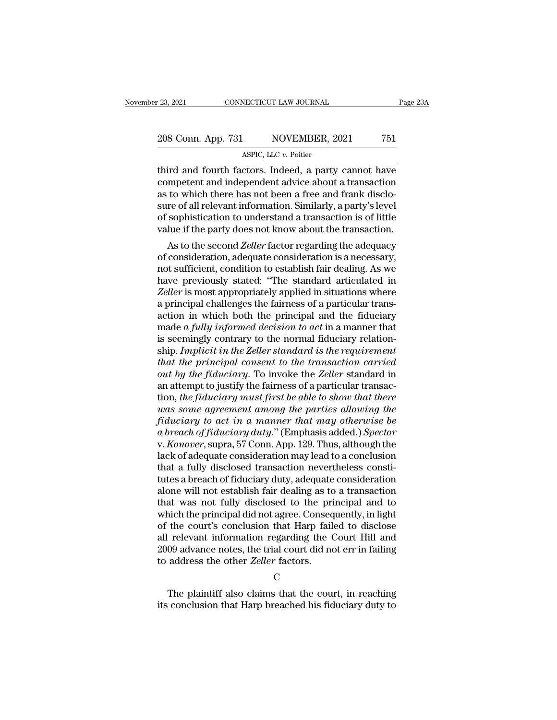### 23, 2021 CONNECTICUT LAW JOURNAL Page 23A<br>208 Conn. App. 731 NOVEMBER, 2021 751<br>ASPIC, LLC v. Poitier NECTICUT LAW JOURNAL<br>NOVEMBER, 2<br>ASPIC, LLC *v.* Poitier<br>Ctors Indeed a narty

Third and fourth factors. Indeed, a party cannot have<br>third and fourth factors. Indeed, a party cannot have<br>competent and independent advice about a transaction<br>as to which there has not heap a free and frank discloses 208 Conn. App. 731 NOVEMBER, 2021 751<br>ASPIC, LLC v. Poitier<br>third and fourth factors. Indeed, a party cannot have<br>competent and independent advice about a transaction<br>as to which there has not been a free and frank disclo-208 Conn. App. 731 NOVEMBER, 2021 751<br>ASPIC, LLC  $v$ . Poitier<br>third and fourth factors. Indeed, a party cannot have<br>competent and independent advice about a transaction<br>as to which there has not been a free and frank disc  $\frac{208 \text{ Conn. App. 731}}{\text{ASPLC, LLC } v. \text{ Poitier}}$ <br>
third and fourth factors. Indeed, a party cannot have<br>
competent and independent advice about a transaction<br>
as to which there has not been a free and frank disclo-<br>
sure of all rel ASPIC, LLC v. Poitier<br>ASPIC, LLC v. Poitier<br>competent and independent advice about a transaction<br>as to which there has not been a free and frank disclo-<br>sure of all relevant information. Similarly, a party's level<br>of sophi ASPIC, LLC  $v$ . Poitier<br>third and fourth factors. Indeed, a party cannot have<br>competent and independent advice about a transaction<br>as to which there has not been a free and frank disclo-<br>sure of all relevant information. Ira and fourth factors. Indeed, a party cannot have<br>mpetent and independent advice about a transaction<br>to which there has not been a free and frank disclo-<br>re of all relevant information. Similarly, a party's level<br>sophist competent and moependent advice about a transaction<br>as to which there has not been a free and frank disclo-<br>sure of all relevant information. Similarly, a party's level<br>of sophistication to understand a transaction is of l

as to which there has not been a free and frank disclosure of all relevant information. Similarly, a party's level<br>of sophistication to understand a transaction is of little<br>value if the party does not know about the trans sure of an relevant information. Similarly, a party s level<br>of sophistication to understand a transaction is of little<br>value if the party does not know about the transaction.<br>As to the second Zeller factor regarding the ad or sophistication to understand a transaction is or little<br>value if the party does not know about the transaction.<br>As to the second Zeller factor regarding the adequacy<br>of consideration, adequate consideration is a necessa value II the party does not know about the transaction.<br>As to the second *Zeller* factor regarding the adequacy<br>of consideration, adequate consideration is a necessary,<br>not sufficient, condition to establish fair dealing. As to the second *Zeller* factor regarding the adequacy<br>of consideration, adequate consideration is a necessary,<br>not sufficient, condition to establish fair dealing. As we<br>have previously stated: "The standard articulated of consideration, adequate consideration is a necessary,<br>not sufficient, condition to establish fair dealing. As we<br>have previously stated: "The standard articulated in<br>Zeller is most appropriately applied in situations wh not sufficient, condition to establish fair dealing. As we have previously stated: "The standard articulated in *Zeller* is most appropriately applied in situations where a principal challenges the fairness of a particular have previously stated: "The standard articulated in *Zeller* is most appropriately applied in situations where a principal challenges the fairness of a particular transaction in which both the principal and the fiduciary *Zeller* is most appropriately applied in situations where<br>a principal challenges the fairness of a particular trans-<br>action in which both the principal and the fiduciary<br>made a fully informed decision to act in a manner t *a* principal challenges the fairness of a particular trans-<br>action in which both the principal and the fiduciary<br>made *a fully informed decision to act* in a manner that<br>is seemingly contrary to the normal fiduciary relat action in which both the principal and the fiduciary<br>made  $a$  fully informed decision to act in a manner that<br>is seemingly contrary to the normal fiduciary relation-<br>ship. Implicit in the Zeller standard is the requiremen made *a fully informed decision to act* in a manner that<br>is seemingly contrary to the normal fiduciary relation-<br>ship. *Implicit in the Zeller standard is the requirement*<br>that the principal consent to the transaction carr is seemingly contrary to the normal fiduciary relationship. *Implicit in the Zeller standard is the requirement*<br>that the principal consent to the transaction carried<br>out by the fiduciary. To invoke the *Zeller* standard i *formalienting the Zeller standard is the requirement*<br>*fhat the principal consent to the transaction carried*<br>*out by the fiduciary.* To invoke the *Zeller standard in*<br>an attempt to justify the fairness of a particular t *that the principal consent to the transaction carried*<br> *out by the fiduciary*. To invoke the *Zeller* standard in<br>
an attempt to justify the fairness of a particular transac-<br>
tion, *the fiduciary must first be able to s* out by the fiduciary. To invoke the Zeller standard in<br>an attempt to justify the fairness of a particular transac-<br>tion, the fiduciary must first be able to show that there<br>was some agreement among the parties allowing the an attempt to justify the fairness of a particular transaction, *the fiduciary must first be able to show that there*<br>was some agreement among the parties allowing the<br>fiduciary to act in a manner that may otherwise be<br>a b tion, *the fiduciary must first be able to show that there*<br>was some agreement among the parties allowing the<br>fiduciary to act in a manner that may otherwise be<br>a breach of fiduciary duty." (Emphasis added.) Spector<br>v. Kon the fiduciary to act in a manner that may otherwise be<br>fiduciary to act in a manner that may otherwise be<br>a breach of fiduciary duty." (Emphasis added.) Spector<br>v. Konover, supra, 57 Conn. App. 129. Thus, although the<br>lack fiduciary to act in a manner that may otherwise be<br>a breach of fiduciary duty." (Emphasis added.) Spector<br>v. Konover, supra, 57 Conn. App. 129. Thus, although the<br>lack of adequate consideration may lead to a conclusion<br>tha a breach of fiduciary duty." (Emphasis added.) Spector<br>v. Konover, supra, 57 Conn. App. 129. Thus, although the<br>lack of adequate consideration may lead to a conclusion<br>that a fully disclosed transaction nevertheless consti v. *Konover*, supra, 57 Conn. App. 129. Thus, although the lack of adequate consideration may lead to a conclusion that a fully disclosed transaction nevertheless constitutes a breach of fiduciary duty, adequate considerat lack of adequate consideration may lead to a conclusion<br>that a fully disclosed transaction nevertheless constitutes a breach of fiduciary duty, adequate consideration<br>alone will not establish fair dealing as to a transacti that a fully disclosed transaction nevertheless constitutes a breach of fiduciary duty, adequate consideration<br>alone will not establish fair dealing as to a transaction<br>that was not fully disclosed to the principal and to<br> tutes a breach of fiduciary duty, adequate consideration<br>alone will not establish fair dealing as to a transaction<br>that was not fully disclosed to the principal and to<br>which the principal did not agree. Consequently, in li alone will not establish fair dealing as to<br>that was not fully disclosed to the pri<br>which the principal did not agree. Conseq<br>of the court's conclusion that Harp fail<br>all relevant information regarding the (<br>2009 advance n the court's conclusion that Harp failed to disclose<br>relevant information regarding the Court Hill and<br>09 advance notes, the trial court did not err in failing<br>address the other *Zeller* factors.<br>C<br>The plaintiff also claims all relevant information regarding the Court Hill and 2009 advance notes, the trial court did not err in failing<br>to address the other *Zeller* factors.<br>C<br>The plaintiff also claims that the court, in reaching<br>its conclusion

C<sub>c</sub>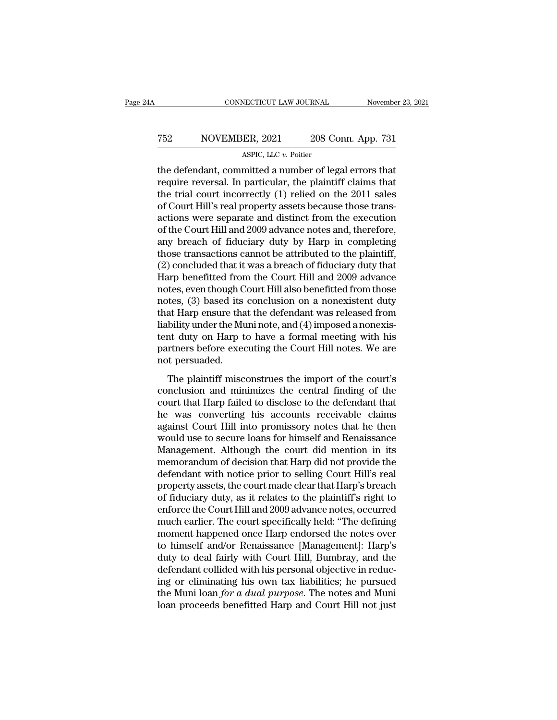### CONNECTICUT LAW JOURNAL November 23, 2021<br>
752 NOVEMBER, 2021 208 Conn. App. 731<br>
ASPIC, LLC v. Poitier NECTICUT LAW JOURNAL<br>ER, 2021 208 Contract 2011<br>ASPIC, LLC *v.* Poitier<br>mitted a number of les

CONNECTICUT LAW JOURNAL November 23, 202<br>
T52 NOVEMBER, 2021 208 Conn. App. 731<br>
ASPIC, LLC v. Poitier<br>
the defendant, committed a number of legal errors that<br>
require reversal. In particular, the plaintiff claims that<br>
th TE2 NOVEMBER, 2021 208 Conn. App. 731<br>ASPIC, LLC  $v$ . Poitier<br>the defendant, committed a number of legal errors that<br>require reversal. In particular, the plaintiff claims that<br>the trial court incorrectly (1) relied on the T52 NOVEMBER, 2021 208 Conn. App. 731<br>ASPIC, LLC v. Poitier<br>the defendant, committed a number of legal errors that<br>require reversal. In particular, the plaintiff claims that<br>the trial court incorrectly (1) relied on the 2 TERET THE MOVEMBER, 2021 208 Conn. App. 731<br>ASPIC, LLC  $v$ . Poitier<br>the defendant, committed a number of legal errors that<br>require reversal. In particular, the plaintiff claims that<br>the trial court incorrectly (1) relied ASPIC, LLC  $v$ . Poitier<br>
the defendant, committed a number of legal errors that<br>
require reversal. In particular, the plaintiff claims that<br>
the trial court incorrectly (1) relied on the 2011 sales<br>
of Court Hill's real p ASPIC, LLC  $v$ . Potter<br>the defendant, committed a number of legal errors that<br>require reversal. In particular, the plaintiff claims that<br>the trial court incorrectly  $(1)$  relied on the 2011 sales<br>of Court Hill's real prop the defendant, committed a number of legal errors that<br>require reversal. In particular, the plaintiff claims that<br>the trial court incorrectly (1) relied on the 2011 sales<br>of Court Hill's real property assets because those require reversal. In particular, the plaintiff claims that<br>the trial court incorrectly (1) relied on the 2011 sales<br>of Court Hill's real property assets because those trans-<br>actions were separate and distinct from the exec the trial court incorrectly (1) relied on the 2011 sales<br>of Court Hill's real property assets because those trans-<br>actions were separate and distinct from the execution<br>of the Court Hill and 2009 advance notes and, therefo of Court Hill's real property assets because those trans-<br>actions were separate and distinct from the execution<br>of the Court Hill and 2009 advance notes and, therefore,<br>any breach of fiduciary duty by Harp in completing<br>th actions were separate and distinct from the execution<br>of the Court Hill and 2009 advance notes and, therefore,<br>any breach of fiduciary duty by Harp in completing<br>those transactions cannot be attributed to the plaintiff,<br>(2 of the Court Hill and 2009 advance notes and, therefore,<br>any breach of fiduciary duty by Harp in completing<br>those transactions cannot be attributed to the plaintiff,<br>(2) concluded that it was a breach of fiduciary duty tha any breach of fiduciary duty by Harp in completing<br>those transactions cannot be attributed to the plaintiff,<br>(2) concluded that it was a breach of fiduciary duty that<br>Harp benefitted from the Court Hill and 2009 advance<br>no those transactions cannot be attributed to the plaintiff,<br>(2) concluded that it was a breach of fiduciary duty that<br>Harp benefitted from the Court Hill and 2009 advance<br>notes, even though Court Hill also benefitted from th (2) concluded that it was a breach of fiduciary duty that<br>Harp benefitted from the Court Hill and 2009 advance<br>notes, even though Court Hill also benefitted from those<br>notes, (3) based its conclusion on a nonexistent duty<br> Harp benefitted from the Court Hill and 2009 advance<br>notes, even though Court Hill also benefitted from those<br>notes, (3) based its conclusion on a nonexistent duty<br>that Harp ensure that the defendant was released from<br>liab notes, even though C<br>notes, (3) based its<br>that Harp ensure tha<br>liability under the Mu<br>tent duty on Harp t<br>partners before exee<br>not persuaded.<br>The plaintiff misc at Harp ensure that the defendant was released from<br>bility under the Muni note, and (4) imposed a nonexis-<br>nt duty on Harp to have a formal meeting with his<br>rtners before executing the Court Hill notes. We are<br>t persuaded. relative that the minimizes the conclusion and minimizes the court Hill notes. We are not persuaded.<br>The plaintiff misconstrues the import of the court's conclusion and minimizes the central finding of the court that Harp

masing under are main force, and (1) imposed anomens<br>tent duty on Harp to have a formal meeting with his<br>partners before executing the Court Hill notes. We are<br>not persuaded.<br>The plaintiff misconstrues the import of the c he was converting the Court Hill notes. We are<br>not persuaded.<br>The plaintiff misconstrues the import of the court's<br>conclusion and minimizes the central finding of the<br>court that Harp failed to disclose to the defendant tha parameters service encertainty are count time notes. We are<br>not persuaded.<br>The plaintiff misconstrues the import of the court's<br>conclusion and minimizes the central finding of the<br>court that Harp failed to disclose to the The plaintiff misconstrues the import of the court's<br>conclusion and minimizes the central finding of the<br>court that Harp failed to disclose to the defendant that<br>he was converting his accounts receivable claims<br>against Cou The plaintiff misconstrues the import of the court's<br>conclusion and minimizes the central finding of the<br>court that Harp failed to disclose to the defendant that<br>he was converting his accounts receivable claims<br>against Cou conclusion and minimizes the central finding of the<br>court that Harp failed to disclose to the defendant that<br>he was converting his accounts receivable claims<br>against Court Hill into promissory notes that he then<br>would use court that Harp failed to disclose to the defendant that<br>he was converting his accounts receivable claims<br>against Court Hill into promissory notes that he then<br>would use to secure loans for himself and Renaissance<br>Manageme he was converting his accounts receivable claims<br>against Court Hill into promissory notes that he then<br>would use to secure loans for himself and Renaissance<br>Management. Although the court did mention in its<br>memorandum of d against Court Hill into promissory notes that he then<br>would use to secure loans for himself and Renaissance<br>Management. Although the court did mention in its<br>memorandum of decision that Harp did not provide the<br>defendant w would use to secure loans for himself and Renaissance<br>Management. Although the court did mention in its<br>memorandum of decision that Harp did not provide the<br>defendant with notice prior to selling Court Hill's real<br>property Management. Although the court did mention in its<br>memorandum of decision that Harp did not provide the<br>defendant with notice prior to selling Court Hill's real<br>property assets, the court made clear that Harp's breach<br>of fi memorandum of decision that Harp did not provide the<br>defendant with notice prior to selling Court Hill's real<br>property assets, the court made clear that Harp's breach<br>of fiduciary duty, as it relates to the plaintiff's rig defendant with notice prior to selling Court Hill's real<br>property assets, the court made clear that Harp's breach<br>of fiduciary duty, as it relates to the plaintiff's right to<br>enforce the Court Hill and 2009 advance notes, property assets, the court made clear that Harp's breach<br>of fiduciary duty, as it relates to the plaintiff's right to<br>enforce the Court Hill and 2009 advance notes, occurred<br>much earlier. The court specifically held: "The of fiduciary duty, as it relates to the plaintiff's right to<br>enforce the Court Hill and 2009 advance notes, occurred<br>much earlier. The court specifically held: "The defining<br>moment happened once Harp endorsed the notes ove enforce the Court Hill and 2009 advance notes, occurred<br>much earlier. The court specifically held: "The defining<br>moment happened once Harp endorsed the notes over<br>to himself and/or Renaissance [Management]: Harp's<br>duty to much earlier. The court specifically held: "The defining<br>moment happened once Harp endorsed the notes over<br>to himself and/or Renaissance [Management]: Harp's<br>duty to deal fairly with Court Hill, Bumbray, and the<br>defendant moment happened once Harp endorsed the notes over<br>to himself and/or Renaissance [Management]: Harp's<br>duty to deal fairly with Court Hill, Bumbray, and the<br>defendant collided with his personal objective in reduc-<br>ing or eli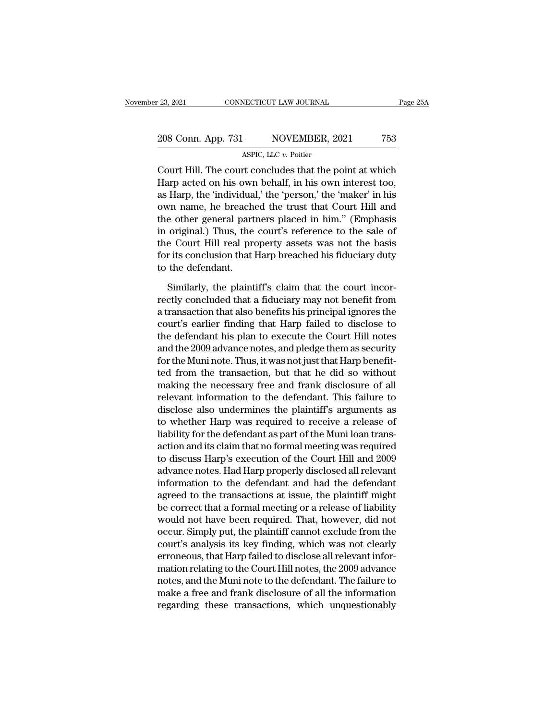| r 23, 2021         | CONNECTICUT LAW JOURNAL                                 | Page 25A |
|--------------------|---------------------------------------------------------|----------|
| 208 Conn. App. 731 | NOVEMBER, 2021                                          | 753      |
|                    | ASPIC, LLC $v$ . Poitier                                |          |
|                    | Court Hill. The court concludes that the point at which |          |

COURT 23, 2021 CONNECTICUT LAW JOURNAL Page 25A<br>
208 Conn. App. 731 NOVEMBER, 2021 753<br>
ASPIC, LLC  $v$ . Poitier<br>
Court Hill. The court concludes that the point at which<br>
Harp acted on his own behalf, in his own interest t 208 Conn. App. 731 NOVEMBER, 2021 753<br>ASPIC, LLC  $v$ . Poitier<br>Court Hill. The court concludes that the point at which<br>Harp acted on his own behalf, in his own interest too,<br>as Harp, the 'individual,' the 'person,' the 'ma 208 Conn. App. 731 NOVEMBER, 2021 753<br>ASPIC, LLC  $v$ . Poitier<br>Court Hill. The court concludes that the point at which<br>Harp acted on his own behalf, in his own interest too,<br>as Harp, the 'individual,' the 'person,' the 'ma 208 Conn. App. 731 NOVEMBER, 2021 753<br>
ASPIC, LLC  $v$ . Poitier<br>
Court Hill. The court concludes that the point at which<br>
Harp acted on his own behalf, in his own interest too,<br>
as Harp, the 'individual,' the 'person,' the ASPIC, LLC  $v$ . Poitier<br>Court Hill. The court concludes that the point at which<br>Harp acted on his own behalf, in his own interest too,<br>as Harp, the 'individual,' the 'person,' the 'maker' in his<br>own name, he breached the Example 18 and the point at which<br>
Harp acted on his own behalf, in his own interest too,<br>
as Harp, the 'individual,' the 'person,' the 'maker' in his<br>
own name, he breached the trust that Court Hill and<br>
the other general Court Hill. The court concludes that the point at which<br>Harp acted on his own behalf, in his own interest too,<br>as Harp, the 'individual,' the 'person,' the 'maker' in his<br>own name, he breached the trust that Court Hill and Harp acted on his own behalf, in his own interest too,<br>as Harp, the 'individual,' the 'person,' the 'maker' in his<br>own name, he breached the trust that Court Hill and<br>the other general partners placed in him.'' (Emphasis<br>i as Harp, the 'individua<br>own name, he breach<br>the other general part<br>in original.) Thus, the<br>the Court Hill real pre<br>for its conclusion that l<br>to the defendant.<br>Similarly, the plaint the other general partners placed in him." (Emphasis<br>in original.) Thus, the court's reference to the sale of<br>the Court Hill real property assets was not the basis<br>for its conclusion that Harp breached his fiduciary duty<br>t

in original.) Thus, the court's reference to the sale of<br>the Court Hill real property assets was not the basis<br>for its conclusion that Harp breached his fiduciary duty<br>to the defendant.<br>Similarly, the plaintiff's claim tha the Court Hill real property assets was not the basis<br>for its conclusion that Harp breached his fiduciary duty<br>to the defendant.<br>Similarly, the plaintiff's claim that the court incor-<br>rectly concluded that a fiduciary may for its conclusion that Harp breached his fiduciary duty<br>to the defendant.<br>Similarly, the plaintiff's claim that the court incor-<br>rectly concluded that a fiduciary may not benefit from<br>a transaction that also benefits his to the defendant.<br>
Similarly, the plaintiff's claim that the court incorrectly concluded that a fiduciary may not benefit from<br>
a transaction that also benefits his principal ignores the<br>
court's earlier finding that Harp Similarly, the plaintiff's claim that the court incorrectly concluded that a fiduciary may not benefit from<br>a transaction that also benefits his principal ignores the<br>court's earlier finding that Harp failed to disclose to rectly concluded that a fiduciary may not benefit from<br>a transaction that also benefits his principal ignores the<br>court's earlier finding that Harp failed to disclose to<br>the defendant his plan to execute the Court Hill not rectly concluded that a fiduciary may not benefit from<br>a transaction that also benefits his principal ignores the<br>court's earlier finding that Harp failed to disclose to<br>the defendant his plan to execute the Court Hill not a transaction that also benefits his principal ignores the<br>court's earlier finding that Harp failed to disclose to<br>the defendant his plan to execute the Court Hill notes<br>and the 2009 advance notes, and pledge them as secur court's earlier finding that Harp failed to disclose to<br>the defendant his plan to execute the Court Hill notes<br>and the 2009 advance notes, and pledge them as security<br>for the Muni note. Thus, it was not just that Harp bene the defendant his plan to execute the Court Hill notes<br>and the 2009 advance notes, and pledge them as security<br>for the Muni note. Thus, it was not just that Harp benefit-<br>ted from the transaction, but that he did so withou and the 2009 advance notes, and pledge them as security<br>for the Muni note. Thus, it was not just that Harp benefit-<br>ted from the transaction, but that he did so without<br>making the necessary free and frank disclosure of all relevant information to the defendant. This failure to disclose also undermines the plaintiff's arguments as to whether Harp was required to receive a release of liability for the defendant as part of the Muni loan trans-a ted from the transaction, but that he did so without<br>making the necessary free and frank disclosure of all<br>relevant information to the defendant. This failure to<br>disclose also undermines the plaintiff's arguments as<br>to whe making the necessary free and frank disclosure of all<br>relevant information to the defendant. This failure to<br>disclose also undermines the plaintiff's arguments as<br>to whether Harp was required to receive a release of<br>liabil relevant information to the defendant. This failure to<br>disclose also undermines the plaintiff's arguments as<br>to whether Harp was required to receive a release of<br>liability for the defendant as part of the Muni loan trans-<br> disclose also undermines the plaintiff's arguments as<br>to whether Harp was required to receive a release of<br>liability for the defendant as part of the Muni loan trans-<br>action and its claim that no formal meeting was require to whether Harp was required to receive a release of<br>liability for the defendant as part of the Muni loan trans-<br>action and its claim that no formal meeting was required<br>to discuss Harp's execution of the Court Hill and 20 liability for the defendant as part of the Muni Ioan trans-<br>action and its claim that no formal meeting was required<br>to discuss Harp's execution of the Court Hill and 2009<br>advance notes. Had Harp properly disclosed all rel action and its claim that no formal meeting was required<br>to discuss Harp's execution of the Court Hill and 2009<br>advance notes. Had Harp properly disclosed all relevant<br>information to the defendant and had the defendant<br>agr to discuss Harp's execution of the Court Hill and 2009<br>advance notes. Had Harp properly disclosed all relevant<br>information to the defendant and had the defendant<br>agreed to the transactions at issue, the plaintiff might<br>be advance notes. Had Harp properly disclosed all relevant<br>information to the defendant and had the defendant<br>agreed to the transactions at issue, the plaintiff might<br>be correct that a formal meeting or a release of liability information to the defendant and had the defendant<br>agreed to the transactions at issue, the plaintiff might<br>be correct that a formal meeting or a release of liability<br>would not have been required. That, however, did not<br>oc agreed to the transactions at issue, the plaintiff might<br>be correct that a formal meeting or a release of liability<br>would not have been required. That, however, did not<br>occur. Simply put, the plaintiff cannot exclude from be correct that a formal meeting or a release of liability<br>would not have been required. That, however, did not<br>occur. Simply put, the plaintiff cannot exclude from the<br>court's analysis its key finding, which was not clear would not have been required. That, however, did not<br>occur. Simply put, the plaintiff cannot exclude from the<br>court's analysis its key finding, which was not clearly<br>erroneous, that Harp failed to disclose all relevant inf occur. Simply put, the plaintiff cannot exclude from the court's analysis its key finding, which was not clearly erroneous, that Harp failed to disclose all relevant information relating to the Court Hill notes, the 2009 a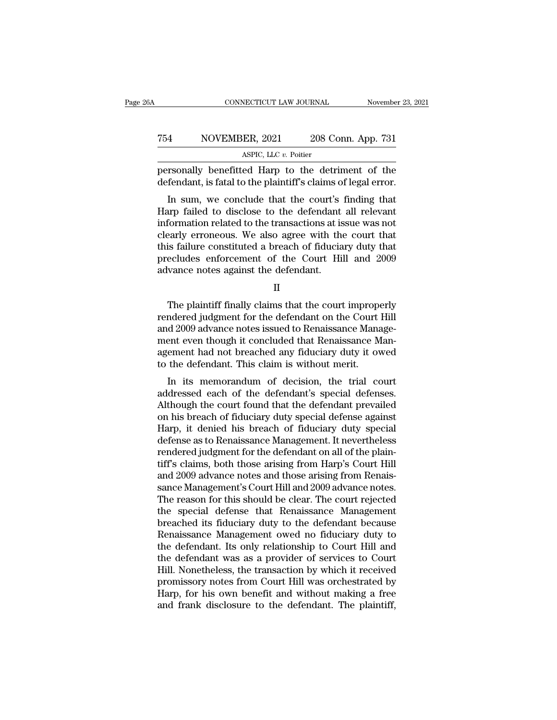#### CONNECTICUT LAW JOURNAL November 23, 2021<br>
754 NOVEMBER, 2021 208 Conn. App. 731<br>
ASPIC, LLC v. Poitier NECTICUT LAW JOURNAL<br>ER, 2021 208 Contract 2011<br>ASPIC, LLC *v.* Poitier<br>ed. Harn, to the detr FRAND CONNECTICUT LAW JOURNAL Movember 23, 2021<br>
TEAN NOVEMBER, 2021 208 Conn. App. 731<br>
ASPIC, LLC v. Poitier<br>
personally benefitted Harp to the detriment of the defendant, is fatal to the plaintiff's claims of legal erro TE4 NOVEMBER, 2021 208 Conn. App. 731<br>ASPIC, LLC v. Poitier<br>personally benefitted Harp to the detriment of the<br>defendant, is fatal to the plaintiff's claims of legal error.<br>In sum, we conclude that the court's finding that

 $\frac{\text{ASPL, 2021}}{\text{ASPL, LLC } v. \text{ Poitier}}$ <br>
Triangly benefitted Harp to the detriment of the fendant, is fatal to the plaintiff's claims of legal error.<br>
In sum, we conclude that the court's finding that<br>
arp failed to disclose t T54 NOVEMBER, 2021 208 Conn. App. 731<br>ASPIC, LLC v. Poitier<br>personally benefitted Harp to the detriment of the<br>defendant, is fatal to the plaintiff's claims of legal error.<br>In sum, we conclude that the court's finding tha ASPIC, LLC  $v$ . Poitier<br>personally benefitted Harp to the detriment of the<br>defendant, is fatal to the plaintiff's claims of legal error.<br>In sum, we conclude that the court's finding that<br>Harp failed to disclose to the def personally benefitted Harp to the detriment of the defendant, is fatal to the plaintiff's claims of legal error.<br>In sum, we conclude that the court's finding that<br>Harp failed to disclose to the defendant all relevant<br>infor personally benefited riarp to the detriment of the<br>defendant, is fatal to the plaintiff's claims of legal error.<br>In sum, we conclude that the court's finding that<br>Harp failed to disclose to the defendant all relevant<br>infor detendant, is ratal to the plaintin's claims of legal error.<br>In sum, we conclude that the court's finding that<br>Harp failed to disclose to the defendant all relevant<br>information related to the transactions at issue was not<br> In sum, we conclude that the court's<br>Harp failed to disclose to the defendant<br>information related to the transactions at is<br>clearly erroneous. We also agree with the<br>this failure constituted a breach of fiducia<br>precludes e early erroneous. We also agree with the court that<br>is failure constituted a breach of fiduciary duty that<br>ecludes enforcement of the Court Hill and 2009<br>vance notes against the defendant.<br>II<br>The plaintiff finally claims th

II

this failure constituted a breach of fiduciary duty that<br>precludes enforcement of the Court Hill and 2009<br>advance notes against the defendant.<br>II<br>The plaintiff finally claims that the court improperly<br>rendered judgment for precludes enforcement of the Court Hill and 2009<br>advance notes against the defendant.<br>II<br>The plaintiff finally claims that the court improperly<br>rendered judgment for the defendant on the Court Hill<br>and 2009 advance notes i advance notes against the defendant.<br>
II<br>
The plaintiff finally claims that the court improperly<br>
rendered judgment for the defendant on the Court Hill<br>
and 2009 advance notes issued to Renaissance Manage-<br>
ment even thoug II<br>INC The plaintiff finally claims that the court improperly<br>rendered judgment for the defendant on the Court Hill<br>and 2009 advance notes issued to Renaissance Management<br>even though it concluded that Renaissance Man-<br>age The plaintiff finally claims that the court improper<br>endered judgment for the defendant on the Court and 2009 advance notes issued to Renaissance Mana<br>ment even though it concluded that Renaissance Magement had not breache The plantific many claims that the court improperty<br>Indered judgment for the defendant on the Court Hill<br>d 2009 advance notes issued to Renaissance Manage-<br>ent even though it concluded that Renaissance Man-<br>ement had not b rendered judgment for the defendant of the Court Tim<br>and 2009 advance notes issued to Renaissance Manage-<br>ment even though it concluded that Renaissance Man-<br>agement had not breached any fiduciary duty it owed<br>to the defen

and 2009 advance notes issued to dentaissance management even though it concluded that Renaissance Management had not breached any fiduciary duty it owed<br>to the defendant. This claim is without merit.<br>In its memorandum of ment even mough it concluded that hendalssance man-<br>agement had not breached any fiduciary duty it owed<br>to the defendant. This claim is without merit.<br>In its memorandum of decision, the trial court<br>addressed each of the de Experient had not breached any mudclary duty it owed<br>to the defendant. This claim is without merit.<br>In its memorandum of decision, the trial court<br>addressed each of the defendant's special defenses.<br>Although the court foun to the defendant. This claim is without merit.<br>In its memorandum of decision, the trial court<br>addressed each of the defendant's special defenses.<br>Although the court found that the defendant prevailed<br>on his breach of fiduc In its memorandum of decision, the trial court<br>addressed each of the defendant's special defenses.<br>Although the court found that the defendant prevailed<br>on his breach of fiduciary duty special defense against<br>Harp, it deni addressed each of the defendant's special defenses.<br>Although the court found that the defendant prevailed<br>on his breach of fiduciary duty special defense against<br>Harp, it denied his breach of fiduciary duty special<br>defense Although the court found that the defendant prevailed<br>on his breach of fiduciary duty special defense against<br>Harp, it denied his breach of fiduciary duty special<br>defense as to Renaissance Management. It nevertheless<br>rende on his breach of fiduciary duty special defense against<br>Harp, it denied his breach of fiduciary duty special<br>defense as to Renaissance Management. It nevertheless<br>rendered judgment for the defendant on all of the plain-<br>ti Harp, it denied his breach of fiduciary duty special<br>defense as to Renaissance Management. It nevertheless<br>rendered judgment for the defendant on all of the plain-<br>tiff's claims, both those arising from Harp's Court Hill<br>a defense as to Renaissance Management. It nevertheless<br>rendered judgment for the defendant on all of the plain-<br>tiff's claims, both those arising from Harp's Court Hill<br>and 2009 advance notes and those arising from Renais-<br> rendered judgment for the defendant on all of the plain-<br>tiff's claims, both those arising from Harp's Court Hill<br>and 2009 advance notes and those arising from Renais-<br>sance Management's Court Hill and 2009 advance notes.<br> tiff's claims, both those arising from Harp's Court Hill<br>and 2009 advance notes and those arising from Renais-<br>sance Management's Court Hill and 2009 advance notes.<br>The reason for this should be clear. The court rejected<br>t and 2009 advance notes and those arising from Renaissance Management's Court Hill and 2009 advance notes.<br>The reason for this should be clear. The court rejected<br>the special defense that Renaissance Management<br>breached its sance Management's Court Hill and 2009 advance notes.<br>The reason for this should be clear. The court rejected<br>the special defense that Renaissance Management<br>breached its fiduciary duty to the defendant because<br>Renaissance The reason for this should be clear. The court rejected<br>the special defense that Renaissance Management<br>breached its fiduciary duty to the defendant because<br>Renaissance Management owed no fiduciary duty to<br>the defendant. I the special defense that Renaissance Management<br>breached its fiduciary duty to the defendant because<br>Renaissance Management owed no fiduciary duty to<br>the defendant. Its only relationship to Court Hill and<br>the defendant was breached its fiduciary duty to the defendant because<br>Renaissance Management owed no fiduciary duty to<br>the defendant. Its only relationship to Court Hill and<br>the defendant was as a provider of services to Court<br>Hill. Noneth Renaissance Management owed no fiduciary duty to<br>the defendant. Its only relationship to Court Hill and<br>the defendant was as a provider of services to Court<br>Hill. Nonetheless, the transaction by which it received<br>promissor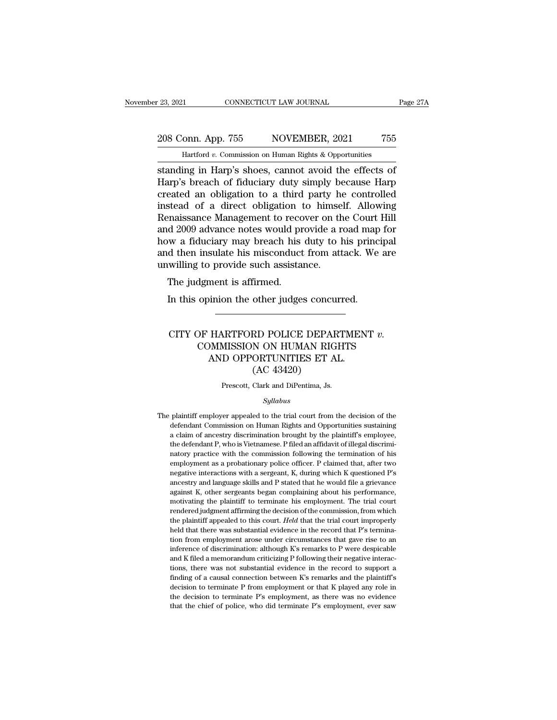# 23, 2021 CONNECTICUT LAW JOURNAL Page 27A<br>208 Conn. App. 755 NOVEMBER, 2021 755<br>Hartford v. Commission on Human Rights & Opportunities

November 23, 2021 CONNECTICUT LAW JOURNAL Page 27A<br>
208 Conn. App. 755 NOVEMBER, 2021 755<br>
Hartford *v*. Commission on Human Rights & Opportunities<br>
standing in Harp's shoes, cannot avoid the effects of Fage 271<br>
Standing in Harp. 755<br>
Standing in Harp's shoes, cannot avoid the effects of<br>
Harp's breach of fiduciary duty simply because Harp<br>
Standing in Harp's shoes, cannot avoid the effects of<br>
Harp's breach of fiduciary 208 Conn. App. 755 NOVEMBER, 2021 755<br>
Hartford v. Commission on Human Rights & Opportunities<br>
standing in Harp's shoes, cannot avoid the effects of<br>
Harp's breach of fiduciary duty simply because Harp<br>
created an obligati 208 Conn. App. 755 NOVEMBER, 2021 755<br>
Hartford v. Commission on Human Rights & Opportunities<br>
standing in Harp's shoes, cannot avoid the effects of<br>
Harp's breach of fiduciary duty simply because Harp<br>
created an obligat 208 Conn. App. 755 NOVEMBER, 2021 755<br>
Hartford v. Commission on Human Rights & Opportunities<br>
standing in Harp's shoes, cannot avoid the effects of<br>
Harp's breach of fiduciary duty simply because Harp<br>
created an obligat Hartford v. Commission on Human Rights & Opportunities<br>standing in Harp's shoes, cannot avoid the effects of<br>Harp's breach of fiduciary duty simply because Harp<br>created an obligation to a third party he controlled<br>instead Hartford v. Commission on Human Rights & Opportunities<br>standing in Harp's shoes, cannot avoid the effects of<br>Harp's breach of fiduciary duty simply because Harp<br>created an obligation to a third party he controlled<br>instead standing in Harp's shoes, cannot avoid the effects of<br>Harp's breach of fiduciary duty simply because Harp<br>created an obligation to a third party he controlled<br>instead of a direct obligation to himself. Allowing<br>Renaissance Harp's breach of fiduciary duty simply because Harp<br>created an obligation to a third party he controlled<br>instead of a direct obligation to himself. Allowing<br>Renaissance Management to recover on the Court Hill<br>and 2009 adva created an obligation to a third party he<br>instead of a direct obligation to himse.<br>Renaissance Management to recover on th<br>and 2009 advance notes would provide a r<br>how a fiduciary may breach his duty to l<br>and then insulate Stead of a different compation of<br>maissance Management to record 2009 advance notes would provide in this d then insulate his misconduct<br>willing to provide such assistats<br>The judgment is affirmed.<br>In this opinion the other In this opinion the other judges concurred.<br>In this object and map we a fiduciary may breach his duty to his princ<br>include the insulate his misconduct from attack. We<br>willing to provide such assistance.<br>The judgment is aff

#### willing to provide such assistance.<br>
The judgment is affirmed.<br>
In this opinion the other judges concurred.<br>
CITY OF HARTFORD POLICE DEPARTMENT *v.*<br>
COMMISSION ON HUMAN RIGHTS<br>
AND OPPORTINITIES FT AL dgment is affirmed.<br>
opinion the other judges concurred.<br>
OF HARTFORD POLICE DEPARTMENT v.<br>
COMMISSION ON HUMAN RIGHTS<br>
AND OPPORTUNITIES ET AL.<br>
(AC 43420) Minion the other judges concurred.<br>
HARTFORD POLICE DEPARTMEN<br>
DMMISSION ON HUMAN RIGHTS<br>
AND OPPORTUNITIES ET AL.<br>
(AC 43420) other judges concu<br>
MD POLICE DEPAI<br>
N ON HUMAN RIG<br>
ORTUNITIES ET A<br>
(AC 43420)<br>
Clark and DiPentima, Js. CITY OF HARTFORD POLICE DEPARTMENT  $v$ .<br>COMMISSION ON HUMAN RIGHTS<br>AND OPPORTUNITIES ET AL.<br>(AC 43420)<br>Prescott, Clark and DiPentima, Js.

#### *Syllabus*

 $(AC 43420)$ <br>Prescott, Clark and DiPentima, Js.<br> $Syllabus$ <br>The plaintiff employer appealed to the trial court from the decision of the defendant Commission on Human Rights and Opportunities sustaining (AC 40420)<br>
Prescott, Clark and DiPentima, Js.<br>
Syllabus<br>
plaintiff employer appealed to the trial court from the decision of the<br>
defendant Commission on Human Rights and Opportunities sustaining<br>
a claim of ancestry disc Frescott, Clark and DiPentima, Js.<br>
Syllabus<br>
plaintiff' employer appealed to the trial court from the decision of the<br>
defendant Commission on Human Rights and Opportunities sustaining<br>
a claim of ancestry discrimination  $Syllabus$ plaintiff employer appealed to the trial court from the decision of the defendant Commission on Human Rights and Opportunities sustaining a claim of ancestry discrimination brought by the plaintiff's employee, the de *Syltabus*<br>plaintiff employer appealed to the trial court from the decision of the<br>defendant Commission on Human Rights and Opportunities sustaining<br>a claim of ancestry discrimination brought by the plaintiff's employee,<br>t plaintiff employer appealed to the trial court from the decision of the defendant Commission on Human Rights and Opportunities sustaining a claim of ancestry discrimination brought by the plaintiff's employee, the defendan defendant Commission on Human Rights and Opportunities sustaining<br>a claim of ancestry discrimination brought by the plaintiff's employee,<br>the defendant P, who is Vietnamese. P filed an affidavit of illegal discrimi-<br>natory and a claim of ancestry discrimination brought by the plaintiff's employee, the defendant P, who is Vietnamese. P filed an affidavit of illegal discriminatory practice with the commission following the termination of his e a efferdant P, who is Vietnamese. P filed an affidavit of illegal discriminatory practice with the commission following the termination of his employment as a probationary police officer. P claimed that, after two negative matory practice with the commission following the termination of his employment as a probationary police officer. P claimed that, after two negative interactions with a sergeant, K, during which K questioned P's ancestry a employment as a probationary police officer. P claimed that, after two negative interactions with a sergeant, K, during which K questioned P's ancestry and language skills and P stated that he would file a grievance again enegative interactions with a sergeant, K, during which K questioned P's ancestry and language skills and P stated that he would file a grievance against K, other sergeants began complaining about his performance, motivati meestry and language skills and P stated that he would file a grievance against K, other sergeants began complaining about his performance, motivating the plaintiff to terminate his employment. The trial court rendered ju against K, other sergeants began complaining about his performance, motivating the plaintiff to terminate his employment. The trial court rendered judgment affirming the decision of the commission, from which the plaintif motivating the plaintiff to terminate his employment. The trial court<br>rendered judgment affirming the decision of the commission, from which<br>the plaintiff appealed to this court. *Held* that the trial court improperly<br>hel rendered judgment affirming the decision of the commission, from which<br>the plaintiff appealed to this court. Held that the trial court improperly<br>held that there was substantial evidence in the record that P's termina-<br>tio the plaintiff appealed to this court. *Held* that the trial court improperly held that there was substantial evidence in the record that P's termination from employment arose under circumstances that gave rise to an infere finding of a causal connection between K's remarks and the planning of a causal connection from employment arose under circumstances that gave rise to an inference of discrimination: although K's remarks to P were despicab tion from employment arose under circumstances that gave rise to an inference of discrimination: although K's remarks to P were despicable and K filed a memorandum criticizing P following their negative interactions, ther inference of discrimination: although K's remarks to P were despicable and K filed a memorandum criticizing P following their negative interactions, there was not substantial evidence in the record to support a finding of inference of discrimination: although K's remarks to P were despicable<br>and K filed a memorandum criticizing P following their negative interac-<br>tions, there was not substantial evidence in the record to support a<br>finding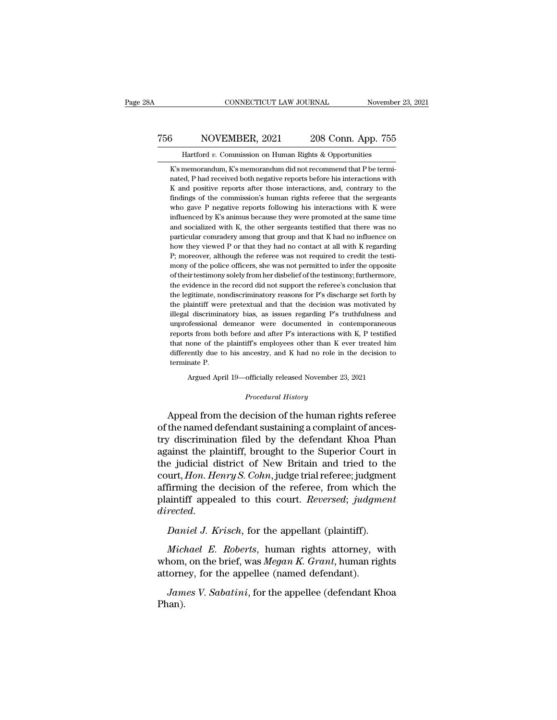### CONNECTICUT LAW JOURNAL November 23, 2021<br>
756 NOVEMBER, 2021 208 Conn. App. 755<br>
Hartford v. Commission on Human Rights & Opportunities CONNECTICUT LAW JOURNAL Movember<br>NOVEMBER, 2021 208 Conn. App. 755<br>Hartford *v.* Commission on Human Rights & Opportunities<br>memorandum, K's memorandum did not recommend that P be termi-

S<br>
K's memorandum, K's memorandum did not recommend that P be termi-<br>
K's memorandum, K's memorandum did not recommend that P be termi-<br>
Mad received both negative reports before his interactions with 3 NOVEMBER, 2021 208 Conn. App. 755<br>Hartford v. Commission on Human Rights & Opportunities<br>K's memorandum, K's memorandum did not recommend that P be termi-<br>nated, P had received both negative reports before his interactio  $\frac{3}{K}$  MOVEMBER, 2021 208 Conn. App. 755<br>Hartford v. Commission on Human Rights & Opportunities<br> $\frac{1}{K}$ s memorandum,  $\frac{1}{K}$ s memorandum did not recommend that P be termi-<br>nated, P had received both negative report Hartford v. Commission on Human Rights & Opportunities<br>K's memorandum, K's memorandum did not recommend that P be termi-<br>nated, P had received both negative reports before his interactions with<br>K and positive reports after Hartford  $v$ . Commission on Human Rights & Opportunities<br>K's memorandum, K's memorandum did not recommend that P be termi-<br>nated, P had received both negative reports before his interactions with<br>K and positive reports af K's memorandum, K's memorandum did not recommend that P be terminated, P had received both negative reports before his interactions with K and positive reports after those interactions, and, contrary to the findings of the nated, P had received both negative reports before his interactions with K and positive reports after those interactions, and, contrary to the findings of the commission's human rights referee that the sergeants who gave P K and positive reports after those interactions, and, contrary to the findings of the commission's human rights referee that the sergeants who gave P negative reports following his interactions with K were influenced by K' findings of the commission's human rights referee that the sergeants<br>who gave P negative reports following his interactions with K were<br>influenced by K's animus because they were promoted at the same time<br>and socialized w findings of the commission's human rights referee that the sergeants<br>who gave P negative reports following his interactions with K were<br>influenced by K's animus because they were promoted at the same time<br>and socialized w influenced by K's animus because they were promoted at the same time<br>and socialized with K, the other sergeants testified that there was no<br>particular comradery among that group and that K had no influence on<br>how they view and socialized with K, the other sergeants testified that there was no<br>particular comradery among that group and that K had no influence on<br>how they viewed P or that they had no contact at all with K regarding<br>P; moreover, particular comradery among that group and that K had no influence on<br>how they viewed P or that they had no contact at all with K regarding<br>P; moreover, although the referee was not required to credit the testi-<br>mony of the how they viewed P or that they had no contact at all with K regarding P; moreover, although the referee was not required to credit the testimony of the police officers, she was not permitted to infer the opposite of their P; moreover, although the referee was not required to credit the testimony of the police officers, she was not permitted to infer the opposite of their testimony solely from her disbelief of the testimony; furthermore, the mony of the police officers, she was not permitted to infer the opposite of their testimony solely from her disbelief of the testimony; furthermore, the evidence in the record did not support the referee's conclusion that of their testimony solely from her disbelief of the testimony; furthermore, the evidence in the record did not support the referee's conclusion that the legitimate, nondiscriminatory reasons for P's discharge set forth by the evidence in the record did not support the referee's conclusion that<br>the legitimate, nondiscriminatory reasons for P's discharge set forth by<br>the plaintiff were pretextual and that the decision was motivated by<br>illegal the legitimate, nondiscriminatory reasons for P's discharge set forth by<br>the plaintiff were pretextual and that the decision was motivated by<br>illegal discriminatory bias, as issues regarding P's truthfulness and<br>unprofessi the plaintiff were pretextual and that the decision was motivated by illegal discriminatory bias, as issues regarding P's truthfulness and unprofessional demeanor were documented in contemporaneous reports from both before the plaintiff were pretextual and that the decision was motivated by illegal discriminatory bias, as issues regarding  $P$ 's truthfulness and unprofessional demeanor were documented in contemporaneous reports from both bef reports from both before and after P's interactions with K, P testified<br>that none of the plaintiff's employees other than K ever treated him<br>differently due to his ancestry, and K had no role in the decision to<br>terminate

Argued April 19—officially released November 23, 2021<br>*Procedural History*<br>Appeal from the decision of the human rights referee that none of the plaintiff's employees other than K ever treated him<br>differently due to his ancestry, and K had no role in the decision to<br>terminate P.<br>Argued April 19—officially released November 23, 2021<br>*Procedural Hist* differently due to his ancestry, and K had no role in the decision to<br>terminate P.<br>Argued April 19—officially released November 23, 2021<br>*Procedural History*<br>Appeal from the decision of the human rights referee<br>of the name Argued April 19—officially released November 23, 2021<br> *Procedural History*<br>
Appeal from the decision of the human rights referee<br>
of the named defendant sustaining a complaint of ances-<br>
try discrimination filed by the de Argued April 19—officially released November 23, 2021<br>
Procedural History<br>
Appeal from the decision of the human rights referee<br>
of the named defendant sustaining a complaint of ances-<br>
try discrimination filed by the defe *Procedural History*<br>Appeal from the decision of the human rights referee<br>of the named defendant sustaining a complaint of ances-<br>try discrimination filed by the defendant Khoa Phan<br>against the plaintiff, brought to the Su Appeal from the decision of the human rights referee<br>of the named defendant sustaining a complaint of ances-<br>try discrimination filed by the defendant Khoa Phan<br>against the plaintiff, brought to the Superior Court in<br>the j Appeal from the decision of the human rights referee<br>of the named defendant sustaining a complaint of ances-<br>try discrimination filed by the defendant Khoa Phan<br>against the plaintiff, brought to the Superior Court in<br>the j of the named defendant sustaining a complaint of ancestry discrimination filed by the defendant Khoa Phan against the plaintiff, brought to the Superior Court in the judicial district of New Britain and tried to the court, *dialieries* and the judicial district of New Britain and tried to the court, *Hon. Henry S. Cohn*, judge trial referee; judgment affirming the decision of the referee, from which the plaintiff appealed to this court. *Rev* urt, *Hon. Henry S. Cohn*, judge trial referee; judgment<br>firming the decision of the referee, from which the<br>aintiff appealed to this court. *Reversed*; *judgment*<br>rected.<br>*Daniel J. Krisch*, for the appellant (plaintiff).

affirming the decision of the referee, from which the<br>plaintiff appealed to this court. *Reversed*; *judgment*<br>directed.<br>Daniel J. Krisch, for the appellant (plaintiff).<br>Michael E. Roberts, human rights attorney, with<br>whom plantiff appealed to this court. *Reversed*; *judgm*<br>directed.<br>Daniel J. Krisch, for the appellant (plaintiff).<br>Michael E. Roberts, human rights attorney, w<br>whom, on the brief, was Megan K. Grant, human rig<br>attorney, for t *Daniel J. Krisch*, for the appellant (plaintiff).<br>*Michael E. Roberts*, human rights attorney, with<br>nom, on the brief, was *Megan K. Grant*, human rights<br>torney, for the appellee (named defendant).<br>*James V. Sabatini*, fo

Phan).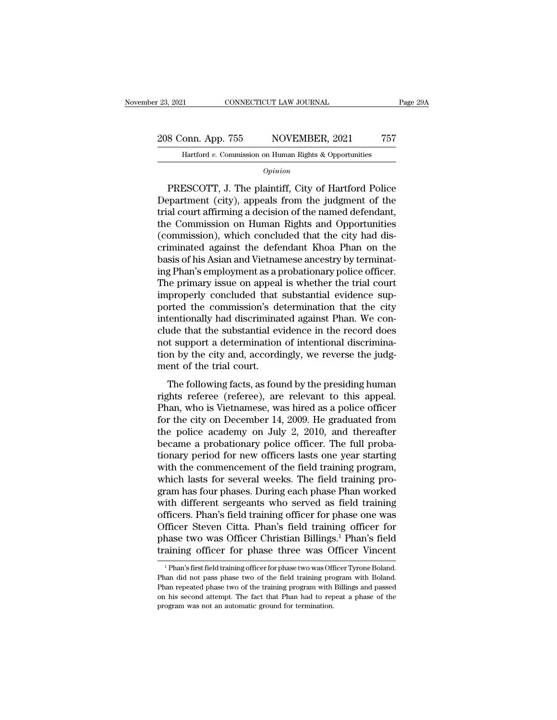23, 2021 CONNECTICUT LAW JOURNAL Page 29A<br>208 Conn. App. 755 NOVEMBER, 2021 757<br>Hartford v. Commission on Human Rights & Opportunities Francisco Connecticut LAW JOURNAL<br>
11 CONNECTICUT LAW JOURNAL<br>
12 Onn. App. 755 NOVEMBER, 2021 757<br>
14 Hartford *v.* Commission on Human Rights & Opportunities

*Opinion*

8 Conn. App. 755 NOVEMBER, 2021 757<br>
Hartford v. Commission on Human Rights & Opportunities<br>
Opinion<br>
PRESCOTT, J. The plaintiff, City of Hartford Police<br>
epartment (city), appeals from the judgment of the<br>
al court of fir 208 Conn. App. 755 NOVEMBER, 2021 757<br>
Hartford v. Commission on Human Rights & Opportunities<br> *Opinion*<br>
PRESCOTT, J. The plaintiff, City of Hartford Police<br>
Department (city), appeals from the judgment of the<br>
trial cour 208 Conn. App. 755 NOVEMBER, 2021 757<br>
Hartford v. Commission on Human Rights & Opportunities<br>  $\overline{Option}$ <br>
PRESCOTT, J. The plaintiff, City of Hartford Police<br>
Department (city), appeals from the judgment of the<br>
trial cour Hartford v. Commission on Human Rights & Opportunities<br>
Opinion<br>
PRESCOTT, J. The plaintiff, City of Hartford Police<br>
Department (city), appeals from the judgment of the<br>
trial court affirming a decision of the named defen  $\frac{Option}{Python}$ <br>
PRESCOTT, J. The plaintiff, City of Hartford Police<br>
Department (city), appeals from the judgment of the<br>
trial court affirming a decision of the named defendant,<br>
the Commission on Human Rights and Opportuniti EXECOTT, J. The plaintiff, City of Hartford Police<br>Department (city), appeals from the judgment of the<br>trial court affirming a decision of the named defendant,<br>the Commission on Human Rights and Opportunities<br>(commission), PRESCOTT, J. The plaintiff, City of Hartford Police<br>Department (city), appeals from the judgment of the<br>trial court affirming a decision of the named defendant,<br>the Commission on Human Rights and Opportunities<br>(commission) Department (city), appeals from the judgment of the<br>trial court affirming a decision of the named defendant,<br>the Commission on Human Rights and Opportunities<br>(commission), which concluded that the city had dis-<br>criminated trial court affirming a decision of the named defendant,<br>the Commission on Human Rights and Opportunities<br>(commission), which concluded that the city had dis-<br>criminated against the defendant Khoa Phan on the<br>basis of his the Commission on Human Rights and Opportunities<br>(commission), which concluded that the city had dis-<br>criminated against the defendant Khoa Phan on the<br>basis of his Asian and Vietnamese ancestry by terminat-<br>ing Phan's emp (commission), which concluded that the city had discriminated against the defendant Khoa Phan on the basis of his Asian and Vietnamese ancestry by terminating Phan's employment as a probationary police officer. The primary criminated against the defendant Khoa Phan on the<br>basis of his Asian and Vietnamese ancestry by terminat-<br>ing Phan's employment as a probationary police officer.<br>The primary issue on appeal is whether the trial court<br>impro basis of his Asian and Vietnamese ancestry by terminating Phan's employment as a probationary police officer.<br>The primary issue on appeal is whether the trial court<br>improperly concluded that substantial evidence sup-<br>porte ing Phan's employment as a probationary police officer.<br>The primary issue on appeal is whether the trial court<br>improperly concluded that substantial evidence sup-<br>ported the commission's determination that the city<br>intenti The primary issue on appeal is whether the trial court<br>improperly concluded that substantial evidence sup-<br>ported the commission's determination that the city<br>intentionally had discriminated against Phan. We con-<br>clude tha improperly concluded that<br>ported the commission's de<br>intentionally had discrimina<br>clude that the substantial ev<br>not support a determination<br>tion by the city and, accordi<br>ment of the trial court.<br>The following facts, as fou Frical are commission's accommission and are eng-<br>tentionally had discriminated against Phan. We con-<br>ide that the substantial evidence in the record does<br>to support a determination of intentional discrimina-<br>in by the cit rights referred in the substantial evidence in the record does<br>not support a determination of intentional discrimina-<br>tion by the city and, accordingly, we reverse the judg-<br>ment of the trial court.<br>The following facts, as

rade that the substantial evidence in the record tools<br>not support a determination of intentional discrimina-<br>tion by the city and, accordingly, we reverse the judg-<br>ment of the trial court.<br>The following facts, as found b from by the city and, accordingly, we reverse the judg-<br>ment of the trial court.<br>The following facts, as found by the presiding human<br>rights referee (referee), are relevant to this appeal.<br>Phan, who is Vietnamese, was hire the police academy on July 2, 2010, and thereafter<br>the police academy of the presiding human<br>rights referee (referee), are relevant to this appeal.<br>Phan, who is Vietnamese, was hired as a police officer<br>for the city on Dec The following facts, as found by the presiding human<br>rights referee (referee), are relevant to this appeal.<br>Phan, who is Vietnamese, was hired as a police officer<br>for the city on December 14, 2009. He graduated from<br>the po The following facts, as found by the presiding human<br>rights referee (referee), are relevant to this appeal.<br>Phan, who is Vietnamese, was hired as a police officer<br>for the city on December 14, 2009. He graduated from<br>the po rights referee (referee), are relevant to this appeal.<br>Phan, who is Vietnamese, was hired as a police officer<br>for the city on December 14, 2009. He graduated from<br>the police academy on July 2, 2010, and thereafter<br>became a Phan, who is Vietnamese, was hired as a police officer<br>for the city on December 14, 2009. He graduated from<br>the police academy on July 2, 2010, and thereafter<br>became a probationary police officer. The full proba-<br>tionary p for the city on December 14, 2009. He graduated from<br>the police academy on July 2, 2010, and thereafter<br>became a probationary police officer. The full proba-<br>tionary period for new officers lasts one year starting<br>with the the police academy on July 2, 2010, and thereafter<br>became a probationary police officer. The full proba-<br>tionary period for new officers lasts one year starting<br>with the commencement of the field training program,<br>which la became a probationary police officer. The full probationary period for new officers lasts one year starting<br>with the commencement of the field training program,<br>which lasts for several weeks. The field training pro-<br>gram h tionary period for new officers lasts one year starting<br>with the commencement of the field training program,<br>which lasts for several weeks. The field training pro-<br>gram has four phases. During each phase Phan worked<br>with d with the commencement of the field training program,<br>which lasts for several weeks. The field training pro-<br>gram has four phases. During each phase Phan worked<br>with different sergeants who served as field training<br>officers which lasts for several weeks. The field training program has four phases. During each phase Phan worked<br>with different sergeants who served as field training<br>officers. Phan's field training officer for phase one was<br>Offic fficers. Phan's field training officer for phase one was<br>fficer Steven Citta. Phan's field training officer for<br>hase two was Officer Christian Billings.<sup>1</sup> Phan's field<br>aining officer for phase three was Officer Vincent<br><sup>1</sup> Officer Steven Citta. Phan's field training officer for phase two was Officer Christian Billings.<sup>1</sup> Phan's field training officer for phase three was Officer Vincent <sup>1</sup> Phan's first field training officer for phase two w

phase two was Officer Christian Billings.<sup>1</sup> Phan's field<br>training officer for phase three was Officer Vincent<br><sup>1</sup> Phan's first field training officer for phase two was Officer Tyrone Boland.<br>Phan did not pass phase two of Training officer for phase three was Officer Vincent<br>
<sup>1</sup> Phan's first field training officer for phase two was Officer Tyrone Boland.<br>
Phan did not pass phase two of the field training program with Boland.<br>
Phan repeated <sup>1</sup> Phan's first field training officer for phase two was Officer Tyrone Boland.<br>Phan did not pass phase two of the field training program with Boland.<br>Phan repeated phase two of the training program with Billings and pass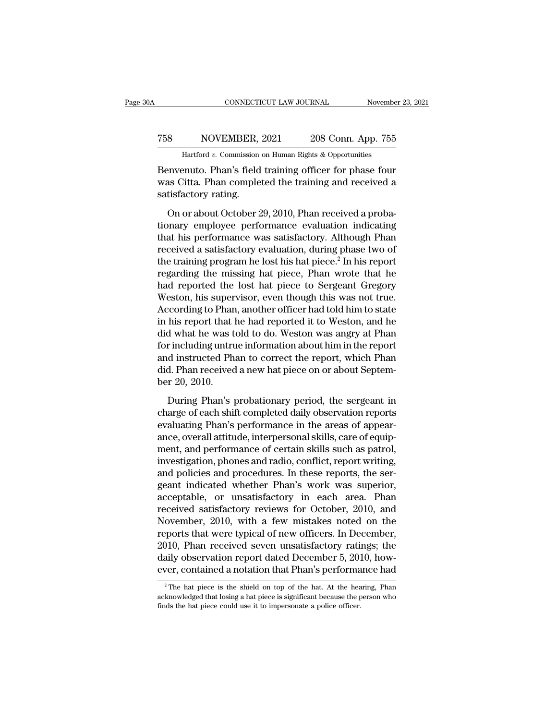# CONNECTICUT LAW JOURNAL November 23, 2021<br>
758 NOVEMBER, 2021 208 Conn. App. 755<br>
Hartford v. Commission on Human Rights & Opportunities CONNECTICUT LAW JOURNAL November 23, 2021<br>
T58 NOVEMBER, 2021 208 Conn. App. 755<br>
Hartford *v.* Commission on Human Rights & Opportunities<br>
Benvenuto. Phan's field training officer for phase four

CONNECTICUT LAW JOURNAL November 23, 2021<br>
T58 NOVEMBER, 2021 208 Conn. App. 755<br>
Hartford v. Commission on Human Rights & Opportunities<br>
Benvenuto. Phan's field training officer for phase four<br>
was Citta. Phan completed t NOVEMBER, 2021 208 Conn. App. 755<br>Hartford v. Commission on Human Rights & Opportunities<br>Benvenuto. Phan's field training officer for phase four<br>was Citta. Phan completed the training and received a<br>satisfactory rating. T58 NOVEMBER,<br>
Hartford v. Commission<br>
Benvenuto. Phan's field<br>
was Citta. Phan comple<br>
satisfactory rating.<br>
On or about October 2  $\frac{8}{6}$  NOVEMBER, 2021 208 Conn. App. 755<br>
Hartford v. Commission on Human Rights & Opportunities<br>
envenuto. Phan's field training officer for phase four<br>
as Citta. Phan completed the training and received a<br>
tisfactory

Hartford v. Commission on Human Rights & Opportunities<br>
Benvenuto. Phan's field training officer for phase four<br>
was Citta. Phan completed the training and received a<br>
satisfactory rating.<br>
On or about October 29, 2010, Ph Benvenuto. Phan's field training officer for phase four<br>was Citta. Phan completed the training and received a<br>satisfactory rating.<br>On or about October 29, 2010, Phan received a proba-<br>tionary employee performance evaluati received a satisfactory rating and received a satisfactory rating.<br>On or about October 29, 2010, Phan received a probationary employee performance evaluation indicating<br>that his performance was satisfactory. Although Phan<br> Satisfactory rating.<br>
Satisfactory rating.<br>
On or about October 29, 2010, Phan received a probationary<br>
that his performance was satisfactory. Although Phan<br>
received a satisfactory evaluation, during phase two of<br>
the tra on or about October 29, 2010, Phan received a probationary<br>tionary employee performance evaluation indicating<br>that his performance was satisfactory. Although Phan<br>received a satisfactory evaluation, during phase two of<br>the On or about October 29, 2010, Phan received a probationary employee performance evaluation indicating<br>that his performance was satisfactory. Although Phan<br>received a satisfactory evaluation, during phase two of<br>the traini tionary employee performance evaluation indicating<br>that his performance was satisfactory. Although Phan<br>received a satisfactory evaluation, during phase two of<br>the training program he lost his hat piece.<sup>2</sup> In his report<br>r that his performance was satisfactory. Although Phan<br>received a satisfactory evaluation, during phase two of<br>the training program he lost his hat piece.<sup>2</sup> In his report<br>regarding the missing hat piece, Phan wrote that he<br> received a satisfactory evaluation, during phase two of<br>the training program he lost his hat piece.<sup>2</sup> In his report<br>regarding the missing hat piece, Phan wrote that he<br>had reported the lost hat piece to Sergeant Gregory<br>W the training program he lost his hat piece.<sup>2</sup> In his report<br>regarding the missing hat piece, Phan wrote that he<br>had reported the lost hat piece to Sergeant Gregory<br>Weston, his supervisor, even though this was not true.<br>Ac regarding the missing hat piece, Phan wrote that he<br>had reported the lost hat piece to Sergeant Gregory<br>Weston, his supervisor, even though this was not true.<br>According to Phan, another officer had told him to state<br>in his had reported the lost hat piece to Sergeant Gregory<br>Weston, his supervisor, even though this was not true.<br>According to Phan, another officer had told him to state<br>in his report that he had reported it to Weston, and he<br>di Weston, his supervisor, even though this was not true.<br>According to Phan, another officer had told him to state<br>in his report that he had reported it to Weston, and he<br>did what he was told to do. Weston was angry at Phan<br>f According to Phan<br>in his report that l<br>did what he was t<br>for including untru<br>and instructed Ph<br>did. Phan received<br>ber 20, 2010.<br>During Phan's <sub>l</sub> d what he was told to do. Weston was angry at Phan<br>
r including untrue information about him in the report<br>
d instructed Phan to correct the report, which Phan<br>
d. Phan received a new hat piece on or about Septem-<br>
r 20, 2 for including untrue information about him in the report<br>and instructed Phan to correct the report, which Phan<br>did. Phan received a new hat piece on or about Septem-<br>ber 20, 2010.<br>During Phan's probationary period, the ser

and instructed Phan to correct the report, which Phandid. Phan received a new hat piece on or about September 20, 2010.<br>During Phan's probationary period, the sergeant in charge of each shift completed daily observation re did. Phan received a new hat piece on or about Septem-<br>ber 20, 2010.<br>During Phan's probationary period, the sergeant in<br>charge of each shift completed daily observation reports<br>evaluating Phan's performance in the areas of ber 20, 2010.<br>
During Phan's probationary period, the sergeant in<br>
charge of each shift completed daily observation reports<br>
evaluating Phan's performance in the areas of appear-<br>
ance, overall attitude, interpersonal skil During Phan's probationary period, the sergeant in charge of each shift completed daily observation reports evaluating Phan's performance in the areas of appearance, overall attitude, interpersonal skills, care of equipmen During Phan's probationary period, the sergeant in<br>charge of each shift completed daily observation reports<br>evaluating Phan's performance in the areas of appear-<br>ance, overall attitude, interpersonal skills, care of equipcharge of each shift completed daily observation reports<br>evaluating Phan's performance in the areas of appear-<br>ance, overall attitude, interpersonal skills, care of equip-<br>ment, and performance of certain skills such as pa evaluating Phan's performance in the areas of appear-<br>ance, overall attitude, interpersonal skills, care of equip-<br>ment, and performance of certain skills such as patrol,<br>investigation, phones and radio, conflict, report w ance, overall attitude, interpersonal skills, care of equipment, and performance of certain skills such as patrol, investigation, phones and radio, conflict, report writing, and policies and procedures. In these reports, t ment, and performance of certain skills such as patrol,<br>investigation, phones and radio, conflict, report writing,<br>and policies and procedures. In these reports, the ser-<br>geant indicated whether Phan's work was superior,<br>a investigation, phones and radio, conflict, report writing,<br>and policies and procedures. In these reports, the ser-<br>geant indicated whether Phan's work was superior,<br>acceptable, or unsatisfactory in each area. Phan<br>received and policies and procedures. In these reports, the sergeant indicated whether Phan's work was superior,<br>acceptable, or unsatisfactory in each area. Phan<br>received satisfactory reviews for October, 2010, and<br>November, 2010, geant indicated whether Phan's work was superior,<br>acceptable, or unsatisfactory in each area. Phan<br>received satisfactory reviews for October, 2010, and<br>November, 2010, with a few mistakes noted on the<br>reports that were typ acceptable, or unsatisfactory in each area. Phan<br>received satisfactory reviews for October, 2010, and<br>November, 2010, with a few mistakes noted on the<br>reports that were typical of new officers. In December,<br>2010, Phan rece ports that were typical of new officers. In December,<br>
2010, Phan received seven unsatisfactory ratings; the<br>
aily observation report dated December 5, 2010, how-<br>
2 The hat piece is the shield on top of the hat. At the he 2010, Phan received seven unsatisfactory ratings; the daily observation report dated December 5, 2010, however, contained a notation that Phan's performance had  $\frac{2}{\pi}$ The hat piece is the shield on top of the hat. At

daily observation report dated December 5, 20<br>
ever, contained a notation that Phan's performa<br>
<sup>2</sup>The hat piece is the shield on top of the hat. At the hea<br>
acknowledged that losing a hat piece is significant because the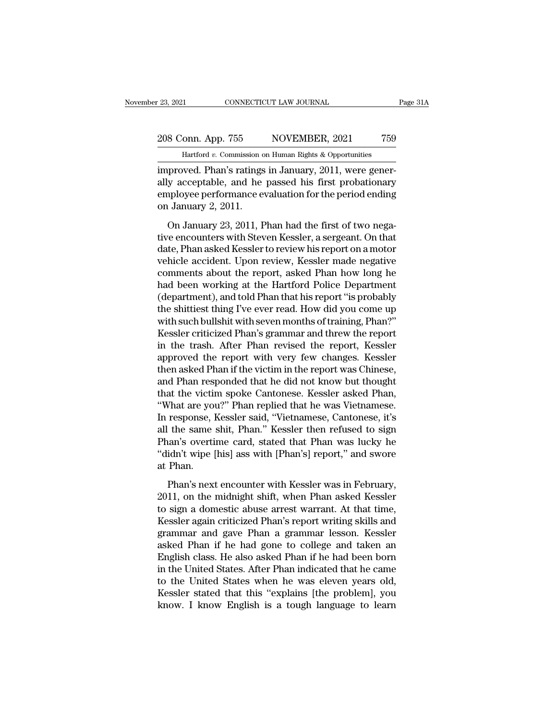### 23, 2021 CONNECTICUT LAW JOURNAL Page 31A<br>208 Conn. App. 755 NOVEMBER, 2021 759<br>Hartford v. Commission on Human Rights & Opportunities THE TREAT CONNECTICUT LAW JOURNAL<br>
1 OND. App. 755 NOVEMBER, 2021 759<br>
1 Hartford *v.* Commission on Human Rights & Opportunities<br>
1 Noted Phan's ratings in January 2011 were gener-

<sup>23, 2021</sup> CONNECTICUT LAW JOURNAL<br>
208 Conn. App. 755 NOVEMBER, 2021 759<br>
Hartford v. Commission on Human Rights & Opportunities<br>
improved. Phan's ratings in January, 2011, were gener-<br>
ally acceptable, and he passed his 208 Conn. App. 755 NOVEMBER, 2021 759<br>
Hartford v. Commission on Human Rights & Opportunities<br>
improved. Phan's ratings in January, 2011, were generally acceptable, and he passed his first probationary<br>
employee performanc 208 Conn. App. 755 NOVEMBER, 2021 759<br>
Hartford v. Commission on Human Rights & Opportunities<br>
improved. Phan's ratings in January, 2011, were generally<br>
acceptable, and he passed his first probationary<br>
employee performa  $\begin{tabular}{ c c c} 208 \text{ Conn. App. } 755 \\ \hline \hline \text{Hartford } v. \text{ Commission of} \\ \hline \text{improved. Phan's ratings} \\ \text{ally acceptable, and he} \\ \text{employee performance} \\ \text{on January 2, 2011.} \\ \text{On January 23, 2011, F} \end{tabular}$ Hartford v. Commission on Human Rights & Opportunities<br>proved. Phan's ratings in January, 2011, were gener-<br>y acceptable, and he passed his first probationary<br>ployee performance evaluation for the period ending<br>January 2, improved. Phan's ratings in January, 2011, were generally acceptable, and he passed his first probationary<br>employee performance evaluation for the period ending<br>on January 2, 2011.<br>On January 23, 2011, Phan had the first o

mappoints. Than as hadny and standary, 2011, were generally acceptable, and he passed his first probationary<br>employee performance evaluation for the period ending<br>on January 2, 2011.<br>On January 23, 2011, Phan had the first employee performance evaluation for the period ending<br>on January 2, 2011.<br>On January 23, 2011, Phan had the first of two nega-<br>tive encounters with Steven Kessler, a sergeant. On that<br>date, Phan asked Kessler to review his on January 2, 2011.<br>
On January 23, 2011, Phan had the first of two negative encounters with Steven Kessler, a sergeant. On that<br>
date, Phan asked Kessler to review his report on a motor<br>
vehicle accident. Upon review, Kes on January 23, 2011, Phan had the first of two negative encounters with Steven Kessler, a sergeant. On that date, Phan asked Kessler to review his report on a motor vehicle accident. Upon review, Kessler made negative comm On January 23, 2011, Phan had the first of two negative encounters with Steven Kessler, a sergeant. On that date, Phan asked Kessler to review his report on a motor vehicle accident. Upon review, Kessler made negative comm tive encounters with Steven Kessler, a sergeant. On that<br>date, Phan asked Kessler to review his report on a motor<br>vehicle accident. Upon review, Kessler made negative<br>comments about the report, asked Phan how long he<br>had b date, Phan asked Kessler to review his report on a motor<br>vehicle accident. Upon review, Kessler made negative<br>comments about the report, asked Phan how long he<br>had been working at the Hartford Police Department<br>(department vehicle accident. Upon review, Kessler made negative<br>comments about the report, asked Phan how long he<br>had been working at the Hartford Police Department<br>(department), and told Phan that his report "is probably<br>the shittie comments about the report, asked Phan how long he<br>had been working at the Hartford Police Department<br>(department), and told Phan that his report "is probably<br>the shittiest thing I've ever read. How did you come up<br>with suc had been working at the Hartford Police Department<br>(department), and told Phan that his report "is probably<br>the shittiest thing I've ever read. How did you come up<br>with such bullshit with seven months of training, Phan?"<br>K (department), and told Phan that his report "is probably<br>the shittiest thing I've ever read. How did you come up<br>with such bullshit with seven months of training, Phan?"<br>Kessler criticized Phan's grammar and threw the repo the shittiest thing I've ever read. How did you come up<br>with such bullshit with seven months of training, Phan?"<br>Kessler criticized Phan's grammar and threw the report<br>in the trash. After Phan revised the report, Kessler<br>a with such bullshit with seven months of training, Phan?"<br>Kessler criticized Phan's grammar and threw the report<br>in the trash. After Phan revised the report, Kessler<br>approved the report with very few changes. Kessler<br>then a Kessler criticized Phan's grammar and threw the report<br>in the trash. After Phan revised the report, Kessler<br>approved the report with very few changes. Kessler<br>then asked Phan if the victim in the report was Chinese,<br>and Ph in the trash. After Phan revised the report, Kessler<br>approved the report with very few changes. Kessler<br>then asked Phan if the victim in the report was Chinese,<br>and Phan responded that he did not know but thought<br>that the approved the report with very few changes. Kessler<br>then asked Phan if the victim in the report was Chinese,<br>and Phan responded that he did not know but thought<br>that the victim spoke Cantonese. Kessler asked Phan,<br>"What are then asked Phan if the victim in the report was Chinese,<br>and Phan responded that he did not know but thought<br>that the victim spoke Cantonese. Kessler asked Phan,<br>"What are you?" Phan replied that he was Vietnamese.<br>In resp and Phan responded that he did not know but thought<br>that the victim spoke Cantonese. Kessler asked Phan,<br>"What are you?" Phan replied that he was Vietnamese.<br>In response, Kessler said, "Vietnamese, Cantonese, it's<br>all the that the victim spoke Cantonese. Kessler asked Phan,<br>
"What are you?" Phan replied that he was Vietnamese.<br>
In response, Kessler said, "Vietnamese, Cantonese, it's<br>
all the same shit, Phan." Kessler then refused to sign<br>
P response, Kessler said, "Vietnamese, Cantonese, it's<br>the same shit, Phan." Kessler then refused to sign<br>aan's overtime card, stated that Phan was lucky he<br>idn't wipe [his] ass with [Phan's] report," and swore<br>Phan.<br>Phan's all the same shit, Phan." Kessler then refused to sign<br>Phan's overtime card, stated that Phan was lucky he<br>"didn't wipe [his] ass with [Phan's] report," and swore<br>at Phan.<br>Phan's next encounter with Kessler was in February

Phan's overtime card, stated that Phan was lucky he<br>
"didn't wipe [his] ass with [Phan's] report," and swore<br>
at Phan.<br>
Phan's next encounter with Kessler was in February,<br>
2011, on the midnight shift, when Phan asked Kess "didn't wipe [his] ass with [Phan's] report," and swore<br>at Phan.<br>Phan's next encounter with Kessler was in February,<br>2011, on the midnight shift, when Phan asked Kessler<br>to sign a domestic abuse arrest warrant. At that tim at Phan.<br>
Phan's next encounter with Kessler was in February,<br>
2011, on the midnight shift, when Phan asked Kessler<br>
to sign a domestic abuse arrest warrant. At that time,<br>
Kessler again criticized Phan's report writing sk Phan's next encounter with Kessler was in February,<br>2011, on the midnight shift, when Phan asked Kessler<br>to sign a domestic abuse arrest warrant. At that time,<br>Kessler again criticized Phan's report writing skills and<br>gram Phan's next encounter with Kessler was in February,<br>2011, on the midnight shift, when Phan asked Kessler<br>to sign a domestic abuse arrest warrant. At that time,<br>Kessler again criticized Phan's report writing skills and<br>gram 2011, on the midnight shift, when Phan asked Kessler<br>to sign a domestic abuse arrest warrant. At that time,<br>Kessler again criticized Phan's report writing skills and<br>grammar and gave Phan a grammar lesson. Kessler<br>asked Ph to sign a domestic abuse arrest warrant. At that time,<br>Kessler again criticized Phan's report writing skills and<br>grammar and gave Phan a grammar lesson. Kessler<br>asked Phan if he had gone to college and taken an<br>English cla Kessler again criticized Phan's report writing skills and<br>grammar and gave Phan a grammar lesson. Kessler<br>asked Phan if he had gone to college and taken an<br>English class. He also asked Phan if he had been born<br>in the Unite grammar and gave Phan a grammar lesson. Kessler<br>asked Phan if he had gone to college and taken an<br>English class. He also asked Phan if he had been born<br>in the United States. After Phan indicated that he came<br>to the United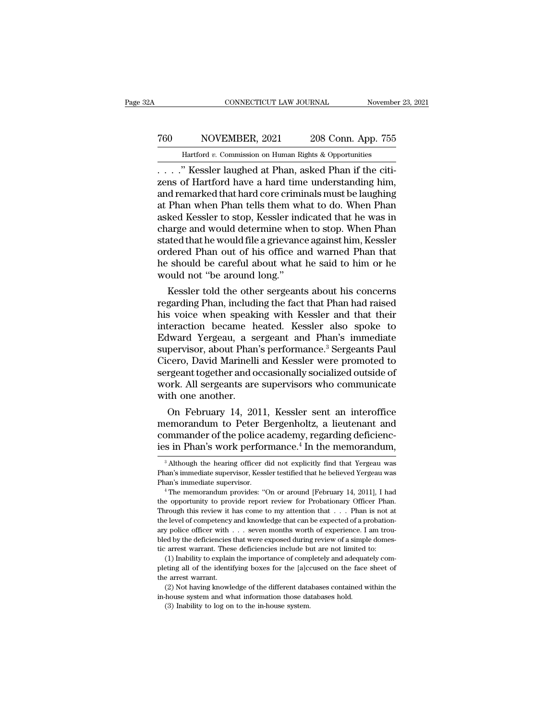# CONNECTICUT LAW JOURNAL November 23, 2021<br>
760 NOVEMBER, 2021 208 Conn. App. 755<br>
Hartford v. Commission on Human Rights & Opportunities CONNECTICUT LAW JOURNAL November 23, 2021<br>
T60 NOVEMBER, 2021 208 Conn. App. 755<br>
Hartford *v.* Commission on Human Rights & Opportunities<br>
. . . . " Kessler laughed at Phan, asked Phan if the citi-

CONNECTICUT LAW JOURNAL November<br>
2008 Conn. App. 755<br>
2008 Conn. App. 755<br>
2008 Conn. App. 755<br>
2008 Conn. App. 755<br>
2008 Conn. App. 755<br>
2008 Conn. App. 755<br>
2008 Conn. 2008 Connection<br>
2018 Connection Apple 2018 Connect T60 NOVEMBER, 2021 208 Conn. App. 755<br>
Hartford v. Commission on Human Rights & Opportunities<br>
....." Kessler laughed at Phan, asked Phan if the citizens of Hartford have a hard time understanding him,<br>
and remarked that h and remarked that hard core criminals must be laughing T60 NOVEMBER, 2021 208 Conn. App. 755<br>
Hartford v. Commission on Human Rights & Opportunities<br>  $\ldots$  ." Kessler laughed at Phan, asked Phan if the citizens of Hartford have a hard time understanding him,<br>
and remarked tha For Cambridge Lies Commission,  $\frac{1}{200}$  Commission<br>
......" Kessler laughed at Phan, asked Phan if the citizens of Hartford have a hard time understanding him,<br>
and remarked that hard core criminals must be laughing<br>
a Hartford v. Commission on Human Rights & Opportunities<br>
. . . . ." Kessler laughed at Phan, asked Phan if the citizens of Hartford have a hard time understanding him,<br>
and remarked that hard core criminals must be laughin . . . . . " Kessler laughed at Phan, asked Phan if the citizens of Hartford have a hard time understanding him, and remarked that hard core criminals must be laughing at Phan when Phan tells them what to do. When Phan aske zens of Hartford have a hard time understanding him,<br>and remarked that hard core criminals must be laughing<br>at Phan when Phan tells them what to do. When Phan<br>asked Kessler to stop, Kessler indicated that he was in<br>charge and remarked that hard core criminals must be laughing<br>at Phan when Phan tells them what to do. When Phan<br>asked Kessler to stop, Kessler indicated that he was in<br>charge and would determine when to stop. When Phan<br>stated th at Phan when Phan tells them wh<br>asked Kessler to stop, Kessler ind<br>charge and would determine when<br>stated that he would file a grievanc<br>ordered Phan out of his office an<br>he should be careful about what<br>would not "be around ked Kessler to stop, Kessler indicated that he was in<br>arge and would determine when to stop. When Phan<br>ated that he would file a grievance against him, Kessler<br>dered Phan out of his office and warned Phan that<br>should be ca charge and would determine when to stop. When Phan<br>stated that he would file a grievance against him, Kessler<br>ordered Phan out of his office and warned Phan that<br>he should be careful about what he said to him or he<br>would n

stated that he would file a grievance against him, Kessler<br>ordered Phan out of his office and warned Phan that<br>he should be careful about what he said to him or he<br>would not "be around long."<br>Kessler told the other sergean ordered Phan out of his office and warned Phan that<br>he should be careful about what he said to him or he<br>would not "be around long."<br>Kessler told the other sergeants about his concerns<br>regarding Phan, including the fact th he should be careful about what he said to him or he<br>would not "be around long."<br>Kessler told the other sergeants about his concerns<br>regarding Phan, including the fact that Phan had raised<br>his voice when speaking with Kess would not "be around long."<br>Kessler told the other sergeants about his concerns<br>regarding Phan, including the fact that Phan had raised<br>his voice when speaking with Kessler and that their<br>interaction became heated. Kessler Kessler told the other sergeants about his concerns<br>regarding Phan, including the fact that Phan had raised<br>his voice when speaking with Kessler and that their<br>interaction became heated. Kessler also spoke to<br>Edward Yergea regarding Phan, including the fact that Phan had raised<br>his voice when speaking with Kessler and that their<br>interaction became heated. Kessler also spoke to<br>Edward Yergeau, a sergeant and Phan's immediate<br>supervisor, about his voice when speaking with Kessler and that their<br>interaction became heated. Kessler also spoke to<br>Edward Yergeau, a sergeant and Phan's immediate<br>supervisor, about Phan's performance.<sup>3</sup> Sergeants Paul<br>Cicero, David Mar interaction became heated. Kessler also spoke to<br>Edward Yergeau, a sergeant and Phan's immediate<br>supervisor, about Phan's performance.<sup>3</sup> Sergeants Paul<br>Cicero, David Marinelli and Kessler were promoted to<br>sergeant togethe Iward Yergeau, a sergeant and Phan's immediate<br>pervisor, about Phan's performance.<sup>3</sup> Sergeants Paul<br>cero, David Marinelli and Kessler were promoted to<br>rgeant together and occasionally socialized outside of<br>ork. All sergea supervisor, about Phan's performance." Sergeants Paul<br>Cicero, David Marinelli and Kessler were promoted to<br>sergeant together and occasionally socialized outside of<br>work. All sergeants are supervisors who communicate<br>with o

Cicero, David Marinelli and Kessler were promoted to<br>sergeant together and occasionally socialized outside of<br>work. All sergeants are supervisors who communicate<br>with one another.<br>On February 14, 2011, Kessler sent an inte sergeant together and occasionally socialized outside of<br>work. All sergeants are supervisors who communicate<br>with one another.<br>On February 14, 2011, Kessler sent an interoffice<br>memorandum to Peter Bergenholtz, a lieutenant On February 14, 2011, Kessler sent an interoffice<br>emorandum to Peter Bergenholtz, a lieutenant and<br>ommander of the police academy, regarding deficienc-<br>s in Phan's work performance.<sup>4</sup> In the memorandum,<br><sup>3</sup> Although the h memorandum to Peter Bergenholtz, a lieutenant and<br>commander of the police academy, regarding deficienc-<br>ies in Phan's work performance.<sup>4</sup> In the memorandum,<br><sup>3</sup> Although the hearing officer did not explicitly find that Ye

commander of the police academy, regarding deficiencies in Phan's work performance.<sup>4</sup> In the memorandum,<br><sup>3</sup> Although the hearing officer did not explicitly find that Yergeau was<br>Phan's immediate supervisor, Kessler testi

The opportunity of performance. The internot and the same of a summediate supervisor, Kessler testified that he believed Yergeau was Phan's immediate supervisor. Kessler testified that he believed Yergeau was Phan's immedi <sup>3</sup> Although the hearing officer did not explicitly find that Yergeau was Phan's immediate supervisor, Kessler testified that he believed Yergeau was Phan's immediate supervisor.<br>
<sup>4</sup> The memorandum provides: "On or aroun Phan's immediate supervisor, Kessler testified that he believed Yergeau was<br>Phan's immediate supervisor, Kessler testified that he believed Yergeau was<br><sup>4</sup> The memorandum provides: "On or around [February 14, 2011], I had<br> Phan's immediate supervisor.<br>
Than's immediate supervisor.<br>
<sup>4</sup> The memorandum provides: "On or around [February 14, 2011], I had<br>
the opportunity to provide report review for Probationary Officer Phan.<br>
Through this revie <sup>4</sup> The memorandum provides: "On or around [February 14, 2011], I had the opportunity to provide report review for Probationary Officer Phan. Through this review it has come to my attention that  $\ldots$ . Phan is not at the the opportunity to provide report review for Probationary Officer Phar<br>Through this review it has come to my attention that . . . Phan is not a<br>the level of competency and knowledge that can be expected of a probation<br>ary For the increase that were to my attention that  $\ldots$ . Phan is not at level of competency and knowledge that can be expected of a probation-<br>y police officer with  $\ldots$  seven months worth of experience. I am trou-<br>ed by t Finetial of competency and knowledge that can be expected of a probationary police officer with  $\ldots$  seven months worth of experience. I am troubled by the deficiencies that were exposed during review of a simple domesti ary police officer with  $\ldots$  seven months worth of experience. I am troubled by the deficiencies that were exposed during review of a simple domestic arrest warrant. These deficiencies include but are not limited to: (1)

For having the deficiencies that were exposed during review of a simple domes-<br>arrest warrant. These deficiencies include but are not limited to:<br>(1) Inability to explain the importance of completely and adequately com-<br>et ic arrest warrant. These deficiencies include but are not limited to:<br>(1) Inability to explain the importance of completely and adequately<br>pleting all of the identifying boxes for the [a]ccused on the face sh<br>the arrest wa (1) Inability to explain the importance of completely and adequately com-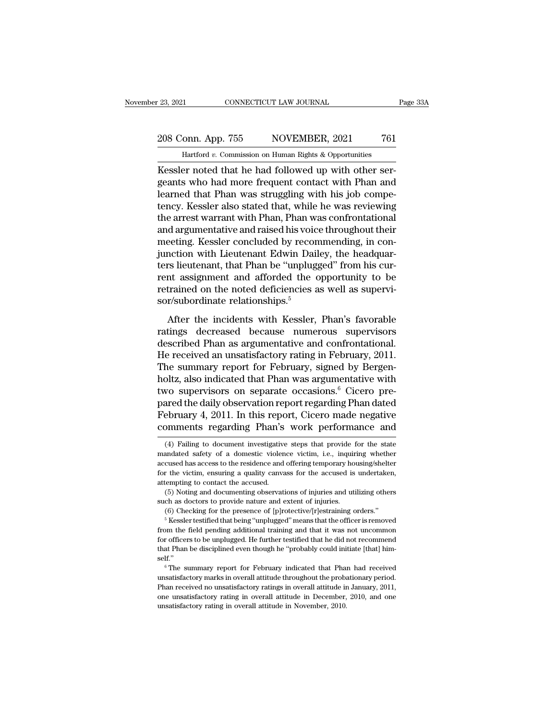ER 2021<br>
CONNECTICUT LAW JOURNAL<br>
208 Conn. App. 755 NOVEMBER, 2021 761<br>
Hartford v. Commission on Human Rights & Opportunities<br>
Kessler noted that he had followed up with other ser-<br>
geants who had more frequent contact w 208 Conn. App. 755 NOVEMBER, 2021 761<br>
Hartford v. Commission on Human Rights & Opportunities<br>
Kessler noted that he had followed up with other ser-<br>
geants who had more frequent contact with Phan and<br>
learned that Phan wa 208 Conn. App. 755 NOVEMBER, 2021 761<br>
Hartford v. Commission on Human Rights & Opportunities<br>
Kessler noted that he had followed up with other ser-<br>
geants who had more frequent contact with Phan and<br>
learned that Phan w 208 Conn. App. 755 NOVEMBER, 2021 761<br>
Hartford v. Commission on Human Rights & Opportunities<br>
Kessler noted that he had followed up with other ser-<br>
geants who had more frequent contact with Phan and<br>
learned that Phan w Hartford v. Commission on Human Rights & Opportunities<br>
Kessler noted that he had followed up with other ser-<br>
geants who had more frequent contact with Phan and<br>
learned that Phan was struggling with his job compe-<br>
tency Hartford v. Commission on Human Eignts & Opportunities<br>Kessler noted that he had followed up with other ser-<br>geants who had more frequent contact with Phan and<br>learned that Phan was struggling with his job compe-<br>tency. Ke Kessler noted that he had followed up with other sergeants who had more frequent contact with Phan and learned that Phan was struggling with his job competency. Kessler also stated that, while he was reviewing the arrest w geants who had more frequent contact with Phan and<br>learned that Phan was struggling with his job compe-<br>tency. Kessler also stated that, while he was reviewing<br>the arrest warrant with Phan, Phan was confrontational<br>and arg learned that Phan was struggling with his job competency. Kessler also stated that, while he was reviewing the arrest warrant with Phan, Phan was confrontational and argumentative and raised his voice throughout their meet tency. Kessler also stated that, while he was reviewing<br>the arrest warrant with Phan, Phan was confrontational<br>and argumentative and raised his voice throughout their<br>meeting. Kessler concluded by recommending, in con-<br>jun the arrest warrant with Phan, Phan was confrontational<br>and argumentative and raised his voice throughout their<br>meeting. Kessler concluded by recommending, in con-<br>junction with Lieutenant Edwin Dailey, the headquar-<br>ters l and argumentative and raised his voic<br>meeting. Kessler concluded by recor<br>junction with Lieutenant Edwin Dail<br>ters lieutenant, that Phan be "unplug<br>rent assignment and afforded the c<br>retrained on the noted deficiencies a<br>s notion with Lieutenant Edwin Dailey, the headquar-<br>notion with Lieutenant Edwin Dailey, the headquar-<br>nt assignment and afforded the opportunity to be<br>trained on the noted deficiencies as well as supervi-<br>r/subordinate rel ration with Ecucchain Edwin Editery, the needed<br>ters lieutenant, that Phan be "unplugged" from his cur-<br>rent assignment and afforded the opportunity to be<br>retrained on the noted deficiencies as well as supervi-<br>sor/subordi

rent assignment and afforded the opportunity to be<br>retrained on the noted deficiencies as well as supervi-<br>sor/subordinate relationships.<sup>5</sup><br>After the incidents with Kessler, Phan's favorable<br>ratings decreased because nume Ferm assignment and anotaed are opportunity to be<br>retrained on the noted deficiencies as well as supervi-<br>sor/subordinate relationships.<sup>5</sup><br>After the incidents with Kessler, Phan's favorable<br>ratings decreased because numer sor/subordinate relationships.<sup>5</sup><br>Sor/subordinate relationships.<sup>5</sup><br>After the incidents with Kessler, Phan's favorable<br>ratings decreased because numerous supervisors<br>described Phan as argumentative and confrontational.<br>He After the incidents with Kessler, Phan's favorable<br>ratings decreased because numerous supervisors<br>described Phan as argumentative and confrontational.<br>He received an unsatisfactory rating in February, 2011.<br>The summary re After the incidents with Kessler, Phan's favorable<br>ratings decreased because numerous supervisors<br>described Phan as argumentative and confrontational.<br>He received an unsatisfactory rating in February, 2011.<br>The summary rep ratings decreased because numerous supervisors<br>described Phan as argumentative and confrontational.<br>He received an unsatisfactory rating in February, 2011.<br>The summary report for February, signed by Bergen-<br>holtz, also ind described Phan as argumentative and confrontational.<br>He received an unsatisfactory rating in February, 2011.<br>The summary report for February, signed by Bergen-<br>holtz, also indicated that Phan was argumentative with<br>two sup He received an unsatisfactory rating in February, 2011.<br>The summary report for February, signed by Bergen-<br>holtz, also indicated that Phan was argumentative with<br>two supervisors on separate occasions.<sup>6</sup> Cicero pre-<br>pared WO SUPETVISOTS ON SEPATATE OCCASIONS.<sup>9</sup> CICETO pre-<br>ared the daily observation report regarding Phan dated<br>ebruary 4, 2011. In this report, Cicero made negative<br>pmments regarding Phan's work performance and<br>(4) Failing to pared the daily observation report regarding Phan dated<br>February 4, 2011. In this report, Cicero made negative<br>comments regarding Phan's work performance and<br>(4) Failing to document investigative steps that provide for the

February 4, 2011. In this report, Cicero made negative<br>comments regarding Phan's work performance and<br>(4) Failing to document investigative steps that provide for the state<br>mandated safety of a domestic violence victim, i. comments regarding Phan's work performance and<br>
(4) Failing to document investigative steps that provide for the state<br>
mandated safety of a domestic violence victim, i.e., inquiring whether<br>
accused has access to the resi mandated safety of a domestic violence victim, i.e., inquiring whether accused has access to the residence and offering temporary housing/shelter for the victim, ensuring a quality canvass for the accused is undertaken, at (4) Failing to document investigative steps that provide for the state and<br>ated safety of a domestic violence victim, i.e., inquiring whether<br>cused has access to the residence and offering temporary housing/shelter<br>r the v cused has access to the residence and offering temporary housing/shelter r the victim, ensuring a quality canvass for the accused is undertaken, tempting to contact the accused.<br>
(5) Noting and documenting observations of

<sup>(6)</sup> Checking for the presence of [p]rotective/[r]estraining orders."<br> $5$  Kessler testified that being "unplugged" means that the officer is removed From the field pending decursed.<br>
Attempting to contact the accused.<br>
(5) Noting and documenting observations of injuries and utilizing others<br>
such as doctors to provide nature and extent of injuries.<br>
(6) Checking for th (5) Noting and documenting observations of injuries and utilizing others<br>such as doctors to provide nature and extent of injuries.<br>(6) Checking for the presence of [p]rotective/[r]estraining orders."<br> $\frac{5}{7}$  Kessler tes such as doctors to provide nature and extent of injuries.<br>
(6) Checking for the presence of [p]rotective/[r]estraining orders."<br>
<sup>5</sup> Kessler testified that being "unplugged" means that the officer is removed<br>
from the fiel self.'' <sup>6</sup> Kessler testified that being "unplugged" means that the officer is removed<br>om the field pending additional training and that it was not uncommon<br>or officers to be unplugged. He further testified that he did not recomm mether is defined and statisfactory and that it was not uncommon<br>for officers to be unplugged. He further testified that he did not recommend<br>that Phan be disciplined even though he "probably could initiate [that] him-<br>sel

for officers to be unplugged. He further testified that he did not recommend<br>that Phan be disciplined even though he "probably could initiate [that] him-<br>self."<br> $\,^{\circ}$  The summary report for February indicated that Phan one unsatisfactory marks in overall attitude in Movember, 2010, and one unsatisfactory marks in overall attitude throughout the probationary period.<br>Phan received no unsatisfactory ratings in overall attitude in January, 2  $6$ The summary report for February indicated that Phan had received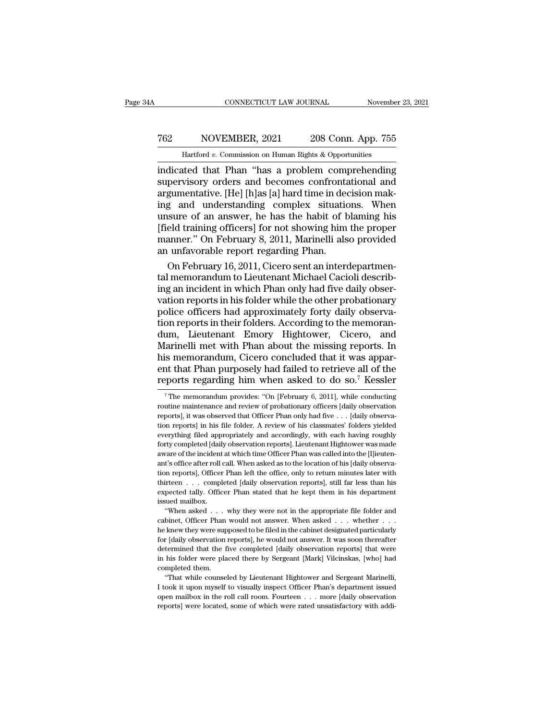# CONNECTICUT LAW JOURNAL November 23, 2021<br>
762 NOVEMBER, 2021 208 Conn. App. 755<br>
Hartford v. Commission on Human Rights & Opportunities CONNECTICUT LAW JOURNAL November 23, 2021<br>
T62 NOVEMBER, 2021 208 Conn. App. 755<br>
Hartford *v.* Commission on Human Rights & Opportunities<br>
indicated that Phan "has a problem comprehending

CONNECTICUT LAW JOURNAL November 23, 2021<br>
T62 NOVEMBER, 2021 208 Conn. App. 755<br>
Hartford v. Commission on Human Rights & Opportunities<br>
indicated that Phan "has a problem comprehending<br>
supervisory orders and becomes con Supervisory orders and becomes complex situations.<br>
The Martford v. Commission on Human Rights & Opportunities<br>
indicated that Phan "has a problem comprehending<br>
supervisory orders and becomes confrontational and<br>
argument T62 NOVEMBER, 2021 208 Conn. App. 755<br>
Hartford v. Commission on Human Rights & Opportunities<br>
indicated that Phan "has a problem comprehending<br>
supervisory orders and becomes confrontational and<br>
argumentative. [He] [h]a T62 NOVEMBER, 2021 208 Conn. App. 755<br>
Hartford v. Commission on Human Rights & Opportunities<br>
indicated that Phan "has a problem comprehending<br>
supervisory orders and becomes confrontational and<br>
argumentative. [He] [h]a Hartford v. Commission on Human Rights & Opportunities<br>
indicated that Phan "has a problem comprehending<br>
supervisory orders and becomes confrontational and<br>
argumentative. [He] [h]as [a] hard time in decision mak-<br>
ing a Hartford v. Commission on Human Rights & Opportunities<br>
indicated that Phan "has a problem comprehending<br>
supervisory orders and becomes confrontational and<br>
argumentative. [He] [h]as [a] hard time in decision mak-<br>
ing an indicated that Phan "has a problem comprehending<br>supervisory orders and becomes confrontational and<br>argumentative. [He] [h]as [a] hard time in decision mak-<br>ing and understanding complex situations. When<br>unsure of an answe supervisory orders and becomes confronta<br>argumentative. [He] [h]as [a] hard time in dec<br>ing and understanding complex situatic<br>unsure of an answer, he has the habit of b<br>[field training officers] for not showing him<br>manner gumentative. [He] [h]as [a] hard time in decision mak-<br>g and understanding complex situations. When<br>sure of an answer, he has the habit of blaming his<br>eld training officers] for not showing him the proper<br>anner." On Februa ing and understanding complex situations. When<br>unsure of an answer, he has the habit of blaming his<br>[field training officers] for not showing him the proper<br>manner." On February 8, 2011, Marinelli also provided<br>an unfavora

unsure of an answer, he has the habit of blaming his<br>[field training officers] for not showing him the proper<br>manner." On February 8, 2011, Marinelli also provided<br>an unfavorable report regarding Phan.<br>On February 16, 2011 [field training officers] for not showing him the proper<br>manner." On February 8, 2011, Marinelli also provided<br>an unfavorable report regarding Phan.<br>On February 16, 2011, Cicero sent an interdepartmen-<br>tal memorandum to Li manner." On February 8, 2011, Marinelli also provided<br>an unfavorable report regarding Phan.<br>On February 16, 2011, Cicero sent an interdepartmen-<br>tal memorandum to Lieutenant Michael Cacioli describ-<br>ing an incident in whic an unfavorable report regarding Phan.<br>
On February 16, 2011, Cicero sent an interdepartmental memorandum to Lieutenant Michael Cacioli describing an incident in which Phan only had five daily observation reports in his fol On February 16, 2011, Cicero sent an interdepartmental memorandum to Lieutenant Michael Cacioli describing an incident in which Phan only had five daily observation reports in his folder while the other probationary police tal memorandum to Lieutenant Michael Cacioli describing an incident in which Phan only had five daily observation reports in his folder while the other probationary police officers had approximately forty daily observation ing an incident in which Phan only had five daily observation reports in his folder while the other probationary<br>police officers had approximately forty daily observa-<br>tion reports in their folders. According to the memora vation reports in his folder while the other probationary<br>police officers had approximately forty daily observa-<br>tion reports in their folders. According to the memoran-<br>dum, Lieutenant Emory Hightower, Cicero, and<br>Marinel police officers had approximately forty daily observation reports in their folders. According to the memorandum, Lieutenant Emory Hightower, Cicero, and Marinelli met with Phan about the missing reports. In his memorandum farinelli met with Phan about the missing reports. In<br>is memorandum, Cicero concluded that it was appar-<br>at that Phan purposely had failed to retrieve all of the<br>ports regarding him when asked to do so.<sup>7</sup> Kessler<br><sup>7</sup>The m his memorandum, Cicero concluded that it was apparent that Phan purposely had failed to retrieve all of the reports regarding him when asked to do so.<sup>7</sup> Kessler <sup>7</sup> The memorandum provides: "On [February 6, 2011], while

he knew they were supposed to be filed in the cabinet designated particularly expected tally. Officer Phan stated that he kept them in his department issued mailbox.<br>
"When asked . . . why they were not in the appropriate expected tally. Officer Phan stated that he kept them in his department<br>issued mailbox.<br>"When asked  $\ldots$  why they were not in the appropriate file folder and<br>cabinet, Officer Phan would not answer. When asked  $\ldots$  wheth issued mailbox.<br>
"When asked  $\ldots$  why they were not in the appropriate file folder and cabinet, Officer Phan would not answer. When asked  $\ldots$  whether  $\ldots$  he knew they were supposed to be filed in the cabinet designat <sup>11</sup> When asked . . . why they were not in the appropriate file folder and cabinet, Officer Phan would not answer. When asked . . . whether . . . he knew they were supposed to be filed in the cabinet designated particular cabinet, Officer Phan<br>he knew they were sup<br>for [daily observation<br>determined that the f<br>in his folder were pla<br>completed them.<br>"That while counse" he knew they were supposed to be filed in the cabinet designated particularly for [daily observation reports], he would not answer. It was soon thereafter determined that the five completed [daily observation reports] tha I for [daily observation reports], he would not answer. It was soon thereafter determined that the five completed [daily observation reports] that were in his folder were placed there by Sergeant [Mark] Vilcinskas, [who]

oper latter that the five completed [daily observation reports] that were<br>determined that the five completed [daily observation reports] that were<br>in his folder were placed there by Sergeant [Mark] Vilcinskas, [who] had<br>co in his folder were placed there by Sergeant [Mark] Vilcinskas, [who] had completed them.<br>
"That while counseled by Lieutenant Hightower and Sergeant Marinelli, I took it upon myself to visually inspect Officer Phan's depa

ent that Phan purposely had failed to retrieve all of the reports regarding him when asked to do so.<sup>7</sup> Kessler  $\frac{1}{\sqrt{2}}$  The memorandum provides: "On [February 6, 2011], while conducting routine maintenance and review The memorandum provides: "On [February 6, 2011], while conducting<br>The memorandum provides: "On [February 6, 2011], while conducting<br>routine maintenance and review of probationary officers [daily observation<br>reports], it w reports regarding film when asked to do so. Ressier<br>
<sup>7</sup> The memorandum provides: "On [February 6, 2011], while conducting<br>
routine maintenance and review of probationary officers [daily observation<br>
reports], it was obse <sup>7</sup> The memorandum provides: "On [February 6, 2011], while conducting routine maintenance and review of probationary officers [daily observation reports], it was observed that Officer Phan only had five  $\ldots$  [daily obser routine maintenance and review of probationary officers [daily observation reports], it was observed that Officer Phan only had five . . . [daily observation reports] in his file folder. A review of his classmates' folders reports], it was observed that Officer Phan only had five  $\ldots$  [daily observa-<br>tion reports] in his file folder. A review of his classmates' folders yielded<br>everything filed appropriately and accordingly, with each havin reports), officer Phan left the office, only to return minutes later with the officer phan left of the incident damage of the incident at which time Officer Phan was called into the [1] ieutenant's office after roll call. everything filed appropriately and accordingly, with each having roughly<br>forty completed [daily observation reports]. Lieutenant Hightower was made<br>aware of the incident at which time Officer Phan was called into the [l]ie expected tally. Officer Phan stated that he kept them in his department's office after roll call. When asked as to the location of his [daily observation reports], Officer Phan stated as to the location of his [daily obser forty completed [daily observation reports]. Lieutenant Hightower was made aware of the incident at which time Officer Phan was called into the [l]ieutenant's office after roll call. When asked as to the location of his [ "'t's office after roll call. When asked as to the location of his [daily observa-<br>n reports], Officer Phan left the office, only to return minutes later with<br>irteen . . . completed [daily observation reports], still far tion reports], Officer Phan left the office, only to return minutes later with thirteen  $\ldots$  completed [daily observation reports], still far less than his expected tally. Officer Phan stated that he kept them in his dep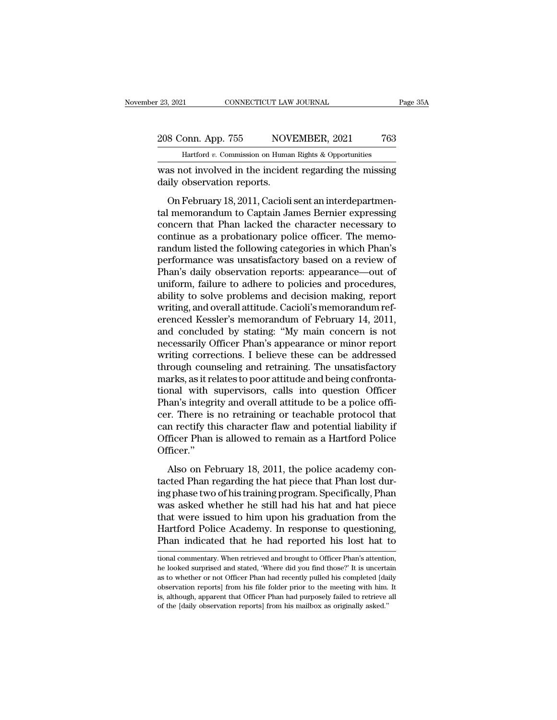### 23, 2021 CONNECTICUT LAW JOURNAL Page 35A<br>208 Conn. App. 755 NOVEMBER, 2021 763<br>Hartford v. Commission on Human Rights & Opportunities Frame CONNECTICUT LAW JOURNAL<br>
11 OND. App. 755 NOVEMBER, 2021 763<br>
Hartford *v.* Commission on Human Rights & Opportunities<br>
10t involved in the incident regarding the missing

Page 35A<br>
208 Conn. App. 755 NOVEMBER, 2021 763<br>
Hartford v. Commission on Human Rights & Opportunities<br>
was not involved in the incident regarding the missing<br>
daily observation reports. 208 Conn. App. 755 NOV.<br>
Hartford v. Commission on Human<br>
was not involved in the incider<br>
daily observation reports.<br>
On February 18, 2011, Cacioli

8 Conn. App. 755 NOVEMBER, 2021 763<br>
Hartford *v.* Commission on Human Rights & Opportunities<br>
as not involved in the incident regarding the missing<br>
ily observation reports.<br>
On February 18, 2011, Cacioli sent an interdep 208 Conn. App. 755 NOVEMBER, 2021 763<br>
Hartford v. Commission on Human Rights & Opportunities<br>
was not involved in the incident regarding the missing<br>
daily observation reports.<br>
On February 18, 2011, Cacioli sent an inte Hartford v. Commission on Human Rights & Opportunities<br>was not involved in the incident regarding the missing<br>daily observation reports.<br>On February 18, 2011, Cacioli sent an interdepartmen-<br>tal memorandum to Captain Jame was not involved in the incident regarding the missing<br>daily observation reports.<br>On February 18, 2011, Cacioli sent an interdepartmen-<br>tal memorandum to Captain James Bernier expressing<br>concern that Phan lacked the charac randum listed the following and interdepartmental memorandum to Captain James Bernier expressing<br>concern that Phan lacked the character necessary to<br>continue as a probationary police officer. The memo-<br>randum listed the fo on February 18, 2011, Cacioli sent an interdepartmental memorandum to Captain James Bernier expressing<br>concern that Phan lacked the character necessary to<br>continue as a probationary police officer. The memo-<br>randum listed On February 18, 2011, Cacioli sent an interdepartmental memorandum to Captain James Bernier expressing<br>concern that Phan lacked the character necessary to<br>continue as a probationary police officer. The memo-<br>randum listed tal memorandum to Captain James Bernier expressing<br>concern that Phan lacked the character necessary to<br>continue as a probationary police officer. The memo-<br>randum listed the following categories in which Phan's<br>performance concern that Phan lacked the character necessary to<br>continue as a probationary police officer. The memo-<br>randum listed the following categories in which Phan's<br>performance was unsatisfactory based on a review of<br>Phan's dai continue as a probationary police officer. The memo-<br>randum listed the following categories in which Phan's<br>performance was unsatisfactory based on a review of<br>Phan's daily observation reports: appearance—out of<br>uniform, f randum listed the following categories in which Phan's<br>performance was unsatisfactory based on a review of<br>Phan's daily observation reports: appearance—out of<br>uniform, failure to adhere to policies and procedures,<br>ability performance was unsatisfactory based on a review of<br>Phan's daily observation reports: appearance—out of<br>uniform, failure to adhere to policies and procedures,<br>ability to solve problems and decision making, report<br>writing, Phan's daily observation reports: appearance—out of<br>uniform, failure to adhere to policies and procedures,<br>ability to solve problems and decision making, report<br>writing, and overall attitude. Cacioli's memorandum ref-<br>eren uniform, failure to adhere to policies and procedures,<br>ability to solve problems and decision making, report<br>writing, and overall attitude. Cacioli's memorandum ref-<br>erenced Kessler's memorandum of February 14, 2011,<br>and c ability to solve problems and decision making, report<br>writing, and overall attitude. Cacioli's memorandum ref-<br>erenced Kessler's memorandum of February 14, 2011,<br>and concluded by stating: "My main concern is not<br>necessaril writing, and overall attitude. Cacioli's memorandum referenced Kessler's memorandum of February 14, 2011, and concluded by stating: "My main concern is not necessarily Officer Phan's appearance or minor report writing corr erenced Kessler's memorandum of February 14, 2011,<br>and concluded by stating: "My main concern is not<br>necessarily Officer Phan's appearance or minor report<br>writing corrections. I believe these can be addressed<br>through couns and concluded by stating: "My main concern is not necessarily Officer Phan's appearance or minor report writing corrections. I believe these can be addressed through counseling and retraining. The unsatisfactory marks, as necessarily Officer Phan's appearance or minor report<br>writing corrections. I believe these can be addressed<br>through counseling and retraining. The unsatisfactory<br>marks, as it relates to poor attitude and being confronta-<br>t writing corrections. I believe these can be addressed<br>through counseling and retraining. The unsatisfactory<br>marks, as it relates to poor attitude and being confronta-<br>tional with supervisors, calls into question Officer<br>Ph through counseling and retraining. The unsatisfactory<br>marks, as it relates to poor attitude and being confronta-<br>tional with supervisors, calls into question Officer<br>Phan's integrity and overall attitude to be a police off Officer.'' Also on February 18, 2011, the police academy con-<br>There is no retraining or teachable protocol that<br>in rectify this character flaw and potential liability if<br>ficer Phan is allowed to remain as a Hartford Police<br>ficer."<br>Al Frank Integrity and obtain and<br>added to see a period that<br>can rectify this character flaw and potential liability if<br>Officer Phan is allowed to remain as a Hartford Police<br>Officer."<br>Also on February 18, 2011, the police ac

From the set of the columning of the columnistic processes the can rectify this character flaw and potential liability if Officer."<br>Officer."<br>Also on February 18, 2011, the police academy con-<br>tacted Phan regarding the hat Earl Festal, and states that was performant masting in<br>Officer."<br>Also on February 18, 2011, the police academy con-<br>tacted Phan regarding the hat piece that Phan lost dur-<br>ing phase two of his training program. Specificall officer."<br>
Also on February 18, 2011, the police academy con-<br>
tacted Phan regarding the hat piece that Phan lost dur-<br>
ing phase two of his training program. Specifically, Phan<br>
was asked whether he still had his hat and Also on February 18, 2011, the police academy con-<br>tacted Phan regarding the hat piece that Phan lost dur-<br>ing phase two of his training program. Specifically, Phan<br>was asked whether he still had his hat and hat piece<br>that Also on February 18, 2011, the police academy con-<br>tacted Phan regarding the hat piece that Phan lost dur-<br>ing phase two of his training program. Specifically, Phan<br>was asked whether he still had his hat and hat piece<br>that was asked whether he still had his hat and hat piece<br>that were issued to him upon his graduation from the<br>Hartford Police Academy. In response to questioning,<br>Phan indicated that he had reported his lost hat to<br>tional comm that were issued to him upon his graduation from the Hartford Police Academy. In response to questioning, Phan indicated that he had reported his lost hat to tional commentary. When retrieved and brought to Officer Phan's

Hartford Police Academy. In response to questioning,<br>Phan indicated that he had reported his lost hat to<br>tional commentary. When retrieved and brought to Officer Phan's attention,<br>he looked surprised and stated, 'Where did Phan indicated that he had reported his lost hat to<br>tional commentary. When retrieved and brought to Officer Phan's attention,<br>he looked surprised and stated, 'Where did you find those?' It is uncertain<br>as to whether or no I Hart Inturcated that He Had Teported HIS 10St Hat to<br>tional commentary. When retrieved and brought to Officer Phan's attention,<br>he looked surprised and stated, 'Where did you find those?' It is uncertain<br>as to whether or tional commentary. When retrieved and brought to Officer Phan's attention,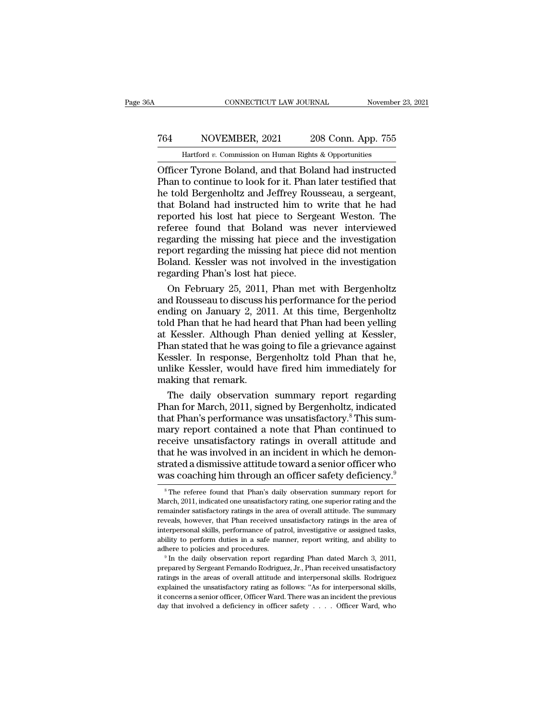# CONNECTICUT LAW JOURNAL November 23, 2021<br>
764 NOVEMBER, 2021 208 Conn. App. 755<br>
Hartford v. Commission on Human Rights & Opportunities CONNECTICUT LAW JOURNAL November 23, 2021<br>
T64 NOVEMBER, 2021 208 Conn. App. 755<br>
Hartford *v.* Commission on Human Rights & Opportunities<br>
Officer Tyrone Boland, and that Boland had instructed

CONNECTICUT LAW JOURNAL November 23, 2021<br>
T64 NOVEMBER, 2021 208 Conn. App. 755<br>
Hartford v. Commission on Human Rights & Opportunities<br>
Officer Tyrone Boland, and that Boland had instructed<br>
Phan to continue to look for T64 NOVEMBER, 2021 208 Conn. App. 755<br>
Hartford v. Commission on Human Rights & Opportunities<br>
Officer Tyrone Boland, and that Boland had instructed<br>
Phan to continue to look for it. Phan later testified that<br>
the told Ber T64 NOVEMBER, 2021 208 Conn. App. 755<br>
Hartford v. Commission on Human Rights & Opportunities<br>
Officer Tyrone Boland, and that Boland had instructed<br>
Phan to continue to look for it. Phan later testified that<br>
that Boland To a state Boland had instructed big referee found that Boland had instructed phan to continue to look for it. Phan later testified that he told Bergenholtz and Jeffrey Rousseau, a sergeant, that Boland had instructed him Hartford v. Commission on Human Rights & Opportunities<br>
Officer Tyrone Boland, and that Boland had instructed<br>
Phan to continue to look for it. Phan later testified that<br>
he told Bergenholtz and Jeffrey Rousseau, a sergean Hartford v. Commission on Human Rights & Opportunities<br>
Officer Tyrone Boland, and that Boland had instructed<br>
Phan to continue to look for it. Phan later testified that<br>
he told Bergenholtz and Jeffrey Rousseau, a sergean Officer Tyrone Boland, and that Boland had instructed<br>Phan to continue to look for it. Phan later testified that<br>he told Bergenholtz and Jeffrey Rousseau, a sergeant,<br>that Boland had instructed him to write that he had<br>rep Phan to continue to look for it. Phan later testified that<br>he told Bergenholtz and Jeffrey Rousseau, a sergeant,<br>that Boland had instructed him to write that he had<br>reported his lost hat piece to Sergeant Weston. The<br>refer he told Bergenholtz and Jeffrey Rousseau, a sergeant,<br>that Boland had instructed him to write that he had<br>reported his lost hat piece to Sergeant Weston. The<br>referee found that Boland was never interviewed<br>regarding the mi that Boland had instructed him to v<br>reported his lost hat piece to Serge<br>referee found that Boland was n<br>regarding the missing hat piece and<br>report regarding the missing hat piec<br>Boland. Kessler was not involved in<br>regardi ported his lost hat piece to Sergeant Weston. The<br>feree found that Boland was never interviewed<br>garding the missing hat piece and the investigation<br>port regarding the missing hat piece did not mention<br>pland. Kessler was no referee found that Boland was never interviewed<br>regarding the missing hat piece and the investigation<br>report regarding the missing hat piece did not mention<br>Boland. Kessler was not involved in the investigation<br>regarding P

regarding the missing hat piece and the investigation<br>report regarding the missing hat piece did not mention<br>Boland. Kessler was not involved in the investigation<br>regarding Phan's lost hat piece.<br>On February 25, 2011, Phan report regarding the missing hat piece did not mention<br>Boland. Kessler was not involved in the investigation<br>regarding Phan's lost hat piece.<br>On February 25, 2011, Phan met with Bergenholtz<br>and Rousseau to discuss his perf Boland. Kessler was not involved in the investigation<br>regarding Phan's lost hat piece.<br>On February 25, 2011, Phan met with Bergenholtz<br>and Rousseau to discuss his performance for the period<br>ending on January 2, 2011. At th regarding Phan's lost hat piece.<br>
On February 25, 2011, Phan met with Bergenholtz<br>
and Rousseau to discuss his performance for the period<br>
ending on January 2, 2011. At this time, Bergenholtz<br>
told Phan that he had heard t On February 25, 2011, Phan met with Bergenholtz<br>and Rousseau to discuss his performance for the period<br>ending on January 2, 2011. At this time, Bergenholtz<br>told Phan that he had heard that Phan had been yelling<br>at Kessler. and Rousseau to discuss his performance for the period<br>ending on January 2, 2011. At this time, Bergenholtz<br>told Phan that he had heard that Phan had been yelling<br>at Kessler. Although Phan denied yelling at Kessler,<br>Phan s ending on January 2, 201<br>told Phan that he had hea<br>at Kessler. Although Pha<br>Phan stated that he was go<br>Kessler. In response, Beu<br>unlike Kessler, would ha<br>making that remark.<br>The daily observation ld Phan that he had heard that Phan had been yelling<br>Kessler. Although Phan denied yelling at Kessler,<br>nan stated that he was going to file a grievance against<br>ssler. In response, Bergenholtz told Phan that he,<br>like Kessle at Kessler. Although Phan denied yelling at Kessler,<br>Phan stated that he was going to file a grievance against<br>Kessler. In response, Bergenholtz told Phan that he,<br>unlike Kessler, would have fired him immediately for<br>makin

Phan stated that he was going to file a grievance against<br>Kessler. In response, Bergenholtz told Phan that he,<br>unlike Kessler, would have fired him immediately for<br>making that remark.<br>The daily observation summary report r Kessler. In response, Bergenholtz told Phan that he,<br>unlike Kessler, would have fired him immediately for<br>making that remark.<br>The daily observation summary report regarding<br>Phan for March, 2011, signed by Bergenholtz, indi unlike Kessler, would have fired him immediately for<br>making that remark.<br>The daily observation summary report regarding<br>Phan for March, 2011, signed by Bergenholtz, indicated<br>that Phan's performance was unsatisfactory.<sup>8</sup> making that remark.<br>The daily observation summary report regarding<br>Phan for March, 2011, signed by Bergenholtz, indicated<br>that Phan's performance was unsatisfactory.<sup>8</sup> This sum-<br>mary report contained a note that Phan cont The daily observation summary report regarding<br>Phan for March, 2011, signed by Bergenholtz, indicated<br>that Phan's performance was unsatisfactory.<sup>8</sup> This sum-<br>mary report contained a note that Phan continued to<br>receive uns Phan for March, 2011, signed by Bergenholtz, indicated<br>that Phan's performance was unsatisfactory.<sup>8</sup> This sum-<br>mary report contained a note that Phan continued to<br>receive unsatisfactory ratings in overall attitude and<br>tha eceive unsatisfactory ratings in overall attitude and<br>aat he was involved in an incident in which he demon-<br>rated a dismissive attitude toward a senior officer who<br>as coaching him through an officer safety deficiency.<sup>9</sup><br><sup></sup> that he was involved in an incident in which he demonstrated a dismissive attitude toward a senior officer who was coaching him through an officer safety deficiency.<sup>9</sup><br><sup>8</sup>The referee found that Phan's daily observation su

strated a dismissive attitude toward a senior officer who<br>was coaching him through an officer safety deficiency.<sup>9</sup><br><sup>8</sup>The referee found that Phan's daily observation summary report for<br>March, 2011, indicated one unsatisfa was coaching him through an officer safety deficiency.<sup>9</sup><br><sup>8</sup>The referee found that Phan's daily observation summary report for<br>March, 2011, indicated one unsatisfactory rating, one superior rating and the<br>remainder satisf  $^{\circ}$  The referee found that Phan's daily observation summary report for March, 2011, indicated one unsatisfactory rating, one superior rating and the remainder satisfactory ratings in the area of overall attitude. The s <sup>8</sup> The referee found that Phan's daily observation summary report for March, 2011, indicated one unsatisfactory rating, one superior rating and the remainder satisfactory ratings in the area of overall attitude. The summ March, 2011, indicated one unsatisfactory rating, one superior rating and the remainder satisfactory ratings in the area of overall attitude. The summary reveals, however, that Phan received unsatisfactory ratings in the a reweals, however, that Phan received unsatisfactory ratings in the area of interpersonal skills, performance of patrol, investigative or assigned tasks, ability to perform duties in a safe manner, report writing, and abili

interpersonal skills, performance of patrol, investigative or assigned tasks, ability to perform duties in a safe manner, report writing, and ability to adhere to policies and procedures.<br>
<sup>9</sup> In the daily observation rep ability to perform duties in a safe manner, report writing, and ability to adhere to policies and procedures.<br>
<sup>9</sup> In the daily observation report regarding Phan dated March 3, 2011, prepared by Sergeant Fernando Rodrigue adhere to policies and procedures.<br>
<sup>9</sup> In the daily observation report regarding Phan dated March 3, 2011,<br>
prepared by Sergeant Fernando Rodriguez, Jr., Phan received unsatisfactory<br>
ratings in the areas of overall atti The day observation report regarding Phan dated March 3, 2011,<br>prepared by Sergeant Fernando Rodriguez, Jr., Phan received unsatisfactory<br>ratings in the areas of overall attitude and interpersonal skills. Rodriguez<br>explai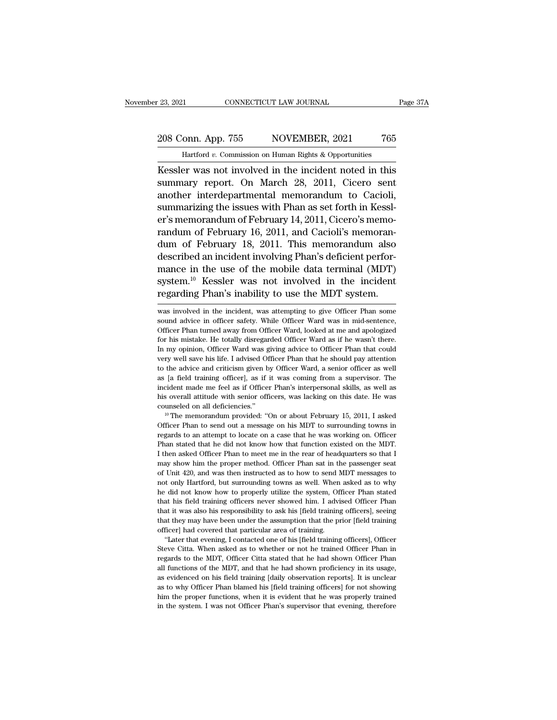### 23, 2021 CONNECTICUT LAW JOURNAL Page 37A<br>208 Conn. App. 755 NOVEMBER, 2021 765<br>Hartford v. Commission on Human Rights & Opportunities THE TREAT CONNECTICUT LAW JOURNAL<br>
THE TREAT ON THE TREAT TREAT TREAT TREAT TREAT TREAT TREAT TREAT TREAT TREAT TREAT TREAT TREAT TREAT TREAT TREAT TREAT TREAT TREAT TREAT TREAT TREAT TREAT TREAT TREAT TREAT TREAT TREAT TR

Eq. 23, 2021 CONNECTICUT LAW JOURNAL Page 37A<br>
208 Conn. App. 755 NOVEMBER, 2021 765<br>
Hartford v. Commission on Human Rights & Opportunities<br>
Kessler was not involved in the incident noted in this<br>
summary report. On March 208 Conn. App. 755 NOVEMBER, 2021 765<br>
Hartford v. Commission on Human Rights & Opportunities<br>
Kessler was not involved in the incident noted in this<br>
summary report. On March 28, 2011, Cicero sent<br>
another interdepartment 208 Conn. App. 755 NOVEMBER, 2021 765<br>
Hartford v. Commission on Human Rights & Opportunities<br>
Kessler was not involved in the incident noted in this<br>
summary report. On March 28, 2011, Cicero sent<br>
another interdepartmen 208 Conn. App. 755 NOVEMBER, 2021 765<br>
Hartford v. Commission on Human Rights & Opportunities<br>
Kessler was not involved in the incident noted in this<br>
summary report. On March 28, 2011, Cicero sent<br>
another interdepartmen Hartford v. Commission on Human Rights & Opportunities<br>
Kessler was not involved in the incident noted in this<br>
summary report. On March 28, 2011, Cicero sent<br>
another interdepartmental memorandum to Cacioli,<br>
summarizing random *v.* commission on manian ragnal & opportunates<br>
Kessler was not involved in the incident noted in this<br>
summary report. On March 28, 2011, Cicero sent<br>
another interdepartmental memorandum to Cacioli,<br>
summarizing Kessler was not involved in the incident noted in this<br>summary report. On March 28, 2011, Cicero sent<br>another interdepartmental memorandum to Cacioli,<br>summarizing the issues with Phan as set forth in Kessl-<br>er's memorandum summary report. On March 28, 2011, Cicero sent<br>another interdepartmental memorandum to Cacioli,<br>summarizing the issues with Phan as set forth in Kessl-<br>er's memorandum of February 16, 2011, and Cacioli's memoran-<br>randum of another interdepartmental memorandum to Cacioli,<br>summarizing the issues with Phan as set forth in Kessl-<br>er's memorandum of February 16, 2011, and Cacioli's memoran-<br>dum of February 18, 2011. This memorandum also<br>described summarizing the issues with Phan as set forth in Kessler's memorandum of February 14, 2011, Cicero's memorandum of February 16, 2011, and Cacioli's memorandum of February 18, 2011. This memorandum also described an inciden er's memorandum of February 14, 2011, Cicero's memorandum of February 16, 2011, and Cacioli's memorandum of February 18, 2011. This memorandum also described an incident involving Phan's deficient performance in the use of described an incident involving Phan's deficient performance in the use of the mobile data terminal (MDT) system.<sup>10</sup> Kessler was not involved in the incident regarding Phan's inability to use the MDT system.<br>was involved mance in the use of the mobile data terminal (MDT)<br>system.<sup>10</sup> Kessler was not involved in the incident<br>regarding Phan's inability to use the MDT system.<br>was involved in the incident, was attempting to give Officer Phan so

system.<sup>10</sup> Kessler was not involved in the incident regarding Phan's inability to use the MDT system.<br>was involved in the incident, was attempting to give Officer Phan some sound advice in officer safety. While Officer Wa regarding Phan's inability to use the MDT system.<br>
was involved in the incident, was attempting to give Officer Phan some<br>
sound advice in officer safety. While Officer Ward was in mid-sentence,<br>
Officer Phan turned away f In my opinion, officer ward was giving advice to Officer Phan some sound advice in officer safety. While Officer Ward was in mid-sentence, Officer Phan turned away from Officer Ward, looked at me and apologized for his mis was involved in the incident, was attempting to give Officer Phan some sound advice in officer safety. While Officer Ward was in mid-sentence, Officer Phan turned away from Officer Ward, looked at me and apologized for his sound advice in officer safety. While Officer Ward was in mid-sentence, Officer Phan turned away from Officer Ward, looked at me and apologized for his mistake. He totally disregarded Officer Ward as if he wasn't there. In Cofficer Phan turned away from Officer Ward, looked at me and apologized for his mistake. He totally disregarded Officer Ward as if he wasn't there. In my opinion, Officer Ward was giving advice to Officer Phan that could for his mistake. He totally disregarded Officer Ward as if he wasn't there.<br>In my opinion, Officer Ward was giving advice to Officer Phan that could<br>very well save his life. I advised Officer Phan that he should pay attent For my opinion, Officer Ward was giving advice to Officer Phan that could<br>tvery well save his life. I advised Officer Phan that he should pay attention<br>to the advice and criticism given by Officer Ward, a senior officer as In the advise of the advised Officer Phan that he should pay attention<br>to the advice and criticism given by Officer Ward, a senior officer as well<br>as [a field training officer], as if it was coming from a supervisor. The<br>i as [a field training officer], as if it was coming from a supervisor. The incident made me feel as if Officer Phan's interpersonal skills, as well as his overall attitude with senior officers, was lacking on this date. He

incident made me feel as if Officer Phan's interpersonal skills, as well as<br>his overall attitude with senior officers, was lacking on this date. He was<br>counseled on all deficiencies."<br><sup>10</sup> The memorandum provided: "On or a his overall attitude with senior officers, was lacking on this date. He was counseled on all deficiencies."<br><sup>10</sup> The memorandum provided: "On or about February 15, 2011, I asked Officer Phan to send out a message on his MD I then asked Officer Phan to meet me in the rear of headquarters of headquarters of the rear of headquarters of the rear of headquarters of the rear of headquarters of the rear of headquarters so that I may show him the pr <sup>10</sup> The memorandum provided: "On or about February 15, 2011, I asked Officer Phan to send out a message on his MDT to surrounding towns in regards to an attempt to locate on a case that he was working on. Officer Phan st Officer Phan to send out a message on his MDT to surrounding towns in regards to an attempt to locate on a case that he was working on. Officer Phan stated that he did not know how that function existed on the MDT. I then eregards to an attempt to locate on a case that he was working on. Officer Phan stated that he did not know how that function existed on the MDT. I then asked Officer Phan to meet me in the rear of headquarters so that I m Phan stated that he did not know how that function existed on the MDT.<br>I then asked Officer Phan to meet me in the rear of headquarters so that I may show him the proper method. Officer Phan sat in the passenger seat of Un Then asked Officer Phan to meet me in the rear of headquarters so that I may show him the proper method. Officer Phan sat in the passenger seat of Unit 420, and was then instructed as to how to send MDT messages to not onl Framewhow him the proper method. Officer Phan sat in the passenger seat of Unit 420, and was then instructed as to how to send MDT messages to not only Hartford, but surrounding towns as well. When asked as to why he did n that that they may have been under the assumption that be prior in the assess to of Unit 420, and was then instructed as to how to send MDT messages to not only Hartford, but surrounding towns as well. When asked as to why of that had covered that particular area of training.<br>
The did not know how to properly utilize the system, Of<br>
that his field training officers never showed him. I advi<br>
that it was also his responsibility to ask his [fie 't did not know how to properly utilize the system, Officer Phan stated at his field training officers never showed him. I advised Officer Phan at it was also his responsibility to ask his [field training officers], seeing that his field training officers never showed him. I advised Officer Phan<br>that it was also his responsibility to ask his [field training officers], seeing<br>that they may have been under the assumption that the prior [field

regards to the MDT, and that he had shown proficiency in its usage, that it was also his responsibility to ask his [field training officers], seeing that they may have been under the assumption that the prior [field traini all functions of the MDT, and that he had shown proficiency in its usage, that they may have been under the assumption that the prior [field training officer] had covered that particular area of training. "Later that eveni as evidenced on his field training afficers and the proferer had covered that particular area of training.<br>
"Later that evening, I contacted one of his [field training officers], Officer<br>
Steve Citta. When asked as to whet "Later that evening, I contacted one of his [field training officers], Officer Steve Citta. When asked as to whether or not he trained Officer Phan in regards to the MDT, Officer Citta stated that he had shown Officer Phan Eve Citta. When asked as to whether or not he trained Officer Phan in regards to the MDT, Officer Citta stated that he had shown Officer Phan in regards to the MDT, and that he had shown proficiency in its usage, as eviden Steve Citta. When asked as to whether or not he trained Officer Phan in regards to the MDT, Officer Citta stated that he had shown Officer Phan all functions of the MDT, and that he had shown proficiency in its usage, as e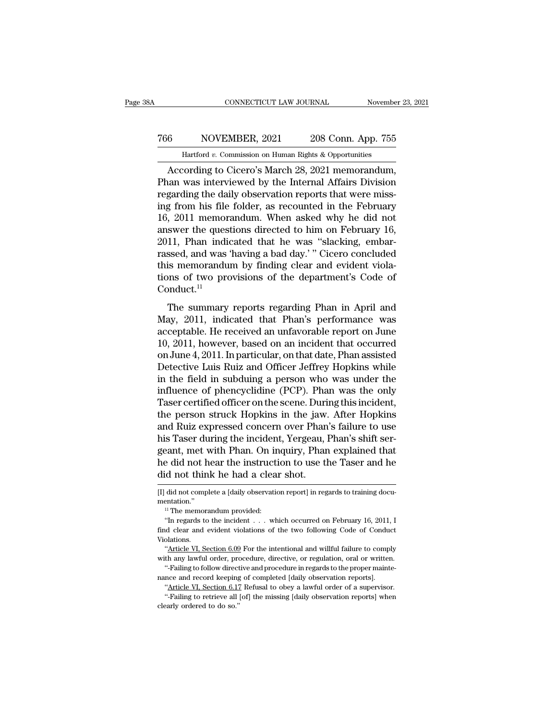### CONNECTICUT LAW JOURNAL November 23, 2021<br>
766 NOVEMBER, 2021 208 Conn. App. 755<br>
Hartford v. Commission on Human Rights & Opportunities CONNECTICUT LAW JOURNAL Movember<br>NOVEMBER, 2021 208 Conn. App. 755<br>Hartford *v.* Commission on Human Rights & Opportunities<br>Cording to Cicero's March 28 2021 memorandum

CONNECTICUT LAW JOURNAL November 23, 20<br>
6 NOVEMBER, 2021 208 Conn. App. 755<br>
Hartford v. Commission on Human Rights & Opportunities<br>
According to Cicero's March 28, 2021 memorandum,<br>
han was interviewed by the Internal Af T66 NOVEMBER, 2021 208 Conn. App. 755<br>
Hartford v. Commission on Human Rights & Opportunities<br>
According to Cicero's March 28, 2021 memorandum,<br>
Phan was interviewed by the Internal Affairs Division<br>
regarding the daily ob 766 NOVEMBER, 2021 208 Conn. App. 755<br>
Hartford v. Commission on Human Rights & Opportunities<br>
According to Cicero's March 28, 2021 memorandum,<br>
Phan was interviewed by the Internal Affairs Division<br>
regarding the daily o For The Hartford v. Commission on Human Rights & Opportunities<br>
According to Cicero's March 28, 2021 memorandum,<br>
Phan was interviewed by the Internal Affairs Division<br>
regarding the daily observation reports that were mi Hartford v. Commission on Human Rights & Opportunities<br>
According to Cicero's March 28, 2021 memorandum,<br>
Phan was interviewed by the Internal Affairs Division<br>
regarding the daily observation reports that were miss-<br>
ing Hartford v. Commission on Human Eights & Opportunities<br>According to Cicero's March 28, 2021 memorandum,<br>Phan was interviewed by the Internal Affairs Division<br>regarding the daily observation reports that were miss-<br>ing from According to Cicero's March 28, 2021 memorandum,<br>Phan was interviewed by the Internal Affairs Division<br>regarding the daily observation reports that were miss-<br>ing from his file folder, as recounted in the February<br>16, 2011 Phan was interviewed by the Internal Affairs Division<br>regarding the daily observation reports that were miss-<br>ing from his file folder, as recounted in the February<br>16, 2011 memorandum. When asked why he did not<br>answer the regarding the daily observation reports that were missing from his file folder, as recounted in the February 16, 2011 memorandum. When asked why he did not answer the questions directed to him on February 16, 2011, Phan in ing from his file folder, as recounted in the February 16, 2011 memorandum. When asked why he did not answer the questions directed to him on February 16, 2011, Phan indicated that he was "slacking, embarrassed, and was ' Conduct.<sup>11</sup> The summary reports regarding Phan in April and and was "slacking, embarssed, and was 'having a bad day.' " Cicero concluded<br>is memorandum by finding clear and evident viola-<br>nns of two provisions of the department's Code Frame materials and was 'naturally' "Cicero concluded<br>this memorandum by finding clear and evident violations of two provisions of the department's Code of<br>Conduct.<sup>11</sup><br>The summary reports regarding Phan in April and<br>May,

Frassed, and was naving a stad any. Crears concretated<br>this memorandum by finding clear and evident violations of two provisions of the department's Code of<br>Conduct.<sup>11</sup><br>The summary reports regarding Phan in April and<br>May tions of two provisions of the department's Code of<br>Conduct.<sup>11</sup><br>The summary reports regarding Phan in April and<br>May, 2011, indicated that Phan's performance was<br>acceptable. He received an unfavorable report on June<br>10, 2 Conduct.<sup>11</sup><br>Conduct.<sup>11</sup><br>The summary reports regarding Phan in April and<br>May, 2011, indicated that Phan's performance was<br>acceptable. He received an unfavorable report on June<br>10, 2011, however, based on an incident that The summary reports regarding Phan in April and<br>May, 2011, indicated that Phan's performance was<br>acceptable. He received an unfavorable report on June<br>10, 2011, however, based on an incident that occurred<br>on June 4, 2011. The summary reports regarding Phan in April and<br>May, 2011, indicated that Phan's performance was<br>acceptable. He received an unfavorable report on June<br>10, 2011, however, based on an incident that occurred<br>on June 4, 2011. May, 2011, indicated that Phan's performance was<br>acceptable. He received an unfavorable report on June<br>10, 2011, however, based on an incident that occurred<br>on June 4, 2011. In particular, on that date, Phan assisted<br>Detec acceptable. He received an unfavorable report on June 10, 2011, however, based on an incident that occurred<br>on June 4, 2011. In particular, on that date, Phan assisted<br>Detective Luis Ruiz and Officer Jeffrey Hopkins while<br> 10, 2011, however, based on an incident that occurred<br>on June 4, 2011. In particular, on that date, Phan assisted<br>Detective Luis Ruiz and Officer Jeffrey Hopkins while<br>in the field in subduing a person who was under the<br>in on June 4, 2011. In particular, on that date, Phan assisted<br>Detective Luis Ruiz and Officer Jeffrey Hopkins while<br>in the field in subduing a person who was under the<br>influence of phencyclidine (PCP). Phan was the only<br>Tase Detective Luis Ruiz and Officer Jeffrey Hopkins while<br>in the field in subduing a person who was under the<br>influence of phencyclidine (PCP). Phan was the only<br>Taser certified officer on the scene. During this incident,<br>the in the field in subduing a person who was under the<br>influence of phencyclidine (PCP). Phan was the only<br>Taser certified officer on the scene. During this incident,<br>the person struck Hopkins in the jaw. After Hopkins<br>and Ru influence of phencyclidine (PCP). Phan was the only<br>Taser certified officer on the scene. During this incident,<br>the person struck Hopkins in the jaw. After Hopkins<br>and Ruiz expressed concern over Phan's failure to use<br>his Taser certified officer on the scene. Duri<br>the person struck Hopkins in the jaw.<br>and Ruiz expressed concern over Phan<br>his Taser during the incident, Yergeau, l<br>geant, met with Phan. On inquiry, Phar<br>he did not hear the ins his Taser during the incident, Yergeau, Phan's shift sergeant, met with Phan. On inquiry, Phan explained that he did not hear the instruction to use the Taser and he did not think he had a clear shot.<br> $\frac{[I] \text{ did not complete a [daily observation report]$ did not think he had a clear shot.

mentation.''

In regards to the incident and a clear shot.<br>
In regards to training documentation."<br>
If The memorandum provided:<br>
"In regards to the incident . . . which occurred on February 16, 2011, In determined the value of the two f Figure 1.00 UTIFF THE TRACE AT SHOT.<br>
[I] did not complete a [daily observation report] in regards to training documentation."<br>
"The memorandum provided:<br>
"In regards to the incident . . . which occurred on February 16, 20 Violations. The Martian Control of the incident Control of the two following Code of Conduct "<br>
"The memorandum provided:<br>
"In regards to the incident . . . which occurred on February 16, 2011, I<br>
d clear and evident violations of the <sup>11</sup> The memorandum provided:<br>
<sup>11</sup> The memorandum provided:<br> **in regards to the incident** . . . which occurred on February 16, 2011, I<br>
find clear and evident violations of the two following Code of Conduct<br>
Violations.<br> "In regards to the incident . . . which occurred on February 16, 2011, I<br>d clear and evident violations of the two following Code of Conduct<br>olations.<br>"Article VI, Section 6.09 For the intentional and willful failure to co ind clear and evident violations of the two following Code of Conductions.<br>
"Article VI, Section 6.09 For the intentional and willful failure to complete and protective, or regulation, oral or written<br>
"-Failing to follow

<sup>&</sup>quot;Article VI, Section 6.09 For the intentional and willful failure to comply with any lawful order, procedure, directive, or regulation, oral or written. "-Failing to follow directive and procedure in regards to the proper "Article VI, Section 6.09 For the intentional and willful failure to comply th any lawful order, procedure, directive, or regulation, oral or written. "-Failing to follow directive and procedure in regards to the proper m

<sup>&</sup>quot;-Failing to follow directive and procedure in regards to the proper mainte-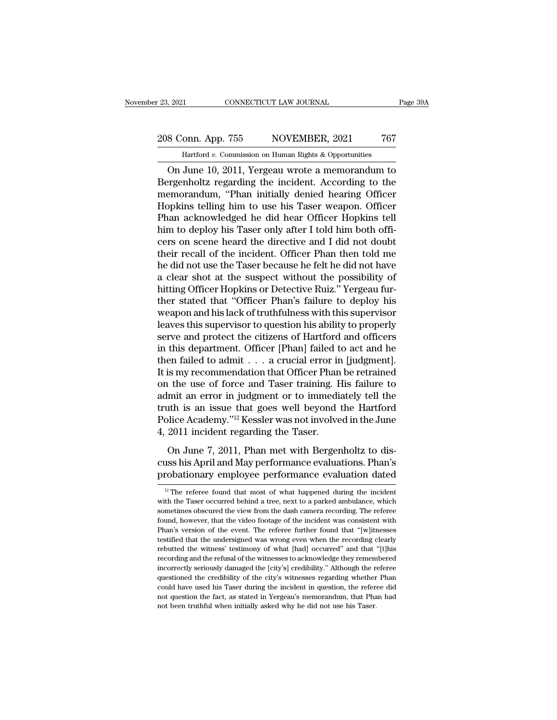## 23, 2021 CONNECTICUT LAW JOURNAL Page 39A<br>208 Conn. App. 755 NOVEMBER, 2021 767<br>Hartford v. Commission on Human Rights & Opportunities November 23, 2021 CONNECTICUT LAW JOURNAL Page 39A<br>
208 Conn. App. 755 NOVEMBER, 2021 767<br>
Hartford *v*. Commission on Human Rights & Opportunities<br>
On June 10, 2011, Yergeau wrote a memorandum to

9. 2021 CONNECTICUT LAW JOURNAL Page 39A<br>
8 Conn. App. 755 NOVEMBER, 2021 767<br>
Hartford v. Commission on Human Rights & Opportunities<br>
On June 10, 2011, Yergeau wrote a memorandum to<br>
rrgenholtz regarding the incident. Acc 208 Conn. App. 755 NOVEMBER, 2021 767<br>
Hartford v. Commission on Human Rights & Opportunities<br>
On June 10, 2011, Yergeau wrote a memorandum to<br>Bergenholtz regarding the incident. According to the<br>
memorandum, "Phan initial 208 Conn. App. 755 NOVEMBER, 2021 767<br>
Hartford v. Commission on Human Rights & Opportunities<br>
On June 10, 2011, Yergeau wrote a memorandum to<br>
Bergenholtz regarding the incident. According to the<br>
memorandum, "Phan initi 208 Conn. App. 755 NOVEMBER, 2021 767<br>
Hartford v. Commission on Human Rights & Opportunities<br>
On June 10, 2011, Yergeau wrote a memorandum to<br>
Bergenholtz regarding the incident. According to the<br>
memorandum, "Phan initi Hartford v. Commission on Human Rights & Opportunities<br>
On June 10, 2011, Yergeau wrote a memorandum to<br>
Bergenholtz regarding the incident. According to the<br>
memorandum, "Phan initially denied hearing Officer<br>
Hopkins tel Hartford v. Commission on Human Rights & Opportunities<br>
On June 10, 2011, Yergeau wrote a memorandum to<br>
Bergenholtz regarding the incident. According to the<br>
memorandum, "Phan initially denied hearing Officer<br>
Hopkins te On June 10, 2011, Yergeau wrote a memorandum to<br>Bergenholtz regarding the incident. According to the<br>memorandum, "Phan initially denied hearing Officer<br>Hopkins telling him to use his Taser weapon. Officer<br>Phan acknowledged Bergenholtz regarding the incident. According to the<br>memorandum, "Phan initially denied hearing Officer<br>Hopkins telling him to use his Taser weapon. Officer<br>Phan acknowledged he did hear Officer Hopkins tell<br>him to deploy memorandum, "Phan initially denied hearing Officer<br>Hopkins telling him to use his Taser weapon. Officer<br>Phan acknowledged he did hear Officer Hopkins tell<br>him to deploy his Taser only after I told him both offi-<br>cers on sc Hopkins telling him to use his Taser weapon. Officer<br>Phan acknowledged he did hear Officer Hopkins tell<br>him to deploy his Taser only after I told him both offi-<br>cers on scene heard the directive and I did not doubt<br>their r Phan acknowledged he did hear Officer Hopkins tell<br>him to deploy his Taser only after I told him both officers on scene heard the directive and I did not doubt<br>their recall of the incident. Officer Phan then told me<br>he did him to deploy his Taser only after I told him both officers on scene heard the directive and I did not doubt<br>their recall of the incident. Officer Phan then told me<br>he did not use the Taser because he felt he did not have<br> cers on scene heard the directive and I did not doubt<br>their recall of the incident. Officer Phan then told me<br>he did not use the Taser because he felt he did not have<br>a clear shot at the suspect without the possibility of<br> their recall of the incident. Officer Phan then told me<br>he did not use the Taser because he felt he did not have<br>a clear shot at the suspect without the possibility of<br>hitting Officer Hopkins or Detective Ruiz." Yergeau fu he did not use the Taser because he felt he did not have<br>a clear shot at the suspect without the possibility of<br>hitting Officer Hopkins or Detective Ruiz." Yergeau fur-<br>ther stated that "Officer Phan's failure to deploy hi a clear shot at the suspect without the possibility of<br>hitting Officer Hopkins or Detective Ruiz." Yergeau fur-<br>ther stated that "Officer Phan's failure to deploy his<br>weapon and his lack of truthfulness with this superviso hitting Officer Hopkins or Detective Ruiz." Yergeau fur-<br>ther stated that "Officer Phan's failure to deploy his<br>weapon and his lack of truthfulness with this supervisor<br>leaves this supervisor to question his ability to pro ther stated that "Officer Phan's failure to deploy his<br>weapon and his lack of truthfulness with this supervisor<br>leaves this supervisor to question his ability to properly<br>serve and protect the citizens of Hartford and offi weapon and his lack of truthfulness with this supervisor<br>leaves this supervisor to question his ability to properly<br>serve and protect the citizens of Hartford and officers<br>in this department. Officer [Phan] failed to act a leaves this supervisor to question his ability to properly<br>serve and protect the citizens of Hartford and officers<br>in this department. Officer [Phan] failed to act and he<br>then failed to admit  $\ldots$  a crucial error in [jud serve and protect the citizens of Hartford and officers<br>in this department. Officer [Phan] failed to act and he<br>then failed to admit  $\ldots$  a crucial error in [judgment].<br>It is my recommendation that Officer Phan be retrai in this department. Officer [Phan] failed to act and he<br>then failed to admit . . . a crucial error in [judgment].<br>It is my recommendation that Officer Phan be retrained<br>on the use of force and Taser training. His failure then failed to admit  $\ldots$  a crucial error in<br>It is my recommendation that Officer Phan<br>on the use of force and Taser training. H<br>admit an error in judgment or to immedia<br>truth is an issue that goes well beyond<br>Police Aca only because and Taser training. His failure to<br>the use of force and Taser training. His failure to<br>mit an error in judgment or to immediately tell the<br>th is an issue that goes well beyond the Hartford<br>plice Academy."<sup>12</sup> En the tast of Fore and Flaser during. This land of a<br>admit an error in judgment or to immediately tell the<br>truth is an issue that goes well beyond the Hartford<br>Police Academy."<sup>12</sup> Kessler was not involved in the June<br>4, truth is an issue that goes well beyond the Hartford<br>Police Academy."<sup>12</sup> Kessler was not involved in the June<br>4, 2011 incident regarding the Taser.<br>On June 7, 2011, Phan met with Bergenholtz to dis-<br>cuss his April and Ma

On June 7, 2011, Phan met with Bergenholtz to dis-<br>uss his April and May performance evaluations. Phan's<br>robationary employee performance evaluation dated<br> $\frac{12}{12}$  The referee found that most of what happened during th On June 7, 2011, Phan met with Bergenholtz to discuss his April and May performance evaluations. Phan's probationary employee performance evaluation dated  $\frac{12}{12}$  The referee found that most of what happened during th

cuss his April and May performance evaluations. Phan's<br>probationary employee performance evaluation dated<br> $\frac{12}{12}$  The referee found that most of what happened during the incident<br>with the Taser occurred behind a tree, probationary employee performance evaluation dated<br>
<sup>12</sup> The referee found that most of what happened during the incident<br>
with the Taser occurred behind a tree, next to a parked ambulance, which<br>
sometimes obscured the v Probationary employee performance evaluation dated<br>
<sup>12</sup> The referee found that most of what happened during the incident<br>
with the Taser occurred behind a tree, next to a parked ambulance, which<br>
sometimes obscured the v <sup>12</sup> The referee found that most of what happened during the incident with the Taser occurred behind a tree, next to a parked ambulance, which sometimes obscured the view from the dash camera recording. The referee found, with the Taser occurred behind a tree, next to a parked ambulance, which sometimes obscured the view from the dash camera recording. The referee found, however, that the video footage of the incident was consistent with Ph recording and the refusal of the witnesses to acknowledge they remembered from the dash camera recording. The referee found, however, that the video footage of the incident was consistent with Phan's version of the event. found, however, that the video footage of the incident was consistent with Phan's version of the event. The referee further found that "[w]itnesses testified that the undersigned was wrong even when the recording clearly r Phan's version of the event. The referee further found that "[w] itnesses testified that the undersigned was wrong even when the recording clearly rebutted the witness' testimony of what [had] occurred" and that "[t]his re restified that the undersigned was wrong even when the recording clearly rebutted the witness' testimony of what [had] occurred" and that "[t]his recording and the refusal of the witnesses to acknowledge they remembered in rebutted the witness' testimony of what [had] occurred" and that "[t]his recording and the refusal of the witnesses to acknowledge they remembered incorrectly seriously damaged the [city's] credibility." Although the refer rebutted the witness' testimony of what [had] occurred" and that "[t]his recording and the refusal of the witnesses to acknowledge they remembered incorrectly seriously damaged the [city's] credibility." Although the refer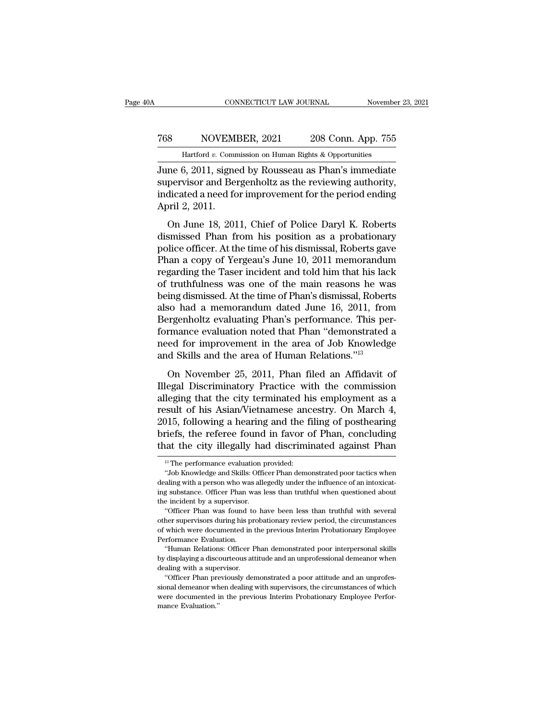#### CONNECTICUT LAW JOURNAL November 23, 2021<br>
768 NOVEMBER, 2021 208 Conn. App. 755<br>
Hartford v. Commission on Human Rights & Opportunities EXECUTE CONNECTICUT LAW JOURNAL Movember 23, 2021<br>NOVEMBER, 2021 208 Conn. App. 755<br>Hartford *v*. Commission on Human Rights & Opportunities

CONNECTICUT LAW JOURNAL November 23, 2021<br>
768 NOVEMBER, 2021 208 Conn. App. 755<br>
Hartford v. Commission on Human Rights & Opportunities<br>
June 6, 2011, signed by Rousseau as Phan's immediate<br>
supervisor and Bergenholtz as Supervisor and Bergenholtz as the reviewing authority,<br>
Supervisor and Bergenholtz as the reviewing authority,<br>
Supervisor and Bergenholtz as the reviewing authority,<br>
indicated a need for improvement for the period ending T68 NOVEMBER, 2021 208 Conn. App. 755<br>
Hartford v. Commission on Human Rights & Opportunities<br>
June 6, 2011, signed by Rousseau as Phan's immediate<br>
supervisor and Bergenholtz as the reviewing authority,<br>
indicated a need  $\begin{tabular}{ll} 768 & NOVEMBER, 2021 & 208 Conn. App. 755 \\ \hline \hline \text{Hartford } v. \text{ Commission on Human Rights & Opportuities} \\ \hline \text{June 6, 2011, signed by Rousseau as Phan's immediate  
supervisor and Bergenholtz as the reviewing authority, indicated a need for improvement for the period ending  
April 2, 2011. \hline \text{On June 18, 2011, Chief of Police Daryl K. Roberts} \end{tabular}$ Hartford v. Commission on Human Rights & Opportunities<br>
ne 6, 2011, signed by Rousseau as Phan's immediate<br>
pervisor and Bergenholtz as the reviewing authority,<br>
dicated a need for improvement for the period ending<br>
oril June 6, 2011, signed by Rousseau as Phan's immediate<br>supervisor and Bergenholtz as the reviewing authority,<br>indicated a need for improvement for the period ending<br>April 2, 2011.<br>On June 18, 2011, Chief of Police Daryl K. R

sunce of 2011, signed by Rousseau as Than's indicated<br>supervisor and Bergenholtz as the reviewing authority,<br>indicated a need for improvement for the period ending<br>April 2, 2011.<br>On June 18, 2011, Chief of Police Daryl K. Experiment and Dergenhold as are bettening additionly,<br>indicated a need for improvement for the period ending<br>April 2, 2011.<br>On June 18, 2011, Chief of Police Daryl K. Roberts<br>dismissed Phan from his position as a probatio April 2, 2011.<br>
On June 18, 2011, Chief of Police Daryl K. Roberts<br>
dismissed Phan from his position as a probationary<br>
police officer. At the time of his dismissal, Roberts gave<br>
Phan a copy of Yergeau's June 10, 2011 mem on June 18, 2011.<br>
On June 18, 2011, Chief of Police Daryl K. Roberts<br>
dismissed Phan from his position as a probationary<br>
police officer. At the time of his dismissal, Roberts gave<br>
Phan a copy of Yergeau's June 10, 2011 On June 18, 2011, Chief of Police Daryl K. Roberts<br>dismissed Phan from his position as a probationary<br>police officer. At the time of his dismissal, Roberts gave<br>Phan a copy of Yergeau's June 10, 2011 memorandum<br>regarding t dismissed Phan from his position as a probationary<br>police officer. At the time of his dismissal, Roberts gave<br>Phan a copy of Yergeau's June 10, 2011 memorandum<br>regarding the Taser incident and told him that his lack<br>of tru police officer. At the time of his dismissal, Roberts gave<br>Phan a copy of Yergeau's June 10, 2011 memorandum<br>regarding the Taser incident and told him that his lack<br>of truthfulness was one of the main reasons he was<br>being Phan a copy of Yergeau's June 10, 2011 memorandum<br>regarding the Taser incident and told him that his lack<br>of truthfulness was one of the main reasons he was<br>being dismissed. At the time of Phan's dismissal, Roberts<br>also ha regarding the Taser incident and told him that his lack<br>of truthfulness was one of the main reasons he was<br>being dismissed. At the time of Phan's dismissal, Roberts<br>also had a memorandum dated June 16, 2011, from<br>Bergenhol of truthfulness was one of the main reasons he wa<br>being dismissed. At the time of Phan's dismissal, Robert<br>also had a memorandum dated June 16, 2011, from<br>Bergenholtz evaluating Phan's performance. This performance evaluat on had a memorandum dated June 16, 2011, from<br>so had a memorandum dated June 16, 2011, from<br>regenholtz evaluating Phan's performance. This per-<br>rmance evaluation noted that Phan "demonstrated a<br>ed for improvement in the ar Bergenholtz evaluating Phan's performance. This performance evaluating Phan's performance. This performance evaluation noted that Phan "demonstrated a need for improvement in the area of Job Knowledge and Skills and the ar

Exaggerment of that that the performance is the formance evaluation noted that Phan "demonstrated a need for improvement in the area of Job Knowledge and Skills and the area of Human Relations."<sup>13</sup><br>On November 25, 2011, P resultation is the area of Job Knowledge<br>need for improvement in the area of Job Knowledge<br>and Skills and the area of Human Relations."<sup>13</sup><br>On November 25, 2011, Phan filed an Affidavit of<br>Illegal Discriminatory Practice w 2015, following a hearing and Skills and the area of Human Relations.<sup>713</sup><br>
2016 November 25, 2011, Phan filed an Affidavit of<br>
Illegal Discriminatory Practice with the commission<br>
alleging that the city terminated his emp on November 25, 2011, Phan filed an Affidavit of<br>Illegal Discriminatory Practice with the commission<br>alleging that the city terminated his employment as a<br>result of his Asian/Vietnamese ancestry. On March 4,<br>2015, followin On November 25, 2011, Phan filed an Affidavit of Illegal Discriminatory Practice with the commission alleging that the city terminated his employment as a result of his Asian/Vietnamese ancestry. On March 4, 2015, followi Sult of his Asian/Vietnamese and<br>115, following a hearing and the f<br>riefs, the referee found in favor of<br>the performance evaluation provided:<br><sup>13</sup>The performance evaluation provided:<br>"Job Knowledge and Skills: Officer Phan )15, following a hearing and the filing of posthearing<br>riefs, the referee found in favor of Phan, concluding<br>aat the city illegally had discriminated against Phan<br><sup>13</sup> The performance evaluation provided:<br>"Job Knowledge an

briefs, the referee found in favor of Phan, concluding<br>that the city illegally had discriminated against Phan<br><sup>13</sup>The performance evaluation provided:<br>"Job Knowledge and Skills: Officer Phan demonstrated poor tactics when<br> that the city illegally had discriminated against Phan<br>
<sup>13</sup> The performance evaluation provided:<br>
"Job Knowledge and Skills: Officer Phan demonstrated poor tactics when<br>
dealing with a person who was allegedly under the i The performance evaluation probability that the City Inegative included in the supervisor.<br>The by a supervisor.<br>The incident by a supervisor.<br>"Officer Phan was found to have been from was found to have been the supervisor. <sup>13</sup> The performance evaluation provided:<br>
"Job Knowledge and Skills: Officer Phan demonstrated poor tactics when<br>
aling with a person who was allegedly under the influence of an intoxicate<br>
g substance. Officer Phan was The supervisors during the supervisors of the memorial supervisors during with a person who was allegedly under the influence of an intoxicating substance. Officer Phan was less than truthful when questioned about the inci

dealing with a person who was allegedly under the influence of an intoxicating substance. Officer Phan was less than truthful when questioned about the incident by a supervisor.<br>
"Officer Phan was found to have been less t ing substance. Officer Phan was found to incident by a supervisor.<br>
"Officer Phan was found to other supervisors during his profile with the supervisors during his profile of which were documented in Performance Evaluation e incident by a supervisor.<br>
"Officer Phan was found to have been less than truthful with several<br>
her supervisors during his probationary review period, the circumstances<br>
which were documented in the previous Interim Pro "Officer Phan was found to have been less than truthful with several<br>other supervisors during his probationary review period, the circumstances<br>of which were documented in the previous Interim Probationary Employee<br>Perform of the supervisors during his provisors during his proportion of which were documented in the Performance Evaluation.<br>
"Human Relations: Officer P<br>by displaying a discourteous att<br>
dealing with a supervisor.<br>
"Officer Phan

of which were documented in the previous Interim Probationary Employee<br>Performance Evaluation.<br>"Human Relations: Officer Phan demonstrated poor interpersonal skills<br>by displaying a discourteous attitude and an unprofession

Performance Evaluation.<br>
"Human Relations: Officer Phan demonstrated poor interpersonal skills<br>
by displaying a discourteous attitude and an unprofessional demeanor when<br>
dealing with a supervisor.<br>
"Officer Phan previousl "Human Relations: Officer Phan demonstrated poor interpersonal skills<br>by displaying a discourteous attitude and an unprofessional demeanor when<br>dealing with a supervisor. "Officer Phan previously demonstrated a poor attitu by displaying a disco<br>dealing with a supe<br>"Officer Phan pre<br>sional demeanor where documented if<br>mance Evaluation."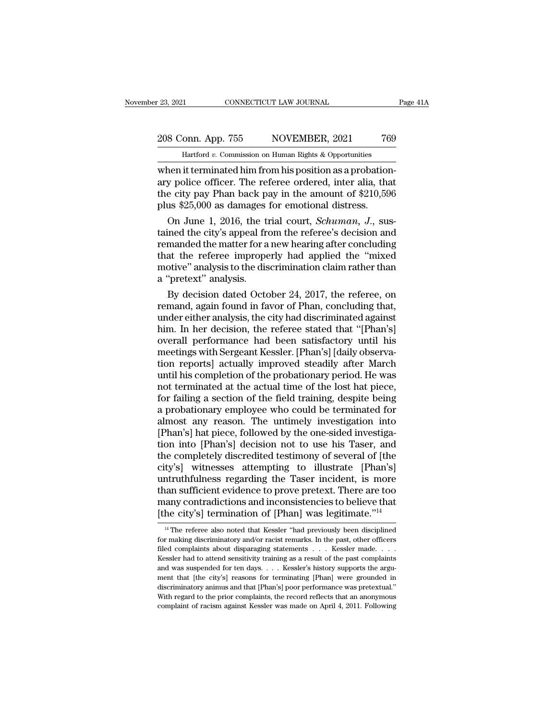er and the connect of terminated him from higher and the city position.<br>The flatter of  $v$ . Commission on Human Rights & Opportunities<br>when it terminated him from his position as a probation-<br>ary police officer. The refere 208 Conn. App. 755 NOVEMBER, 2021 769<br>
Hartford v. Commission on Human Rights & Opportunities<br>
when it terminated him from his position as a probation-<br>
ary police officer. The referee ordered, inter alia, that<br>
the city 208 Conn. App. 755 NOVEMBER, 2021 769<br>
Hartford v. Commission on Human Rights & Opportunities<br>
when it terminated him from his position as a probation-<br>
ary police officer. The referee ordered, inter alia, that<br>
the city 208 Conn. App. 755 NOVEMBER, 2021 76<br>
Hartford v. Commission on Human Rights & Opportunities<br>
when it terminated him from his position as a probation<br>
ary police officer. The referee ordered, inter alia, that<br>
the city pa Hartford *v*. Commission on Human Rights & Opportunities<br>
nen it terminated him from his position as a probation-<br>
y police officer. The referee ordered, inter alia, that<br>
e city pay Phan back pay in the amount of \$210,596 the interminated him from his position as a probation-<br>ary police officer. The referee ordered, inter alia, that<br>the city pay Phan back pay in the amount of \$210,596<br>plus \$25,000 as damages for emotional distress.<br>On June

when it terminated him from his position as a probation-<br>ary police officer. The referee ordered, inter alia, that<br>the city pay Phan back pay in the amount of \$210,596<br>plus \$25,000 as damages for emotional distress.<br>On Ju ary police officer. The referee ordered, inter alia, that<br>the city pay Phan back pay in the amount of \$210,596<br>plus \$25,000 as damages for emotional distress.<br>On June 1, 2016, the trial court, *Schuman*, J., sus-<br>tained th the city pay Phan back pay in the amount of  $$210,596$ <br>plus  $$25,000$  as damages for emotional distress.<br>On June 1, 2016, the trial court, *Schuman*, J., sus-<br>tained the city's appeal from the referee's decision and<br>reman plus \$25,000 as damages<br>
On June 1, 2016, the ti<br>
tained the city's appeal fre<br>
remanded the matter for a<br>
that the referee imprope<br>
motive'' analysis to the dis<br>
a "pretext" analysis.<br>
By decision dated Octo On June 1, 2016, the trial court, *Schuman*, J., sus-<br>ined the city's appeal from the referee's decision and<br>manded the matter for a new hearing after concluding<br>at the referee improperly had applied the "mixed<br>otive" anal tained the city's appeal from the referee's decision and<br>remanded the matter for a new hearing after concluding<br>that, the referee improperly had, applied, the "mixed<br>motive" analysis to the discrimination claim rather than

remanded the matter for a new hearing after concluding<br>that the referee improperly had applied the "mixed<br>motive" analysis,<br>a "pretext" analysis.<br>By decision dated October 24, 2017, the referee, on<br>remand, again found in f that the referee improperly had applied the "mixed<br>motive" analysis to the discrimination claim rather than<br>a "pretext" analysis.<br>By decision dated October 24, 2017, the referee, on<br>remand, again found in favor of Phan, co motive" analysis to the discrimination claim rather than<br>a "pretext" analysis.<br>By decision dated October 24, 2017, the referee, on<br>remand, again found in favor of Phan, concluding that,<br>under either analysis, the city had a "pretext" analysis.<br>By decision dated October 24, 2017, the referee, on<br>remand, again found in favor of Phan, concluding that,<br>under either analysis, the city had discriminated against<br>him. In her decision, the referee s By decision dated October 24, 2017, the referee, on<br>remand, again found in favor of Phan, concluding that,<br>under either analysis, the city had discriminated against<br>him. In her decision, the referee stated that "[Phan's]<br>o remand, again found in favor of Phan, concluding that,<br>under either analysis, the city had discriminated against<br>him. In her decision, the referee stated that "[Phan's]<br>overall performance had been satisfactory until his<br>m under either analysis, the city had discriminated against<br>him. In her decision, the referee stated that "[Phan's]<br>overall performance had been satisfactory until his<br>meetings with Sergeant Kessler. [Phan's] [daily observahim. In her decision, the referee stated that "[Phan's]<br>overall performance had been satisfactory until his<br>meetings with Sergeant Kessler. [Phan's] [daily observa-<br>tion reports] actually improved steadily after March<br>unti overall performance had been satisfactory until his<br>meetings with Sergeant Kessler. [Phan's] [daily observa-<br>tion reports] actually improved steadily after March<br>until his completion of the probationary period. He was<br>not meetings with Sergeant Kessler. [Phan's] [daily observation reports] actually improved steadily after March<br>until his completion of the probationary period. He was<br>not terminated at the actual time of the lost hat piece,<br>f tion reports] actually improved steadily after March<br>until his completion of the probationary period. He was<br>not terminated at the actual time of the lost hat piece,<br>for failing a section of the field training, despite bei until his completion of the probationary period. He was<br>not terminated at the actual time of the lost hat piece,<br>for failing a section of the field training, despite being<br>a probationary employee who could be terminated fo not terminated at the actual time of the lost hat piece,<br>for failing a section of the field training, despite being<br>a probationary employee who could be terminated for<br>almost any reason. The untimely investigation into<br>[Ph for failing a section of the field training, despite being<br>a probationary employee who could be terminated for<br>almost any reason. The untimely investigation into<br>[Phan's] hat piece, followed by the one-sided investiga-<br>tio a probationary employee who could be terminated for<br>almost any reason. The untimely investigation into<br>[Phan's] hat piece, followed by the one-sided investiga-<br>tion into [Phan's] decision not to use his Taser, and<br>the comp almost any reason. The untimely investigation into<br>[Phan's] hat piece, followed by the one-sided investiga-<br>tion into [Phan's] decision not to use his Taser, and<br>the completely discredited testimony of several of [the<br>city [Phan's] hat piece, followed by the one-sided investigation into [Phan's] decision not to use his Taser, and the completely discredited testimony of several of [the city's] witnesses attempting to illustrate [Phan's] untru tion into [Phan's] decision not to use his Taser, and<br>the completely discredited testimony of several of [the<br>city's] witnesses attempting to illustrate [Phan's]<br>untruthfulness regarding the Taser incident, is more<br>than su ntruthfulness regarding the Taser incident, is more<br>aan sufficient evidence to prove pretext. There are too<br>any contradictions and inconsistencies to believe that<br>he city's] termination of [Phan] was legitimate."<sup>14</sup><br><sup>14</sup> than sufficient evidence to prove pretext. There are too many contradictions and inconsistencies to believe that [the city's] termination of [Phan] was legitimate."<sup>14</sup><br><sup>14</sup> The referee also noted that Kessler "had previo

many contradictions and inconsistencies to believe that [the city's] termination of [Phan] was legitimate."<sup>14</sup><br><sup>14</sup> The referee also noted that Kessler "had previously been disciplined for making discriminatory and/or ra The city's] termination of [Phan] was legitimate."<sup>14</sup><br><sup>14</sup> The referee also noted that Kessler "had previously been disciplined<br>for making discriminatory and/or racist remarks. In the past, other officers<br>filed complaint The City SJ termination of [Filalt] was regitimate.<br><sup>14</sup> The referee also noted that Kessler "had previously been disciplined<br>for making discriminatory and/or racist remarks. In the past, other officers<br>filed complaints ab <sup>14</sup> The referee also noted that Kessler "had previously been disciplined for making discriminatory and/or racist remarks. In the past, other officers filed complaints about disparaging statements  $\ldots$  Kessler made.  $\ldots$ for making discriminatory and/or racist remarks. In the past, other officers filed complaints about disparaging statements  $\ldots$  Kessler made.  $\ldots$  Kessler had to attend sensitivity training as a result of the past compl filed complaints about disparaging statements . . . Kessler made. . . . Kessler had to attend sensitivity training as a result of the past complaints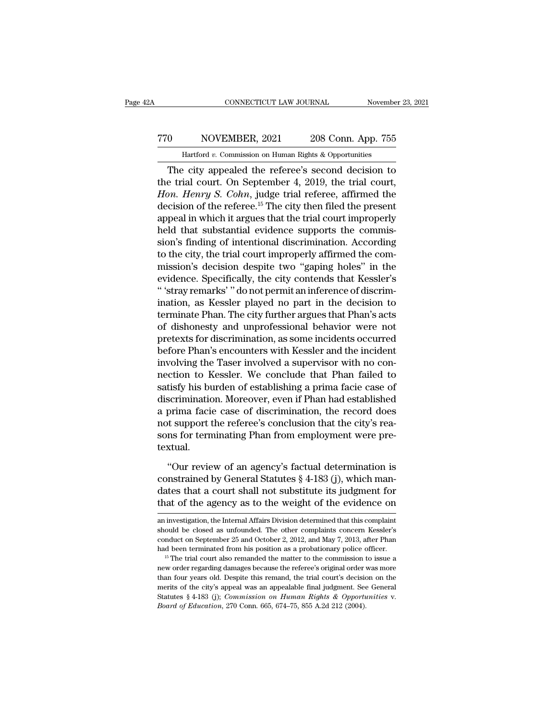## CONNECTICUT LAW JOURNAL November 23, 2021<br>
770 NOVEMBER, 2021 208 Conn. App. 755<br>
Hartford v. Commission on Human Rights & Opportunities CONNECTICUT LAW JOURNAL November 23, 2021<br>
10 NOVEMBER, 2021 208 Conn. App. 755<br>
Hartford *v*. Commission on Human Rights & Opportunities<br>
The city appealed the referee's second decision to

CONNECTICUT LAW JOURNAL November 23, 2021<br>
O NOVEMBER, 2021 208 Conn. App. 755<br>
Hartford v. Commission on Human Rights & Opportunities<br>
The city appealed the referee's second decision to<br>
e trial court. On September 4, 201 TTO NOVEMBER, 2021 208 Conn. App. 755<br>
Hartford v. Commission on Human Rights & Opportunities<br>
The city appealed the referee's second decision to<br>
the trial court. On September 4, 2019, the trial court,<br>
Hon. Henry S. Cohn 770 NOVEMBER, 2021 208 Conn. App. 755<br> *Hartford v.* Commission on Human Rights & Opportunities<br> **The city appealed the referee's second decision to**<br>
the trial court. On September 4, 2019, the trial court,<br> *Hon. Henry S* Transfer MoVEMBER, 2021 208 Conn. App. 755<br>
Hartford v. Commission on Human Rights & Opportunities<br>
The city appealed the referee's second decision to<br>
the trial court. On September 4, 2019, the trial court,<br>
Hon. Henry S Hartford v. Commission on Human Rights & Opportunities<br>
The city appealed the referee's second decision to<br>
the trial court. On September 4, 2019, the trial court,<br>
Hon. Henry S. Cohn, judge trial referee, affirmed the<br>
d The city appealed the referee's second decision to<br>the trial court. On September 4, 2019, the trial court,<br>*Hon. Henry S. Cohn*, judge trial referee, affirmed the<br>decision of the referee.<sup>15</sup> The city then filed the prese The city appealed the referee's second decision to<br>the trial court. On September 4, 2019, the trial court,<br>*Hon. Henry S. Cohn*, judge trial referee, affirmed the<br>decision of the referee.<sup>15</sup> The city then filed the presen the trial court. On September 4, 2019, the trial court, *Hon. Henry S. Cohn*, judge trial referee, affirmed the decision of the referee.<sup>15</sup> The city then filed the present appeal in which it argues that the trial court im Hon. Henry S. Cohn, judge trial referee, affirmed the<br>decision of the referee.<sup>15</sup> The city then filed the present<br>appeal in which it argues that the trial court improperly<br>held that substantial evidence supports the commi decision of the referee.<sup>15</sup> The city then filed the present<br>appeal in which it argues that the trial court improperly<br>held that substantial evidence supports the commis-<br>sion's finding of intentional discrimination. Accor appeal in which it argues that the trial court improperly<br>
held that substantial evidence supports the commis-<br>
sion's finding of intentional discrimination. According<br>
to the city, the trial court improperly affirmed the held that substantial evidence supports the commission's finding of intentional discrimination. According<br>to the city, the trial court improperly affirmed the com-<br>mission's decision despite two "gaping holes" in the<br>evide sion's finding of intentional discrimination. According<br>to the city, the trial court improperly affirmed the com-<br>mission's decision despite two "gaping holes" in the<br>evidence. Specifically, the city contends that Kessler' to the city, the trial court improperly affirmed the commission's decision despite two "gaping holes" in the evidence. Specifically, the city contends that Kessler's "stray remarks" do not permit an inference of discrimina mission's decision despite two "gaping holes" in the<br>evidence. Specifically, the city contends that Kessler's<br>"'stray remarks' "do not permit an inference of discrim-<br>ination, as Kessler played no part in the decision to<br>t evidence. Specifically, the city contends that Kessler's<br>"'stray remarks'" do not permit an inference of discrimination, as Kessler played no part in the decision to<br>terminate Phan. The city further argues that Phan's acts " 'stray remarks' " do not permit an inference of discrimination, as Kessler played no part in the decision to terminate Phan. The city further argues that Phan's acts of dishonesty and unprofessional behavior were not pre ination, as Kessler played no part in the decision to<br>terminate Phan. The city further argues that Phan's acts<br>of dishonesty and unprofessional behavior were not<br>pretexts for discrimination, as some incidents occurred<br>befo terminate Phan. The city further argues that Phan's acts<br>of dishonesty and unprofessional behavior were not<br>pretexts for discrimination, as some incidents occurred<br>before Phan's encounters with Kessler and the incident<br>inv of dishonesty and unprofessional behavior were not<br>pretexts for discrimination, as some incidents occurred<br>before Phan's encounters with Kessler and the incident<br>involving the Taser involved a supervisor with no con-<br>necti pretexts for discrimination, as some incidents occurred<br>before Phan's encounters with Kessler and the incident<br>involving the Taser involved a supervisor with no con-<br>nection to Kessler. We conclude that Phan failed to<br>sati before Phan's encounters with Kessler and the incident<br>involving the Taser involved a supervisor with no con-<br>nection to Kessler. We conclude that Phan failed to<br>satisfy his burden of establishing a prima facie case of<br>dis involving the Taser involved a supervisor with no connection to Kessler. We conclude that Phan failed to satisfy his burden of establishing a prima facie case of discrimination. Moreover, even if Phan had established a pri textual. scrimination. Moreover, even if Phan had established<br>prima facie case of discrimination, the record does<br>t support the referee's conclusion that the city's rea-<br>ns for terminating Phan from employment were pre-<br>xtual.<br>"Our a prima facie case of discrimination, the record does<br>not support the referee's conclusion that the city's rea-<br>sons for terminating Phan from employment were pre-<br>textual.<br>"Our review of an agency's factual determination

not support the referee's conclusion that the city's reasons for terminating Phan from employment were pre-<br>textual.<br>"Our review of an agency's factual determination is<br>constrained by General Statutes § 4-183 (j), which ma sons for terminating Phan from employment were pre-<br>textual.<br>"Our review of an agency's factual determination is<br>constrained by General Statutes  $\S 4$ -183 (j), which man-<br>dates that a court shall not substitute its judgme "Our review of an agency's factual determination is constrained by General Statutes  $\S$  4-183 (j), which mandates that a court shall not substitute its judgment for that of the agency as to the weight of the evidence on a constrained by General Statutes § 4-183 (j), which mandates that a court shall not substitute its judgment for<br>that of the agency as to the weight of the evidence on<br>an investigation, the Internal Affairs Division determin

dates that a court shall not substitute its judgment for<br>that of the agency as to the weight of the evidence on<br>an investigation, the Internal Affairs Division determined that this complaint<br>should be closed as unfounded. that of the agency as to the weight of the evidence on<br>an investigation, the Internal Affairs Division determined that this complaint<br>should be closed as unfounded. The other complaints concern Kessler's<br>conduct on Septemb an investigation, the Internal Affairs Division determined that this complaint should be closed as unfounded. The other complaints concern Kessler's conduct on September 25 and October 2, 2012, and May 7, 2013, after Phan

should be closed as unfounded. The other complaints concern Kessler's conduct on September 25 and October 2, 2012, and May 7, 2013, after Phan had been terminated from his position as a probationary police officer.<br><sup>15</sup> Th conduct on September 25 and October 2, 2012, and May 7, 2013, after Phan<br>had been terminated from his position as a probationary police officer.<br><sup>15</sup> The trial court also remanded the matter to the commission to issue a<br>n had been terminated from his position as a probationary police officer.<br><sup>15</sup> The trial court also remanded the matter to the commission to issue a<br>new order regarding damages because the referee's original order was more<br>t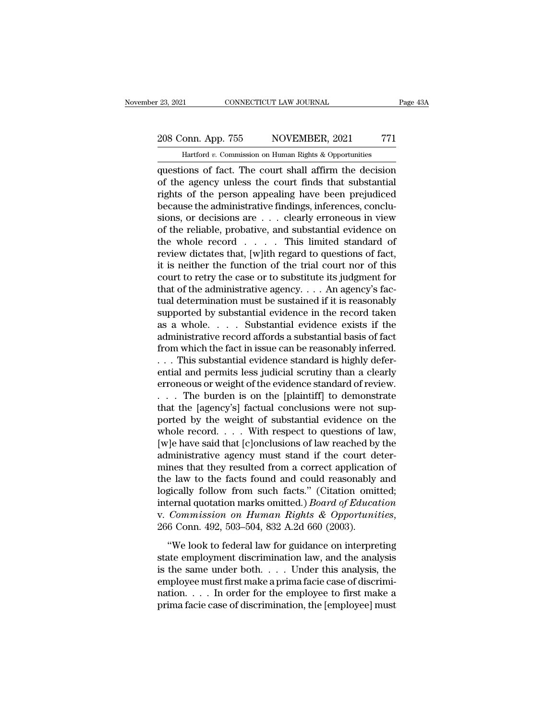# 23, 2021 CONNECTICUT LAW JOURNAL Page 43A<br>208 Conn. App. 755 NOVEMBER, 2021 771<br>Hartford v. Commission on Human Rights & Opportunities

November 23, 2021 CONNECTICUT LAW JOURNAL Page 43A<br>
208 Conn. App. 755 NOVEMBER, 2021 771<br>
Hartford *v*. Commission on Human Rights & Opportunities<br>
questions of fact. The court shall affirm the decision Page 43A<br>
208 Conn. App. 755 NOVEMBER, 2021 771<br>
Hartford v. Commission on Human Rights & Opportunities<br>
questions of fact. The court shall affirm the decision<br>
of the agency unless the court finds that substantial<br>
rights 208 Conn. App. 755 NOVEMBER, 2021 771<br>
Hartford v. Commission on Human Rights & Opportunities<br>
questions of fact. The court shall affirm the decision<br>
of the agency unless the court finds that substantial<br>
rights of the pe 208 Conn. App. 755 NOVEMBER, 2021 771<br>
Hartford v. Commission on Human Rights & Opportunities<br>
questions of fact. The court shall affirm the decision<br>
of the agency unless the court finds that substantial<br>
rights of the p 208 Conn. App. 755 NOVEMBER, 2021 771<br>
Hartford v. Commission on Human Rights & Opportunities<br>
questions of fact. The court shall affirm the decision<br>
of the agency unless the court finds that substantial<br>
rights of the p Hartford v. Commission on Human Rights & Opportunities<br>questions of fact. The court shall affirm the decision<br>of the agency unless the court finds that substantial<br>rights of the person appealing have been prejudiced<br>becaus Hartford v. Commission on Human Eights & Opportunities<br>questions of fact. The court shall affirm the decision<br>of the agency unless the court finds that substantial<br>rights of the person appealing have been prejudiced<br>becau questions of fact. The court shall affirm the decision<br>of the agency unless the court finds that substantial<br>rights of the person appealing have been prejudiced<br>because the administrative findings, inferences, conclu-<br>sion of the agency unless the court finds that substantial<br>rights of the person appealing have been prejudiced<br>because the administrative findings, inferences, conclu-<br>sions, or decisions are  $\dots$  clearly erroneous in view<br>of rights of the person appealing have been prejudiced<br>because the administrative findings, inferences, conclu-<br>sions, or decisions are  $\ldots$  clearly erroneous in view<br>of the reliable, probative, and substantial evidence on<br> because the administrative findings, inferences, conclusions, or decisions are  $\dots$  clearly erroneous in view<br>of the reliable, probative, and substantial evidence on<br>the whole record  $\dots$ . This limited standard of<br>review sions, or decisions are  $\dots$  clearly erroneous in view<br>of the reliable, probative, and substantial evidence on<br>the whole record  $\dots$ . This limited standard of<br>review dictates that, [w]ith regard to questions of fact,<br>it i of the reliable, probative, and substantial evidence on<br>the whole record  $\ldots$ . This limited standard of<br>review dictates that, [w]ith regard to questions of fact,<br>it is neither the function of the trial court nor of this<br> the whole record  $\dots$  . This limited standard of<br>review dictates that, [w]ith regard to questions of fact,<br>it is neither the function of the trial court nor of this<br>court to retry the case or to substitute its judgment fo review dictates that, [w]ith regard to questions of fact,<br>it is neither the function of the trial court nor of this<br>court to retry the case or to substitute its judgment for<br>that of the administrative agency. . . . An agen it is neither the function of the trial court nor of this<br>court to retry the case or to substitute its judgment for<br>that of the administrative agency.... An agency's fac-<br>tual determination must be sustained if it is reas court to retry the case or to substitute its judgment for<br>that of the administrative agency. . . . An agency's fac-<br>tual determination must be sustained if it is reasonably<br>supported by substantial evidence in the record that of the administrative agency. . . . An agency's factual determination must be sustained if it is reasonably supported by substantial evidence in the record taken as a whole. . . . Substantial evidence exists if the a tual determination must be sustained if it is reasonably<br>supported by substantial evidence in the record taken<br>as a whole. . . . Substantial evidence exists if the<br>administrative record affords a substantial basis of fact<br> supported by substantial evidence in the record taken<br>as a whole. . . . Substantial evidence exists if the<br>administrative record affords a substantial basis of fact<br>from which the fact in issue can be reasonably inferred.<br> as a whole. . . . . Substantial evidence exists if the administrative record affords a substantial basis of fact<br>from which the fact in issue can be reasonably inferred.<br>. . . This substantial evidence standard is highly administrative record affords a substantial basis of fact<br>from which the fact in issue can be reasonably inferred.<br>... This substantial evidence standard is highly defer-<br>ential and permits less judicial scrutiny than a c from which the fact in issue can be reasonably inferred.<br>
. . . This substantial evidence standard is highly defer-<br>
ential and permits less judicial scrutiny than a clearly<br>
erroneous or weight of the evidence standard o when the substantial evidence standard is highly deferential and permits less judicial scrutiny than a clearly erroneous or weight of the evidence standard of review.<br>
. . . The burden is on the [plaintiff] to demonstrate ential and permits less judicial scrutiny than a clearly<br>erroneous or weight of the evidence standard of review.<br>... The burden is on the [plaintiff] to demonstrate<br>that the [agency's] factual conclusions were not sup-<br>por erroneous or weight of the evidence standard of review.<br>  $\dots$  The burden is on the [plaintiff] to demonstrate<br>
that the [agency's] factual conclusions were not sup-<br>
ported by the weight of substantial evidence on the<br>
wh ... The burden is on the [plaintiff] to demonstrate<br>that the [agency's] factual conclusions were not sup-<br>ported by the weight of substantial evidence on the<br>whole record.... With respect to questions of law,<br>[w]e have sa that the [agency's] factual conclusions were not sup-<br>ported by the weight of substantial evidence on the<br>whole record. . . . With respect to questions of law,<br>[w]e have said that [c]onclusions of law reached by the<br>admin ported by the weight of substantial evidence on the whole record.... With respect to questions of law, [w]e have said that [c]onclusions of law reached by the administrative agency must stand if the court determines that whole record. . . . With respect to questions of law,<br>[w]e have said that [c]onclusions of law reached by the<br>administrative agency must stand if the court deter-<br>mines that they resulted from a correct application of<br>the [w]e have said that [c]onclusions of law reached by the<br>administrative agency must stand if the court deter-<br>mines that they resulted from a correct application of<br>the law to the facts found and could reasonably and<br>logica e law to the facts found and could reasonably and<br>
gically follow from such facts." (Citation omitted;<br>
ternal quotation marks omitted.) *Board of Education*<br> *Commission on Human Rights & Opportunities*,<br>
6 Conn. 492, 503 state law to the facts Folind and collect Foliostralsry and logically follow from such facts." (Citation omitted;<br>internal quotation marks omitted.) *Board of Education*<br>v. *Commission on Human Rights & Opportunities*,<br>26

internal quotation marks omitted.) *Board of Education*<br>v. *Commission on Human Rights & Opportunities*,<br>266 Conn. 492, 503–504, 832 A.2d 660 (2003).<br>"We look to federal law for guidance on interpreting<br>state employment d employee must find the must first makes a proportunities,<br>266 Conn. 492, 503–504, 832 A.2d 660 (2003).<br>
"We look to federal law for guidance on interpreting<br>state employment discrimination law, and the analysis<br>
is the sa 266 Conn. 492, 503–504, 832 A.2d 660 (2003).<br>
"We look to federal law for guidance on interpreting<br>
state employment discrimination law, and the analysis<br>
is the same under both. . . . Under this analysis, the<br>
employee m We look to federal law for guidance on interpreting<br>state employment discrimination law, and the analysis<br>is the same under both. . . . Under this analysis, the<br>employee must first make a prima facie case of discrimi-<br>nat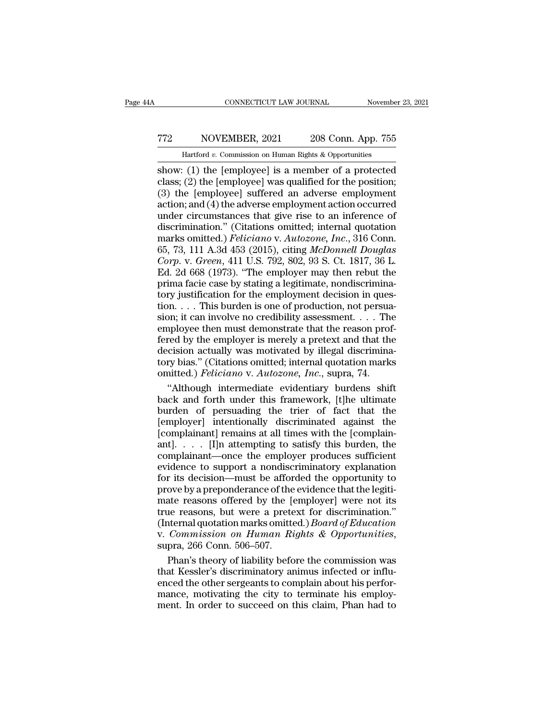## CONNECTICUT LAW JOURNAL November 23, 2021<br>
772 NOVEMBER, 2021 208 Conn. App. 755<br>
Hartford v. Commission on Human Rights & Opportunities CONNECTICUT LAW JOURNAL November 23, 2021<br>
TT2 NOVEMBER, 2021 208 Conn. App. 755<br>
Hartford *v.* Commission on Human Rights & Opportunities<br>
show: (1) the [employee] is a member of a protected

CONNECTICUT LAW JOURNAL November 23, 2021<br>
Show: (1) the [employee] is a member of a protected<br>
class; (2) the [employee] was qualified for the position;<br>
(3) the [employee] suffered an adverse employment TT2 NOVEMBER, 2021 208 Conn. App. 755<br>
Hartford v. Commission on Human Rights & Opportunities<br>
show: (1) the [employee] is a member of a protected<br>
class; (2) the [employee] was qualified for the position;<br>
(3) the [employ T72 NOVEMBER, 2021 208 Conn. App. 755<br>
Hartford v. Commission on Human Rights & Opportunities<br>
show: (1) the [employee] is a member of a protected<br>
class; (2) the [employee] was qualified for the position;<br>
(3) the [emplo Transfer and  $2021$  and  $208$  Conn. App. 755<br>
Hartford v. Commission on Human Rights & Opportunities<br>
show: (1) the [employee] is a member of a protected<br>
class; (2) the [employee] was qualified for the position;<br>
(3) the Hartford v. Commission on Human Rights & Opportunities<br>
show: (1) the [employee] is a member of a protected<br>
class; (2) the [employee] was qualified for the position;<br>
(3) the [employee] suffered an adverse employment<br>
ac Hartford v. Commission on Human Rights & Opportunities<br>
show: (1) the [employee] is a member of a protected<br>
class; (2) the [employee] was qualified for the position;<br>
(3) the [employee] suffered an adverse employment<br>
ac show: (1) the [employee] is a member of a protected class; (2) the [employee] was qualified for the position;<br>(3) the [employee] suffered an adverse employment action; and (4) the adverse employment action occurred<br>under c class; (2) the [employee] was qualified for the position;<br>(3) the [employee] suffered an adverse employment<br>action; and (4) the adverse employment action occurred<br>under circumstances that give rise to an inference of<br>discr (3) the [employee] suffered an adverse employment action; and (4) the adverse employment action occurred under circumstances that give rise to an inference of discrimination." (Citations omitted; internal quotation marks o action; and (4) the adverse employment action occurred<br>under circumstances that give rise to an inference of<br>discrimination." (Citations omitted; internal quotation<br>marks omitted.) *Feliciano* v. Autozone, Inc., 316 Conn.<br> under circumstances that give rise to an inference of<br>discrimination." (Citations omitted; internal quotation<br>marks omitted.) *Feliciano* v. Autozone, Inc., 316 Conn.<br>65, 73, 111 A.3d 453 (2015), citing McDonnell Douglas<br>C discrimination." (Citations omitted; internal quotation<br>marks omitted.) *Feliciano* v. Autozone, Inc., 316 Conn.<br>65, 73, 111 A.3d 453 (2015), citing McDonnell Douglas<br>Corp. v. Green, 411 U.S. 792, 802, 93 S. Ct. 1817, 36 marks omitted.) *Feliciano* v. *Autozone*, *Inc.*, 316 Conn.<br>65, 73, 111 A.3d 453 (2015), citing *McDonnell Douglas*<br>*Corp.* v. *Green*, 411 U.S. 792, 802, 93 S. Ct. 1817, 36 L.<br>Ed. 2d 668 (1973). "The employer may then r 65, 73, 111 A.3d 453 (2015), citing *McDonnell Douglas*<br>Corp. v. Green, 411 U.S. 792, 802, 93 S. Ct. 1817, 36 L.<br>Ed. 2d 668 (1973). "The employer may then rebut the<br>prima facie case by stating a legitimate, nondiscrimina-Corp. v. Green, 411 U.S. 792, 802, 93 S. Ct. 1817, 36 L.<br>Ed. 2d 668 (1973). "The employer may then rebut the<br>prima facie case by stating a legitimate, nondiscrimina-<br>tory justification for the employment decision in ques-Ed. 2d 668 (1973). "The employer may then rebut the<br>prima facie case by stating a legitimate, nondiscrimina-<br>tory justification for the employment decision in ques-<br>tion.... This burden is one of production, not persua-<br>s Fax Tables (1909) The employment factor prima factor case by stating a legitimate, nondiscriminatory justification for the employment decision in question.  $\dots$  This burden is one of production, not persuasion; it can inv tory justification for the employment decision in question.... This burden is one of production, not persuasion; it can involve no credibility assessment.... The employee then must demonstrate that the reason proferred by tion.  $\ldots$  This burden is one of production, not persuation.  $\ldots$  This burden is one of production, not persuation; it can involve no credibility assessment.  $\ldots$  The employee then must demonstrate that the reason prof on; it can involve no credibility assessment. . . . The<br>
apployee then must demonstrate that the reason prof-<br>
red by the employer is merely a pretext and that the<br>
cision actually was motivated by illegal discrimina-<br>
ry employee then must demonstrate that the reason prof-<br>fered by the employer is merely a pretext and that the<br>decision actually was motivated by illegal discrimina-<br>tory bias." (Citations omitted; internal quotation marks<br>o

fered by the employer is merely a pretext and that the<br>decision actually was motivated by illegal discrimina-<br>tory bias." (Citations omitted; internal quotation marks<br>omitted.) *Feliciano* v. Autozone, Inc., supra, 74.<br>"Al decision actually was motivated by illegal discrimina-<br>tory bias." (Citations omitted; internal quotation marks<br>omitted.) *Feliciano* v. Autozone, Inc., supra, 74.<br>"Although intermediate evidentiary burdens shift<br>back and tory bias." (Citations omitted; internal quotation marks omitted.) *Feliciano* v. *Autozone*, *Inc.*, supra, 74.<br>
"Although intermediate evidentiary burdens shift back and forth under this framework, [t]he ultimate burden omitted.) *Feliciano* v. *Autozone*, *Inc.*, supra, 74.<br>
"Although intermediate evidentiary burdens shift<br>back and forth under this framework, [t]he ultimate<br>
burden of persuading the trier of fact that the<br>
[employer] in "Although intermediate evidentiary burdens shift<br>back and forth under this framework, [t]he ultimate<br>burden of persuading the trier of fact that the<br>[employer] intentionally discriminated against the<br>[complainant] remains back and forth under this framework, [t]he ultimate<br>burden of persuading the trier of fact that the<br>[employer] intentionally discriminated against the<br>[complainant] remains at all times with the [complain-<br>ant]. . . . [I] burden of persuading the trier of fact that the<br>[employer] intentionally discriminated against the<br>[complainant] remains at all times with the [complain-<br>ant]. . . . [I]n attempting to satisfy this burden, the<br>complainant Femployer] intentionally discriminated against the<br>[complainant] remains at all times with the [complain-<br>ant]..... [I]n attempting to satisfy this burden, the<br>complainant—once the employer produces sufficient<br>evidence to [complainant] remains at all times with the [complain-<br>ant]..... [I]n attempting to satisfy this burden, the<br>complainant—once the employer produces sufficient<br>evidence to support a nondiscriminatory explanation<br>for its de ant].  $\ldots$  [I]n attempting to satisfy this burden, the complainant—once the employer produces sufficient evidence to support a nondiscriminatory explanation for its decision—must be afforded the opportunity to prove by a (Internal marks omitted.) *Boarday* and states, are<br>complainant—once the employer produces sufficient<br>evidence to support a nondiscriminatory explanation<br>for its decision—must be afforded the opportunity to<br>prove by a prep besidence to support a nondiscriminatory explanation<br>for its decision—must be afforded the opportunity to<br>prove by a preponderance of the evidence that the legiti-<br>mate reasons, but were a pretext for discrimination."<br>(Int ove by a preponderance of the evidence that the legitiate reasons offered by the [employer] were not its<br>te reasons, but were a pretext for discrimination."<br>thermal quotation marks omitted.) *Board of Education*<br>*Commissio* mate reasons offered by the [employer] were not its<br>true reasons, but were a pretext for discrimination."<br>(Internal quotation marks omitted.) *Board of Education*<br>v. *Commission on Human Rights & Opportunities*,<br>supra, 266

true reasons, but were a pretext for discrimination."<br>(Internal quotation marks omitted.) *Board of Education*<br>v. *Commission on Human Rights & Opportunities*,<br>supra, 266 Conn. 506–507.<br>Phan's theory of liability before th (Internal quotation marks omitted.) *Board of Education* v. *Commission on Human Rights & Opportunities*, supra, 266 Conn. 506–507.<br>Phan's theory of liability before the commission was that Kessler's discriminatory animus v. Commission on Human Rights & Opportunities,<br>supra, 266 Conn. 506–507.<br>Phan's theory of liability before the commission was<br>that Kessler's discriminatory animus infected or influ-<br>enced the other sergeants to complain ab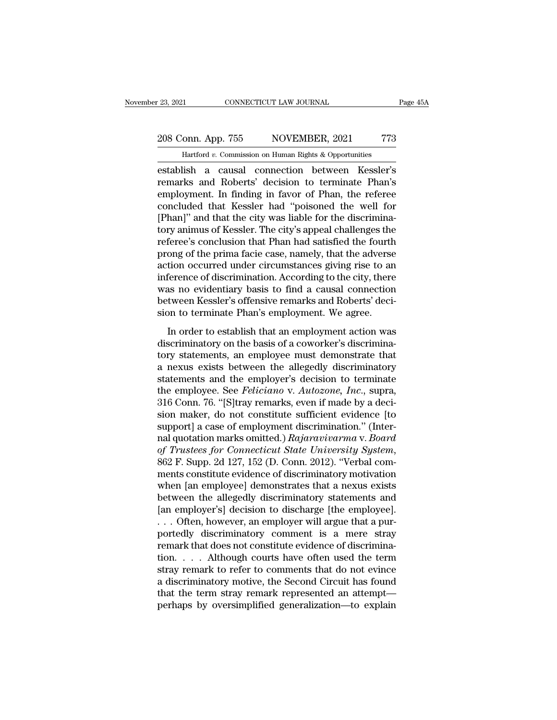# 23, 2021 CONNECTICUT LAW JOURNAL Page 45A<br>208 Conn. App. 755 NOVEMBER, 2021 773<br>Hartford v. Commission on Human Rights & Opportunities

November 23, 2021 CONNECTICUT LAW JOURNAL Page 45A<br>
208 Conn. App. 755 NOVEMBER, 2021 773<br>
Hartford *v*. Commission on Human Rights & Opportunities<br>
establish a causal connection between Kessler's establish a causal connection between Kessler's<br>
establish a causal connection between Kessler's<br>
establish a causal connection between Kessler's<br>
remarks and Roberts' decision to terminate Phan's<br>
employment In finding in 208 Conn. App. 755 NOVEMBER, 2021 773<br>
Hartford v. Commission on Human Rights & Opportunities<br>
establish a causal connection between Kessler's<br>
remarks and Roberts' decision to terminate Phan's<br>
employment. In finding in f 208 Conn. App. 755 NOVEMBER, 2021 773<br>
Hartford v. Commission on Human Rights & Opportunities<br>
establish a causal connection between Kessler's<br>
remarks and Roberts' decision to terminate Phan's<br>
employment. In finding in 208 Conn. App. 755 NOVEMBER, 2021 773<br>
Hartford v. Commission on Human Rights & Opportunities<br>
establish a causal connection between Kessler's<br>
remarks and Roberts' decision to terminate Phan's<br>
employment. In finding in Hartford v. Commission on Human Rights & Opportunities<br>
establish a causal connection between Kessler's<br>
remarks and Roberts' decision to terminate Phan's<br>
employment. In finding in favor of Phan, the referee<br>
concluded th Hartford v. Commission on Human Eights & Opportunities<br>
establish a causal connection between Kessler's<br>
remarks and Roberts' decision to terminate Phan's<br>
employment. In finding in favor of Phan, the referee<br>
concluded t establish a causal connection between Kessler's<br>remarks and Roberts' decision to terminate Phan's<br>employment. In finding in favor of Phan, the referee<br>concluded that Kessler had "poisoned the well for<br>[Phan]" and that the remarks and Roberts' decision to terminate Phan's<br>employment. In finding in favor of Phan, the referee<br>concluded that Kessler had "poisoned the well for<br>[Phan]" and that the city was liable for the discrimina-<br>tory animus employment. In finding in favor of Phan, the referee<br>concluded that Kessler had "poisoned the well for<br>[Phan]" and that the city was liable for the discrimina-<br>tory animus of Kessler. The city's appeal challenges the<br>refer concluded that Kessler had "poisoned the well for<br>[Phan]" and that the city was liable for the discrimina-<br>tory animus of Kessler. The city's appeal challenges the<br>referee's conclusion that Phan had satisfied the fourth<br>pr [Phan]" and that the city was liable for the discrimina-<br>tory animus of Kessler. The city's appeal challenges the<br>referee's conclusion that Phan had satisfied the fourth<br>prong of the prima facie case, namely, that the adve tory animus of Kessler. The city's appeal challenges the referee's conclusion that Phan had satisfied the fourth prong of the prima facie case, namely, that the adverse action occurred under circumstances giving rise to an referee's conclusion that Phan had satisfied the fourth<br>prong of the prima facie case, namely, that the adverse<br>action occurred under circumstances giving rise to an<br>inference of discrimination. According to the city, ther English that are case, namely, that are daverse<br>tion occurred under circumstances giving rise to an<br>ference of discrimination. According to the city, there<br>as no evidentiary basis to find a causal connection<br>tween Kessler' decay occurred ander encanometers gring rise to an<br>inference of discrimination. According to the city, there<br>was no evidentiary basis to find a causal connection<br>between Kessler's offensive remarks and Roberts' deci-<br>sion

merence of discrimination. These rang to the chy, there<br>was no evidentiary basis to find a causal connection<br>between Kessler's offensive remarks and Roberts' deci-<br>sion to terminate Phan's employment. We agree.<br>In order to hetween Kessler's offensive remarks and Roberts' decision to terminate Phan's employment. We agree.<br>In order to establish that an employment action was<br>discriminatory on the basis of a coworker's discrimina-<br>tory statement state in the employment. We agree.<br>In order to establish that an employment action was<br>discriminatory on the basis of a coworker's discrimina-<br>tory statements, an employee must demonstrate that<br>a nexus exists between the In order to establish that an employment action was<br>discriminatory on the basis of a coworker's discrimina-<br>tory statements, an employee must demonstrate that<br>a nexus exists between the allegedly discriminatory<br>statements In order to establish that an employment action was<br>discriminatory on the basis of a coworker's discrimina-<br>tory statements, an employee must demonstrate that<br>a nexus exists between the allegedly discriminatory<br>statements discriminatory on the basis of a coworker's discrimina-<br>tory statements, an employee must demonstrate that<br>a nexus exists between the allegedly discriminatory<br>statements and the employer's decision to terminate<br>the employe tory statements, an employee must demonstrate that<br>a nexus exists between the allegedly discriminatory<br>statements and the employer's decision to terminate<br>the employee. See *Feliciano* v. Autozone, Inc., supra,<br>316 Conn. 7 a nexus exists between the allegedly discriminatory<br>statements and the employer's decision to terminate<br>the employee. See *Feliciano* v. *Autozone*, *Inc.*, supra,<br>316 Conn. 76. "[S]tray remarks, even if made by a deci-<br>si statements and the employer's decision to terminate<br>the employee. See *Feliciano* v. *Autozone*, *Inc.*, supra,<br>316 Conn. 76. "[S]tray remarks, even if made by a deci-<br>sion maker, do not constitute sufficient evidence [to<br> 316 Conn. 76. "[S]tray remarks, even if made by a decision maker, do not constitute sufficient evidence [to support] a case of employment discrimination." (Internal quotation marks omitted.) *Rajaravivarma v. Board* of *Tr* sion maker, do not constitute sufficient evidence [to<br>support] a case of employment discrimination." (Inter-<br>nal quotation marks omitted.) *Rajaravivarma* v. *Board*<br>of Trustees for Connecticut State University System,<br>862 support] a case of employment discrimination." (Inter-<br>nal quotation marks omitted.) Rajaravivarma v. Board<br>of Trustees for Connecticut State University System,<br>862 F. Supp. 2d 127, 152 (D. Conn. 2012). "Verbal com-<br>ments nal quotation marks omitted.) Rajaravivarma v. Board<br>of Trustees for Connecticut State University System,<br>862 F. Supp. 2d 127, 152 (D. Conn. 2012). "Verbal com-<br>ments constitute evidence of discriminatory motivation<br>when [ of Trustees for Connecticut State University System,<br>862 F. Supp. 2d 127, 152 (D. Conn. 2012). "Verbal com-<br>ments constitute evidence of discriminatory motivation<br>when [an employee] demonstrates that a nexus exists<br>between 862 F. Supp. 2d 127, 152 (D. Conn. 2012). "Verbal comments constitute evidence of discriminatory motivation<br>when [an employee] demonstrates that a nexus exists<br>between the allegedly discriminatory statements and<br>[an employ ments constitute evidence of discriminatory motivation<br>when [an employee] demonstrates that a nexus exists<br>between the allegedly discriminatory statements and<br>[an employer's] decision to discharge [the employee].<br>... Often when [an employee] demonstrates that a nexus exists<br>between the allegedly discriminatory statements and<br>[an employer's] decision to discharge [the employee].<br>. . . Often, however, an employer will argue that a pur-<br>portedl between the allegedly discriminatory statements and<br>[an employer's] decision to discharge [the employee].<br>...Often, however, an employer will argue that a pur-<br>portedly discriminatory comment is a mere stray<br>remark that do [an employer's] decision to discharge [the employee].<br>
... Often, however, an employer will argue that a pur-<br>
portedly discriminatory comment is a mere stray<br>
remark that does not constitute evidence of discrimina-<br>
tion ... Often, however, an employer will argue that a purportedly discriminatory comment is a mere stray remark that does not constitute evidence of discrimination. . . . Although courts have often used the term stray remark t portedly discriminatory comment is a mere stray<br>remark that does not constitute evidence of discrimina-<br>tion.... Although courts have often used the term<br>stray remark to refer to comments that do not evince<br>a discriminator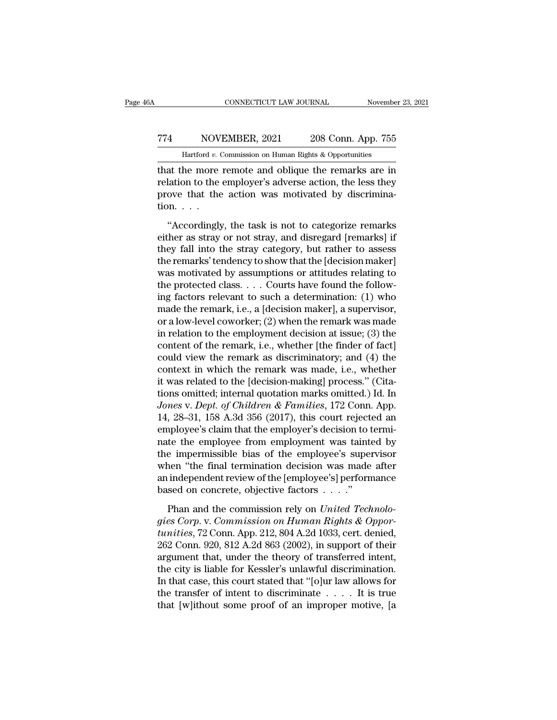## CONNECTICUT LAW JOURNAL November 23, 2021<br>
774 NOVEMBER, 2021 208 Conn. App. 755<br>
Hartford v. Commission on Human Rights & Opportunities CONNECTICUT LAW JOURNAL November 23, 2021<br>
TT4 NOVEMBER, 2021 208 Conn. App. 755<br>
Hartford *v*. Commission on Human Rights & Opportunities<br>
that the more remote and oblique the remarks are in

CONNECTICUT LAW JOURNAL November 23, 2021<br>
TT4 NOVEMBER, 2021 208 Conn. App. 755<br>
Hartford v. Commission on Human Rights & Opportunities<br>
that the more remote and oblique the remarks are in<br>
relation to the employer's adve TT4 NOVEMBER, 2021 208 Conn. App. 755<br>
Hartford v. Commission on Human Rights & Opportunities<br>
that the more remote and oblique the remarks are in<br>
relation to the employer's adverse action, the less they<br>
prove that the a Fig. 2021 208 Conn. App. 755<br>
Hartford v. Commission on Human Rights & Opportunities<br>
that the more remote and oblique the remarks are in<br>
relation to the employer's adverse action, the less they<br>
prove that the action wa  $\begin{array}{c} \text{774}\qquad \text{NOV} \\\hline \text{Hartford } v. \text{ (} \\ \text{that the more} \\ \text{relation to the } \\ \text{prove that the} \\ \text{tion. . . .} \\ \text{``Accordingly} \end{array}$ Hartford v. Commission on Human Rights & Opportunities<br>
at the more remote and oblique the remarks are in<br>
lation to the employer's adverse action, the less they<br>
ove that the action was motivated by discrimina-<br>
over tha that the more remote and oblique the remarks are in relation to the employer's adverse action, the less they prove that the action was motivated by discrimination. . . .<br>"Accordingly, the task is not to categorize remarks

Frelation to the employer's adverse action, the less they<br>prove that the action was motivated by discrimina-<br>tion. . . .<br>"Accordingly, the task is not to categorize remarks<br>either as stray or not stray, and disregard [rem prove that the action was motivated by discrimina-<br>tion. . . .<br>"Accordingly, the task is not to categorize remarks<br>either as stray or not stray, and disregard [remarks] if<br>they fall into the stray category, but rather to was monked by assuming<br>tion....<br>"Accordingly, the task is not to categorize remarks<br>either as stray or not stray, and disregard [remarks] if<br>they fall into the stray category, but rather to assess<br>the remarks' tendency to tion. . . .<br>"Accordingly, the task is not to categorize remarks<br>either as stray or not stray, and disregard [remarks] if<br>they fall into the stray category, but rather to assess<br>the remarks' tendency to show that the [deci "Accordingly, the task is not to categorize remarks<br>either as stray or not stray, and disregard [remarks] if<br>they fall into the stray category, but rather to assess<br>the remarks' tendency to show that the [decision maker]<br> either as stray or not stray, and disregard [remarks] if<br>they fall into the stray category, but rather to assess<br>the remarks' tendency to show that the [decision maker]<br>was motivated by assumptions or attitudes relating to they fall into the stray category, but rather to assess<br>the remarks' tendency to show that the [decision maker]<br>was motivated by assumptions or attitudes relating to<br>the protected class. . . . Courts have found the followthe remarks' tendency to show that the [decision maker]<br>was motivated by assumptions or attitudes relating to<br>the protected class. . . . Courts have found the follow-<br>ing factors relevant to such a determination: (1) who<br> was motivated by assumptions or attitudes relating to<br>the protected class. . . . Courts have found the follow-<br>ing factors relevant to such a determination: (1) who<br>made the remark, i.e., a [decision maker], a supervisor, the protected class. . . . Courts have found the following factors relevant to such a determination: (1) who made the remark, i.e., a [decision maker], a supervisor, or a low-level coworker; (2) when the remark was made i ing factors relevant to such a determination: (1) who<br>made the remark, i.e., a [decision maker], a supervisor,<br>or a low-level coworker; (2) when the remark was made<br>in relation to the employment decision at issue; (3) the<br> made the remark, i.e., a [decision maker], a supervisor,<br>or a low-level coworker; (2) when the remark was made<br>in relation to the employment decision at issue; (3) the<br>content of the remark, i.e., whether [the finder of f or a low-level coworker; (2) when the remark was made<br>in relation to the employment decision at issue; (3) the<br>content of the remark, i.e., whether [the finder of fact]<br>could view the remark as discriminatory; and (4) the in relation to the employment decision at issue; (3) the content of the remark, i.e., whether [the finder of fact] could view the remark as discriminatory; and (4) the context in which the remark was made, i.e., whether it content of the remark, i.e., whether [the finder of fact]<br>could view the remark as discriminatory; and (4) the<br>context in which the remark was made, i.e., whether<br>it was related to the [decision-making] process." (Cita-<br>ti could view the remark as discriminatory; and (4) the context in which the remark was made, i.e., whether it was related to the [decision-making] process." (Citations omitted; internal quotation marks omitted.) Id. In *Jone* context in which the remark was made, i.e., whether<br>it was related to the [decision-making] process." (Cita-<br>tions omitted; internal quotation marks omitted.) Id. In<br>Jones v. Dept. of Children & Families, 172 Conn. App.<br>14 it was related to the [decision-making] process." (Citations omitted; internal quotation marks omitted.) Id. In Jones v. Dept. of Children & Families, 172 Conn. App.<br>14, 28–31, 158 A.3d 356 (2017), this court rejected an e tions omitted; internal quotation marks omitted.) Id. In<br>
Jones v. Dept. of Children & Families, 172 Conn. App.<br>
14, 28–31, 158 A.3d 356 (2017), this court rejected an<br>
employee's claim that the employer's decision to term *Jones v. Dept. of Children & Families*, 172 Conn. App.<br>14, 28–31, 158 A.3d 356 (2017), this court rejected an<br>employee's claim that the employer's decision to termi-<br>nate the employee from employment was tainted by<br>the i 14, 28–31, 158 A.3d 356 (2017), this court reject<br>employee's claim that the employer's decision to t<br>nate the employee from employment was tainte<br>the impermissible bias of the employee's super<br>when "the final termination France employee from employment was tainted by<br>te the employee from employment was tainted by<br>e impermissible bias of the employee's supervisor<br>nen "the final termination decision was made after<br>independent review of the [ *gies Corp.* v. *Commission on Human Rights & Opportunities, 72 Conn. App. 212, 804 A.2d 1033, cert. denied,*<br>
263 Corp. 920, 812 A 24, 863 (2002) in sumport of their<br>
263 Corp. 920, 812 A 24, 863 (2002) in sumport of thei

when "the final termination decision was made after<br>an independent review of the [employee's] performance<br>based on concrete, objective factors . . . . "<br>Phan and the commission rely on *United Technolo-<br>gies Corp.* v. *Com* an independent review of the [employee's] performance<br>based on concrete, objective factors  $\dots$ ."<br>Phan and the commission rely on *United Technolo-<br>gies Corp.* v. *Commission on Human Rights & Oppor-<br>tunities*, 72 Conn. A based on concrete, objective factors  $\dots$ ."<br>
Phan and the commission rely on *United Technologies Corp.* v. *Commission on Human Rights & Opportunities*, 72 Conn. App. 212, 804 A.2d 1033, cert. denied, 262 Conn. 920, 812 Than and the commission rely on United Technologies Corp. v. Commission on Human Rights & Opportunities, 72 Conn. App. 212, 804 A.2d 1033, cert. denied, 262 Conn. 920, 812 A.2d 863 (2002), in support of their argument that Phan and the commission rely on *United Technologies Corp.* v. *Commission on Human Rights & Opportunities*, 72 Conn. App. 212, 804 A.2d 1033, cert. denied, 262 Conn. 920, 812 A.2d 863 (2002), in support of their argument gies Corp. v. Commission on Human Rights & Opportunities, 72 Conn. App. 212, 804 A.2d 1033, cert. denied, 262 Conn. 920, 812 A.2d 863 (2002), in support of their argument that, under the theory of transferred intent, the tunities, 72 Conn. App. 212, 804 A.2d 1033, cert. denied, 262 Conn. 920, 812 A.2d 863 (2002), in support of their argument that, under the theory of transferred intent, the city is liable for Kessler's unlawful discrimina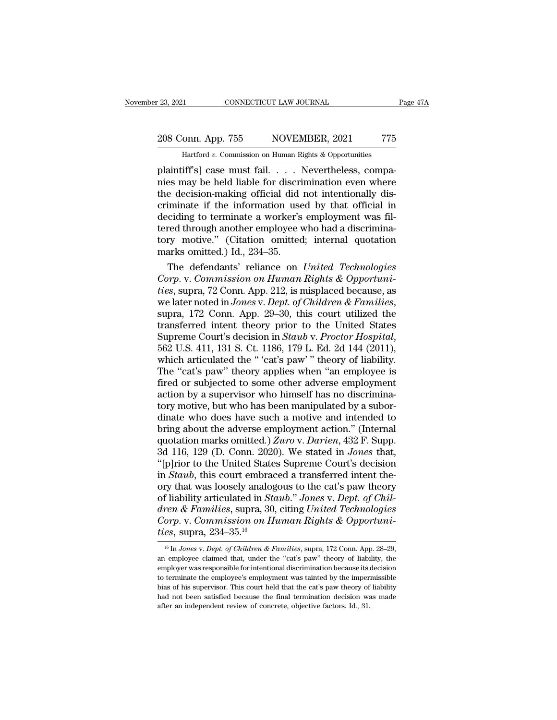#### 23, 2021 CONNECTICUT LAW JOURNAL Page 47A<br>208 Conn. App. 755 NOVEMBER, 2021 775<br>Hartford v. Commission on Human Rights & Opportunities THE TREAT CONNECTICUT LAW JOURNAL<br>
1 OND. App. 755 NOVEMBER, 2021 775<br>
1 Hartford *v.* Commission on Human Rights & Opportunities<br>
1 Hartford *v.* Commission on Human Rights & Opportunities<br>
1 Hartford *v.* Commission on H

Plaintiff's] case must fail. . . . . Nevertheless, compa-<br>plaintiff's] case must fail. . . . Nevertheless, compa-<br>plaintiff's] case must fail. . . . Nevertheless, compa-<br>plaintiff's] case must fail. . . . Nevertheless, com 208 Conn. App. 755 NOVEMBER, 2021 775<br>
Hartford v. Commission on Human Rights & Opportunities<br>
plaintiff's] case must fail. . . . Nevertheless, compa-<br>
nies may be held liable for discrimination even where<br>
the decision-ma 208 Conn. App. 755 NOVEMBER, 2021 775<br>
Hartford v. Commission on Human Rights & Opportunities<br>
plaintiff's] case must fail. . . . Nevertheless, compa-<br>
nies may be held liable for discrimination even where<br>
the decision-m 208 Conn. App. 755 NOVEMBER, 2021 775<br>
Hartford v. Commission on Human Rights & Opportunities<br>
plaintiff's] case must fail. . . . Nevertheless, compa-<br>
nies may be held liable for discrimination even where<br>
the decision-m Hartford v. Commission on Human Rights & Opportunities<br>plaintiff's] case must fail.... Nevertheless, compa-<br>nies may be held liable for discrimination even where<br>the decision-making official did not intentionally dis-<br>crim Hartford v. Commission on Human Rights & Opportunities<br>plaintiff's] case must fail. . . . Nevertheless, compa-<br>nies may be held liable for discrimination even where<br>the decision-making official did not intentionally dis-<br> plaintiff's] case must fail. . . . Nevertheless, compa-<br>nies may be held liable for discrimination even where<br>the decision-making official did not intentionally dis-<br>criminate if the information used by that official in<br>de mies may be held liable for discription-making official didentiminate if the information use deciding to terminate a worker's tered through another employee very motive." (Citation omitted marks omitted.) Id., 234–35. The e decision-making official did not intentionally dis-<br>iminate if the information used by that official in<br>ciding to terminate a worker's employment was fil-<br>red through another employee who had a discrimina-<br>ry motive." (C criminate if the information used by that official in<br>deciding to terminate a worker's employment was fil-<br>tered through another employee who had a discrimina-<br>tory motive." (Citation omitted; internal quotation<br>marks omit

deciding to terminate a worker's employment was fil-<br>tered through another employee who had a discrimina-<br>tory motive." (Citation omitted; internal quotation<br>marks omitted.) Id., 234–35.<br>The defendants' reliance on *United* tered through another employee who had a discrimina-<br>tory motive." (Citation omitted; internal quotation<br>marks omitted.) Id., 234–35.<br>The defendants' reliance on *United Technologies*<br>*Corp.* v. *Commission on Human Rights* marks omitted.) Id., 234–35.<br>
The defendants' reliance on *United Technologies*<br> *Corp.* v. *Commission on Human Rights & Opportuni-<br>
ties*, supra, 72 Conn. App. 212, is misplaced because, as<br>
we later noted in Jones v. D The defendants' reliance on *United Technologies*<br>Corp. v. Commission on *Human Rights & Opportuni-<br>ties*, supra, 72 Conn. App. 212, is misplaced because, as<br>we later noted in *Jones* v. *Dept. of Children & Families*,<br>sup ties, supra, 72 Conn. App. 212, is misplaced because, as<br>we later noted in *Jones v. Dept. of Children & Families*,<br>supra, 172 Conn. App. 29–30, this court utilized the<br>transferred intent theory prior to the United States<br> we later noted in *Jones* v. *Dept. of Children & Families*,<br>supra, 172 Conn. App. 29–30, this court utilized the<br>transferred intent theory prior to the United States<br>Supreme Court's decision in *Staub* v. *Proctor Hospita* supra, 172 Conn. App. 29–30, this court utilized the<br>transferred intent theory prior to the United States<br>Supreme Court's decision in *Staub* v. *Proctor Hospital*,<br>562 U.S. 411, 131 S. Ct. 1186, 179 L. Ed. 2d 144 (2011),<br> transferred intent theory prior to the United States<br>Supreme Court's decision in *Staub* v. *Proctor Hospital*,<br>562 U.S. 411, 131 S. Ct. 1186, 179 L. Ed. 2d 144 (2011),<br>which articulated the " 'cat's paw" " theory of liabi Supreme Court's decision in *Staub* v. *Proctor Hospital*, 562 U.S. 411, 131 S. Ct. 1186, 179 L. Ed. 2d 144 (2011), which articulated the " 'cat's paw' " theory of liability. The "cat's paw" theory applies when "an employ 562 U.S. 411, 131 S. Ct. 1186, 179 L. Ed. 2d 144 (2011),<br>which articulated the " 'cat's paw' " theory of liability.<br>The "cat's paw" theory applies when "an employee is<br>fired or subjected to some other adverse employment<br>a which articulated the "'cat's paw'" theory of liability.<br>The "cat's paw" theory applies when "an employee is<br>fired or subjected to some other adverse employment<br>action by a supervisor who himself has no discrimina-<br>tory m The "cat's paw" theory applies when "an employee is<br>fired or subjected to some other adverse employment<br>action by a supervisor who himself has no discrimina-<br>tory motive, but who has been manipulated by a subor-<br>dinate who fired or subjected to some other adverse employment<br>action by a supervisor who himself has no discrimina-<br>tory motive, but who has been manipulated by a subor-<br>dinate who does have such a motive and intended to<br>bring about action by a supervisor who himself has no discrimina-<br>tory motive, but who has been manipulated by a subor-<br>dinate who does have such a motive and intended to<br>bring about the adverse employment action." (Internal<br>quotatio tory motive, but who has been manipulated by a subordinate who does have such a motive and intended to bring about the adverse employment action." (Internal quotation marks omitted.) Zuro v. Darien, 432 F. Supp. 3d 116, 12 dinate who does have such a motive and intended to<br>bring about the adverse employment action." (Internal<br>quotation marks omitted.) Zuro v. Darien, 432 F. Supp.<br>3d 116, 129 (D. Conn. 2020). We stated in *Jones* that,<br>"[p]ri bring about the adverse employment action." (Internal quotation marks omitted.) *Zuro v. Darien*, 432 F. Supp. 3d 116, 129 (D. Conn. 2020). We stated in *Jones* that, "[p]rior to the United States Supreme Court's decision quotation marks omitted.) Zuro v. Darien, 432 F. Supp.<br>3d 116, 129 (D. Conn. 2020). We stated in *Jones* that,<br>"[p]rior to the United States Supreme Court's decision<br>in *Staub*, this court embraced a transferred intent the 3d 116, 129 (D. Conn. 2020). We stated in *Jones* that, "[p]rior to the United States Supreme Court's decision in *Staub*, this court embraced a transferred intent theory that was loosely analogous to the cat's paw theory "[p]rior to the United State<br>in *Staub*, this court embrad<br>ory that was loosely analog<br>of liability articulated in *Staten & Families*, supra, 30<br>*Corp.* v. *Commission on H*<br>ties, supra, 234–35.<sup>16</sup><br><sup>16</sup> In Jones v. Dept. f liability articulated in *Staub." Jones* v. *Dept. of Chil-*<br>ren & Families, supra, 30, citing United Technologies<br>orp. v. Commission on Human Rights & Opportuni-<br>es, supra, 234–35.<sup>16</sup><br><sup>16</sup> In *Jones* v. *Dept. of Child* dren & Families, supra, 30, citing United Technologies<br>Corp. v. Commission on Human Rights & Opportuni-<br>ties, supra, 234–35.<sup>16</sup><br><sup>16</sup> In Jones v. Dept. of Children & Families, supra, 172 Conn. App. 28–29,<br>an employee clai

Corp. v. Commission on Human Rights & Opportuni-<br>ties, supra, 234–35.<sup>16</sup><br><sup>16</sup> In Jones v. Dept. of Children & Families, supra, 172 Conn. App. 28–29,<br>an employee claimed that, under the "cat's paw" theory of liability, th ties, supra, 234–35.<sup>16</sup><br>
<sup>16</sup> In Jones v. Dept. of Children & Families, supra, 172 Conn. App. 28–29,<br>
an employee claimed that, under the "cat's paw" theory of liability, the<br>
employer was responsible for intentional dis LEES, SUPTA,  $254-33$ .<br><sup>16</sup> In *Jones v. Dept. of Children & Families*, supra, 172 Conn. App. 28–29, an employee claimed that, under the "cat's paw" theory of liability, the employer was responsible for intentional discri <sup>16</sup> In *Jones v. Dept. of Children & Families*, supra, 172 Conn. App. 28–29, an employee claimed that, under the "cat's paw" theory of liability, the employer was responsible for intentional discrimination because its de an employee claimed that, under the "cat's paw" theory of liability, the employer was responsible for intentional discrimination because its decision to terminate the employee's employment was tainted by the impermissible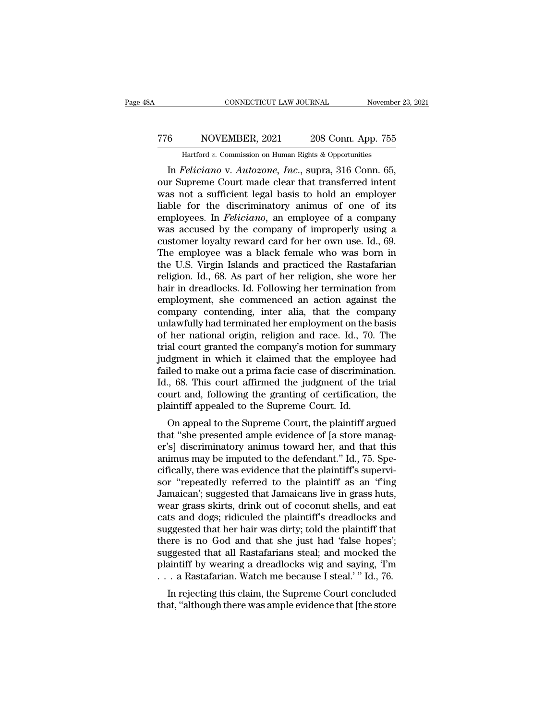## CONNECTICUT LAW JOURNAL November 23, 2021<br>
776 NOVEMBER, 2021 208 Conn. App. 755<br>
Hartford v. Commission on Human Rights & Opportunities CONNECTICUT LAW JOURNAL November 23, 2021<br>
6 NOVEMBER, 2021 208 Conn. App. 755<br>
Hartford *v.* Commission on Human Rights & Opportunities<br>
In *Feliciano* v. Autozone, Inc., supra, 316 Conn. 65,

CONNECTICUT LAW JOURNAL November 23, 2<br> **EXECUTE ALCONAL SET ALCONAL SET ALCONAL SET AUTOR**<br> **EXECUTE ALCONAL SET ALCONAL SET ALCONAL SET ALCONAL SET ALCONAL SUPRAM** SUPPOSE And SUPPOSE TO SUPPOSE THE SUPPOSE AND SUPPOSE A TT6 NOVEMBER, 2021 208 Conn. App. 755<br>
Hartford v. Commission on Human Rights & Opportunities<br>
In *Feliciano* v. *Autozone*, *Inc.*, supra, 316 Conn. 65,<br>
our Supreme Court made clear that transferred intent<br>
was not a suf TT6 NOVEMBER, 2021 208 Conn. App. 755<br>
Hartford v. Commission on Human Rights & Opportunities<br>
In *Feliciano* v. *Autozone*, *Inc.*, supra, 316 Conn. 65,<br>
our Supreme Court made clear that transferred intent<br>
was not a su Transfer MOVEMBER, 2021 208 Conn. App. 755<br>
Hartford v. Commission on Human Rights & Opportunities<br>
In *Feliciano* v. *Autozone*, *Inc.*, supra, 316 Conn. 65,<br>
our Supreme Court made clear that transferred intent<br>
was not Hartford *v.* Commission on Human Rights & Opportunities<br>
In *Feliciano* v. *Autozone*, *Inc.*, supra, 316 Conn. 65,<br>
our Supreme Court made clear that transferred intent<br>
was not a sufficient legal basis to hold an employ Hartford v. Commission on Human Rights & Opportunities<br>
In *Feliciano* v. *Autozone*, *Inc.*, supra, 316 Conn. 65,<br>
our Supreme Court made clear that transferred intent<br>
was not a sufficient legal basis to hold an employe In *Feliciano* v. *Autozone*, *Inc.*, supra, 316 Conn. 65,<br>our Supreme Court made clear that transferred intent<br>was not a sufficient legal basis to hold an employer<br>liable for the discriminatory animus of one of its<br>employ our Supreme Court made clear that transferred intent<br>was not a sufficient legal basis to hold an employer<br>liable for the discriminatory animus of one of its<br>employees. In *Feliciano*, an employee of a company<br>was accused b was not a sufficient legal basis to hold an employer<br>liable for the discriminatory animus of one of its<br>employees. In *Feliciano*, an employee of a company<br>was accused by the company of improperly using a<br>customer loyalty liable for the discriminatory animus of one of its<br>employees. In *Feliciano*, an employee of a company<br>was accused by the company of improperly using a<br>customer loyalty reward card for her own use. Id., 69.<br>The employee wa employees. In *Feliciano*, an employee of a company<br>was accused by the company of improperly using a<br>customer loyalty reward card for her own use. Id., 69.<br>The employee was a black female who was born in<br>the U.S. Virgin Is was accused by the company of improperly using a<br>customer loyalty reward card for her own use. Id., 69.<br>The employee was a black female who was born in<br>the U.S. Virgin Islands and practiced the Rastafarian<br>religion. Id., 6 customer loyalty reward card for her own use. Id., 69.<br>The employee was a black female who was born in<br>the U.S. Virgin Islands and practiced the Rastafarian<br>religion. Id., 68. As part of her religion, she wore her<br>hair in The employee was a black female who was born in<br>the U.S. Virgin Islands and practiced the Rastafarian<br>religion. Id., 68. As part of her religion, she wore her<br>hair in dreadlocks. Id. Following her termination from<br>employme the U.S. Virgin Islands and practiced the Rastafarian<br>religion. Id., 68. As part of her religion, she wore her<br>hair in dreadlocks. Id. Following her termination from<br>employment, she commenced an action against the<br>company religion. Id., 68. As part of her religion, she wore her<br>hair in dreadlocks. Id. Following her termination from<br>employment, she commenced an action against the<br>company contending, inter alia, that the company<br>unlawfully ha hair in dreadlocks. Id. Following her termination from<br>employment, she commenced an action against the<br>company contending, inter alia, that the company<br>unlawfully had terminated her employment on the basis<br>of her national employment, she commenced an action against the<br>company contending, inter alia, that the company<br>unlawfully had terminated her employment on the basis<br>of her national origin, religion and race. Id., 70. The<br>trial court gra company contending, inter alia, that the company<br>unlawfully had terminated her employment on the basis<br>of her national origin, religion and race. Id., 70. The<br>trial court granted the company's motion for summary<br>judgment i unlawfully had terminated her employment on the basis<br>of her national origin, religion and race. Id., 70. The<br>trial court granted the company's motion for summary<br>judgment in which it claimed that the employee had<br>failed t of her national origin, religion and race. Id., 70<br>trial court granted the company's motion for sum<br>judgment in which it claimed that the employee<br>failed to make out a prima facie case of discrimina<br>Id., 68. This court aff at court granted the company's motion for summary<br>dgment in which it claimed that the employee had<br>led to make out a prima facie case of discrimination.<br>., 68. This court affirmed the judgment of the trial<br>urt and, followi failed to make out a prima facie case of discrimination.<br>Id., 68. This court affirmed the judgment of the trial<br>court and, following the granting of certification, the<br>plaintiff appealed to the Supreme Court. Id.<br>On appeal

raneu to make out a prima racte case or discrimination.<br>
Id., 68. This court affirmed the judgment of the trial<br>
court and, following the granting of certification, the<br>
plaintiff appealed to the Supreme Court. Id.<br>
On app and, 68. This court antified the judgment of the that<br>court and, following the granting of certification, the<br>plaintiff appealed to the Supreme Court. Id.<br>On appeal to the Supreme Court, the plaintiff argued<br>that "she pres court and, following the granting of certification, the<br>plaintiff appealed to the Supreme Court, the plaintiff argued<br>that "she presented ample evidence of [a store manag-<br>er's] discriminatory animus toward her, and that t plantiff appeared to the supreme Court. Id.<br>
On appeal to the Supreme Court, the plaintiff argued<br>
that "she presented ample evidence of [a store manag-<br>
er's] discriminatory animus toward her, and that this<br>
animus may be On appeal to the Supreme Court, the plaintiff argued<br>that "she presented ample evidence of [a store manag-<br>er's] discriminatory animus toward her, and that this<br>animus may be imputed to the defendant." Id., 75. Spe-<br>cifica that "she presented ample evidence of [a store manager's] discriminatory animus toward her, and that this animus may be imputed to the defendant." Id., 75. Specifically, there was evidence that the plaintiff's supervisor " er's] discriminatory animus toward her, and that this<br>animus may be imputed to the defendant." Id., 75. Spe-<br>cifically, there was evidence that the plaintiff's supervi-<br>sor "repeatedly referred to the plaintiff as an 'f'in animus may be imputed to the defendant." Id., 75. Specifically, there was evidence that the plaintiff's supervisor "repeatedly referred to the plaintiff as an "f'ing Jamaican"; suggested that Jamaicans live in grass huts, cifically, there was evidence that the plaintiff's supervisor "repeatedly referred to the plaintiff as an 'f'ing<br>Jamaican'; suggested that Jamaicans live in grass huts,<br>wear grass skirts, drink out of coconut shells, and e sor "repeatedly referred to the plaintiff as an 'f'ing<br>Jamaican'; suggested that Jamaicans live in grass huts,<br>wear grass skirts, drink out of coconut shells, and eat<br>cats and dogs; ridiculed the plaintiff's dreadlocks and Jamaican'; suggested that Jamaicans live in grass huts,<br>wear grass skirts, drink out of coconut shells, and eat<br>cats and dogs; ridiculed the plaintiff's dreadlocks and<br>suggested that her hair was dirty; told the plaintiff wear grass skirts, drink out of coconut shells, and eat<br>cats and dogs; ridiculed the plaintiff's dreadlocks and<br>suggested that her hair was dirty; told the plaintiff that<br>there is no God and that she just had 'false hopes' is and dogs, ridicular the plantiff s dreadiocks and<br>ggested that her hair was dirty; told the plaintiff that<br>ere is no God and that she just had 'false hopes';<br>ggested that all Rastafarians steal; and mocked the<br>aintiff b suggested that her han was unty, told the plaintiff that<br>there is no God and that she just had 'false hopes';<br>suggested that all Rastafarians steal; and mocked the<br>plaintiff by wearing a dreadlocks wig and saying, 'I'm<br>...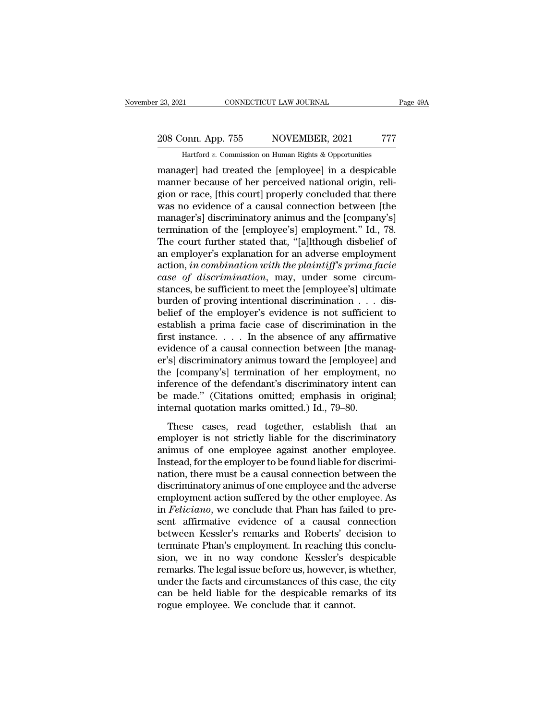November 23, 2021 CONNECTICUT LAW JOURNAL Page 49A<br>
208 Conn. App. 755 NOVEMBER, 2021 777<br>
Hartford *v*. Commission on Human Rights & Opportunities<br>
manager| had treated the [employee] in a despicable Page 49A<br>
208 Conn. App. 755 NOVEMBER, 2021 777<br>
Hartford v. Commission on Human Rights & Opportunities<br>
manager] had treated the [employee] in a despicable<br>
manner because of her perceived national origin, religion or rac 208 Conn. App. 755 NOVEMBER, 2021 777<br>
Hartford v. Commission on Human Rights & Opportunities<br>
manager] had treated the [employee] in a despicable<br>
manner because of her perceived national origin, reli-<br>
gion or race, [thi 208 Conn. App. 755 NOVEMBER, 2021 777<br>
Hartford v. Commission on Human Rights & Opportunities<br>
manager] had treated the [employee] in a despicable<br>
manner because of her perceived national origin, reli-<br>
gion or race, [th 208 Conn. App. 755 NOVEMBER, 2021 777<br>
Hartford v. Commission on Human Rights & Opportunities<br>
manager] had treated the [employee] in a despicable<br>
manner because of her perceived national origin, reli-<br>
gion or race, [th Hartford v. Commission on Human Rights & Opportunities<br>
manager] had treated the [employee] in a despicable<br>
manner because of her perceived national origin, reli-<br>
gion or race, [this court] properly concluded that there<br> Hartford v. Commission on Human Rights & Opportunities<br>
manager] had treated the [employee] in a despicable<br>
manner because of her perceived national origin, reli-<br>
gion or race, [this court] properly concluded that there<br> manager] had treated the [employee] in a despicable<br>manner because of her perceived national origin, reli-<br>gion or race, [this court] properly concluded that there<br>was no evidence of a causal connection between [the<br>manage manner because of her perceived national origin, religion or race, [this court] properly concluded that there<br>was no evidence of a causal connection between [the<br>manager's] discriminatory animus and the [company's]<br>termina gion or race, [this court] properly concluded that there<br>was no evidence of a causal connection between [the<br>manager's] discriminatory animus and the [company's]<br>termination of the [employee's] employment." Id., 78.<br>The co *case of a causal connection between [the manager's] discriminatory animus and the [company's]* termination of the [employee's] employment." Id., 78.<br>The court further stated that, "[a]lthough disbelief of an employer's ex manager's] discriminatory animus and the [company's]<br>termination of the [employee's] employment." Id., 78.<br>The court further stated that, "[a]lthough disbelief of<br>an employer's explanation for an adverse employment<br>action, termination of the [employee's] employment." Id., 78.<br>The court further stated that, "[a]lthough disbelief of<br>an employer's explanation for an adverse employment<br>action, *in combination with the plaintiff's prima facie*<br>*c* The court further stated that, "[a]lthough disbelief of<br>an employer's explanation for an adverse employment<br>action, *in combination with the plaintiff's prima facie*<br>case of discrimination, may, under some circum-<br>stances an employer's explanation for an adverse employment<br>action, *in combination with the plaintiff's prima facie*<br>case of discrimination, may, under some circum-<br>stances, be sufficient to meet the [employee's] ultimate<br>burden action, *in combination with the plaintiff's prima facie*<br>case of discrimination, may, under some circum-<br>stances, be sufficient to meet the [employee's] ultimate<br>burden of proving intentional discrimination . . . dis-<br>be case of discrimination, may, under some circum-<br>stances, be sufficient to meet the [employee's] ultimate<br>burden of proving intentional discrimination  $\ldots$  dis-<br>belief of the employer's evidence is not sufficient to<br>estab stances, be sufficient to meet the [employee's] ultimate<br>burden of proving intentional discrimination  $\ldots$  dis-<br>belief of the employer's evidence is not sufficient to<br>establish a prima facie case of discrimination in the burden of proving intentional discrimination  $\dots$  disbelief of the employer's evidence is not sufficient to establish a prima facie case of discrimination in the first instance.  $\dots$  In the absence of any affirmative evid belief of the employer's evidence is not sufficient to<br>establish a prima facie case of discrimination in the<br>first instance.... In the absence of any affirmative<br>evidence of a causal connection between [the manag-<br>er's] d establish a prima facie case of discrimination in the<br>first instance.... In the absence of any affirmative<br>evidence of a causal connection between [the manag-<br>er's] discriminatory animus toward the [employee] and<br>the [com first instance. . . . In the absence of any affirma<br>evidence of a causal connection between [the man<br>er's] discriminatory animus toward the [employee]<br>the [company's] termination of her employment,<br>inference of the defend Solid School and School and Technology (Solid External and Solid External and a proposition of her employment, no<br>ference of the defendant's discriminatory intent can<br>made." (Citations omitted; emphasis in original;<br>ternal er s<sub>f</sub> asseminatory animas coward are [employee] and<br>the [company's] termination of her employment, no<br>inference of the defendant's discriminatory intent can<br>be made." (Citations omitted; emphasis in original;<br>internal qu

and perhapsively of the defendant's discriminatory intent can<br>be made." (Citations omitted; emphasis in original;<br>internal quotation marks omitted.) Id., 79–80.<br>These cases, read together, establish that an<br>employer is not meterice of the detendance discriminatory internet can<br>be made." (Citations omitted; emphasis in original;<br>internal quotation marks omitted.) Id., 79–80.<br>These cases, read together, establish that an<br>employer is not strict internal quotations of interest, emphasis in original,<br>internal quotation marks omitted.) Id., 79–80.<br>These cases, read together, establish that an<br>employer is not strictly liable for the discriminatory<br>animus of one emplo These cases, read together, establish that an employer is not strictly liable for the discriminatory<br>animus of one employee against another employee.<br>Instead, for the employer to be found liable for discrimi-<br>nation, there These cases, read together, establish that an<br>employer is not strictly liable for the discriminatory<br>animus of one employee against another employee.<br>Instead, for the employer to be found liable for discrimi-<br>nation, there employer is not strictly liable for the discriminatory<br>animus of one employee against another employee.<br>Instead, for the employer to be found liable for discrimi-<br>nation, there must be a causal connection between the<br>discr animus of one employee against another employee.<br>Instead, for the employer to be found liable for discrimi-<br>nation, there must be a causal connection between the<br>discriminatory animus of one employee and the adverse<br>employ Instead, for the employer to be found liable for discrimination, there must be a causal connection between the discriminatory animus of one employee and the adverse employment action suffered by the other employee. As in nation, there must be a causal connection between the<br>discriminatory animus of one employee and the adverse<br>employment action suffered by the other employee. As<br>in *Feliciano*, we conclude that Phan has failed to pre-<br>sent discriminatory animus of one employee and the adverse<br>employment action suffered by the other employee. As<br>in *Feliciano*, we conclude that Phan has failed to pre-<br>sent affirmative evidence of a causal connection<br>between K employment action suffered by the other employee. As<br>in *Feliciano*, we conclude that Phan has failed to pre-<br>sent affirmative evidence of a causal connection<br>between Kessler's remarks and Roberts' decision to<br>terminate Ph in *Feliciano*, we conclude that Phan has failed to present affirmative evidence of a causal connection<br>between Kessler's remarks and Roberts' decision to<br>terminate Phan's employment. In reaching this conclu-<br>sion, we in n sent affirmative evidence of a causal connection<br>between Kessler's remarks and Roberts' decision to<br>terminate Phan's employment. In reaching this conclu-<br>sion, we in no way condone Kessler's despicable<br>remarks. The legal i between Kessler's remarks and Roberts' de<br>terminate Phan's employment. In reaching thi<br>sion, we in no way condone Kessler's di<br>remarks. The legal issue before us, however, is<br>under the facts and circumstances of this case<br>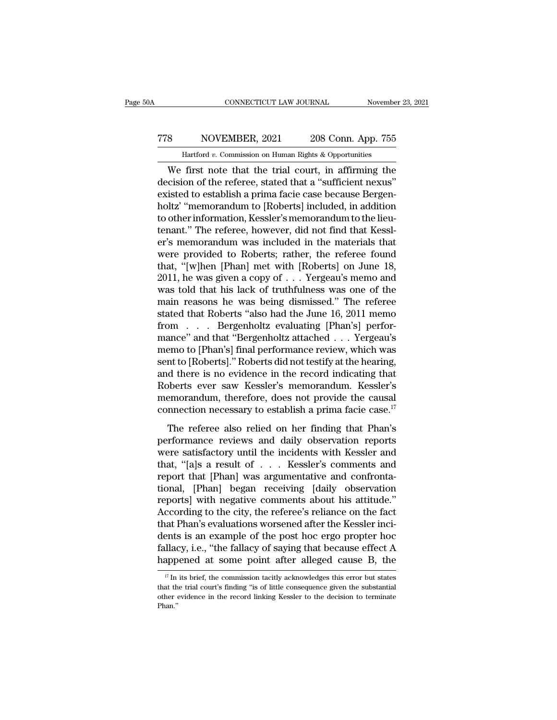## CONNECTICUT LAW JOURNAL November 23, 2021<br>
778 NOVEMBER, 2021 208 Conn. App. 755<br>
Hartford v. Commission on Human Rights & Opportunities CONNECTICUT LAW JOURNAL November 23, 2021<br>
8 NOVEMBER, 2021 208 Conn. App. 755<br>
Hartford *v*. Commission on Human Rights & Opportunities<br>
We first note that the trial court, in affirming the

CONNECTICUT LAW JOURNAL November 23, 2021<br>
S<br>
NOVEMBER, 2021 208 Conn. App. 755<br>
Hartford v. Commission on Human Rights & Opportunities<br>
We first note that the trial court, in affirming the<br>
ccision of the referee, stated TT8 NOVEMBER, 2021 208 Conn. App. 755<br>
Hartford v. Commission on Human Rights & Opportunities<br>
We first note that the trial court, in affirming the<br>
decision of the referee, stated that a "sufficient nexus"<br>
existed to est FREE THE 2021 208 Conn. App. 755<br>
Hartford v. Commission on Human Rights & Opportunities<br>
We first note that the trial court, in affirming the<br>
decision of the referee, stated that a "sufficient nexus"<br>
existed to establi TT8 NOVEMBER, 2021 208 Conn. App. 755<br>
Hartford v. Commission on Human Rights & Opportunities<br>
We first note that the trial court, in affirming the<br>
decision of the referee, stated that a "sufficient nexus"<br>
existed to es Hartford v. Commission on Human Rights & Opportunities<br>We first note that the trial court, in affirming the<br>decision of the referee, stated that a "sufficient nexus"<br>existed to establish a prima facie case because Bergen-Hartrora v. Commission on Human Rights & Opportunities<br>We first note that the trial court, in affirming the<br>decision of the referee, stated that a "sufficient nexus"<br>existed to establish a prima facie case because Bergen-We first note that the trial court, in affirming the<br>decision of the referee, stated that a "sufficient nexus"<br>existed to establish a prima facie case because Bergen-<br>holtz' "memorandum to [Roberts] included, in addition<br>t decision of the referee, stated that a "sufficient nexus"<br>existed to establish a prima facie case because Bergen-<br>holtz' "memorandum to [Roberts] included, in addition<br>to other information, Kessler's memorandum to the lieu existed to establish a prima facie case because Bergen-<br>holtz' "memorandum to [Roberts] included, in addition<br>to other information, Kessler's memorandum to the lieu-<br>tenant." The referee, however, did not find that Kessl-<br> holtz' "memorandum to [Roberts] included, in addition<br>to other information, Kessler's memorandum to the lieu-<br>tenant." The referee, however, did not find that Kessl-<br>er's memorandum was included in the materials that<br>were to other information, Kessler's memorandum to the lieu-<br>tenant." The referee, however, did not find that Kessl-<br>er's memorandum was included in the materials that<br>were provided to Roberts; rather, the referee found<br>that, tenant." The referee, however, did not find that Kessl-<br>er's memorandum was included in the materials that<br>were provided to Roberts; rather, the referee found<br>that, "[w]hen [Phan] met with [Roberts] on June 18,<br>2011, he wa er's memorandum was included in the materials that<br>were provided to Roberts; rather, the referee found<br>that, "[w]hen [Phan] met with [Roberts] on June 18,<br>2011, he was given a copy of . . . Yergeau's memo and<br>was told that were provided to Roberts; rather, the referee found<br>that, "[w]hen [Phan] met with [Roberts] on June 18,<br>2011, he was given a copy of  $\ldots$  Yergeau's memo and<br>was told that his lack of truthfulness was one of the<br>main reas that, "[w]hen [Phan] met with [Roberts] on June 18,<br>2011, he was given a copy of . . . Yergeau's memo and<br>was told that his lack of truthfulness was one of the<br>main reasons he was being dismissed." The referee<br>stated that 2011, he was given a copy of  $\ldots$  Yergeau's memo and<br>was told that his lack of truthfulness was one of the<br>main reasons he was being dismissed." The referee<br>stated that Roberts "also had the June 16, 2011 memo<br>from  $\ldots$ was told that his lack of truthfulness was one of the<br>main reasons he was being dismissed." The referee<br>stated that Roberts "also had the June 16, 2011 memo<br>from . . . Bergenholtz evaluating [Phan's] perfor-<br>mance" and tha main reasons he was being dismissed." The referee<br>stated that Roberts "also had the June 16, 2011 memo<br>from . . . Bergenholtz evaluating [Phan's] perfor-<br>mance" and that "Bergenholtz attached . . . Yergeau's<br>memo to [Phan' stated that Roberts "also had the June 16, 2011 memorrom . . . . Bergenholtz evaluating [Phan's] performance" and that "Bergenholtz attached . . . Yergeau's memora to [Phan's] final performance review, which was sent to [ from . . . Bergenholtz evaluating [Phan's] perfor-<br>mance" and that "Bergenholtz attached . . . Yergeau's<br>memo to [Phan's] final performance review, which was<br>sent to [Roberts]." Roberts did not testify at the hearing,<br>and mance" and that "Bergenholtz attached . . . Yergeau's<br>memo to [Phan's] final performance review, which was<br>sent to [Roberts]." Roberts did not testify at the hearing,<br>and there is no evidence in the record indicating that The referred in the record indicating that<br>to [Roberts]." Roberts did not testify at the hearing,<br>d there is no evidence in the record indicating that<br>bberts ever saw Kessler's memorandum. Kessler's<br>emorandum, therefore, d and there is no evidence in the record indicating that<br>Roberts ever saw Kessler's memorandum. Kessler's<br>memorandum, therefore, does not provide the causal<br>connection necessary to establish a prima facie case.<sup>17</sup><br>The refer

ma and the *E* is obtained in the recent intertaining disk<br>Roberts ever saw Kessler's memorandum. Kessler's<br>memorandum, therefore, does not provide the causal<br>connection necessary to establish a prima facie case.<sup>17</sup><br>The r The memorandum, therefore, does not provide the causal<br>connection necessary to establish a prima facie case.<sup>17</sup><br>The referee also relied on her finding that Phan's<br>performance reviews and daily observation reports<br>were sat memorandum, therefore, does not provide the causal connection necessary to establish a prima facie case.<sup>17</sup><br>The referee also relied on her finding that Phan's performance reviews and daily observation reports<br>were satisf The referee also relied on her finding that Phan's<br>performance reviews and daily observation reports<br>were satisfactory until the incidents with Kessler and<br>that, "[a]s a result of . . . Kessler's comments and<br>report that [ The referee also relied on her finding that Phan's<br>performance reviews and daily observation reports<br>were satisfactory until the incidents with Kessler and<br>that, "[a]s a result of . . . Kessler's comments and<br>report that [ performance reviews and daily observation reports<br>were satisfactory until the incidents with Kessler and<br>that, "[a]s a result of . . . Kessler's comments and<br>report that [Phan] was argumentative and confronta-<br>tional, [Pha that, "[a]s a result of . . . Kessler's comments and<br>report that [Phan] was argumentative and confronta-<br>tional, [Phan] began receiving [daily observation<br>reports] with negative comments about his attitude."<br>According to t that, "[a]s a result of  $\ldots$  Kessler's comments and<br>report that [Phan] was argumentative and confronta-<br>tional, [Phan] began receiving [daily observation<br>reports] with negative comments about his attitude."<br>According to report that [Phan] was argumentative and confrontational, [Phan] began receiving [daily observation reports] with negative comments about his attitude."<br>According to the city, the referee's reliance on the fact that Phan's tional, [Phan] began receiving [daily observation<br>reports] with negative comments about his attitude."<br>According to the city, the referee's reliance on the fact<br>that Phan's evaluations worsened after the Kessler inci-<br>den at Phan's evaluations worsened after the Kessler inclents is an example of the post hoc ergo propter hoc illacy, i.e., "the fallacy of saying that because effect A appened at some point after alleged cause B, the  $\frac{17}{1}$ dents is an example of the post hoc ergo propter hoc fallacy, i.e., "the fallacy of saying that because effect A happened at some point after alleged cause B, the  $\frac{17}{17}$  In its brief, the commission tacitly acknowled

fallacy, i.e., "the fallacy of saying that because effect A happened at some point after alleged cause B, the  $\frac{17}{17}$  In its brief, the commission tacitly acknowledges this error but states that the trial court's find Phan.''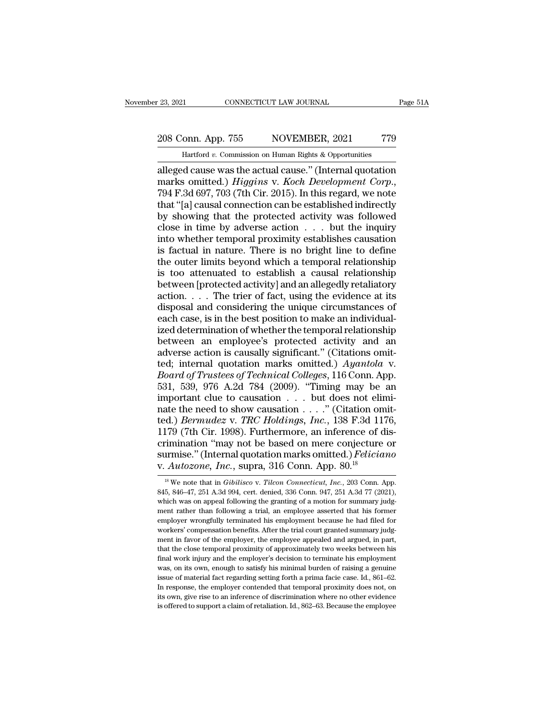# 23, 2021 CONNECTICUT LAW JOURNAL Page 51A<br>208 Conn. App. 755 NOVEMBER, 2021 779<br>Hartford v. Commission on Human Rights & Opportunities

November 23, 2021 CONNECTICUT LAW JOURNAL Page 51A<br>
208 Conn. App. 755 NOVEMBER, 2021 779<br>
Hartford *v*. Commission on Human Rights & Opportunities<br>
alleged cause was the actual cause." (Internal quotation 23, 2021 CONNECTICUT LAW JOURNAL Page 51A<br>
208 Conn. App. 755 NOVEMBER, 2021 779<br>
Hartford v. Commission on Human Rights & Opportunities<br>
alleged cause was the actual cause.'' (Internal quotation<br>
marks omitted.) *Higgins* 208 Conn. App. 755 NOVEMBER, 2021 779<br> *Hartford v.* Commission on Human Rights & Opportunities<br>
alleged cause was the actual cause." (Internal quotation<br>
marks omitted.) *Higgins* v. *Koch Development Corp.*,<br>
794 F.3d 69 208 Conn. App. 755 NOVEMBER, 2021 779<br>
Hartford v. Commission on Human Rights & Opportunities<br>
alleged cause was the actual cause." (Internal quotation<br>
marks omitted.) *Higgins* v. *Koch Development Corp.*,<br>
794 F.3d 697 But the problem is a superior of the property of the property distribution<br>alleged cause was the actual cause." (Internal quotation<br>marks omitted.) *Higgins v. Koch Development Corp.*,<br>794 F.3d 697, 703 (7th Cir. 2015). I Hartford v. Commission on Human Rights & Opportunities<br>alleged cause was the actual cause." (Internal quotation<br>marks omitted.) *Higgins* v. *Koch Development Corp.*,<br>794 F.3d 697, 703 (7th Cir. 2015). In this regard, we alleged cause was the actual cause." (Internal quotation<br>marks omitted.) *Higgins* v. *Koch Development Corp.*,<br>794 F.3d 697, 703 (7th Cir. 2015). In this regard, we note<br>that "[a] causal connection can be established indi marks omitted.) *Higgins* v. *Koch Development Corp.*, 794 F.3d 697, 703 (7th Cir. 2015). In this regard, we note that "[a] causal connection can be established indirectly by showing that the protected activity was follow 794 F.3d 697, 703 (7th Cir. 2015). In this regard, we note that "[a] causal connection can be established indirectly by showing that the protected activity was followed close in time by adverse action  $\dots$  but the inquiry that "[a] causal connection can be established indirectly<br>by showing that the protected activity was followed<br>close in time by adverse action  $\ldots$  but the inquiry<br>into whether temporal proximity establishes causation<br>is by showing that the protected activity was followed<br>close in time by adverse action  $\ldots$  but the inquiry<br>into whether temporal proximity establishes causation<br>is factual in nature. There is no bright line to define<br>the o close in time by adverse action . . . . but the inquiry<br>into whether temporal proximity establishes causation<br>is factual in nature. There is no bright line to define<br>the outer limits beyond which a temporal relationship<br>i into whether temporal proximity establishes causation<br>is factual in nature. There is no bright line to define<br>the outer limits beyond which a temporal relationship<br>is too attenuated to establish a causal relationship<br>betw is factual in nature. There is no bright line to define<br>the outer limits beyond which a temporal relationship<br>is too attenuated to establish a causal relationship<br>between [protected activity] and an allegedly retaliatory<br> the outer limits beyond which a temporal relationship<br>is too attenuated to establish a causal relationship<br>between [protected activity] and an allegedly retaliatory<br>action. . . . The trier of fact, using the evidence at it is too attenuated to establish a causal relationship<br>between [protected activity] and an allegedly retaliatory<br>action....The trier of fact, using the evidence at its<br>disposal and considering the unique circumstances of<br>ea between [protected activity] and an allegedly retaliatory<br>action.  $\dots$  The trier of fact, using the evidence at its<br>disposal and considering the unique circumstances of<br>each case, is in the best position to make an indivi action.  $\ldots$  The trier of fact, using the evidence at its<br>disposal and considering the unique circumstances of<br>each case, is in the best position to make an individual-<br>ized determination of whether the temporal relation disposal and considering the unique circumstances of each case, is in the best position to make an individual-<br>ized determination of whether the temporal relationship<br>between an employee's protected activity and an<br>adverse each case, is in the best position to make an individual-<br>ized determination of whether the temporal relationship<br>between an employee's protected activity and an<br>adverse action is causally significant." (Citations omit-<br>te ized determination of whether the temporal relationship<br>between an employee's protected activity and an<br>adverse action is causally significant." (Citations omit-<br>ted; internal quotation marks omitted.) Ayantola v.<br>Board o between an employee's protected activity and an adverse action is causally significant." (Citations omit-<br>ted; internal quotation marks omitted.) Ayantola v.<br>Board of Trustees of Technical Colleges, 116 Conn. App.<br>531, 53 adverse action is causally significant." (Citations omit-<br>ted; internal quotation marks omitted.) *Ayantola* v.<br>*Board of Trustees of Technical Colleges*, 116 Conn. App.<br>531, 539, 976 A.2d 784 (2009). "Timing may be an<br>imp ted; internal quotation marks omitted.) Ayantola v.<br>Board of Trustees of Technical Colleges, 116 Conn. App.<br>531, 539, 976 A.2d 784 (2009). "Timing may be an<br>important clue to causation . . . . but does not elimi-<br>nate the *Board of Trustees of Technical Colleges*, 116 Conn. App.<br>531, 539, 976 A.2d 784 (2009). "Timing may be an important clue to causation . . . but does not elimi-<br>nate the need to show causation . . . ." (Citation omit-<br>ted 531, 539, 976 A.2d 784 (2009). "Timing may be an important clue to causation . . . but does not eliminate the need to show causation . . . ." (Citation omitted.) *Bermudez v. TRC Holdings, Inc.*, 138 F.3d 1176, 1179 (7th important clue to causation . . . but does not eliminate the need to show causation . . . ." (Citation on ted.) *Bermudez v. TRC Holdings, Inc.*, 138 F.3d 11' 1179 (7th Cir. 1998). Furthermore, an inference of d criminatio 179 (7th Cir. 1998). Furthermore, an inference of dis-<br>
rimination "may not be based on mere conjecture or<br>
rmise." (Internal quotation marks omitted.) *Feliciano*<br> *Autozone, Inc.*, supra, 316 Conn. App. 80.<sup>18</sup><br>
<sup>18</sup> We crimination "may not be based on mere conjecture or<br>surmise." (Internal quotation marks omitted.) *Feliciano*<br>v. Autozone, Inc., supra, 316 Conn. App. 80.<sup>18</sup><br><sup>18</sup> We note that in *Gibilisco* v. Tilcon Connecticut, Inc., 2

surmise." (Internal quotation marks omitted.) *Feliciano*<br>v. Autozone, Inc., supra, 316 Conn. App. 80.<sup>18</sup><br><sup>18</sup> We note that in *Gibilisco* v. *Tilcon Connecticut*, Inc., 203 Conn. App.<br>845, 846–47, 251 A.3d 994, cert. den v. Autozone, Inc., supra, 316 Conn. App. 80.<sup>18</sup><br>
<sup>18</sup> We note that in *Gibilisco* v. *Tilcon Connecticut, Inc.*, 203 Conn. App.<br>
845, 846–47, 251 A.3d 994, cert. denied, 336 Conn. 947, 251 A.3d 77 (2021),<br>
which was on a v. Autozone, Thc., Supra, 510 COIII. App. 80.<sup>22</sup><br><sup>18</sup> We note that in *Gibilisco* v. *Tilcon Connecticut*, *Inc.*, 203 Conn. App. 845, 846–47, 251 A.3d 994, cert. denied, 336 Conn. 947, 251 A.3d 77 (2021), which was on a <sup>18</sup> We note that in *Gibilisco* v. *Tilcon Connecticut, Inc.*, 203 Conn. App. 845, 846–47, 251 A.3d 994, cert. denied, 336 Conn. 947, 251 A.3d 77 (2021), which was on appeal following the granting of a motion for summary 845, 846–47, 251 A.3d 994, cert. denied, 336 Conn. 947, 251 A.3d 77 (2021), which was on appeal following the granting of a motion for summary judgment rather than following a trial, an employee asserted that his former em which was on appeal following the granting of a motion for summary judgment rather than following a trial, an employee asserted that his former employer wrongfully terminated his employment because he had filed for workers ment rather than following a trial, an employee asserted that his former<br>memployer wrongfully terminated his employment because he had filed for<br>workers' compensation benefits. After the trial court granted summary judg-<br>m employer wrongfully terminated his employment because he had filed for workers' compensation benefits. After the trial court granted summary judgment in favor of the employer, the employee appealed and argued, in part, tha employer wrongfully terminated his employment because he had filed for workers' compensation benefits. After the trial court granted summary judgment in favor of the employer, the employee appealed and argued, in part, tha ment in favor of the employer, the employee appealed and argued, in part, that the close temporal proximity of approximately two weeks between his final work injury and the employer's decision to terminate his employment w that the close temporal proximity of approximately two weeks between his final work injury and the employer's decision to terminate his employment was, on its own, enough to satisfy his minimal burden of raising a genuine final work injury and the employer's decision to terminate his employment was, on its own, enough to satisfy his minimal burden of raising a genuine issue of material fact regarding setting forth a prima facie case. Id.,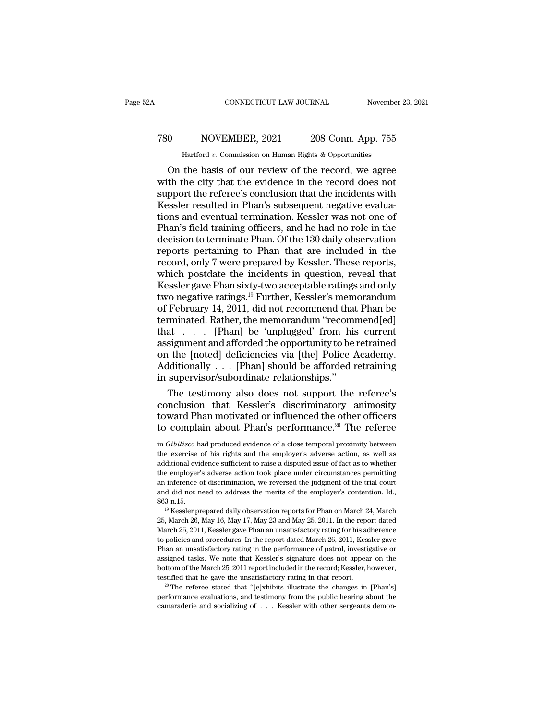## CONNECTICUT LAW JOURNAL November 23, 2021<br>
780 NOVEMBER, 2021 208 Conn. App. 755<br>
Hartford v. Commission on Human Rights & Opportunities CONNECTICUT LAW JOURNAL November 23, 2021<br>
10 NOVEMBER, 2021 208 Conn. App. 755<br>
Hartford *v*. Commission on Human Rights & Opportunities<br>
10 On the basis of our review of the record, we agree

CONNECTICUT LAW JOURNAL November 23, 2021<br>
O NOVEMBER, 2021 208 Conn. App. 755<br>
Hartford v. Commission on Human Rights & Opportunities<br>
On the basis of our review of the record, we agree<br>
th the city that the evidence in NOVEMBER, 2021 208 Conn. App. 755<br>
Hartford v. Commission on Human Rights & Opportunities<br>
On the basis of our review of the record, we agree<br>
with the city that the evidence in the record does not<br>
support the referee's c Ta referred with November 1903 Connections and eventual termination. The referee's conclusion that the incidents with  $\frac{1}{2}$  and  $\frac{1}{2}$  are referee's conclusion that the incidents with  $\frac{1}{2}$  and  $\frac{1}{2}$  are re T80 NOVEMBER, 2021 208 Conn. App. 755<br>
Hartford v. Commission on Human Rights & Opportunities<br>
On the basis of our review of the record, we agree<br>
with the city that the evidence in the record does not<br>
support the refere Hartford v. Commission on Human Rights & Opportunities<br>
On the basis of our review of the record, we agree<br>
with the city that the evidence in the record does not<br>
support the referee's conclusion that the incidents with<br> Hartford v. Commission on Human Rights & Opportunities<br>
On the basis of our review of the record, we agree<br>
with the city that the evidence in the record does not<br>
support the referee's conclusion that the incidents with<br> On the basis of our review of the record, we agree<br>with the city that the evidence in the record does not<br>support the referee's conclusion that the incidents with<br>Kessler resulted in Phan's subsequent negative evalua-<br>tion with the city that the evidence in the record does not<br>support the referee's conclusion that the incidents with<br>Kessler resulted in Phan's subsequent negative evalua-<br>tions and eventual termination. Kessler was not one of<br> support the referee's conclusion that the incidents with<br>Kessler resulted in Phan's subsequent negative evalua-<br>tions and eventual termination. Kessler was not one of<br>Phan's field training officers, and he had no role in t Kessler resulted in Phan's subsequent negative evaluations and eventual termination. Kessler was not one of Phan's field training officers, and he had no role in the decision to terminate Phan. Of the 130 daily observatio tions and eventual termination. Kessler was not one of<br>Phan's field training officers, and he had no role in the<br>decision to terminate Phan. Of the 130 daily observation<br>reports pertaining to Phan that are included in the<br> Phan's field training officers, and he had no role in the<br>decision to terminate Phan. Of the 130 daily observation<br>reports pertaining to Phan that are included in the<br>record, only 7 were prepared by Kessler. These reports, decision to terminate Phan. Of the 130 daily observation<br>reports pertaining to Phan that are included in the<br>record, only 7 were prepared by Kessler. These reports,<br>which postdate the incidents in question, reveal that<br>Kes reports pertaining to Phan that are included in the<br>record, only 7 were prepared by Kessler. These reports,<br>which postdate the incidents in question, reveal that<br>Kessler gave Phan sixty-two acceptable ratings and only<br>two record, only 7 were prepared by Kessler. These reports,<br>which postdate the incidents in question, reveal that<br>Kessler gave Phan sixty-two acceptable ratings and only<br>two negative ratings.<sup>19</sup> Further, Kessler's memorandum<br> which postdate the incidents in question, reveal that<br>Kessler gave Phan sixty-two acceptable ratings and only<br>two negative ratings.<sup>19</sup> Further, Kessler's memorandum<br>of February 14, 2011, did not recommend that Phan be<br>ter Kessler gave Phan sixty-two acceptable ratings and only<br>two negative ratings.<sup>19</sup> Further, Kessler's memorandum<br>of February 14, 2011, did not recommend that Phan be<br>terminated. Rather, the memorandum "recommend[ed]<br>that two negative ratings.<sup>19</sup> Further, Kessler's memorandum<br>of February 14, 2011, did not recommend that Phan be<br>terminated. Rather, the memorandum "recommend[ed]<br>that . . . . [Phan] be 'unplugged' from his current<br>assignment two negative ratings.<sup>19</sup> Further, Kessler's memorandum<br>of February 14, 2011, did not recommend that Phan be<br>terminated. Rather, the memorandum "recommend[ed]<br>that  $\dots$ . [Phan] be 'unplugged' from his current<br>assignment a minated. Rather, the memorandum "recommend[ed]<br>at . . . [Phan] be 'unplugged' from his current<br>signment and afforded the opportunity to be retrained<br>the [noted] deficiencies via [the] Police Academy.<br>dditionally . . . [Pha that  $\ldots$  [Phan] be 'unplugged' from his current<br>assignment and afforded the opportunity to be retrained<br>on the [noted] deficiencies via [the] Police Academy.<br>Additionally  $\ldots$  [Phan] should be afforded retraining<br>in su

assignment and afforded the opportunity to be retrained<br>on the [noted] deficiencies via [the] Police Academy.<br>Additionally . . . [Phan] should be afforded retraining<br>in supervisor/subordinate relationships."<br>The testimony on the [noted] deficiencies via [the] Police Academy.<br>Additionally . . . [Phan] should be afforded retraining<br>in supervisor/subordinate relationships."<br>The testimony also does not support the referee's<br>conclusion that Kes The testimony also does not support the referee's<br>conclusion that Kessler's discriminatory animosity<br>toward Phan motivated or influenced the other officers<br>to complain about Phan's performance.<sup>20</sup> The referee<br>in *Gibilisc* conclusion that Kessler's discriminatory animosity<br>toward Phan motivated or influenced the other officers<br>to complain about Phan's performance.<sup>20</sup> The referee<br>in *Gibilisco* had produced evidence of a close temporal proxi

toward Phan motivated or influenced the other officers<br>to complain about Phan's performance.<sup>20</sup> The referee<br>in *Gibilisco* had produced evidence of a close temporal proximity between<br>the exercise of his rights and the em to complain about Phan's performance.<sup>20</sup> The referee in *Gibilisco* had produced evidence of a close temporal proximity between the exercise of his rights and the employer's adverse action, as well as additional evidence an *Gibilisco* had produced evidence of a close temporal proximity between<br>in *Gibilisco* had produced evidence of a close temporal proximity between<br>the exercise of his rights and the employer's adverse action, as well as in *Gibilisco* had produced evidence of a close temporal proximity between<br>the exercise of his rights and the employer's adverse action, as well as<br>additional evidence sufficient to raise a disputed issue of fact as to whe the exercise of his rights and the employer's adverse action, as well as additional evidence sufficient to raise a disputed issue of fact as to whether the employer's adverse action took place under circumstances permitti the employer's adverse action took place under circumstances permitting<br>an inference of discrimination, we reversed the judgment of the trial court<br>and did not need to address the merits of the employer's contention. Id.,<br>

are uniference of discrimination, we reversed the judgment of the trial court<br>and did not need to address the merits of the employer's contention. Id.,<br>863 n.15.<br><sup>19</sup> Kessler prepared daily observation reports for Phan on and did not need to address the merits of the employer's contention. Id.,  $^{19}$  Kessler prepared daily observation reports for Phan on March 24, March  $^{25}$ , March 26, May 16, May 17, May 23 and May 25, 2011. In the rep 863 n.15.<br>
<sup>19</sup> Kessler prepared daily observation reports for Phan on March 24, March<br>
25, March 26, May 16, May 17, May 23 and May 25, 2011. In the report dated<br>
March 25, 2011, Kessler gave Phan an unsatisfactory rating <sup>19</sup> Kessler prepared daily observation reports for Phan on March 24, March 25, March 26, May 16, May 17, May 23 and May 25, 2011. In the report dated March 25, 2011, Kessler gave Phan an unsatisfactory rating for his adh 25, March 26, 2011, Kessler gave Phan an unsatisfactory rating for his adherence to policies and procedures. In the report dated March 26, 2011, Kessler gave Phan an unsatisfactory rating for his adherence to policies and Expectively 1.1, Kessler gave Phan an unsatisfactory rating for his adherence to policies and procedures. In the report dated March 26, 2011, Kessler gave Phan an unsatisfactory rating in the performance of patrol, invest Phan an unsatisfactory rating in the performance of patrol, investigative or assigned tasks. We note that Kessler's signature does not appear on the bottom of the March 25, 2011 report included in the record; Kessler, how Phan an unsatisfactory rating in the performance of patrol, investigative or assigned tasks. We note that Kessler's signature does not appear on the bottom of the March 25, 2011 report included in the record; Kessler, how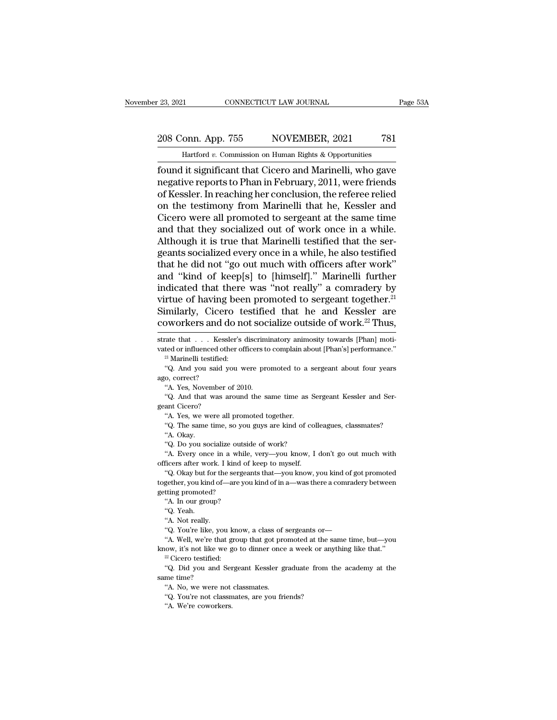## 23, 2021 CONNECTICUT LAW JOURNAL Page 53A<br>208 Conn. App. 755 NOVEMBER, 2021 781<br>Hartford v. Commission on Human Rights & Opportunities November 23, 2021 CONNECTICUT LAW JOURNAL Page 53A<br>
208 Conn. App. 755 NOVEMBER, 2021 781<br>
Hartford *v*. Commission on Human Rights & Opportunities<br>
found it significant that Cicero and Marinelli, who gave

Found it significant that Cicero and Marinelli, who gave<br>
found it significant that Cicero and Marinelli, who gave<br>
regative reports to Phan in February, 2011, were friends<br>
of Kosslor. In reaching ber conclusion, the refe 208 Conn. App. 755 NOVEMBER, 2021 781<br>
Hartford v. Commission on Human Rights & Opportunities<br>
found it significant that Cicero and Marinelli, who gave<br>
negative reports to Phan in February, 2011, were friends<br>
of Kessler. 208 Conn. App. 755 NOVEMBER, 2021 781<br>
Hartford v. Commission on Human Rights & Opportunities<br>
found it significant that Cicero and Marinelli, who gave<br>
negative reports to Phan in February, 2011, were friends<br>
of Kessler 208 Conn. App. 755 NOVEMBER, 2021 781<br>
Hartford v. Commission on Human Rights & Opportunities<br>
found it significant that Cicero and Marinelli, who gave<br>
negative reports to Phan in February, 2011, were friends<br>
of Kessler Hartford v. Commission on Human Rights & Opportunities<br>
found it significant that Cicero and Marinelli, who gave<br>
negative reports to Phan in February, 2011, were friends<br>
of Kessler. In reaching her conclusion, the refere Hartford v. Commission on Human Rights & Opportunities<br>found it significant that Cicero and Marinelli, who gave<br>negative reports to Phan in February, 2011, were friends<br>of Kessler. In reaching her conclusion, the referee r found it significant that Cicero and Marinelli, who gave<br>negative reports to Phan in February, 2011, were friends<br>of Kessler. In reaching her conclusion, the referee relied<br>on the testimony from Marinelli that he, Kessler negative reports to Phan in February, 2011, were friends<br>of Kessler. In reaching her conclusion, the referee relied<br>on the testimony from Marinelli that he, Kessler and<br>Cicero were all promoted to sergeant at the same time of Kessler. In reaching her conclusion, the referee relied<br>on the testimony from Marinelli that he, Kessler and<br>Cicero were all promoted to sergeant at the same time<br>and that they socialized out of work once in a while.<br>Al on the testimony from Marinelli that he, Kessler and<br>Cicero were all promoted to sergeant at the same time<br>and that they socialized out of work once in a while.<br>Although it is true that Marinelli testified that the ser-<br>ge Cicero were all promoted to sergeant at the same time<br>and that they socialized out of work once in a while.<br>Although it is true that Marinelli testified that the ser-<br>geants socialized every once in a while, he also testif and that they socialized out of work once in a while.<br>Although it is true that Marinelli testified that the sergeants socialized every once in a while, he also testified<br>that he did not "go out much with officers after wo Although it is true that Marinelli testified that the sergeants socialized every once in a while, he also testified that he did not "go out much with officers after work" and "kind of keep[s] to [himself]." Marinelli furt geants socialized every once in a while, he also testified<br>that he did not "go out much with officers after work"<br>and "kind of keep[s] to [himself]." Marinelli further<br>indicated that there was "not really" a comradery by<br>v indicated that there was "not really" a comradery by<br>virtue of having been promoted to sergeant together.<sup>21</sup><br>Similarly, Cicero testified that he and Kessler are<br>coworkers and do not socialize outside of work.<sup>22</sup> Thus,<br>st virtue of having been promoted to sergeant together.<sup>21</sup><br>Similarly, Cicero testified that he and Kessler are<br>coworkers and do not socialize outside of work.<sup>22</sup> Thus,<br>strate that . . . Kessler's discriminatory animosity t

Similarly, Cicero testified that he and Kessler are coworkers and do not socialize outside of work.<sup>22</sup> Thus, strate that  $\dots$  Kessler's discriminatory animosity towards [Phan] motivated or influenced other officers to co COWOTKETS and C<br>strate that . . . Kess<br>vated or influenced oth<br><sup>21</sup> Marinelli testified:<br><sup>21</sup> Marinelli testified:<br>"Q. And you said y<br>ago, correct? "A. Yes, November rate that . . . Kessler's discrimited or influenced other officers to<br><sup>21</sup> Marinelli testified:<br>"Q. And you said you were pro<br>0, correct? "A. Yes, November of 2010.<br>"Q. And that was around the sa  $^\mathrm{21}$  Marinelli testified:

vated or influenced other officers to complain about [Phan's] performance."<br>
"I Marinelli testified:<br>
"Q. And you said you were promoted to a sergeant about four years<br>
ago, correct?<br>
"A. Yes, November of 2010.<br>
"Q. And t "Q. And you said you were promoted to a sergeant about four years<br>
"A. Yes, November of 2010.<br>
"A. Yes, November of 2010.<br>
"Q. And that was around the same time as Sergeant Kessler and Ser-<br>
ant Cicero?<br>
"A. Yes, we were a

C. The same time, so you guys are kind of colleagues, classmates?<br>
"A. Yes, November of 2010.<br>
"Q. And that was around the same time as Sergeant Kessler and Serant Cicero?<br>"A. Yes, we were all promoted together.<br>"Q. The sa "A. Yes, November of 2010.<br>
"Q. And that was around the same tient Cicero?<br>
"A. Yes, we were all promoted togethe<br>
"Q. The same time, so you guys are ki<br>
"A. Okay.<br>
"Q. Do you socialize outside of work? "Q. And that was around the same time as S.<br>"A. Yes, we were all promoted together.<br>"A. Yes, we were all promoted together.<br>"Q. The same time, so you guys are kind of co!"<br>A. Okay.<br>"Q. Do you socialize outside of work?"<br>A.

ant Cicero?<br>
"A. Yes, we were all promoted together.<br>
"Q. The same time, so you guys are kind of colleagues, classmates?<br>
"A. Okay.<br>
"Q. Do you socialize outside of work?<br>
"A. Every once in a while, very—you know, I don't "A. Yes, we were all promoted together.<br>"A. Yes, we were all promoted together.<br>"A. Okay.<br>"Q. Do you socialize outside of work?<br>"A. Every once in a while, very—you know, I<br>officers after work. I kind of keep to myself.<br>"Q.

"Q. The same time, so you guys are kind of colleagues, classmates?<br>"A. Okay.<br>"Q. Do you socialize outside of work?<br>"A. Every once in a while, very—you know, I don't go out much with<br>ficers after work. I kind of keep to mys 4. Okay.<br>
"A. Okay.<br>
"A. Every once in a while, very—you know, I don't go out much with<br>
officers after work. I kind of keep to myself.<br>
"Q. Okay but for the sergeants that—you know, you kind of got promoted<br>
together, you "Q. Do you socialize outs"<br>"A. Every once in a white officers after work. I kind of<br>"Q. Okay but for the serge<br>together, you kind of—are y<br>getting promoted? "A. In our group? "A. Every once in a while, very—you know, I don't go out much with<br>officers after work. I kind of keep to myself.<br>"Q. Okay but for the sergeants that—you know, you kind of got promoted<br>together, you kind of—are you kind of Ficers after wo<br>"(Q. Okay but for the self of the self of the self of the self<br>"(A. In our ground the self of the self of the self of the self of the self of the self of the self of the self of the self of the self of the Exercise the response that subsects and the sergeant of the sergeant of the sergeant of the sergeant of the sergeant of the sergeant of the Not really.<br>
"A. Not really."<br>
"Q. You're like, you know, a class of sergeants or—

"Q. You're like, you know, a class of sergeants or-

thing promoted?<br>
"A. In our group?<br>
"Q. Yeah.<br>
"A. Not really.<br>
"A. Not really.<br>
"A. Well, we're that group that got promoted at the same time, but—you<br>
cow, it's not like we go to dinner once a week or anything like that. "A. In our group?<br>
"A. Not really.<br>
"A. Not really.<br>
"Q. You're like, you know, a class of sergeants or—<br>
"A. Well, we're that group that got promoted at the same time, but—you<br>
know, it's not like we go to dinner once a w

"A. Not really.<br>"A. Vou're like, you know, a class of sergeants or—"A. Well, we're that group that got promoted at the same time, but—you<br>ow, it's not like we go to dinner once a week or anything like that."<br>"Cicero testif "Q. You're like, you're like, you're like, you're like, you're like, you're like, you're like, you and same time?<br>"Q. Did you and same time? "A. No, we were r "A. Well, we're that group that got prowing the server of the weak of the server class of the server class of the server of the server of the server of the server of the server of the server of class of the server of class The view way, it's not like we go to dinner once a week or any allow, it's not like we go to dinner once a week or any "Cicero testified:<br>
"Q. Did you and Sergeant Kessler graduate from the time?<br>
"A. No, we were not class  $^{22}$  Cicero testified:<br>
"Q. Did you and Sergeant Kessler graduate from the academy at the same time?<br>
"A. No, we were not class<br>mates. "Q. You're not class mates, are you friends?<br>
"A. We're coworkers.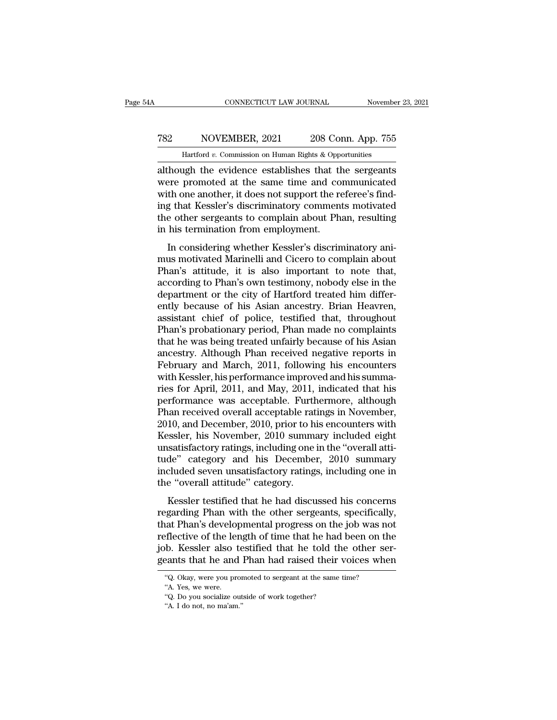#### CONNECTICUT LAW JOURNAL November 23, 2021<br>
782 NOVEMBER, 2021 208 Conn. App. 755<br>
Hartford v. Commission on Human Rights & Opportunities CONNECTICUT LAW JOURNAL November<br>NOVEMBER, 2021 208 Conn. App. 755<br>Hartford *v.* Commission on Human Rights & Opportunities<br>19th the evidence establishes that the sergeants

CONNECTICUT LAW JOURNAL November 23, 2021<br>
T82 NOVEMBER, 2021 208 Conn. App. 755<br>
Hartford v. Commission on Human Rights & Opportunities<br>
although the evidence establishes that the sergeants<br>
were promoted at the same time NOVEMBER, 2021 208 Conn. App. 755<br>
Hartford v. Commission on Human Rights & Opportunities<br>
although the evidence establishes that the sergeants<br>
were promoted at the same time and communicated<br>
with one another, it does no T82 NOVEMBER, 2021 208 Conn. App. 755<br>
Hartford v. Commission on Human Rights & Opportunities<br>
although the evidence establishes that the sergeants<br>
were promoted at the same time and communicated<br>
with one another, it do T82 NOVEMBER, 2021 208 Conn. App. 755<br>
Hartford v. Commission on Human Rights & Opportunities<br>
although the evidence establishes that the sergeants<br>
were promoted at the same time and communicated<br>
with one another, it do Hartford v. Commission on Human Rights & Opportunities<br>although the evidence establishes that the sergeants<br>were promoted at the same time and communicated<br>with one another, it does not support the referee's find-<br>ing that Hartford v. Commission on Human Rights & Opperal though the evidence establishes that the were promoted at the same time and complom with one another, it does not support the reging that Kessler's discriminatory comment th In considering whether Kessler's discriminatory and the sense in the one another, it does not support the referee's find-<br>g that Kessler's discriminatory comments motivated<br>e other sergeants to complain about Phan, resulti with one another, it does not support the referee's find-<br>ing that Kessler's discriminatory comments motivated<br>the other sergeants to complain about Phan, resulting<br>in his termination from employment.<br>In considering whethe

While also<br>the also increments to complain about Phan, resulting that Kessler's discriminatory comments motivated<br>the other sergeants to complain about Phan, resulting<br>in his termination from employment.<br>In considering whe ing that Resser's discriminatory comments inotivated<br>the other sergeants to complain about Phan, resulting<br>in his termination from employment.<br>In considering whether Kessler's discriminatory ani-<br>mus motivated Marinelli an in his termination from employment.<br>
In considering whether Kessler's discriminatory ani-<br>
mus motivated Marinelli and Cicero to complain about<br>
Phan's attitude, it is also important to note that,<br>
according to Phan's own In this termination from employment.<br>
In considering whether Kessler's discriminatory ani-<br>
mus motivated Marinelli and Cicero to complain about<br>
Phan's attitude, it is also important to note that,<br>
according to Phan's own In considering whether Kessler's discriminatory ani-<br>mus motivated Marinelli and Cicero to complain about<br>Phan's attitude, it is also important to note that,<br>according to Phan's own testimony, nobody else in the<br>department mus motivated Marinelli and Cicero to complain about<br>Phan's attitude, it is also important to note that,<br>according to Phan's own testimony, nobody else in the<br>department or the city of Hartford treated him differ-<br>ently be Phan's attitude, it is also important to note that,<br>according to Phan's own testimony, nobody else in the<br>department or the city of Hartford treated him differ-<br>ently because of his Asian ancestry. Brian Heavren,<br>assistant according to Phan's own testimony, nobody else in the<br>department or the city of Hartford treated him differ-<br>ently because of his Asian ancestry. Brian Heavren,<br>assistant chief of police, testified that, throughout<br>Phan's department or the city of Hartford treated him differently because of his Asian ancestry. Brian Heavren, assistant chief of police, testified that, throughout Phan's probationary period, Phan made no complaints that he was ently because of his Asian ancestry. Brian Heavren, assistant chief of police, testified that, throughout Phan's probationary period, Phan made no complaints that he was being treated unfairly because of his Asian ancestry assistant chief of police, testified that, throughout<br>Phan's probationary period, Phan made no complaints<br>that he was being treated unfairly because of his Asian<br>ancestry. Although Phan received negative reports in<br>Februar Phan's probationary period, Phan made no complaints<br>that he was being treated unfairly because of his Asian<br>ancestry. Although Phan received negative reports in<br>February and March, 2011, following his encounters<br>with Kessl that he was being treated unfairly because of his Asian<br>ancestry. Although Phan received negative reports in<br>February and March, 2011, following his encounters<br>with Kessler, his performance improved and his summa-<br>ries for ancestry. Although Phan received negative reports in<br>February and March, 2011, following his encounters<br>with Kessler, his performance improved and his summa-<br>ries for April, 2011, and May, 2011, indicated that his<br>performa February and March, 2011, following his encounters<br>with Kessler, his performance improved and his summa-<br>ries for April, 2011, and May, 2011, indicated that his<br>performance was acceptable. Furthermore, although<br>Phan receiv with Kessler, his performance improved and his summaries for April, 2011, and May, 2011, indicated that his performance was acceptable. Furthermore, although Phan received overall acceptable ratings in November, 2010, and ries for April, 2011, and May, 2011, indicated that his<br>performance was acceptable. Furthermore, although<br>Phan received overall acceptable ratings in November,<br>2010, and December, 2010, prior to his encounters with<br>Kessler performance was acceptable. Furthermore, although<br>Phan received overall acceptable ratings in November,<br>2010, and December, 2010, prior to his encounters with<br>Kessler, his November, 2010 summary included eight<br>unsatisfacto Phan received overall acceptable rat<br>2010, and December, 2010, prior to h<br>Kessler, his November, 2010 summa<br>unsatisfactory ratings, including one<br>tude'' category and his Decembe<br>included seven unsatisfactory rating<br>the "ov Fo, and December, 2010, prior to his cheoditiers with<br>sessler, his November, 2010 summary included eight<br>satisfactory ratings, including one in the "overall atti-<br>de" category and his December, 2010 summary<br>cluded seven un regarding including one in the "overall atti-<br>tude" category and his December, 2010 summary<br>included seven unsatisfactory ratings, including one in<br>the "overall attitude" category.<br>Kessler testified that he had discussed h

tude" category and his December, 2010 summary<br>included seven unsatisfactory ratings, including one in<br>the "overall attitude" category.<br>Kessler testified that he had discussed his concerns<br>regarding Phan with the other serg reflective of the and Bhan had raised their voices when<br>the "overall attitude" category.<br>Kessler testified that he had discussed his concerns<br>regarding Phan with the other sergeants, specifically,<br>that Phan's developmental fractional attitude" category.<br>
Kessler testified that he had discussed his concerns<br>
regarding Phan with the other sergeants, specifically,<br>
that Phan's developmental progress on the job was not<br>
reflective of the length Kessler testified that he had discussed his concerns<br>regarding Phan with the other sergeants, specifically,<br>that Phan's developmental progress on the job was not<br>reflective of the length of time that he had been on the<br>job at Phan's developmental progress on the job was neflective of the length of time that he had been on the b. Kessler also testified that he told the other seemts that he and Phan had raised their voices where.<br>"Q. Okay, wer flective of the leighth.<br>
Wester also<br>
Meants that he and<br>
"Q. Okay, were you prother"<br>
"A. Yes, we were.<br>
"Q. Do you socialize of b. Kessler also testified that he told the cants that he and Phan had raised their v<br>
"Q. Okay, were you promoted to sergeant at the same ti<br>"A. Yes, we were.<br>"Q. Do you socialize outside of work together?<br>"A. I do not, no Pants that he and<br>
"Q. Okay, were you proment"<br>
"A. Yes, we were.<br>
"Q. Do you socialize out"<br>A. I do not, no ma'am."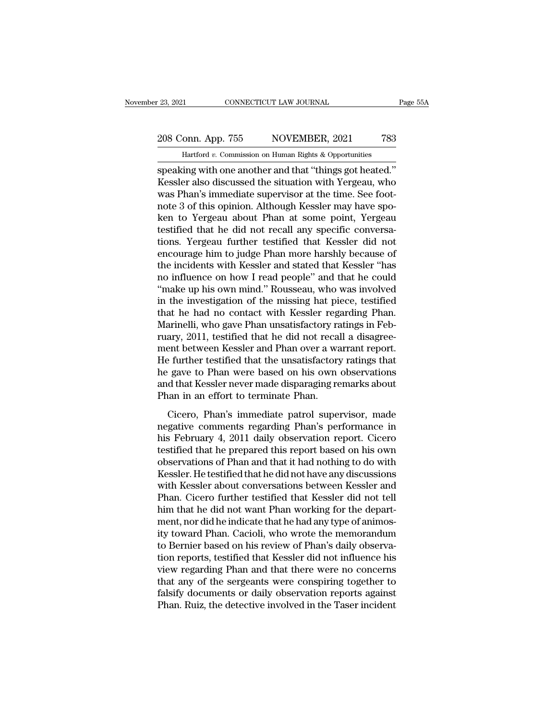November 23, 2021 CONNECTICUT LAW JOURNAL Page 55A<br>
208 Conn. App. 755 NOVEMBER, 2021 783<br>
Hartford *v*. Commission on Human Rights & Opportunities<br>
speaking with one another and that "things got heated." speaking with one another and that ''things got heated.'<br>
Speaking with one another and that ''things got heated.''<br>
Speaking with one another and that ''things got heated.''<br>
Kessler also discussed the situation with Yerg 208 Conn. App. 755 NOVEMBER, 2021 783<br>
Hartford v. Commission on Human Rights & Opportunities<br>
speaking with one another and that "things got heated."<br>
Kessler also discussed the situation with Yergeau, who<br>
was Phan's imm 208 Conn. App. 755 NOVEMBER, 2021 783<br>
Hartford v. Commission on Human Rights & Opportunities<br>
speaking with one another and that "things got heated."<br>
Kessler also discussed the situation with Yergeau, who<br>
was Phan's im 208 Conn. App. 755 NOVEMBER, 2021 783<br>
Hartford v. Commission on Human Rights & Opportunities<br>
speaking with one another and that "things got heated."<br>
Kessler also discussed the situation with Yergeau, who<br>
was Phan's imm Hartford v. Commission on Human Rights & Opportunities<br>
speaking with one another and that "things got heated."<br>
Kessler also discussed the situation with Yergeau, who<br>
was Phan's immediate supervisor at the time. See foot Hartford v. Commission on Human Rights & Opportunities<br>
speaking with one another and that "things got heated."<br>
Kessler also discussed the situation with Yergeau, who<br>
was Phan's immediate supervisor at the time. See foo speaking with one another and that "things got heated."<br>Kessler also discussed the situation with Yergeau, who<br>was Phan's immediate supervisor at the time. See foot-<br>note 3 of this opinion. Although Kessler may have spo-<br>k Kessler also discussed the situation with Yergeau, who<br>was Phan's immediate supervisor at the time. See foot-<br>note 3 of this opinion. Although Kessler may have spo-<br>ken to Yergeau about Phan at some point, Yergeau<br>testifie was Phan's immediate supervisor at the time. See foot-<br>note 3 of this opinion. Although Kessler may have spo-<br>ken to Yergeau about Phan at some point, Yergeau<br>testified that he did not recall any specific conversa-<br>tions. note 3 of this opinion. Although Kessler may have spoken to Yergeau about Phan at some point, Yergeau testified that he did not recall any specific conversations. Yergeau further testified that Kessler did not encourage hi ken to Yergeau about Phan at some point, Yergeau<br>testified that he did not recall any specific conversa-<br>tions. Yergeau further testified that Kessler did not<br>encourage him to judge Phan more harshly because of<br>the inciden testified that he did not recall any specific conversa-<br>tions. Yergeau further testified that Kessler did not<br>encourage him to judge Phan more harshly because of<br>the incidents with Kessler and stated that Kessler "has<br>no i tions. Yergeau further testified that Kessler did not<br>encourage him to judge Phan more harshly because of<br>the incidents with Kessler and stated that Kessler "has<br>no influence on how I read people" and that he could<br>"make u encourage him to judge Phan more harshly because of<br>the incidents with Kessler and stated that Kessler "has<br>no influence on how I read people" and that he could<br>"make up his own mind." Rousseau, who was involved<br>in the inv the incidents with Kessler and stated that Kessler "has<br>no influence on how I read people" and that he could<br>"make up his own mind." Rousseau, who was involved<br>in the investigation of the missing hat piece, testified<br>that no influence on how I read people" and that he could<br>"make up his own mind." Rousseau, who was involved<br>in the investigation of the missing hat piece, testified<br>that he had no contact with Kessler regarding Phan.<br>Marinelli "make up his own mind." Rousseau, who was involved<br>in the investigation of the missing hat piece, testified<br>that he had no contact with Kessler regarding Phan.<br>Marinelli, who gave Phan unsatisfactory ratings in Feb-<br>ruary, in the investigation of the missing hat piece, testified<br>that he had no contact with Kessler regarding Phan.<br>Marinelli, who gave Phan unsatisfactory ratings in Feb-<br>ruary, 2011, testified that he did not recall a disagreethat he had no contact with Kessler regarding Phan.<br>Marinelli, who gave Phan unsatisfactory ratings in February, 2011, testified that he did not recall a disagreement between Kessler and Phan over a warrant report.<br>He furt Marinelli, who gave Phan unsatisfactory randy, 2011, testified that he did not recal<br>ment between Kessler and Phan over a wa<br>He further testified that the unsatisfactory<br>he gave to Phan were based on his own<br>and that Kessl Example 19 and the distribution of the mass of the test of the test of the test of the test of than over a warrant report.<br>
Example 19 and that the unsatisfactory ratings that<br>
gave to Phan were based on his own observatio negative comments regarding that the unsatisfactory ratings that<br>he gave to Phan were based on his own observations<br>and that Kessler never made disparaging remarks about<br>Phan in an effort to terminate Phan.<br>Cicero, Phan's

The farater testance and the disturbations, the gave to Phan were based on his own observations<br>and that Kessler never made disparaging remarks about<br>Phan in an effort to terminate Phan.<br>Cicero, Phan's immediate patrol sup the gave to Than were based on his own observations<br>and that Kessler never made disparaging remarks about<br>Phan in an effort to terminate Phan.<br>Cicero, Phan's immediate patrol supervisor, made<br>negative comments regarding Ph Phan in an effort to terminate displanging remarks associated than in an effort to terminate Phan.<br>
Cicero, Phan's immediate patrol supervisor, made<br>
negative comments regarding Phan's performance in<br>
his February 4, 2011 Cicero, Phan's immediate patrol supervisor, made<br>negative comments regarding Phan's performance in<br>his February 4, 2011 daily observation report. Cicero<br>testified that he prepared this report based on his own<br>observations Cicero, Phan's immediate patrol supervisor, made<br>negative comments regarding Phan's performance in<br>his February 4, 2011 daily observation report. Cicero<br>testified that he prepared this report based on his own<br>observations negative comments regarding Phan's performance in<br>his February 4, 2011 daily observation report. Cicero<br>testified that he prepared this report based on his own<br>observations of Phan and that it had nothing to do with<br>Kessle his February 4, 2011 daily observation report. Cicero<br>testified that he prepared this report based on his own<br>observations of Phan and that it had nothing to do with<br>Kessler. He testified that he did not have any discussio testified that he prepared this report based on his own<br>observations of Phan and that it had nothing to do with<br>Kessler. He testified that he did not have any discussions<br>with Kessler about conversations between Kessler an observations of Phan and that it had nothing to do with<br>Kessler. He testified that he did not have any discussions<br>with Kessler about conversations between Kessler and<br>Phan. Cicero further testified that Kessler did not te Kessler. He testified that he did not have any discussions<br>with Kessler about conversations between Kessler and<br>Phan. Cicero further testified that Kessler did not tell<br>him that he did not want Phan working for the departwith Kessler about conversations between Kessler and<br>Phan. Cicero further testified that Kessler did not tell<br>him that he did not want Phan working for the depart-<br>ment, nor did he indicate that he had any type of animos-<br> Phan. Cicero further testified that Kessler did not tell<br>him that he did not want Phan working for the depart-<br>ment, nor did he indicate that he had any type of animos-<br>ity toward Phan. Cacioli, who wrote the memorandum<br>to him that he did not want Phan working for the depart-<br>ment, nor did he indicate that he had any type of animos-<br>ity toward Phan. Cacioli, who wrote the memorandum<br>to Bernier based on his review of Phan's daily observa-<br>tio ment, nor did he indicate that he had any type of animosity toward Phan. Cacioli, who wrote the memorandum to Bernier based on his review of Phan's daily observation reports, testified that Kessler did not influence his vi ity toward Phan. Cacioli, who wrote the memorandum<br>to Bernier based on his review of Phan's daily observa-<br>tion reports, testified that Kessler did not influence his<br>view regarding Phan and that there were no concerns<br>that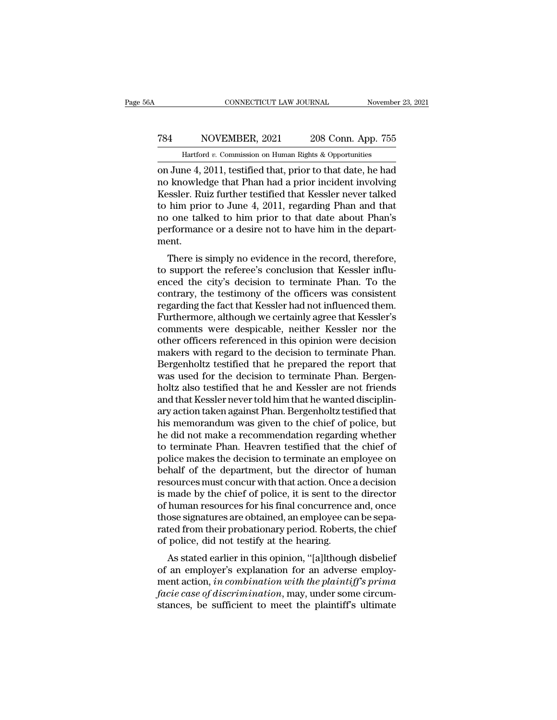## CONNECTICUT LAW JOURNAL November 23, 2021<br>
784 NOVEMBER, 2021 208 Conn. App. 755<br>
Hartford v. Commission on Human Rights & Opportunities CONNECTICUT LAW JOURNAL November 23, 2021<br>
T84 NOVEMBER, 2021 208 Conn. App. 755<br>
Hartford *v.* Commission on Human Rights & Opportunities<br>
on June 4, 2011, testified that, prior to that date, he had

CONNECTICUT LAW JOURNAL November 23, 2021<br>
784 NOVEMBER, 2021 208 Conn. App. 755<br>
Hartford v. Commission on Human Rights & Opportunities<br>
00 June 4, 2011, testified that, prior to that date, he had<br>
no knowledge that Phan NOVEMBER, 2021 208 Conn. App. 755<br>
Hartford v. Commission on Human Rights & Opportunities<br>
on June 4, 2011, testified that, prior to that date, he had<br>
no knowledge that Phan had a prior incident involving<br>
Kessler. Ruiz f T84 NOVEMBER, 2021 208 Conn. App. 755<br>
Hartford v. Commission on Human Rights & Opportunities<br>
on June 4, 2011, testified that, prior to that date, he had<br>
no knowledge that Phan had a prior incident involving<br>
Kessler. R T84 NOVEMBER, 2021 208 Conn. App. 755<br>
Hartford v. Commission on Human Rights & Opportunities<br>
on June 4, 2011, testified that, prior to that date, he had<br>
no knowledge that Phan had a prior incident involving<br>
Kessler. R Hartford v. Commission on Human Rights & Opportunities<br>
on June 4, 2011, testified that, prior to that date, he had<br>
no knowledge that Phan had a prior incident involving<br>
Kessler. Ruiz further testified that Kessler neve Hartford v. Commission on Human Rights & Opportunities<br>on June 4, 2011, testified that, prior to that date, he had<br>no knowledge that Phan had a prior incident involving<br>Kessler. Ruiz further testified that Kessler never t ment. Solar Final Than Had a prior incluent involving<br>
Sessler. Ruiz further testified that Kessler never talked<br>
him prior to June 4, 2011, regarding Phan and that<br>
one talked to him prior to that date about Phan's<br>
formance or ressier. Kuiz further testined that Ressier hever taked<br>to him prior to June 4, 2011, regarding Phan and that<br>no one talked to him prior to that date about Phan's<br>performance or a desire not to have him in the depart-<br>ment

to finit prior to suffer 4, 2011, regarding I had and that<br>no one talked to him prior to that date about Phan's<br>performance or a desire not to have him in the depart-<br>ment.<br>There is simply no evidence in the record, theref no one taked to finit prior to that date about I hands<br>performance or a desire not to have him in the depart-<br>ment.<br>There is simply no evidence in the record, therefore,<br>to support the referee's conclusion that Kessler inf performance of a desire not to have finit in the department.<br>There is simply no evidence in the record, therefore,<br>to support the referee's conclusion that Kessler influ-<br>enced the city's decision to terminate Phan. To the There is simply no evidence in the record, therefore,<br>to support the referee's conclusion that Kessler influ-<br>enced the city's decision to terminate Phan. To the<br>contrary, the testimony of the officers was consistent<br>regar There is simply no evidence in the record, therefore,<br>to support the referee's conclusion that Kessler influ-<br>enced the city's decision to terminate Phan. To the<br>contrary, the testimony of the officers was consistent<br>regar to support the referee's conclusion that Kessler influ-<br>enced the city's decision to terminate Phan. To the<br>contrary, the testimony of the officers was consistent<br>regarding the fact that Kessler had not influenced them.<br>Fu enced the city's decision to terminate Phan. To the contrary, the testimony of the officers was consistent regarding the fact that Kessler had not influenced them.<br>Furthermore, although we certainly agree that Kessler's co contrary, the testimony of the officers was consistent<br>regarding the fact that Kessler had not influenced them.<br>Furthermore, although we certainly agree that Kessler's<br>comments were despicable, neither Kessler nor the<br>othe regarding the fact that Kessler had not influenced them.<br>Furthermore, although we certainly agree that Kessler's<br>comments were despicable, neither Kessler nor the<br>other officers referenced in this opinion were decision<br>mak Furthermore, although we certainly agree that Kessler's<br>comments were despicable, neither Kessler nor the<br>other officers referenced in this opinion were decision<br>makers with regard to the decision to terminate Phan.<br>Bergen comments were despicable, neither Kessler nor the<br>other officers referenced in this opinion were decision<br>makers with regard to the decision to terminate Phan.<br>Bergenholtz testified that he prepared the report that<br>was use other officers referenced in this opinion were decision<br>makers with regard to the decision to terminate Phan.<br>Bergenholtz testified that he prepared the report that<br>was used for the decision to terminate Phan. Bergen-<br>holt makers with regard to the decision to terminate Phan.<br>Bergenholtz testified that he prepared the report that<br>was used for the decision to terminate Phan. Bergen-<br>holtz also testified that he and Kessler are not friends<br>and Bergenholtz testified that he prepared the report that<br>was used for the decision to terminate Phan. Bergen-<br>holtz also testified that he and Kessler are not friends<br>and that Kessler never told him that he wanted disciplinwas used for the decision to terminate Phan. Bergen-<br>holtz also testified that he and Kessler are not friends<br>and that Kessler never told him that he wanted disciplin-<br>ary action taken against Phan. Bergenholtz testified t holtz also testified that he and Kessler are not friends<br>and that Kessler never told him that he wanted disciplin-<br>ary action taken against Phan. Bergenholtz testified that<br>his memorandum was given to the chief of police, and that Kessler never told him that he wanted disciplinary action taken against Phan. Bergenholtz testified that<br>his memorandum was given to the chief of police, but<br>he did not make a recommendation regarding whether<br>to t ary action taken against Phan. Bergenholtz testified that<br>his memorandum was given to the chief of police, but<br>he did not make a recommendation regarding whether<br>to terminate Phan. Heavren testified that the chief of<br>polic his memorandum was given to the chief of police, but<br>he did not make a recommendation regarding whether<br>to terminate Phan. Heavren testified that the chief of<br>police makes the decision to terminate an employee on<br>behalf of he did not make a recommendation regarding whether<br>to terminate Phan. Heavren testified that the chief of<br>police makes the decision to terminate an employee on<br>behalf of the department, but the director of human<br>resources to terminate Phan. Heavren testified that the chief of police makes the decision to terminate an employee on behalf of the department, but the director of human resources must concur with that action. Once a decision is ma police makes the decision to terminate an employee on<br>behalf of the department, but the director of human<br>resources must concur with that action. Once a decision<br>is made by the chief of police, it is sent to the director<br>o behalf of the department, but the director<br>resources must concur with that action. Once is<br>made by the chief of police, it is sent to th<br>of human resources for his final concurrence<br>those signatures are obtained, an employ sources must concur with that action. Once a decision<br>made by the chief of police, it is sent to the director<br>human resources for his final concurrence and, once<br>ose signatures are obtained, an employee can be sepa-<br>ted fr is made by the chief of poince, it is sent to the direction<br>of human resources for his final concurrence and, once<br>those signatures are obtained, an employee can be sepa-<br>rated from their probationary period. Roberts, the

or numan resources for his final concurrence and, once<br>those signatures are obtained, an employee can be sepa-<br>rated from their probationary period. Roberts, the chief<br>of police, did not testify at the hearing.<br>As stated e factor and their probationary period. Roberts, the chief<br>of police, did not testify at the hearing.<br>As stated earlier in this opinion, "[a]]though disbelief<br>of an employer's explanation for an adverse employ-<br>ment action, rated from their probationary period. Roberts, the chief<br>of police, did not testify at the hearing.<br>As stated earlier in this opinion, "[a]lthough disbelief<br>of an employer's explanation for an adverse employ-<br>ment action,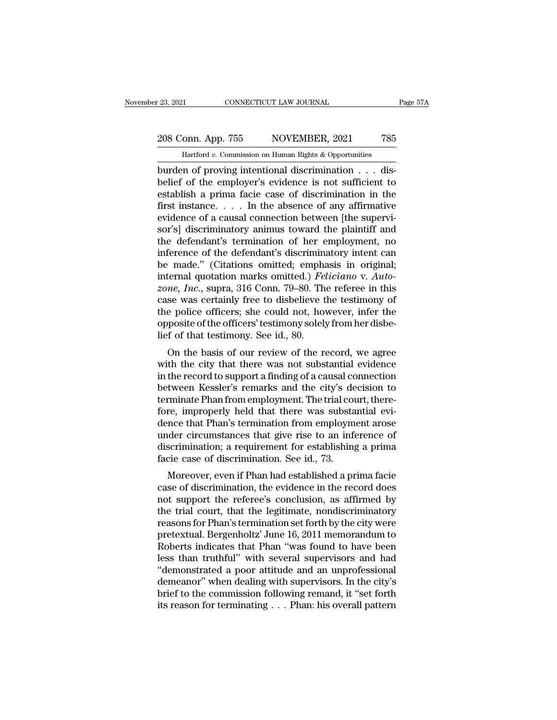November 23, 2021 CONNECTICUT LAW JOURNAL Page 57A<br>
208 Conn. App. 755 NOVEMBER, 2021 785<br>
Hartford *v*. Commission on Human Rights & Opportunities<br>
burden of proving intentional discrimination . . . disburden of proving intentional discrimination . . . displacit of the employer's evidence is not sufficient to extend the employer's evidence is not sufficient to extend the employer's evidence is not sufficient to extend th 208 Conn. App. 755 NOVEMBER, 2021 785<br>
Hartford v. Commission on Human Rights & Opportunities<br>
burden of proving intentional discrimination . . . dis-<br>
belief of the employer's evidence is not sufficient to<br>
establish a pr 208 Conn. App. 755 NOVEMBER, 2021 785<br>
Hartford v. Commission on Human Rights & Opportunities<br>
burden of proving intentional discrimination  $\dots$  dis-<br>
belief of the employer's evidence is not sufficient to<br>
establish a pr 208 Conn. App. 755 NOVEMBER, 2021 785<br>
Hartford v. Commission on Human Rights & Opportunities<br>
burden of proving intentional discrimination . . . dis-<br>
belief of the employer's evidence is not sufficient to<br>
establish a p belief of the employer's evidence is not sufficient to establish a prima facie case of discrimination in the first instance. . . . In the absence of any affirmative evidence of a causal connection between [the supervisor' Hartford v. Commission on Human Rights & Opportunities<br>
burden of proving intentional discrimination  $\ldots$  dis-<br>
belief of the employer's evidence is not sufficient to<br>
establish a prima facie case of discrimination in th burden of proving intentional discrimination  $\ldots$  dis-<br>belief of the employer's evidence is not sufficient to<br>establish a prima facie case of discrimination in the<br>first instance.  $\ldots$  . In the absence of any affirmativ belief of the employer's evidence is not sufficient to<br>establish a prima facie case of discrimination in the<br>first instance.... In the absence of any affirmative<br>evidence of a causal connection between [the supervi-<br>sor's establish a prima facie case of discrimination in the<br>first instance.... In the absence of any affirmative<br>evidence of a causal connection between [the supervi-<br>sor's] discriminatory animus toward the plaintiff and<br>the de first instance. . . . In the absence of any affirmative<br>evidence of a causal connection between [the supervi-<br>sor's] discriminatory animus toward the plaintiff and<br>the defendant's termination of her employment, no<br>inferenc evidence of a causal connection between [the supervisor's] discriminatory animus toward the plaintiff and<br>the defendant's termination of her employment, no<br>inference of the defendant's discriminatory intent can<br>be made." ( sor's] discriminatory animus toward the plaintiff and<br>the defendant's termination of her employment, no<br>inference of the defendant's discriminatory intent can<br>be made." (Citations omitted; emphasis in original;<br>internal qu the defendant's termination of her employment, no<br>inference of the defendant's discriminatory intent can<br>be made." (Citations omitted; emphasis in original;<br>internal quotation marks omitted.) *Feliciano* v. Auto-<br>zone, Inc inference of the defendant's discriminatory intent can<br>be made." (Citations omitted; emphasis in original;<br>internal quotation marks omitted.) *Feliciano* v. Auto-<br>zone, Inc., supra, 316 Conn. 79–80. The referee in this<br>cas be made." (Citations omitted; emphatement internal quotation marks omitted.) Feature, Inc., supra, 316 Conn. 79–80. The case was certainly free to disbelieve the police officers; she could not, how opposite of the officers na quotation marks officient. *Peticumo v. Auto-*<br> *ne, Inc.*, supra, 316 Conn. 79–80. The referee in this<br>
se was certainly free to disbelieve the testimony of<br>
e police officers; she could not, however, infer the<br>
posite some,  $m$ ., supra, 510 Comit. 79–60. The referee in this<br>case was certainly free to disbelieve the testimony of<br>the police officers; she could not, however, infer the<br>opposite of the officers' testimony solely from her di

case was certainly free to ulsoeneve the testimoly of<br>the police officers; she could not, however, infer the<br>opposite of the officers' testimony solely from her disbe-<br>lief of that testimony. See id., 80.<br>On the basis of o the police of the officers' testimony solely from her disbe-<br>lief of that testimony. See id., 80.<br>On the basis of our review of the record, we agree<br>with the city that there was not substantial evidence<br>in the record to su opposite of the officers testimoly solery from her dispe-<br>lief of that testimony. See id., 80.<br>On the basis of our review of the record, we agree<br>with the city that there was not substantial evidence<br>in the record to suppo for the basis of our review of the record, we agree<br>with the city that there was not substantial evidence<br>in the record to support a finding of a causal connection<br>between Kessler's remarks and the city's decision to<br>termi On the basis of our review of the record, we agree<br>with the city that there was not substantial evidence<br>in the record to support a finding of a causal connection<br>between Kessler's remarks and the city's decision to<br>termin with the city that there was not substantial evidence<br>in the record to support a finding of a causal connection<br>between Kessler's remarks and the city's decision to<br>terminate Phan from employment. The trial court, there-<br>f in the record to support a finding of a causal connection<br>between Kessler's remarks and the city's decision to<br>terminate Phan from employment. The trial court, there-<br>fore, improperly held that there was substantial evi-<br>d between Kessler's remarks and the city's determinate Phan from employment. The trial cotore, improperly held that there was substadence that Phan's termination from employm under circumstances that give rise to an infedisc miniate Frian Hohrenproyment. The trial court, there-<br>re, improperly held that there was substantial evi-<br>nce that Phan's termination from employment arose<br>der circumstances that give rise to an inference of<br>scrimination, Fore, improperly field that there was substantial evidence that Phan's termination from employment arose<br>under circumstances that give rise to an inference of<br>discrimination; a requirement for establishing a prima<br>facie ca

dence that I han's termination from employment arose<br>under circumstances that give rise to an inference of<br>discrimination; a requirement for establishing a prima<br>facie case of discrimination. See id., 73.<br>Moreover, even if discrimination; a requirement for establishing a prima<br>facie case of discrimination. See id., 73.<br>Moreover, even if Phan had established a prima facie<br>case of discrimination, the evidence in the record does<br>not support the reasons for Phan's requirement for establishing a primal<br>facie case of discrimination. See id., 73.<br>Moreover, even if Phan had established a prima facie<br>case of discrimination, the evidence in the record does<br>not support t racte case or discrimination. See id., 75.<br>
Moreover, even if Phan had established a prima facie<br>
case of discrimination, the evidence in the record does<br>
not support the referee's conclusion, as affirmed by<br>
the trial cou Moreover, even if Phan had established a prima facie<br>case of discrimination, the evidence in the record does<br>not support the referee's conclusion, as affirmed by<br>the trial court, that the legitimate, nondiscriminatory<br>reas case of discrimination, the evidence in the record does<br>not support the referee's conclusion, as affirmed by<br>the trial court, that the legitimate, nondiscriminatory<br>reasons for Phan's termination set forth by the city were not support the referee's conclusion, as affirmed by<br>the trial court, that the legitimate, nondiscriminatory<br>reasons for Phan's termination set forth by the city were<br>pretextual. Bergenholtz' June 16, 2011 memorandum to<br>Ro the trial court, that the legitimate, nondiscriminatory<br>reasons for Phan's termination set forth by the city were<br>pretextual. Bergenholtz' June 16, 2011 memorandum to<br>Roberts indicates that Phan "was found to have been<br>les reasons for Phan's termination set forth by the city were<br>pretextual. Bergenholtz' June 16, 2011 memorandum to<br>Roberts indicates that Phan "was found to have been<br>less than truthful" with several supervisors and had<br>"demon pretextual. Bergenholtz' June 16, 2011 memorandum to<br>Roberts indicates that Phan "was found to have been<br>less than truthful" with several supervisors and had<br>"demonstrated a poor attitude and an unprofessional<br>demeanor" wh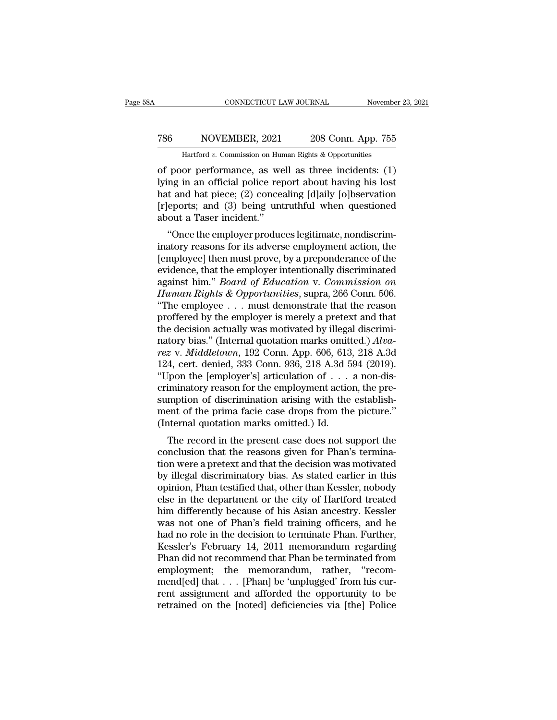## CONNECTICUT LAW JOURNAL November 23, 2021<br>
786 NOVEMBER, 2021 208 Conn. App. 755<br>
Hartford v. Commission on Human Rights & Opportunities CONNECTICUT LAW JOURNAL November 23, 2021<br>
Tasks MOVEMBER, 2021 208 Conn. App. 755<br>
Hartford *v.* Commission on Human Rights & Opportunities<br>
of poor performance, as well as three incidents: (1)

CONNECTICUT LAW JOURNAL November 23, 2021<br>
786 NOVEMBER, 2021 208 Conn. App. 755<br>
Hartford v. Commission on Human Rights & Opportunities<br>
of poor performance, as well as three incidents: (1)<br>
lying in an official police re 1986 NOVEMBER, 2021 208 Conn. App. 755<br>
Hartford v. Commission on Human Rights & Opportunities<br>
of poor performance, as well as three incidents: (1)<br>
lying in an official police report about having his lost<br>
hat and hat pi 786 NOVEMBER, 2021 208 Conn. App. 755<br>
Hartford v. Commission on Human Rights & Opportunities<br>
of poor performance, as well as three incidents: (1)<br>
lying in an official police report about having his lost<br>
hat and hat pi 786 NOVEMBER, 2021 208 Conn. App. 755<br>
Hartford v. Commission on Human Rights & Opportunities<br>
of poor performance, as well as three incidents: (1)<br>
lying in an official police report about having his lost<br>
hat and hat pi Hartford v. Commission on Hur<br>
of poor performance, as we<br>
lying in an official police rep<br>
hat and hat piece; (2) conces<br>
[r]eports; and (3) being unt<br>
about a Taser incident."<br>
"Once the employer produc poor performance, as well as three incidents:  $(1)$ <br>
ng in an official police report about having his lost<br>
t and hat piece;  $(2)$  concealing [d]aily [o]bservation<br>
eports; and  $(3)$  being untruthful when questioned<br>
out or poor performance, as wen as three incidents. (1)<br>lying in an official police report about having his lost<br>hat and hat piece; (2) concealing [d]aily [o]bservation<br>[r]eports; and (3) being untruthful when questioned<br>about

fying in an official points report about having fits fost<br>hat and hat piece; (2) concealing [d]aily [o]bservation<br>[r]eports; and (3) being untruthful when questioned<br>about a Taser incident."<br>"Once the employer produces le Fracture and Hat plece, (2) concealing [u]any [o]bservation<br>
[r]eports; and (3) being untruthful when questioned<br>
about a Taser incident."<br>
"Once the employer produces legitimate, nondiscrim-<br>
inatory reasons for its adve preports, and (3) being untrurnul when questioned<br>about a Taser incident."<br>"Once the employer produces legitimate, nondiscrim-<br>inatory reasons for its adverse employment action, the<br>[employee] then must prove, by a prepond about a Taser incluent.<br>
"Once the employer produces legitimate, nondiscriminatory reasons for its adverse employment action, the<br>
[employee] then must prove, by a preponderance of the<br>
evidence, that the employer intentio "Once the employer produces legitimate, nondiscriminatory reasons for its adverse employment action, the [employee] then must prove, by a preponderance of the evidence, that the employer intentionally discriminated agains inatory reasons for its adverse employment action, the [employee] then must prove, by a preponderance of the evidence, that the employer intentionally discriminated against him." *Board of Education v. Commission on Human* [employee] then must prove, by a preponderance of the evidence, that the employer intentionally discriminated against him." *Board of Education v. Commission on Human Rights & Opportunities*, supra, 266 Conn. 506. "The em evidence, that the employer intentionally discriminated<br>against him." *Board of Education v. Commission on*<br>*Human Rights & Opportunities*, supra, 266 Conn. 506.<br>"The employee . . . must demonstrate that the reason<br>proffer against him." *Board of Education* v. *Commission on*<br>*Human Rights & Opportunities*, supra, 266 Conn. 506.<br>"The employee . . . must demonstrate that the reason<br>proffered by the employer is merely a pretext and that<br>the de Human Rights & Opportunities, supra, 266 Conn. 506.<br>
"The employee . . . must demonstrate that the reason<br>
proffered by the employer is merely a pretext and that<br>
the decision actually was motivated by illegal discrimi-<br> "The employee . . . must demonstrate that the reason proffered by the employer is merely a pretext and that the decision actually was motivated by illegal discriminatory bias." (Internal quotation marks omitted.)  $Alva$ -rez proffered by the employer is merely a pretext and that<br>the decision actually was motivated by illegal discrimi-<br>natory bias." (Internal quotation marks omitted.)  $Alva$ <br>rez v. Middletown, 192 Conn. App. 606, 613, 218 A.3d<br>1 the decision actually was motivated by illegal discriminatory bias." (Internal quotation marks omitted.) *Alva-*<br>rez v. *Middletown*, 192 Conn. App. 606, 613, 218 A.3d<br>124, cert. denied, 333 Conn. 936, 218 A.3d 594 (2019) natory bias." (Internal quotation marks omitted.)  $Alva$ <br>rez v. Middletown, 192 Conn. App. 606, 613, 218 A.3d<br>124, cert. denied, 333 Conn. 936, 218 A.3d 594 (2019).<br>"Upon the [employer's] articulation of  $\dots$  a non-dis-<br>cri rez v. Middletown, 192 Conn. App. 606, 613<br>124, cert. denied, 333 Conn. 936, 218 A.3d 5<br>"Upon the [employer's] articulation of  $\dots$ <br>criminatory reason for the employment actio<br>sumption of discrimination arising with the<br>m For the properties and the reasonship of the present case does not support the pre-<br>mption of discrimination arising with the establish-<br>ent of the prima facie case drops from the picture."<br>thermal quotation marks omitted criminatory reason for the employment action, the pre-<br>sumption of discrimination arising with the establish-<br>ment of the prima facie case drops from the picture."<br>(Internal quotation marks omitted.) Id.<br>The record in the

Entimatory reason for the employment action, the pre-<br>sumption of discrimination arising with the establish-<br>ment of the prima facie case drops from the picture."<br>(Internal quotation marks omitted.) Id.<br>The record in the p sumption of discrimination arising with the establishment of the prima facie case drops from the picture."<br>(Internal quotation marks omitted.) Id.<br>The record in the present case does not support the<br>conclusion that the rea (Internal quotation marks omitted.) Id.<br>
The record in the present case does not support the<br>
conclusion that the reasons given for Phan's termina-<br>
tion were a pretext and that the decision was motivated<br>
by illegal discr The record in the present case does not support the<br>conclusion that the reasons given for Phan's termina-<br>tion were a pretext and that the decision was motivated<br>by illegal discriminatory bias. As stated earlier in this<br>op The record in the present case does not support the conclusion that the reasons given for Phan's termination were a pretext and that the decision was motivated by illegal discriminatory bias. As stated earlier in this opin conclusion that the reasons given for Phan's termination were a pretext and that the decision was motivated<br>by illegal discriminatory bias. As stated earlier in this<br>opinion, Phan testified that, other than Kessler, nobody tion were a pretext and that the decision was motivated<br>by illegal discriminatory bias. As stated earlier in this<br>opinion, Phan testified that, other than Kessler, nobody<br>else in the department or the city of Hartford trea by illegal discriminatory bias. As stated earlier in this<br>opinion, Phan testified that, other than Kessler, nobody<br>else in the department or the city of Hartford treated<br>him differently because of his Asian ancestry. Kessl opinion, Phan testified that, other than Kessler, nobody<br>else in the department or the city of Hartford treated<br>him differently because of his Asian ancestry. Kessler<br>was not one of Phan's field training officers, and he<br>h else in the department or the city of Hartford treated<br>him differently because of his Asian ancestry. Kessler<br>was not one of Phan's field training officers, and he<br>had no role in the decision to terminate Phan. Further,<br>Ke him differently because of his Asian ancestry. Kessler<br>was not one of Phan's field training officers, and he<br>had no role in the decision to terminate Phan. Further,<br>Kessler's February 14, 2011 memorandum regarding<br>Phan did was not one of Phan's field training officers, and he<br>had no role in the decision to terminate Phan. Further,<br>Kessler's February 14, 2011 memorandum regarding<br>Phan did not recommend that Phan be terminated from<br>employment; had no role in the decision to terminate Phan. Further,<br>Kessler's February 14, 2011 memorandum regarding<br>Phan did not recommend that Phan be terminated from<br>employment; the memorandum, rather, "recom-<br>mend[ed] that . . . [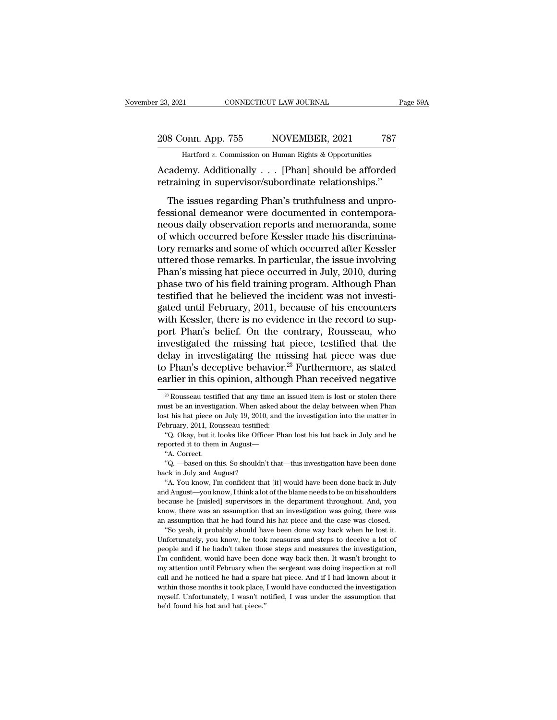23, 2021 CONNECTICUT LAW JOURNAL Page 59A<br>208 Conn. App. 755 NOVEMBER, 2021 787<br>Hartford v. Commission on Human Rights & Opportunities November 23, 2021 CONNECTICUT LAW JOURNAL Page 59A<br>
208 Conn. App. 755 NOVEMBER, 2021 787<br>
Hartford *v*. Commission on Human Rights & Opportunities

Page 59A<br>
208 Conn. App. 755 NOVEMBER, 2021 787<br>
Hartford v. Commission on Human Rights & Opportunities<br>
Academy. Additionally . . . [Phan] should be afforded<br>
retraining in supervisor/subordinate relationships." 208 Conn. App. 755 NOVEMBER, 2021 787<br>
Hartford v. Commission on Human Rights & Opportunities<br>
Academy. Additionally . . . [Phan] should be afforded<br>
retraining in supervisor/subordinate relationships."<br>
The issues regardi

8 Conn. App. 755 NOVEMBER, 2021 787<br>
Hartford v. Commission on Human Rights & Opportunities<br>
cademy. Additionally . . . [Phan] should be afforded<br>
training in supervisor/subordinate relationships."<br>
The issues regarding Ph 208 Conn. App. 755 NOVEMBER, 2021 787<br>
Hartford v. Commission on Human Rights & Opportunities<br>
Academy. Additionally . . . [Phan] should be afforded<br>
retraining in supervisor/subordinate relationships."<br>
The issues regard Hartford v. Commission on Human Rights & Opportunities<br>
Academy. Additionally . . . . [Phan] should be afforded<br>
retraining in supervisor/subordinate relationships."<br>
The issues regarding Phan's truthfulness and unpro-<br>
f Academy. Additionally . . . [Phan] should be afforded<br>retraining in supervisor/subordinate relationships."<br>The issues regarding Phan's truthfulness and unpro-<br>fessional demeanor were documented in contempora-<br>neous daily o retraining in supervisor/subordinate relationships."<br>The issues regarding Phan's truthfulness and unpro-<br>fessional demeanor were documented in contempora-<br>neous daily observation reports and memoranda, some<br>of which occur The issues regarding Phan's truthfulness and unprofessional demeanor were documented in contempora-<br>neous daily observation reports and memoranda, some<br>of which occurred before Kessler made his discrimina-<br>tory remarks and The issues regarding Phan's truthfulness and unprofessional demeanor were documented in contempora-<br>neous daily observation reports and memoranda, some<br>of which occurred before Kessler made his discrimina-<br>tory remarks and fessional demeanor were documented in contempora-<br>neous daily observation reports and memoranda, some<br>of which occurred before Kessler made his discrimina-<br>tory remarks and some of which occurred after Kessler<br>uttered thos neous daily observation reports and memoranda, some<br>of which occurred before Kessler made his discrimina-<br>tory remarks and some of which occurred after Kessler<br>uttered those remarks. In particular, the issue involving<br>Phan of which occurred before Kessler made his discrimina-<br>tory remarks and some of which occurred after Kessler<br>uttered those remarks. In particular, the issue involving<br>Phan's missing hat piece occurred in July, 2010, during<br> tory remarks and some of which occurred after Kessler<br>uttered those remarks. In particular, the issue involving<br>Phan's missing hat piece occurred in July, 2010, during<br>phase two of his field training program. Although Phan uttered those remarks. In particular, the issue involving<br>Phan's missing hat piece occurred in July, 2010, during<br>phase two of his field training program. Although Phan<br>testified that he believed the incident was not inves Phan's missing hat piece occurred in July, 2010, during<br>phase two of his field training program. Although Phan<br>testified that he believed the incident was not investi-<br>gated until February, 2011, because of his encounters<br> phase two of his field training program. Although Phan<br>testified that he believed the incident was not investi-<br>gated until February, 2011, because of his encounters<br>with Kessler, there is no evidence in the record to suptestified that he believed the incident was not investigated until February, 2011, because of his encounters<br>with Kessler, there is no evidence in the record to sup-<br>port Phan's belief. On the contrary, Rousseau, who<br>inves gated until February, 2011, because of his encounters<br>with Kessler, there is no evidence in the record to sup-<br>port Phan's belief. On the contrary, Rousseau, who<br>investigated the missing hat piece, testified that the<br>dela investigated the missing hat piece, testified that the delay in investigating the missing hat piece was due to Phan's deceptive behavior.<sup>23</sup> Furthermore, as stated earlier in this opinion, although Phan received negative delay in investigating the missing hat piece was due<br>to Phan's deceptive behavior.<sup>23</sup> Furthermore, as stated<br>earlier in this opinion, although Phan received negative<br> $\frac{23}{10}$  Rousseau testified that any time an issued

"Q. Okay, but it looks like Officer Phan lost his hat back in July and he<br>ported it to them in August—"A. Correct.<br>"A. Correct.<br>"Q. —based on this. So shouldn't that—this investigation have been done<br>ck in July and August and August—<br>
and August—<br>
and August—<br>
and August.<br>
A. Correct.<br>
and August.<br>
A. You know, I'm confident that [it] would have been done back in July<br>
and August—you know, I think a lot of the blame needs to be on his shoul "A. Correct.<br>
"A. Correct.<br>
"Q. —based on this. So shouldn't that—this investigation have been done<br>
back in July and August?<br>
"A. You know, I'm confident that [it] would have been done back in July<br>
and August—you know, I "Q. —based on this. So shouldn't that—this investigation have been done back in July and August?<br>"A. You know, I'm confident that [it] would have been done back in July and August—you know, I think a lot of the blame need back in July and August?<br>
"A. You know, I'm confident that [it] would have been done back in July<br>
and August—you know, I think a lot of the blame needs to be on his shoulders<br>
because he [misled] supervisors in the depart "A. You know, I'm confident that [it] would have been done back in July  $\Delta$ "A. You know, I'm confident that lot of the blame needs to be on his shoulders cause he [misled] supervisors in the department throughout. And, y and August—you know, I think a lot of the blame needs to be on his shoulders because he [misled] supervisors in the department throughout. And, you know, there was an assumption that an investigation was going, there was a

because he [misled] supervisors in the department throughout. And, you know, there was an assumption that an investigation was going, there was an assumption that he had found his hat piece and the case was closed. "So yea It would have been done way back then. It was chosen was sumption that an investigation was going, there was an assumption that he had found his hat piece and the case was closed. "So yeah, it probably should have been don and assumption that he had found his hat piece and the case was closed.<br>
"So yeah, it probably should have been done way back when he lost it.<br>
Unfortunately, you know, he took measures and steps to deceive a lot of<br>
peopl "So yeah, it probably should have been done way back when he lost it.<br>Unfortunately, you know, he took measures and steps to deceive a lot of<br>people and if he hadn't taken those steps and measures the investigation,<br>I'm co Unfortunately, you know, he took measures and steps to deceive a lot of people and if he hadn't taken those steps and measures the investigation, I'm confident, would have been done way back then. It wasn't brought to my people and if he hadn't taken those steps and measures the investigation, I'm confident, would have been done way back then. It wasn't brought to my attention until February when the sergeant was doing inspection at roll I'm confident, would have been done way back then. It wasn't brought to

to Phan's deceptive behavior.<sup>23</sup> Furthermore, as stated earlier in this opinion, although Phan received negative  $\frac{3}{2}$ Rousseau testified that any time an issued item is lost or stolen there must be an investigation. earlier in this opinion, althoughtly as Rousseau testified that any time an must be an investigation. When asked at lost his hat piece on July 19, 2010, and the February, 2011, Rousseau testified: "Q. Okay, but it looks li <sup>23</sup> Rousseau testified that any time an issued item is lost or stolen there as a investigation. When asked about the delay between when Phan st his hat piece on July 19, 2010, and the investigation into the matter in brua <sup>23</sup> Rousseau testified that any time an issued item<br>must be an investigation. When asked about the dela<br>lost his hat piece on July 19, 2010, and the investiga<br>February, 2011, Rousseau testified:<br>"Q. Okay, but it looks li ust be an investig<br>ts his hat piece of<br>bruary, 2011, Robruary, 2011, Robruary, 2011, Robruary, 2011, Robruary, 2011, Robruary<br>"Q. Correct. "Q. —based on the "A. Correct. Ext his hat piece on July 19, 2010, and the investigation into the matter in<br>
st his hat piece on July 19, 2010, and the investigation into the matter in<br>
"Q. Okay, but it looks like Officer Phan lost his hat back in July

bebruary, 2011, Rousseau testified<br>
"Q. Okay, but it looks like Office<br>
"Q. Okay, but it looks like Office<br>
"A. Correct.<br>
"Q. —based on this. So shouldn't<br>
back in July and August?<br>
"A. You know, I'm confident tha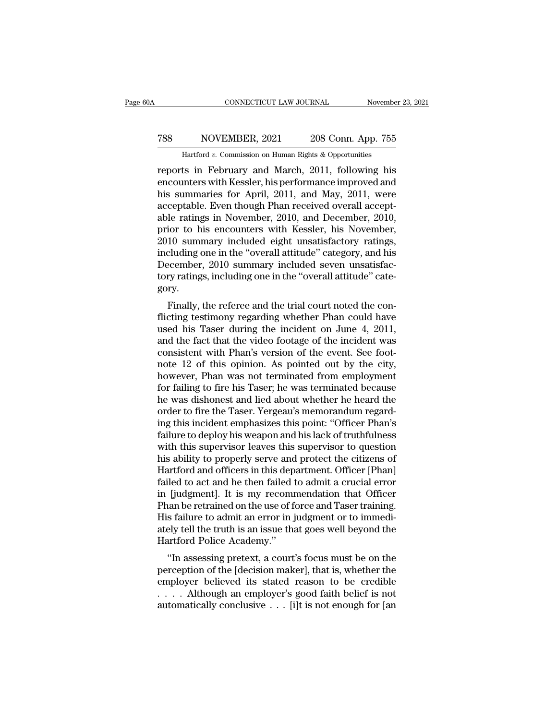#### CONNECTICUT LAW JOURNAL November 23, 2021<br>
788 NOVEMBER, 2021 208 Conn. App. 755<br>
Hartford v. Commission on Human Rights & Opportunities CONNECTICUT LAW JOURNAL November<br>NOVEMBER, 2021 208 Conn. App. 755<br>Hartford *v.* Commission on Human Rights & Opportunities<br>Its in February and March 2011 following his

CONNECTICUT LAW JOURNAL November 23, 2021<br>
788 NOVEMBER, 2021 208 Conn. App. 755<br>
Hartford v. Commission on Human Rights & Opportunities<br>
reports in February and March, 2011, following his<br>
encounters with Kessler, his per FREE MOVEMBER, 2021 208 Conn. App. 755<br>
Hartford v. Commission on Human Rights & Opportunities<br>
reports in February and March, 2011, following his<br>
encounters with Kessler, his performance improved and<br>
his summaries for A FREE THE SURVEY NOVEMBER, 2021 208 Conn. App. 755<br>
Hartford v. Commission on Human Rights & Opportunities<br>
reports in February and March, 2011, following his<br>
encounters with Kessler, his performance improved and<br>
his sum Taxt NOVEMBER, 2021 208 Conn. App. 755<br>
Hartford v. Commission on Human Rights & Opportunities<br>
reports in February and March, 2011, following his<br>
encounters with Kessler, his performance improved and<br>
his summaries for A From Commission on Human Rights & Opportunities<br>
reports in February and March, 2011, following his<br>
encounters with Kessler, his performance improved and<br>
his summaries for April, 2011, and May, 2011, were<br>
acceptable. E Hartford v. Commission on Human Eights & Opportunities<br>reports in February and March, 2011, following his<br>encounters with Kessler, his performance improved and<br>his summaries for April, 2011, and May, 2011, were<br>acceptable. reports in February and March, 2011, following his<br>encounters with Kessler, his performance improved and<br>his summaries for April, 2011, and May, 2011, were<br>acceptable. Even though Phan received overall accept-<br>able ratings encounters with Kessler, his performance improved and<br>his summaries for April, 2011, and May, 2011, were<br>acceptable. Even though Phan received overall accept-<br>able ratings in November, 2010, and December, 2010,<br>prior to hi his summaries for April, 2011, and May, 2011, were<br>acceptable. Even though Phan received overall accept-<br>able ratings in November, 2010, and December, 2010,<br>prior to his encounters with Kessler, his November,<br>2010 summary acceptable. Even though Phan received overall acceptable ratings in November, 2010, and December, 2010, prior to his encounters with Kessler, his November, 2010 summary included eight unsatisfactory ratings, including one gory. for to fils encounters with ressier, fils November,<br>10 summary included eight unsatisfactory ratings,<br>cluding one in the "overall attitude" category, and his<br>ecember, 2010 summary included seven unsatisfac-<br>ry.<br>Finally, th zoro summary included eight unsatisfactory ratings,<br>including one in the "overall attitude" category, and his<br>December, 2010 summary included seven unsatisfac-<br>tory ratings, including one in the "overall attitude" cate-<br>go

metuding one in the "overall attridue" category, and his<br>December, 2010 summary included seven unsatisfac-<br>tory ratings, including one in the "overall attitude" category.<br>Finally, the referee and the trial court noted the becember, 2010 summary included seven unsatistactory ratings, including one in the "overall attitude" category.<br>Finally, the referee and the trial court noted the conflicting testimony regarding whether Phan could have use consistent with Phan's end the trial court noted the conflicting testimony regarding whether Phan could have used his Taser during the incident on June 4, 2011, and the fact that the video footage of the incident was consi Finally, the referee and the trial court noted the con-<br>flicting testimony regarding whether Phan could have<br>used his Taser during the incident on June 4, 2011,<br>and the fact that the video footage of the incident was<br>consi Finally, the referee and the trial court noted the con-<br>flicting testimony regarding whether Phan could have<br>used his Taser during the incident on June 4, 2011,<br>and the fact that the video footage of the incident was<br>consi flicting testimony regarding whether Phan could have<br>used his Taser during the incident on June 4, 2011,<br>and the fact that the video footage of the incident was<br>consistent with Phan's version of the event. See foot-<br>note 1 used his Taser during the incident on June 4, 2011,<br>and the fact that the video footage of the incident was<br>consistent with Phan's version of the event. See foot-<br>note 12 of this opinion. As pointed out by the city,<br>howeve and the fact that the video footage of the incident was consistent with Phan's version of the event. See foot-<br>note 12 of this opinion. As pointed out by the city,<br>however, Phan was not terminated from employment<br>for faili consistent with Phan's version of the event. See foot-<br>note 12 of this opinion. As pointed out by the city,<br>however, Phan was not terminated from employment<br>for failing to fire his Taser; he was terminated because<br>he was d note 12 of this opinion. As pointed out by the city,<br>however, Phan was not terminated from employment<br>for failing to fire his Taser; he was terminated because<br>he was dishonest and lied about whether he heard the<br>order to f however, Phan was not terminated from employment<br>for failing to fire his Taser; he was terminated because<br>he was dishonest and lied about whether he heard the<br>order to fire the Taser. Yergeau's memorandum regard-<br>ing this for failing to fire his Taser; he was terminated because<br>he was dishonest and lied about whether he heard the<br>order to fire the Taser. Yergeau's memorandum regard-<br>ing this incident emphasizes this point: "Officer Phan's<br>f he was dishonest and lied about whether he heard the<br>order to fire the Taser. Yergeau's memorandum regard-<br>ing this incident emphasizes this point: "Officer Phan's<br>failure to deploy his weapon and his lack of truthfulness<br> order to fire the Taser. Yergeau's memorandum regarding this incident emphasizes this point: "Officer Phan's<br>failure to deploy his weapon and his lack of truthfulness<br>with this supervisor leaves this supervisor to question ing this incident emphasizes this point: "Officer Phan's<br>failure to deploy his weapon and his lack of truthfulness<br>with this supervisor leaves this supervisor to question<br>his ability to properly serve and protect the citiz failure to deploy his weapon and his lack of truthfulness<br>with this supervisor leaves this supervisor to question<br>his ability to properly serve and protect the citizens of<br>Hartford and officers in this department. Officer with this supervisor leaves this supervisor to question<br>his ability to properly serve and protect the citizens of<br>Hartford and officers in this department. Officer [Phan]<br>failed to act and he then failed to admit a crucial his ability to properly serve and protect the citizens of Hartford and officers in this department. Officer [Phan] failed to act and he then failed to admit a crucial error in [judgment]. It is my recommendation that Offic Hartford and officers in this dep<br>failed to act and he then failed t<br>in [judgment]. It is my recomr<br>Phan be retrained on the use of f<br>His failure to admit an error in j<br>ately tell the truth is an issue that<br>Hartford Police The divident of act and the them raned to admitt a crucial error in fudgment]. It is my recommendation that Officer<br>aan be retrained on the use of force and Taser training.<br>s failure to admit an error in judgment or to imm m [Judgment]. It is hy recommendation that Officer<br>Phan be retrained on the use of force and Taser training.<br>His failure to admit an error in judgment or to immedi-<br>ately tell the truth is an issue that goes well beyond th

Firal be retrained on the use of force and Taser training.<br>His failure to admit an error in judgment or to immediately tell the truth is an issue that goes well beyond the<br>Hartford Police Academy."<br>"In assessing pretext, Instructure to admit an error in judgment of to indifferent<br>ately tell the truth is an issue that goes well beyond the<br>Hartford Police Academy."<br>"In assessing pretext, a court's focus must be on the<br>perception of the [deci ately ten the truth is an issue that goes wen beyond the<br>Hartford Police Academy."<br>"In assessing pretext, a court's focus must be on the<br>perception of the [decision maker], that is, whether the<br>employer believed its stated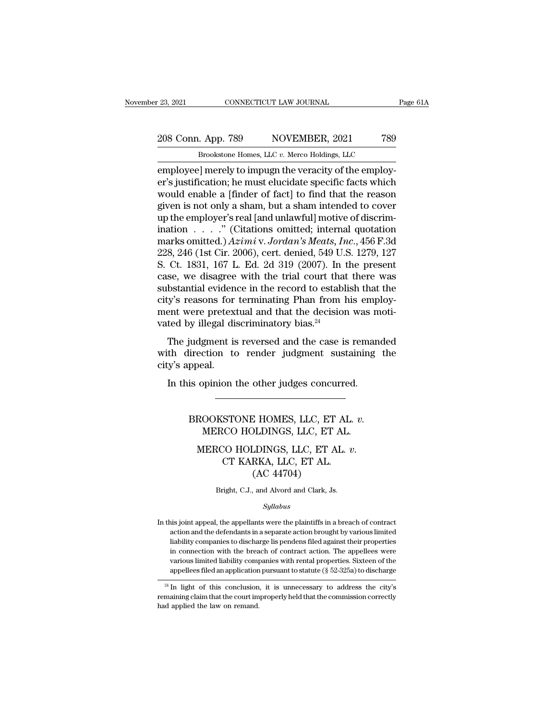# 23, 2021 CONNECTICUT LAW JOURNAL Page 61A<br>
208 Conn. App. 789 NOVEMBER, 2021 789<br>
Brookstone Homes, LLC v. Merco Holdings, LLC

Page 61A<br>
<u>Page 61A</u><br>
208 Conn. App. 789 NOVEMBER, 2021 789<br>
Brookstone Homes, LLC *v.* Merco Holdings, LLC<br>
employee] merely to impugn the veracity of the employemployee] merely to impugn the veracity of the employee is used to impugn the veracity of the employee is justification; he must elucidate specific facts which would enable a finder of feetl to find that the reason 208 Conn. App. 789 NOVEMBER, 2021 789<br>Brookstone Homes, LLC v. Merco Holdings, LLC<br>employee] merely to impugn the veracity of the employ-<br>er's justification; he must elucidate specific facts which<br>would enable a [finder of 208 Conn. App. 789 NOVEMBER, 2021 789<br>Brookstone Homes, LLC  $v$ . Merco Holdings, LLC<br>employee] merely to impugn the veracity of the employ-<br>er's justification; he must elucidate specific facts which<br>would enable a [finder 208 Conn. App. 789 NOVEMBER, 2021 789<br>Brookstone Homes, LLC  $v$ . Merco Holdings, LLC<br>employee] merely to impugn the veracity of the employ-<br>er's justification; he must elucidate specific facts which<br>would enable a [finder er's justification; he must elucidate specific facts which<br>would enable a [finder of fact] to find that the reason<br>given is not only a sham, but a sham intended to cover<br>up the employer's real [and unlawful] motive of dis Brookstone Homes, LLC v. Merco Holdings, LLC<br>employee] merely to impugn the veracity of the employ-<br>er's justification; he must elucidate specific facts which<br>would enable a [finder of fact] to find that the reason<br>given employee] merely to impugn the veracity of the employ-<br>er's justification; he must elucidate specific facts which<br>would enable a [finder of fact] to find that the reason<br>given is not only a sham, but a sham intended to cov er's justification; he must elucidate specific facts which<br>would enable a [finder of fact] to find that the reason<br>given is not only a sham, but a sham intended to cover<br>up the employer's real [and unlawful] motive of dis would enable a [finder of fact] to find that the reason<br>given is not only a sham, but a sham intended to cover<br>up the employer's real [and unlawful] motive of discrim-<br>ination  $\ldots$  ." (Citations omitted; internal quotati given is not only a sham, but a sham intended to cover<br>up the employer's real [and unlawful] motive of discrim-<br>ination  $\ldots$  ." (Citations omitted; internal quotation<br>marks omitted.)  $Azimi v. Jordan's \text{Meats}, \text{Inc.}, 456 \text{ F.3d}$ <br>228, up the employer's real [and unlawful] motive of discrimination . . . . ." (Citations omitted; internal quotation marks omitted.)  $Azimi$  v. Jordan's Meats, Inc., 456 F.3d 228, 246 (1st Cir. 2006), cert. denied, 549 U.S. 1279 ination  $\ldots$  ." (Citations omitted; internal quotation marks omitted.) *Azimi* v. *Jordan's Meats, Inc.*, 456 F.3d 228, 246 (1st Cir. 2006), cert. denied, 549 U.S. 1279, 127 S. Ct. 1831, 167 L. Ed. 2d 319 (2007). In the marks omitted.)  $Azimi$  v. Jordan's Meats, Inc., 456 F.3d 228, 246 (1st Cir. 2006), cert. denied, 549 U.S. 1279, 127<br>S. Ct. 1831, 167 L. Ed. 2d 319 (2007). In the present case, we disagree with the trial court that there was 228, 246 (1st Cir. 2006), cert. denied, 549 U.S.<br>S. Ct. 1831, 167 L. Ed. 2d 319 (2007). In t<br>case, we disagree with the trial court that<br>substantial evidence in the record to estable<br>city's reasons for terminating Phan fr E. 1691, 167 E. Ed. 2d 919 (2007). In the present<br>se, we disagree with the trial court that there was<br>bstantial evidence in the record to establish that the<br>y's reasons for terminating Phan from his employ-<br>ent were prete case, we usage<br>te with the that court that there was substantial evidence in the record to establish that the<br>city's reasons for terminating Phan from his employ-<br>ment were pretextual and that the decision was moti-<br>vated existantial evident<br>city's reasons for<br>ment were pretexi<br>vated by illegal dis<br>The judgment is<br>with direction to<br>city's appeal.<br>In this opinion t

In the decision was mean that the decision was mean the dy illegal discriminatory bias.<sup>24</sup><br>The judgment is reversed and the case is reman the direction to render judgment sustaining y's appeal.<br>In this opinion the other j Maximum is reversed and the case is remainded<br>irection to render judgment sustaining the<br>ppeal.<br>BROOKSTONE HOMES, LLC, ET AL. *v.*<br>MERCO HOLDINGS, LLC, ET AL.

MERCO HOLDINGS, LLC, ET AL. *v.*<br>MERCO HOLDINGS, LLC, ET AL. *v.*<br>MERCO HOLDINGS, LLC, ET AL. *v.*<br>MERCO HOLDINGS, LLC, ET AL. *v.* 

% opinion the other judges concurred.<br>
MERCO HOLDINGS, LLC, ET AL. *v.* MERCO HOLDINGS, LLC, ET AL. <br>
MERCO HOLDINGS, LLC, ET AL. *v.* CT KARKA, LLC, ET AL. (AC 44704) E HOMES, LLC, ET<br>DLDINGS, LLC, ET<br>LDINGS, LLC, ET A<br>RKA, LLC, ET AL.<br>(AC 44704)<br>, and Alvord and Clark, Js MERCO HOLDINGS, LLC, ET AL. *v*.<br>CT KARKA, LLC, ET AL.<br>(AC 44704)<br>Bright, C.J., and Alvord and Clark, Js.

*Syllabus*

 ${\rm (AC~44704)}$  Bright, C.J., and Alvord and Clark, Js.<br> $Syllabus$ <br>In this joint appeal, the appellants were the plaintiffs in a breach of contract<br>action and the defendants in a separate action brought by various limited Bright, C.J., and Alvord and Clark, Js.<br>
Syllabus<br>
is joint appeal, the appellants were the plaintiffs in a breach of contract<br>
action and the defendants in a separate action brought by various limited<br>
i. Bright, C.J., and Alvord and Clark, Js.<br>
Syllabus<br>
is joint appeal, the appellants were the plaintiffs in a breach of contract<br>
action and the defendants in a separate action brought by various limited<br>
liability companies *Syllabus*<br>is joint appeal, the appellants were the plaintiffs in a breach of contract<br>action and the defendants in a separate action brought by various limited<br>liability companies to discharge lis pendens filed against th station and the appellants were the plaintiffs in a breach of contract<br>action and the defendants in a separate action brought by various limited<br>liability companies to discharge lis pendens filed against their properties<br>i is joint appeal, the appellants were the plaintiffs in a breach of contract<br>action and the defendants in a separate action brought by various limited<br>liability companies to discharge lis pendens filed against their propert action and the detendants in a separate action brought by various influed<br>liability companies to discharge lis pendens filed against their properties<br>in connection with the breach of contract action. The appellees were<br>va mability companies to uscharge its pentients ined against their properties<br>in connection with the breach of contract action. The appellees were<br>various limited liability companies with rental properties. Sixteen of the<br>ap

In connection with the breamdon various limited liability compapelless filed an application application remaning claim that the court im had applied the law on remand.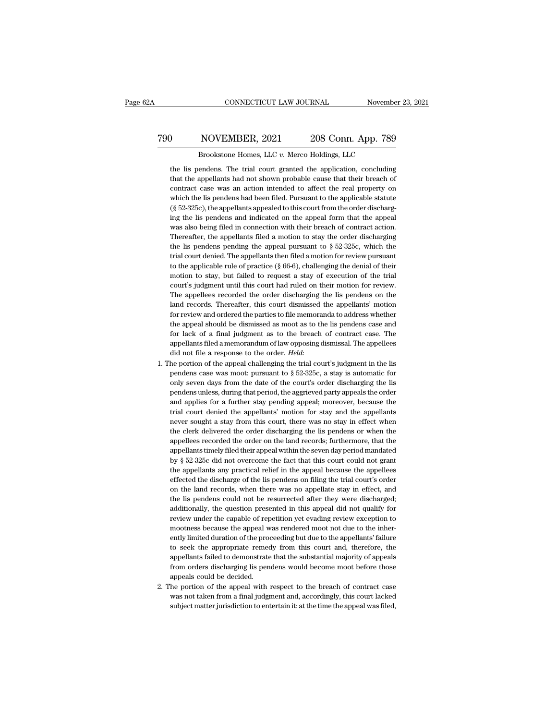#### CONNECTICUT LAW JOURNAL November 23, 2021<br>
790 NOVEMBER, 2021 208 Conn. App. 789<br>
8 Brookstone Homes, LLC v. Merco Holdings, LLC CONNECTICUT LAW JOURNAL November<br>NOVEMBER, 2021 208 Conn. App. 789<br>Brookstone Homes, LLC *v.* Merco Holdings, LLC<br>endens. The trial court granted the application, concluding

NOVEMBER, 2021 208 Conn. App. 789<br>Brookstone Homes, LLC v. Merco Holdings, LLC<br>the lis pendens. The trial court granted the application, concluding<br>that the appellants had not shown probable cause that their breach of NOVEMBER, 2021 208 Conn. App. 789<br>Brookstone Homes, LLC v. Merco Holdings, LLC<br>the lis pendens. The trial court granted the application, concluding<br>that the appellants had not shown probable cause that their breach of<br>cont NOVEMBER, 2021 208 Conn. App. 789<br>Brookstone Homes, LLC v. Merco Holdings, LLC<br>the lis pendens. The trial court granted the application, concluding<br>that the appellants had not shown probable cause that their breach of<br>cont Brookstone Homes, LLC  $v$ . Merco Holdings, LLC<br>the lis pendens. The trial court granted the application, concluding<br>that the appellants had not shown probable cause that their breach of<br>contract case was an action intende Brookstone Homes, LLC  $v$ . Merco Holdings, LLC<br>the lis pendens. The trial court granted the application, concluding<br>that the appellants had not shown probable cause that their breach of<br>contract case was an action intende the lis pendens. The trial court granted the application, concluding<br>that the appellants had not shown probable cause that their breach of<br>contract case was an action intended to affect the real property on<br>which the lis p that the appellants had not shown probable cause that their breach of contract case was an action intended to affect the real property on which the lis pendens had been filed. Pursuant to the applicable statute (§ 52-325c) contract case was an action intended to affect the real property on which the lis pendens had been filed. Pursuant to the applicable statute  $(\S$  52-325c), the appellants appealed to this court from the order discharging which the lis pendens had been filed. Pursuant to the applicable statute ( $\S$  52-325c), the appellants appealed to this court from the order discharging the lis pendens and indicated on the appeal form that the appeal was (§ 52-325c), the appellants appealed to this court from the order discharging the lis pendens and indicated on the appeal form that the appeal was also being filed in connection with their breach of contract action. There ing the lis pendens and indicated on the appeal form that the appeal was also being filed in connection with their breach of contract action. Thereafter, the appellants filed a motion to stay the order discharging the lis was also being filed in connection with their breach of contract action.<br>Thereafter, the appellants filed a motion to stay the order discharging<br>the lis pendens pending the appeal pursuant to  $\S 52-325c$ , which the<br>trial Thereafter, the appellants filed a motion to stay the order discharging the lis pendens pending the appeal pursuant to  $\S 52-325c$ , which the trial court denied. The appellants then filed a motion for review pursuant to t the lis pendens pending the appeal pursuant to  $\S$  52-325c, which the trial court denied. The appellants then filed a motion for review pursuant to the applicable rule of practice ( $\S$  66-6), challenging the denial of the trial court denied. The appellants then filed a motion for review pursuant<br>to the applicable rule of practice (§ 66-6), challenging the denial of their<br>motion to stay, but failed to request a stay of execution of the trial to the applicable rule of practice  $(\S 66-6)$ , challenging the denial of their motion to stay, but failed to request a stay of execution of the trial court's judgment until this court had ruled on their motion for review. motion to stay, but failed to request a stay of execution of the trial court's judgment until this court had ruled on their motion for review.<br>The appellees recorded the order discharging the lis pendens on the land record court's judgment until this court had ruled on their motion for review.<br>The appellees recorded the order discharging the lis pendens on the<br>land records. Thereafter, this court dismissed the appellants' motion<br>for review a The appellees recorded the order discharging the lis pendens on the land records. Thereafter, this court dismissed the appellants' motion for review and ordered the parties to file memoranda to address whether the appeal s land records. Thereafter, this court dismissed the appellants' motion<br>for review and ordered the parties to file memoranda to address whether<br>the appeal should be dismissed as moot as to the lis pendens case and<br>for lack the appeal should be dismissed as moot as to the lis pendens case and<br>for lack of a final judgment as to the breach of contract case. The<br>appellants filed a memorandum of law opposing dismissal. The appellees<br>did not file

- for lack of a final judgment as to the breach of contract case. The appellants filed a memorandum of law opposing dismissal. The appellees did not file a response to the order. *Held*: the portion of the appeal challengin appellants filed a memorandum of law opposing dismissal. The appellees<br>did not file a response to the order. *Held*:<br>he portion of the appeal challenging the trial court's judgment in the lis<br>pendens case was moot: pursua did not file a response to the order. *Held*:<br>he portion of the appeal challenging the trial court's judgment in the lis<br>pendens case was moot: pursuant to  $\S 52-325c$ , a stay is automatic for<br>only seven days from the dat he portion of the appeal challenging the trial court's judgment in the lis<br>pendens case was moot: pursuant to § 52-325c, a stay is automatic for<br>only seven days from the date of the court's order discharging the lis<br>penden pendens case was moot: pursuant to  $\S$  52-325c, a stay is automatic for only seven days from the date of the court's order discharging the lis pendens unless, during that period, the aggrieved party appeals the order and only seven days from the date of the court's order discharging the lis pendens unless, during that period, the aggrieved party appeals the order and applies for a further stay pending appeal; moreover, because the trial co pendens unless, during that period, the aggrieved party appeals the order and applies for a further stay pending appeal; moreover, because the trial court denied the appellants' motion for stay and the appellants never sou and applies for a further stay pending appeal; moreover, because the trial court denied the appellants' motion for stay and the appellants never sought a stay from this court, there was no stay in effect when the clerk de trial court denied the appellants' motion for stay and the appellants<br>never sought a stay from this court, there was no stay in effect when<br>the clerk delivered the order discharging the lis pendens or when the<br>appellees re never sought a stay from this court, there was no stay in effect when<br>the clerk delivered the order discharging the lis pendens or when the<br>appellees recorded the order on the land records; furthermore, that the<br>appellants the clerk delivered the order discharging the lis pendens or when the appellees recorded the order on the land records; furthermore, that the appellants timely filed their appeal within the seven day period mandated by § 5 appellees recorded the order on the land records; furthermore, that the appellants timely filed their appeal within the seven day period mandated by § 52-325c did not overcome the fact that this court could not grant the a appellants timely filed their appeal within the seven day period mandated by  $\S$  52-325c did not overcome the fact that this court could not grant the appellants any practical relief in the appeal because the appellees ef by § 52-325c did not overcome the fact that this court could not grant<br>the appellants any practical relief in the appeal because the appellees<br>effected the discharge of the lis pendens on filing the trial court's order<br>on the appellants any practical relief in the appeal because the appellees effected the discharge of the lis pendens on filing the trial court's order on the land records, when there was no appellate stay in effect, and the l the appellants any practical relief in the appeal because the appellees effected the discharge of the lis pendens on filing the trial court's order on the land records, when there was no appellate stay in effect, and the l on the land records, when there was no appellate stay in effect, and<br>the lis pendens could not be resurrected after they were discharged;<br>additionally, the question presented in this appeal did not qualify for<br>review under the lis pendens could not be resurrected after they were discharged;<br>additionally, the question presented in this appeal did not qualify for<br>review under the capable of repetition yet evading review exception to<br>mootness b additionally, the question presented in this appeal did not qualify for<br>review under the capable of repetition yet evading review exception to<br>mootness because the appeal was rendered moot not due to the inher-<br>ently limit review under the capable of repetition yet evading review exception to mootness because the appeal was rendered moot not due to the inherently limited duration of the proceeding but due to the appellants' failure to seek t mootness because the appeal wealth<br>ently limited duration of the proton seek the appropriate remear<br>appellants failed to demonstrate<br>from orders discharging lis pen<br>appeals could be decided.<br>he portion of the appeal with 2. appellants failed to demonstrate that the substantial majority of appeals<br>from orders discharging lis pendens would become moot before those<br>appeals could be decided.<br>2. The portion of the appeal with respect to the bre to seek the appropriate remedy from this court and, therefore, the appellants failed to demonstrate that the substantial majority of appeals from orders discharging lis pendens would become moot before those appeals could from orders discharging lis pendens would become moot before those
-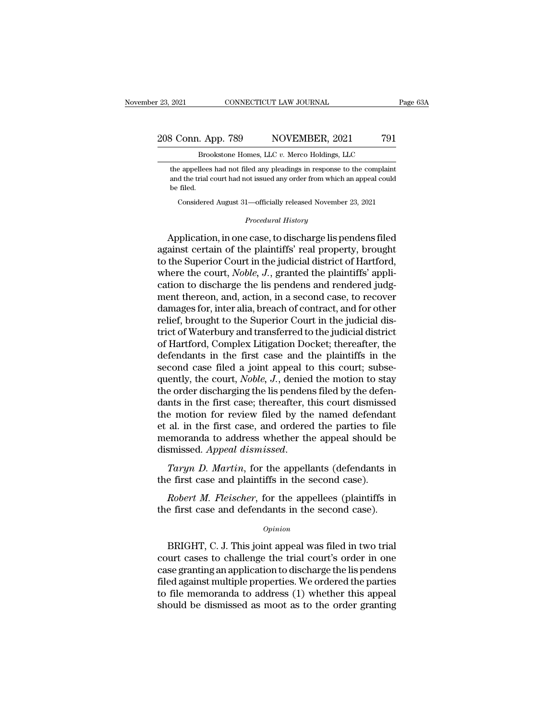#### 23, 2021 CONNECTICUT LAW JOURNAL Page 63A<br>
208 Conn. App. 789 NOVEMBER, 2021 791<br>
Brookstone Homes, LLC v. Merco Holdings, LLC 2021 CONNECTICUT LAW JOURNAL Page 63A<br>B Conn. App. 789 NOVEMBER, 2021 791<br>Brookstone Homes, LLC *v.* Merco Holdings, LLC<br>the appellees had not filed any pleadings in response to the complaint

 $\frac{1}{3}$  Conn. App. 789 NOVEMBER, 2021 791<br>Brookstone Homes, LLC v. Merco Holdings, LLC<br>the appellees had not filed any pleadings in response to the complaint<br>and the trial court had not issued any order from which an ap 3 Conn. App. 789 NOVEMBER, 2021 791<br>Brookstone Homes, LLC v. Merco Holdings, LLC<br>the appellees had not filed any pleadings in response to the complaint<br>and the trial court had not issued any order from which an appeal coul 208 Conn. App. 789 NOVEMBER, 2021<br>Brookstone Homes, LLC  $v$ . Merco Holdings, LLC<br>the appellees had not filed any pleadings in response to the com<br>and the trial court had not issued any order from which an appeal<br>be filed. Brookstone Homes, LLC v. Merco Holdings, LLC<br>
e appellees had not filed any pleadings in response to the complaint<br>
d the trial court had not issued any order from which an appeal could<br>
filed.<br>
Considered August 31—offici and the trial court had not issued any order from which an appeal could<br>be filed.<br>Considered August 31—officially released November 23, 2021<br>*Procedural History*<br>Application, in one case, to discharge lis pendens filed

the appellees had not filed any pleadings in response to the complaint<br>and the trial court had not issued any order from which an appeal could<br>be filed.<br>Considered August 31—officially released November 23, 2021<br>*Procedura* and the trial court had not issued any order from which an appeal could<br>be filed.<br>Considered August 31—officially released November 23, 2021<br>*Procedural History*<br>Application, in one case, to discharge lis pendens filed<br>aga to the Superior Court in the given and rondoms and rondoms to the Superior to discharge is pendens filed<br>against certain of the plaintiffs' real property, brought<br>to the Superior Court in the judicial district of Hartford, Considered August 31—officially released November 23, 2021<br> *Procedural History*<br>
Application, in one case, to discharge lis pendens filed<br>
against certain of the plaintiffs' real property, brought<br>
to the Superior Court i *Procedural History*<br>Application, in one case, to discharge lis pendens filed<br>against certain of the plaintiffs' real property, brought<br>to the Superior Court in the judicial district of Hartford,<br>where the court, *Noble*, Application, in one case, to discharge lis pendens filed<br>against certain of the plaintiffs' real property, brought<br>to the Superior Court in the judicial district of Hartford,<br>where the court, *Noble, J.*, granted the plain Application, in one case, to discharge lis pendens filed<br>against certain of the plaintiffs' real property, brought<br>to the Superior Court in the judicial district of Hartford,<br>where the court, *Noble*, *J*., granted the pla against certain of the plaintiffs' real property, brought<br>to the Superior Court in the judicial district of Hartford,<br>where the court, *Noble*, J., granted the plaintiffs' appli-<br>cation to discharge the lis pendens and ren to the Superior Court in the judicial district of Hartford,<br>where the court, *Noble, J*., granted the plaintiffs' appli-<br>cation to discharge the lis pendens and rendered judg-<br>ment thereon, and, action, in a second case, t where the court, *Noble, J.*, granted the plaintiffs' application to discharge the lis pendens and rendered judgment thereon, and, action, in a second case, to recover damages for, inter alia, breach of contract, and for o cation to discharge the lis pendens and rendered judgment thereon, and, action, in a second case, to recover<br>damages for, inter alia, breach of contract, and for other<br>relief, brought to the Superior Court in the judicial ment thereon, and, action, in a second case, to recover<br>damages for, inter alia, breach of contract, and for other<br>relief, brought to the Superior Court in the judicial dis-<br>trict of Waterbury and transferred to the judici damages for, inter alia, breach of contract, and for other<br>relief, brought to the Superior Court in the judicial dis-<br>trict of Waterbury and transferred to the judicial district<br>of Hartford, Complex Litigation Docket; ther relief, brought to the Superior Court in the judicial district of Waterbury and transferred to the judicial district<br>of Hartford, Complex Litigation Docket; thereafter, the<br>defendants in the first case and the plaintiffs i trict of Waterbury and transferred to the judicial district<br>of Hartford, Complex Litigation Docket; thereafter, the<br>defendants in the first case and the plaintiffs in the<br>second case filed a joint appeal to this court; sub of Hartford, Complex Litigation Docket; thereafter, the<br>defendants in the first case and the plaintiffs in the<br>second case filed a joint appeal to this court; subse-<br>quently, the court, *Noble*, *J*., denied the motion to defendants in the first case and the plaintiffs in the<br>second case filed a joint appeal to this court; subse-<br>quently, the court, *Noble*, *J*., denied the motion to stay<br>the order discharging the lis pendens filed by the second case filed a joint appeal to this court; subsequently, the court, *Noble, J.*, denied the motion to stay the order discharging the lis pendens filed by the defendants in the first case; thereafter, this court dismis quently, the court, *Noble*, *J*., denied the motion to stay<br>the order discharging the lis pendens filed by the defen-<br>dants in the first case; thereafter, this court dismissed<br>the motion for review filed by the named defe the motion for review filed by the named defendanced al. in the first case, and ordered the parties to film emoranda to address whether the appeal should b dismissed. Appeal dismissed.<br>Taryn D. Martin, for the appellants ( al. in the first case, and ordered the parties to file<br>emoranda to address whether the appeal should be<br>smissed. Appeal dismissed.<br>Taryn D. Martin, for the appellants (defendants in<br>e first case and plaintiffs in the secon memoranda to address whether the appeal should be dismissed. Appeal dismissed.<br>Taryn D. Martin, for the appellants (defendants in the first case and plaintiffs in the second case).<br>Robert M. Fleischer, for the appellees (

#### *Opinion*

Fargiv D. Harton, for an appending (accordinates in<br>e first case and plaintiffs in the second case).<br>Robert M. Fleischer, for the appellees (plaintiffs in<br>e first case and defendants in the second case).<br> $opinion$ <br>BRIGHT, C. J. Robert M. Fleischer, for the appellees (plaintiffs in<br>the first case and defendants in the second case).<br>Opinion<br>BRIGHT, C. J. This joint appeal was filed in two trial<br>court cases to challenge the trial court's order in on Robert M. Fleischer, for the appellees (plaintiffs in<br>the first case and defendants in the second case).<br> $opinion$ <br>BRIGHT, C. J. This joint appeal was filed in two trial<br>court cases to challenge the trial court's order in one<br> opinion<br>opinion<br>opinion<br>BRIGHT, C. J. This joint appeal was filed in two trial<br>court cases to challenge the trial court's order in one<br>case granting an application to discharge the lis pendens<br>filed against multiple proper  $\alpha$ <br>BRIGHT, C. J. This joint appeal was filed in two trial<br>court cases to challenge the trial court's order in one<br>case granting an application to discharge the lis pendens<br>filed against multiple properties. We ordered t BRIGHT, C. J. This joint appeal was filed in two trial<br>court cases to challenge the trial court's order in one<br>case granting an application to discharge the lis pendens<br>filed against multiple properties. We ordered the par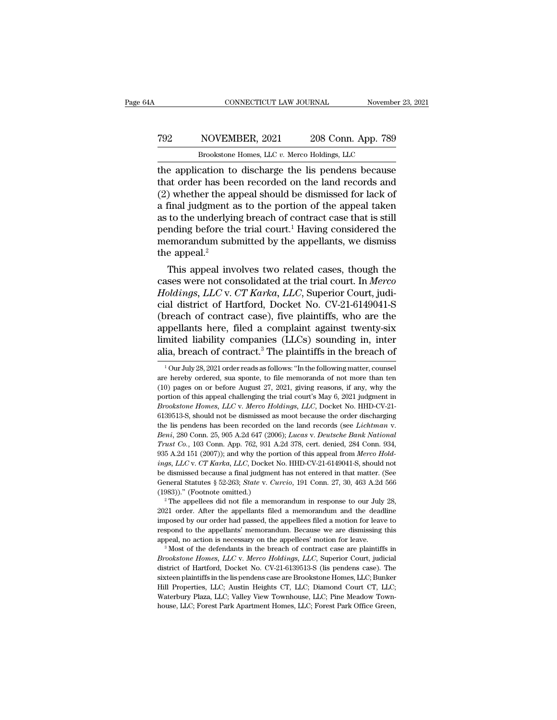#### CONNECTICUT LAW JOURNAL November 23, 2021<br>
792 NOVEMBER, 2021 208 Conn. App. 789<br>
8 Brookstone Homes, LLC v. Merco Holdings, LLC CONNECTICUT LAW JOURNAL November<br>NOVEMBER, 2021 208 Conn. App. 789<br>Brookstone Homes, LLC *v.* Merco Holdings, LLC<br>cation to discharge the lis pendens because

CONNECTICUT LAW JOURNAL November 23, 2021<br>
T92 NOVEMBER, 2021 208 Conn. App. 789<br>
Brookstone Homes, LLC v. Merco Holdings, LLC<br>
the application to discharge the lis pendens because<br>
that order has been recorded on the land The MOVEMBER, 2021 208 Conn. App. 789<br>Brookstone Homes, LLC  $v$ . Merco Holdings, LLC<br>the application to discharge the lis pendens because<br>that order has been recorded on the land records and<br>(2) whether the appeal should The application to discharge the lis pendens because<br>the application to discharge the lis pendens because<br>that order has been recorded on the land records and<br>(2) whether the appeal should be dismissed for lack of<br>a final Frookstone Homes, LLC v. Merco Holdings, LLC<br>
The application to discharge the lis pendens because<br>
that order has been recorded on the land records and<br>
(2) whether the appeal should be dismissed for lack of<br>
a final jud Brookstone Homes, LLC v. Merco Holdings, LLC<br>the application to discharge the lis pendens because<br>that order has been recorded on the land records and<br>(2) whether the appeal should be dismissed for lack of<br>a final judgmen Brookstone Homes, LLC v. Merco Holdings, LLC<br>the application to discharge the lis pendens because<br>that order has been recorded on the land records and<br>(2) whether the appeal should be dismissed for lack of<br>a final judgmen the application to discharge the lis pendens because<br>that order has been recorded on the land records and<br> $(2)$  whether the appeal should be dismissed for lack of<br>a final judgment as to the portion of the appeal taken<br>as that order has bee<br>(2) whether the appear and independing before the<br>as to the underlyin<br>pending before the<br>memorandum sub<br>the appeal.<sup>2</sup><br>This appeal inv This appear should be dishussed for fack of<br>final judgment as to the portion of the appeal taken<br>to the underlying breach of contract case that is still<br>nding before the trial court.<sup>1</sup> Having considered the<br>emorandum sub a man judgment as to the portion of the appear taken<br>as to the underlying breach of contract case that is still<br>pending before the trial court.<sup>1</sup> Having considered the<br>memorandum submitted by the appellants, we dismiss<br>th

as to the underlying breach of contract case that is still<br>pending before the trial court.<sup>1</sup> Having considered the<br>memorandum submitted by the appellants, we dismiss<br>the appeal.<sup>2</sup><br>This appeal involves two related cases, pending before the trial court. Traving considered the<br>memorandum submitted by the appellants, we dismiss<br>the appeal.<sup>2</sup><br>This appeal involves two related cases, though the<br>cases were not consolidated at the trial court. In The appeal.<sup>2</sup><br>
This appeal involves two related cases, though the<br>
cases were not consolidated at the trial court. In *Merco*<br> *Holdings, LLC* v. *CT Karka, LLC*, Superior Court, judi-<br>
cial district of Hartford, Docket This appeal involves two related cases, though the<br>cases were not consolidated at the trial court. In Merco<br>Holdings, LLC v. CT Karka, LLC, Superior Court, judi-<br>cial district of Hartford, Docket No. CV-21-6149041-S<br>(breac This appeal involves two related cases, though the cases were not consolidated at the trial court. In *Merco Holdings, LLC* v. *CT Karka, LLC*, Superior Court, judicial district of Hartford, Docket No. CV-21-6149041-S (br cases were not consolidated at the trial court. In *Merco*<br>Holdings, LLC v. CT Karka, LLC, Superior Court, judi-<br>cial district of Hartford, Docket No. CV-21-6149041-S<br>(breach of contract case), five plaintiffs, who are the preach of contract case), five plaintiffs, who are the oppellants here, filed a complaint against twenty-six mited liability companies (LLCs) sounding in, inter ia, breach of contract.<sup>3</sup> The plaintiffs in the breach of appellants here, filed a complaint against twenty-six<br>limited liability companies (LLCs) sounding in, inter<br>alia, breach of contract.<sup>3</sup> The plaintiffs in the breach of<br> $10\text{u}$ July 28, 2021 order reads as follows: "In t

imposed because a final judgment has not entered in that matter. (See General Statutes § 52-263; *State v. Curcio*, 191 Conn. 27, 30, 463 A.2d 566 (1983))." (Footnote omitted.)<br><sup>2</sup> The appellees did not file a memorandum General Statutes § 52-263; *State v. Curcio*, 191 Conn. 27, 30, 463 A.2d 566 (1983))." (Footnote omitted.)<br><sup>2</sup> The appellees did not file a memorandum in response to our July 28,<br><sup>2</sup> The appellees did not file a memorandu (1983))." (Footnote omitted.)<br>
<sup>2</sup> The appellees did not file a memorandum in response to our July 28,<br>
2021 order. After the appellants filed a memorandum and the deadline<br>
imposed by our order had passed, the appellees 2021 order. After the appellants filed a memorandum and the deadline imposed by our order had passed, the appellees filed a motion for leave to respond to the appellants' memorandum. Because we are dismissing this appeal,

may imposed by our order had passed, the appellees filed a motion for leave to respond to the appellants' memorandum. Because we are dismissing this appeal, no action is necessary on the appellees' motion for leave.<br><sup>3</sup> M imposed by our order had passed, the appellees filed a motion for leave to respond to the appellants' memorandum. Because we are dismissing this appeal, no action is necessary on the appellees' motion for leave.<br><sup>3</sup> Most respeal, no action is necessary on the appellees' motion for leave.<br>
<sup>3</sup> Most of the defendants in the breach of contract case are plaintiffs in<br> *Brookstone Homes, LLC v. Merco Holdings, LLC*, Superior Court, judicial<br>
di <sup>3</sup> Most of the defendants in the breach of contract case are plaintiffs in *Brookstone Homes, LLC* v. *Merco Holdings, LLC*, Superior Court, judicial district of Hartford, Docket No. CV-21-6139513-S (lis pendens case). Th *Brookstone Homes, LLC* v. *Merco Holdings, LLC*, Superior Court, judicial district of Hartford, Docket No. CV-21-6139513-S (lis pendens case). The sixteen plaintiffs in the lis pendens case are Brookstone Homes, LLC; Bunk

limited liability companies (LLCs) sounding in, inter<br>alia, breach of contract.<sup>3</sup> The plaintiffs in the breach of<br> $10$ ur July 28, 2021 order reads as follows: "In the following matter, counsel<br>are hereby ordered, sua spo alia, breach of contract.<sup>3</sup> The plaintiffs in the breach of  $^{10}$  our July 28, 2021 order reads as follows: "In the following matter, counsel are hereby ordered, sua sponte, to file memoranda of not more than ten (10) p **Brookstone Homes, LLC** v. *Merco Holdings*, LLC, Docket No. HHD-CV-21-6139513-S, should not be dismissed as moot because the order discharging the trial court's May 6, 2021 judgment in *Brookstone Homes, LLC* v. *Merco Ho* <sup>1</sup> Our July 28, 2021 order reads as follows: "In the following matter, counsel<br>are hereby ordered, sua sponte, to file memoranda of not more than ten<br>(10) pages on or before August 27, 2021, giving reasons, if any, why t are hereby ordered, sua sponte, to file memoranda of not more than ten (10) pages on or before August 27, 2021, giving reasons, if any, why the portion of this appeal challenging the trial court's May 6, 2021 judgment in *Trust Co.*, 103 Conn. 25, 905 A.2d 647 (2006); *Trust Co.*, 1043 Connection of this appeal challenging the trial court's May 6, 2021 judgment in *Brookstone Homes, LLC v. Merco Holdings, LLC*, Docket No. HHD-CV-21-6139513 *Brookstone Homes, LLC v. Merco Holdings, LLC, Docket No. HHD-CV-21-6139513-S, should not be dismissed as moot because the order discharging the lis pendens has been recorded on the land records (see <i>Lichtman v. Beni*, 28 *ings*, *ings, also diet* as a moot because the order discharged in the lis pendens has been recorded on the land records (see *Lichtman v. Beni*, 280 Conn. 25, 905 A.2d 647 (2006); *Lucas v. Deutsche Bank National Trust C* the lis pendens has been recorded on the land records (see *Lichtman* v.<br>Beni, 280 Conn. 25, 905 A.2d 647 (2006); *Lucas v. Deutsche Bank National Trust Co.*, 103 Conn. App. 762, 931 A.2d 378, cert. denied, 284 Conn. 934, Eeni, 280 Conn. 25, 905 A.2d 647 (2006); *Lucas v. Deutsche Bank National* Trust Co., 103 Conn. App. 762, 931 A.2d 378, cert. denied, 284 Conn. 934, 935 A.2d 151 (2007)); and why the portion of this appeal from *Merco Hold* Beni, 280 Conn. 25, 905 A.2d 647 (2006); Lucas v. Deutsche Bank National Trust Co., 103 Conn. App. 762, 931 A.2d 378, cert. denied, 284 Conn. 934, 935 A.2d 151 (2007)); and why the portion of this appeal from Merco Holdin <sup>25</sup> The appellees did not file a memorandum in response to our July 28, 22 Order. After the appelles did not file a memorandum in response to our July 28, 29 The appellees did not file a memorandum in response to our Jul *ings, LLC* v. *CT Karka, LLC*, Docket No. HHD-CV-21-6149041-S, should not be dismissed because a final judgment has not entered in that matter. (See General Statutes § 52-263; *State* v. *Curcio*, 191 Conn. 27, 30, 463 A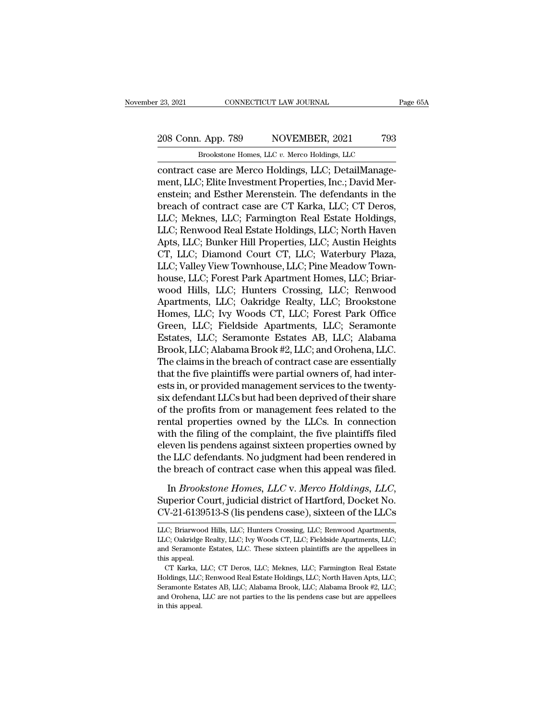23, 2021 CONNECTICUT LAW JOURNAL Page 65A<br>
208 Conn. App. 789 NOVEMBER, 2021 793<br>
Brookstone Homes, LLC v. Merco Holdings, LLC CONNECTICUT LAW JOURNAL<br>
. App. 789 NOVEMBER, 2021 793<br>
Brookstone Homes, LLC *v.* Merco Holdings, LLC<br>
case are Merco Holdings, LLC: DetailManage-

contract case are Merco Holdings, LLC; DetailManage-<br>
Shookstone Homes, LLC v. Merco Holdings, LLC<br>
contract case are Merco Holdings, LLC; DetailManage-<br>
ment, LLC; Elite Investment Properties, Inc.; David Mercontoin, and 208 Conn. App. 789 NOVEMBER, 2021 793<br>Brookstone Homes, LLC v. Merco Holdings, LLC<br>contract case are Merco Holdings, LLC; DetailManage-<br>ment, LLC; Elite Investment Properties, Inc.; David Mer-<br>enstein; and Esther Merenstei 208 Conn. App. 789 NOVEMBER, 2021 793<br>
Brookstone Homes, LLC v. Merco Holdings, LLC<br>
contract case are Merco Holdings, LLC; DetailManage-<br>
ment, LLC; Elite Investment Properties, Inc.; David Mer-<br>
enstein; and Esther Mere 208 Conn. App. 789 NOVEMBER, 2021 793<br>
Brookstone Homes, LLC v. Merco Holdings, LLC<br>
contract case are Merco Holdings, LLC; DetailManage-<br>
ment, LLC; Elite Investment Properties, Inc.; David Mer-<br>
enstein; and Esther Meren Brookstone Homes, LLC v. Merco Holdings, LLC<br>
contract case are Merco Holdings, LLC; DetailManage-<br>
ment, LLC; Elite Investment Properties, Inc.; David Mer-<br>
enstein; and Esther Merenstein. The defendants in the<br>
breach of Brookstone Homes, LLC v. Merco Holdings, LLC<br>contract case are Merco Holdings, LLC; DetailManage-<br>ment, LLC; Elite Investment Properties, Inc.; David Mer-<br>enstein; and Esther Merenstein. The defendants in the<br>breach of con contract case are Merco Holdings, LLC; DetailManagement, LLC; Elite Investment Properties, Inc.; David Merenstein; and Esther Merenstein. The defendants in the breach of contract case are CT Karka, LLC; CT Deros, LLC; Mekn ment, LLC; Elite Investment Properties, Inc.; David Merenstein; and Esther Merenstein. The defendants in the breach of contract case are CT Karka, LLC; CT Deros, LLC; Meknes, LLC; Farmington Real Estate Holdings, LLC; Renw enstein; and Esther Merenstein. The defendants in the breach of contract case are CT Karka, LLC; CT Deros, LLC; Meknes, LLC; Farmington Real Estate Holdings, LLC; Renwood Real Estate Holdings, LLC; North Haven Apts, LLC; B breach of contract case are CT Karka, LLC; CT Deros,<br>LLC; Meknes, LLC; Farmington Real Estate Holdings,<br>LLC; Renwood Real Estate Holdings, LLC; North Haven<br>Apts, LLC; Bunker Hill Properties, LLC; Austin Heights<br>CT, LLC; Di LLC; Meknes, LLC; Farmington Real Estate Holdings,<br>LLC; Renwood Real Estate Holdings, LLC; North Haven<br>Apts, LLC; Bunker Hill Properties, LLC; Austin Heights<br>CT, LLC; Diamond Court CT, LLC; Waterbury Plaza,<br>LLC; Valley Vie LLC; Renwood Real Estate Holdings, LLC; North Haven<br>Apts, LLC; Bunker Hill Properties, LLC; Austin Heights<br>CT, LLC; Diamond Court CT, LLC; Waterbury Plaza,<br>LLC; Valley View Townhouse, LLC; Pine Meadow Town-<br>house, LLC; For Apts, LLC; Bunker Hill Properties, LLC; Austin Heights<br>CT, LLC; Diamond Court CT, LLC; Waterbury Plaza,<br>LLC; Valley View Townhouse, LLC; Pine Meadow Town-<br>house, LLC; Forest Park Apartment Homes, LLC; Briar-<br>wood Hills, LL CT, LLC; Diamond Court CT, LLC; Waterbury Plaza,<br>LLC; Valley View Townhouse, LLC; Pine Meadow Town-<br>house, LLC; Forest Park Apartment Homes, LLC; Briar-<br>wood Hills, LLC; Hunters Crossing, LLC; Renwood<br>Apartments, LLC; Oakr LLC; Valley View Townhouse, LLC; Pine Meadow Town-<br>house, LLC; Forest Park Apartment Homes, LLC; Briar-<br>wood Hills, LLC; Hunters Crossing, LLC; Renwood<br>Apartments, LLC; Oakridge Realty, LLC; Brookstone<br>Homes, LLC; Lvy Wood house, LLC; Forest Park Apartment Homes, LLC; Briar-<br>wood Hills, LLC; Hunters Crossing, LLC; Renwood<br>Apartments, LLC; Oakridge Realty, LLC; Brookstone<br>Homes, LLC; Ivy Woods CT, LLC; Forest Park Office<br>Green, LLC; Fieldside wood Hills, LLC; Hunters Crossing, LLC; Renwood<br>Apartments, LLC; Oakridge Realty, LLC; Brookstone<br>Homes, LLC; Ivy Woods CT, LLC; Forest Park Office<br>Green, LLC; Fieldside Apartments, LLC; Seramonte<br>Estates, LLC; Seramonte E Apartments, LLC; Oakridge Realty, LLC; Brookstone<br>Homes, LLC; Ivy Woods CT, LLC; Forest Park Office<br>Green, LLC; Fieldside Apartments, LLC; Seramonte<br>Estates, LLC; Seramonte Estates AB, LLC; Alabama<br>Brook, LLC; Alabama Broo Homes, LLC; Ivy Woods CT, LLC; Forest Park Office<br>Green, LLC; Fieldside Apartments, LLC; Seramonte<br>Estates, LLC; Seramonte Estates AB, LLC; Alabama<br>Brook, LLC; Alabama Brook #2, LLC; and Orohena, LLC.<br>The claims in the bre Green, LLC; Fieldside Apartments, LLC; Seramonte<br>Estates, LLC; Seramonte Estates AB, LLC; Alabama<br>Brook, LLC; Alabama Brook #2, LLC; and Orohena, LLC.<br>The claims in the breach of contract case are essentially<br>that the five Estates, LLC; Seramonte Estates AB, LLC; Alabama<br>Brook, LLC; Alabama Brook #2, LLC; and Orohena, LLC.<br>The claims in the breach of contract case are essentially<br>that the five plaintiffs were partial owners of, had inter-<br>es Brook, LLC; Alabama Brook #2, LLC; and Orohena, LLC.<br>The claims in the breach of contract case are essentially<br>that the five plaintiffs were partial owners of, had inter-<br>ests in, or provided management services to the twe The claims in the breach of contract case are essentially<br>that the five plaintiffs were partial owners of, had inter-<br>ests in, or provided management services to the twenty-<br>six defendant LLCs but had been deprived of thei that the five plaintiffs were partial owners of, had interests in, or provided management services to the twenty-<br>six defendant LLCs but had been deprived of their share<br>of the profits from or management fees related to th ests in, or provided management services to the twenty-<br>six defendant LLCs but had been deprived of their share<br>of the profits from or management fees related to the<br>rental properties owned by the LLCs. In connection<br>with six defendant LLCs but had been deprived of their share<br>of the profits from or management fees related to the<br>rental properties owned by the LLCs. In connection<br>with the filing of the complaint, the five plaintiffs filed<br>e In a process train of management resolution of the reduction with the filing of the complaint, the five plaintiffs filed eleven lis pendens against sixteen properties owned by the LLC defendants. No judgment had been rende Eleven lis pendens against sixteen properties owned by<br>the LLC defendants. No judgment had been rendered in<br>the breach of contract case when this appeal was filed.<br>In *Brookstone Homes*, *LLC* v. *Merco Holdings*, *LLC*,<br>S

In *Brookstone Homes, LLC* v. *Merco Holdings, LLC,*<br>Superior Court, judicial district of Hartford, Docket No.<br>CV-21-6139513-S (lis pendens case), sixteen of the LLCs<br>LLC; Briarwood Hills, LLC; Hunters Crossing, LLC; Renwo In *Brookstone Homes, LLC* v. *Merco Holdings, LLC*,<br>Superior Court, judicial district of Hartford, Docket No.<br>CV-21-6139513-S (lis pendens case), sixteen of the LLCs<br>LLC; Briarwood Hills, LLC; Hunters Crossing, LLC; Renwo

Superior Court, judicial district of Hartford, Docket No.<br>CV-21-6139513-S (lis pendens case), sixteen of the LLCs<br>LLC; Briarwood Hills, LLC; Hunters Crossing, LLC; Renwood Apartments,<br>LLC; Oakridge Realty, LLC; Ivy Woods C CV-21-6139513-S (lis pendens case), sixteen of the LLCs<br>LLC; Briarwood Hills, LLC; Hunters Crossing, LLC; Renwood Apartments,<br>LLC; Oakridge Realty, LLC; Ivy Woods CT, LLC; Fieldside Apartments, LLC;<br>and Seramonte Estates, V-21-0109010-5 (HS perideris Case), SIXteen Of the LECS<br>C; Briarwood Hills, LLC; Hunters Crossing, LLC; Renwood Apartments,<br>C; Oakridge Realty, LLC; Ivy Woods CT, LLC; Fieldside Apartments, LLC;<br>d Seramonte Estates, LLC. T and Seramonte Estates, LLC. These sixteen plaintiffs are the appellees in

LLC; Briarwood Hills, LLC; Hunters Crossing, LLC; Renwood Apartments, LLC; Oakridge Realty, LLC; Ivy Woods CT, LLC; Fieldside Apartments, LLC; and Seramonte Estates, LLC. These sixteen plaintiffs are the appellees in this LLC; Oakridge Realty, LLC; Ivy Woods CT, LLC; Fieldside Apartments, LLC; and Seramonte Estates, LLC. These sixteen plaintiffs are the appellees in this appeal.<br>CT Karka, LLC; CT Deros, LLC; Meknes, LLC; Farmington Real Est in this appeal.<br>
CT Karka, I<br>
Holdings, LLC;<br>
Seramonte Est<br>
and Orohena,<br>
in this appeal.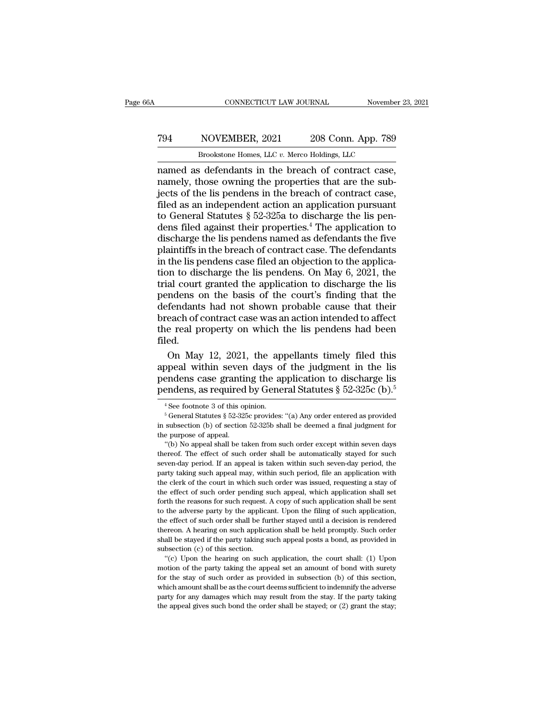#### CONNECTICUT LAW JOURNAL November 23, 2021<br>
794 NOVEMBER, 2021 208 Conn. App. 789<br>
8 Brookstone Homes, LLC v. Merco Holdings, LLC CONNECTICUT LAW JOURNAL November<br>
NOVEMBER, 2021 208 Conn. App. 789<br>
Brookstone Homes, LLC *v.* Merco Holdings, LLC<br>
s defendants in the breach of contract case

CONNECTICUT LAW JOURNAL November 23, 2<br>
T94 NOVEMBER, 2021 208 Conn. App. 789<br>
Brookstone Homes, LLC v. Merco Holdings, LLC<br>
named as defendants in the breach of contract case,<br>
namely, those owning the properties that are TP4 NOVEMBER,  $2021$   $208$  Conn. App. 789<br>Brookstone Homes, LLC  $v$ . Merco Holdings, LLC<br>named as defendants in the breach of contract case,<br>namely, those owning the properties that are the sub-<br>jects of the lis pendens i TO THE MOVEMBER, 2021 208 Conn. App. 789<br>
Brookstone Homes, LLC  $v$ . Merco Holdings, LLC<br>
named as defendants in the breach of contract case,<br>
namely, those owning the properties that are the sub-<br>
jects of the lis penden From Table 2021 208 Conn. App. 789<br>
Frockstone Homes, LLC  $v$ . Merco Holdings, LLC<br>
From Tamed as defendants in the breach of contract case,<br>
namely, those owning the properties that are the sub-<br>
jects of the lis pendens FrovEMBER, 2021 200 CORR. App. 100<br>
Brookstone Homes, LLC v. Merco Holdings, LLC<br>
named as defendants in the breach of contract case,<br>
namely, those owning the properties that are the sub-<br>
jects of the lis pendens in the Brookstone Homes, LLC  $v$ . Merco Holdings, LLC<br>named as defendants in the breach of contract case,<br>namely, those owning the properties that are the sub-<br>jects of the lis pendens in the breach of contract case,<br>filed as an named as defendants in the breach of contract case,<br>namely, those owning the properties that are the sub-<br>jects of the lis pendens in the breach of contract case,<br>filed as an independent action an application pursuant<br>to namely, those owning the properties that are the sub-<br>jects of the lis pendens in the breach of contract case,<br>filed as an independent action an application pursuant<br>to General Statutes  $\S 52{\text -}325$  to discharge the lis jects of the lis pendens in the breach of contract case,<br>filed as an independent action an application pursuant<br>to General Statutes  $\S~52$ -325a to discharge the lis pen-<br>dens filed against their properties.<sup>4</sup> The applica filed as an independent action an application pursuant<br>to General Statutes  $\S$  52-325a to discharge the lis pen-<br>dens filed against their properties.<sup>4</sup> The application to<br>discharge the lis pendens named as defendants the to General Statutes  $\S$  52-325a to discharge the lis pendens filed against their properties.<sup>4</sup> The application to discharge the lis pendens named as defendants the five plaintiffs in the breach of contract case. The defe dens filed against their properties.<sup>4</sup> The application to<br>discharge the lis pendens named as defendants the five<br>plaintiffs in the breach of contract case. The defendants<br>in the lis pendens case filed an objection to the discharge the lis pendens named as defendants the five<br>plaintiffs in the breach of contract case. The defendants<br>in the lis pendens case filed an objection to the applica-<br>tion to discharge the lis pendens. On May 6, 2021, plaintiffs in the breach of contract case. The defendants<br>in the lis pendens case filed an objection to the applica-<br>tion to discharge the lis pendens. On May 6, 2021, the<br>trial court granted the application to discharge t in the lis pendens case filed an objection to the application to discharge the lis pendens. On May 6, 2021, the trial court granted the application to discharge the lis pendens on the basis of the court's finding that the filed. al court granted the application to discharge the lis<br>ndens on the basis of the court's finding that the<br>fendants had not shown probable cause that their<br>each of contract case was an action intended to affect<br>e real proper pendens on the basis of the court's finding that the<br>defendants had not shown probable cause that their<br>breach of contract case was an action intended to affect<br>the real property on which the lis pendens had been<br>filed.<br>O defendants had not shown probable cause that their<br>breach of contract case was an action intended to affect<br>the real property on which the lis pendens had been<br>filed.<br>On May 12, 2021, the appellants timely filed this<br>appe

breach of contract case was an action intended to affect<br>the real property on which the lis pendens had been<br>filed.<br>On May 12, 2021, the appellants timely filed this<br>appeal within seven days of the judgment in the lis<br>pen On May 12, 2021, the appellants timely filed this<br>opeal within seven days of the judgment in the lis<br>endens case granting the application to discharge lis<br>endens, as required by General Statutes § 52-325c (b).<sup>5</sup><br><sup>4</sup>See f

pendens case granting the application to discharge lis<br>pendens, as required by General Statutes § 52-325c (b).<sup>5</sup><br><sup>4</sup>See footnote 3 of this opinion.<br><sup>5</sup> General Statutes § 52-325c provides: "(a) Any order entered as provi pendens, as required<br>
<sup>4</sup> See footnote 3 of this or<br>
<sup>5</sup> General Statutes § 52-32!<br>
in subsection (b) of section<br>
the purpose of appeal.<br>
"(b) No appeal shall be ta <sup>4</sup> See footnote 3 of this opinion.<br>
<sup>5</sup> General Statutes § 52-325c provides: "(a) Any order entered as provided subsection (b) of section 52-325b shall be deemed a final judgment for epurpose of appeal.<br>
"(b) No appeal s

<sup>&</sup>lt;sup>4</sup> See footnote 3 of this opinion.<br>
<sup>5</sup> General Statutes § 52-325c provides: "(a) Any order entered as provided<br>
in subsection (b) of section 52-325b shall be deemed a final judgment for<br>
the purpose of appeal.<br>
"(b) No <sup>s</sup> General Statutes § 52-325c provides: "(a) Any order entered as provided<br>in subsection (b) of section 52-325b shall be deemed a final judgment for<br>the purpose of appeal.<br>"(b) No appeal shall be taken from such order ex in subsection (b) of section 52-325b shall be deemed a final judgment for<br>the purpose of appeal. "(b) No appeal shall be taken from such order except within seven days<br>thereof. The effect of such order shall be automatical the purpose of appeal.<br>
"(b) No appeal shall be taken from such order except within seven days<br>
thereof. The effect of such order shall be automatically stayed for such<br>
seven-day period. If an appeal is taken within such "(b) No appeal shall be taken from such order except within seven days thereof. The effect of such order shall be automatically stayed for such seven-day period. If an appeal is taken within such seven-day period, the par thereof. The effect of such order shall be automatically stayed for such seven-day period. If an appeal is taken within such seven-day period, the party taking such appeal may, within such period, file an application with seven-day period. If an appeal is taken within such seven-day period, the party taking such appeal may, within such period, file an application with the clerk of the court in which such order was issued, requesting a stay be first taking such appeal may, within such period, file an application with<br>the clerk of the court in which such order was issued, requesting a stay of<br>the effect of such order pending such appeal, which application shal the clerk of the court in which such order was issued, requesting a stay of the clerk of the court in which such order was issued, requesting a stay of the effect of such order pending such application shall set forth the the effect of such order pending such appeal, which application shall set<br>forth the reasons for such request. A copy of such application shall be sent<br>to the adverse party by the applicant. Upon the filing of such applicat forth the reasons for such request.<br>to the adverse party by the applicate to the adverse party by the applicate<br>the effect of such order shall be function.<br>A hearing on such applica<br>shall be stayed if the party taking s<br>su The diverse party by the applicant. Upon the filing of such application, the filing of such order shall be further stayed until a decision is rendered ereon. A hearing on such application shall be held promptly. Such order the effect of such order shall be further stayed until a decision is rendered thereon. A hearing on such application shall be held promptly. Such order shall be stayed if the party taking such appeal posts a bond, as prov

the effect of such order shall be further stayed until a decision is rendered thereon. A hearing on such application shall be held promptly. Such order shall be stayed if the party taking such appeal posts a bond, as provi shall be stayed if the party taking such appeal posts a bond, as provided in subsection (c) of this section.<br>
"(c) Upon the hearing on such application, the court shall: (1) Upon<br>
motion of the party taking the appeal set subsection (c) of this section.<br>
"(c) Upon the hearing on such application, the court shall: (1) Upon<br>
"(c) Upon the hearing on such application, the court shall: (1) Upon<br>
motion of the party taking the appeal set an amo motion of the party taking the appeal set an amount of bond with surety<br>for the stay of such order as provided in subsection (b) of this section,<br>which amount shall be as the court deems sufficient to indemnify the advers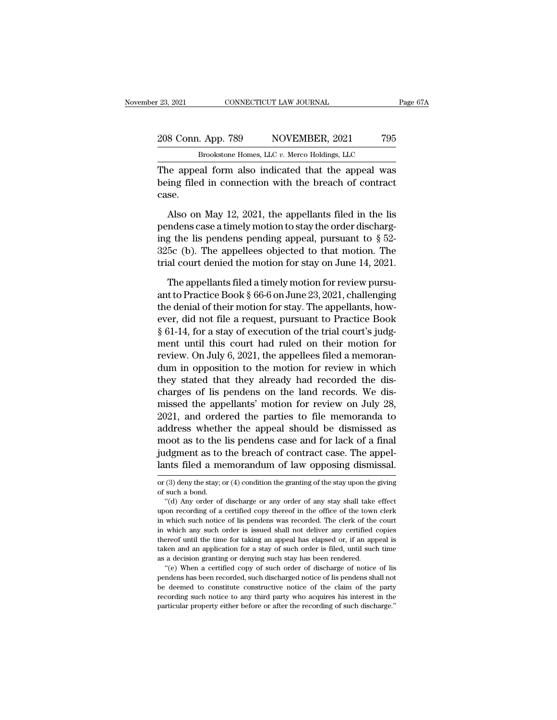23, 2021 CONNECTICUT LAW JOURNAL Page 67A<br>
208 Conn. App. 789 NOVEMBER, 2021 795<br>
Brookstone Homes, LLC v. Merco Holdings, LLC CONNECTICUT LAW JOURNAL<br>
. App. 789 NOVEMBER, 2021 795<br>
Brookstone Homes, LLC *v.* Merco Holdings, LLC<br>
ral form also indicated that the anneal was

The appeal form also indicated that the appeal form also indicated that the appeal was<br>being filed in connection with the breach of contract<br>assessment also indicated that the appeal was<br>also indicated that the appeal was<br> 208 Conn. App. 789 NOVEMBER, 2021 795<br>Brookstone Homes, LLC  $v$ . Merco Holdings, LLC<br>The appeal form also indicated that the appeal was<br>being filed in connection with the breach of contract<br>case. case. Brookstone Homes, LLC v. Merco Holdings, LLC<br>
Represent a appeal form also indicated that the appeal was<br>
ing filed in connection with the breach of contract<br>
se.<br>
Also on May 12, 2021, the appellants filed in the lis<br>
in

Brookstone Homes, LLC  $v$ . Merco Holdings, LLC<br>The appeal form also indicated that the appeal was<br>being filed in connection with the breach of contract<br>case.<br>Also on May 12, 2021, the appellants filed in the lis<br>pendens c The appeal form also indicated that the appeal was<br>being filed in connection with the breach of contract<br>case.<br>Also on May 12, 2021, the appellants filed in the lis<br>pendens case a timely motion to stay the order dischargbeing filed in connection with the breach of contract<br>case.<br>Also on May 12, 2021, the appellants filed in the lis<br>pendens case a timely motion to stay the order discharg-<br>ing the lis pendens pending appeal, pursuant to  $\S$ case.<br>
Also on May 12, 2021, the appellants filed in the lis<br>
pendens case a timely motion to stay the order discharg-<br>
ing the lis pendens pending appeal, pursuant to  $\S$  52-<br>
325c (b). The appellees objected to that mot Also on May 12, 2021, the appellants filed in the list<br>ndens case a timely motion to stay the order discharg-<br>g the list pendens pending appeal, pursuant to  $\S$  52-<br>5c (b). The appellees objected to that motion. The<br>al co pendens case a timely motion to stay the order discharging the lis pendens pending appeal, pursuant to  $\S$  52-<br>325c (b). The appellees objected to that motion. The<br>trial court denied the motion for stay on June 14, 2021.<br>

ing the lis pendens pending appeal, pursuant to  $\S$  52-325c (b). The appellees objected to that motion. The trial court denied the motion for stay on June 14, 2021.<br>The appellants filed a timely motion for review pursuant 325c (b). The appellees objected to that motion. The trial court denied the motion for stay on June 14, 2021.<br>The appellants filed a timely motion for review pursuant to Practice Book  $\S 66-6$  on June 23, 2021, challengin firial court denied the motion for stay on June 14, 2021.<br>The appellants filed a timely motion for review pursu-<br>ant to Practice Book § 66-6 on June 23, 2021, challenging<br>the denial of their motion for stay. The appellant The appellants filed a timely motion for review pursu-<br>ant to Practice Book  $\S$  66-6 on June 23, 2021, challenging<br>the denial of their motion for stay. The appellants, how-<br>ever, did not file a request, pursuant to Practi The appellants filed a timely motion for review pursu-<br>ant to Practice Book § 66-6 on June 23, 2021, challenging<br>the denial of their motion for stay. The appellants, how-<br>ever, did not file a request, pursuant to Practice ant to Practice Book § 66-6 on June 23, 2021, challenging<br>the denial of their motion for stay. The appellants, how-<br>ever, did not file a request, pursuant to Practice Book<br>§ 61-14, for a stay of execution of the trial cou the denial of their motion for stay. The appellants, how-<br>ever, did not file a request, pursuant to Practice Book<br>§ 61-14, for a stay of execution of the trial court's judg-<br>ment until this court had ruled on their motion ever, did not file a request, pursuant to Practice Book § 61-14, for a stay of execution of the trial court's judgment until this court had ruled on their motion for review. On July 6, 2021, the appellees filed a memorandu § 61-14, for a stay of execution of the trial court's judg-<br>ment until this court had ruled on their motion for<br>review. On July 6, 2021, the appellees filed a memoran-<br>dum in opposition to the motion for review in which<br>th ment until this court had ruled on their motion for<br>review. On July 6, 2021, the appellees filed a memoran-<br>dum in opposition to the motion for review in which<br>they stated that they already had recorded the dis-<br>charges of review. On July 6, 2021, the appellees filed a memorandum in opposition to the motion for review in which<br>they stated that they already had recorded the dis-<br>charges of lis pendens on the land records. We dis-<br>missed the a dum in opposition to the motion for review in which<br>they stated that they already had recorded the dis-<br>charges of lis pendens on the land records. We dis-<br>missed the appellants' motion for review on July 28,<br>2021, and ord they stated that they already had recorded the discharges of lis pendens on the land records. We dismissed the appellants' motion for review on July 28, 2021, and ordered the parties to file memoranda to address whether th charges of lis pendens on the land records. We dis-<br>missed the appellants' motion for review on July 28,<br>2021, and ordered the parties to file memoranda to<br>address whether the appeal should be dismissed as<br>moot as to the l address whether the appear should be dismissed as<br>moot as to the lis pendens case and for lack of a final<br>judgment as to the breach of contract case. The appel-<br>lants filed a memorandum of law opposing dismissal.<br>or (3) de moot as to the<br>judgment as to<br>lants filed a me<br>or (3) deny the stay; of<br>such a bond.<br>"(d) Any order of dgment as to the breach of contract case. The appel-<br>
nts filed a memorandum of law opposing dismissal.<br>
(3) deny the stay, or (4) condition the granting of the stay upon the giving<br>
such a bond.<br>
"(d) Any order of dischar

thereof until the time for taking an appeal has elapsed or, if an appeal is taken and an application for a stay of such order is filed, until such time as a decision granting or denying such stay has been rendered. "(e) Wh recording such an application for a stay of such order is filed, until such time as a decision granting or denying such stay has been rendered. "(e) When a certified copy of such order of discharge of notice of lis pendens taken and an application for a stay of such order is filed, until such time<br>as a decision granting or denying such stay has been rendered.<br>"(e) When a certified copy of such order of discharge of notice of lis<br>pendens has

and filed a memorandum of law opposing dismissal.<br>
or (3) deny the stay; or (4) condition the granting of the stay upon the giving<br>
of such a bond.<br>
"(d) Any order of discharge or any order of any stay shall take effect<br>
u in which such a functional control and the sum of the stay upon the giving<br>or (3) deny the stay; or (4) condition the granting of the stay upon the giving<br>of such a bond.<br>"(d) Any order of discharge or any order of any sta or (3) deny the stay; or (4) condition the granting of the stay upon the giving<br>of such a bond.<br>"(d) Any order of discharge or any order of any stay shall take effect<br>upon recording of a certified copy thereof in the offic of such a bond.<br>
"(d) Any order of discharge or any order of any stay shall take effect<br>
upon recording of a certified copy thereof in the office of the town clerk<br>
in which such notice of lis pendens was recorded. The cle "(d) Any order of discharge or any order of any stay shall take effect upon recording of a certified copy thereof in the office of the town clerk in which such notice of lis pendens was recorded. The clerk of the court in as a decision granting or denying such stay has been rendered.<br>The clerk of the town in which such notice of lis pendens was recorded. The clerk of the in which any such order is issued shall not deliver any certified of t which such notice of lis pendens was recorded. The clerk of the court<br>which any such order is issued shall not deliver any certified copies<br>ereof until the time for taking an appeal has elapsed or, if an appeal is<br>ken and m which any such order is issued shall not deliver any certified copies<br>thereof until the time for taking an appeal has elapsed or, if an appeal is<br>taken and an application for a stay of such order is filed, until such tim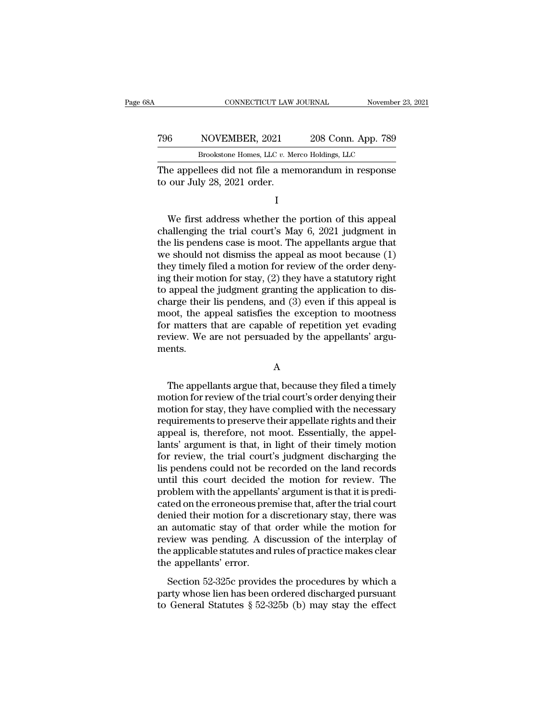|     | CONNECTICUT LAW JOURNAL                                                            |  | November 23, 2021  |  |
|-----|------------------------------------------------------------------------------------|--|--------------------|--|
| 796 | NOVEMBER, 2021                                                                     |  | 208 Conn. App. 789 |  |
|     | Brookstone Homes, LLC v. Merco Holdings, LLC                                       |  |                    |  |
|     | The appellees did not file a memorandum in response<br>to our July 28, 2021 order. |  |                    |  |
|     |                                                                                    |  |                    |  |

Brookstone Homes, LLC v. Merco Holdings, LLC<br>
ie appellees did not file a memorandum in response<br>
our July 28, 2021 order.<br>
I<br>
We first address whether the portion of this appeal<br>
allenging the trial court's May 6, 2021 ju EFOOSSIDE HORES, EEC *t.* Meteo Holdings, EEC<br>The appellees did not file a memorandum in response<br>to our July 28, 2021 order.<br>I<br>We first address whether the portion of this appeal<br>challenging the trial court's May 6, 2021 The appellees did not file a memorandum in response<br>to our July 28, 2021 order.<br>I<br>We first address whether the portion of this appeal<br>challenging the trial court's May 6, 2021 judgment in<br>the lis pendens case is moot. The to our July 28, 2021 order.<br>
I<br>
We first address whether the portion of this appeal<br>
challenging the trial court's May 6, 2021 judgment in<br>
the lis pendens case is moot. The appellants argue that<br>
we should not dismiss th I<br>We first address whether the portion of this appeal<br>challenging the trial court's May  $6$ , 2021 judgment in<br>the lis pendens case is moot. The appellants argue that<br>we should not dismiss the appeal as moot because  $(1)$ <br> We first address whether the portion of this appeal<br>challenging the trial court's May 6, 2021 judgment in<br>the lis pendens case is moot. The appellants argue that<br>we should not dismiss the appeal as moot because (1)<br>they t We first address whether the portion of this appeal challenging the trial court's May 6, 2021 judgment in the lis pendens case is moot. The appellants argue that we should not dismiss the appeal as moot because  $(1)$  they challenging the trial court's May 6, 2021 judgment in<br>the lis pendens case is moot. The appellants argue that<br>we should not dismiss the appeal as moot because (1)<br>they timely filed a motion for review of the order deny-<br>in the lis pendens case is moot. The appellants argue that<br>we should not dismiss the appeal as moot because (1)<br>they timely filed a motion for review of the order deny-<br>ing their motion for stay, (2) they have a statutory rig we should not dismiss the appeal as moot because (1)<br>they timely filed a motion for review of the order deny-<br>ing their motion for stay, (2) they have a statutory right<br>to appeal the judgment granting the application to di they timely filed a motion for review of the order deny-<br>ing their motion for stay, (2) they have a statutory right<br>to appeal the judgment granting the application to dis-<br>charge their lis pendens, and (3) even if this app ments. oot, the appeal satisfies the exception to mootness<br>
r matters that are capable of repetition yet evading<br>
view. We are not persuaded by the appellants' argu-<br>
ents.<br>
A<br>
The appellants argue that, because they filed a time

#### A

for matters that are capable of repetition yet evading<br>review. We are not persuaded by the appellants' arguments.<br>A<br>The appellants argue that, because they filed a timely<br>motion for review of the trial court's order denyin review. We are not persuaded by the appellants' arguments.<br>
A<br>
The appellants argue that, because they filed a timely<br>
motion for review of the trial court's order denying their<br>
motion for stay, they have complied with th A<br>
The appellants argue that, because they filed a timely<br>
motion for review of the trial court's order denying their<br>
motion for stay, they have complied with the necessary<br>
requirements to preserve their appellate rights A<br>
The appellants argue that, because they filed a timely<br>
motion for review of the trial court's order denying their<br>
motion for stay, they have complied with the necessary<br>
requirements to preserve their appellate rights The appellants argue that, because they filed a timely<br>motion for review of the trial court's order denying their<br>motion for stay, they have complied with the necessary<br>requirements to preserve their appellate rights and t The appellants argue that, because they filed a timely<br>motion for review of the trial court's order denying their<br>motion for stay, they have complied with the necessary<br>requirements to preserve their appellate rights and t motion for review of the trial court's order denying their<br>motion for stay, they have complied with the necessary<br>requirements to preserve their appellate rights and their<br>appeal is, therefore, not moot. Essentially, the a motion for stay, they have complied with the necessary<br>requirements to preserve their appellate rights and their<br>appeal is, therefore, not moot. Essentially, the appel-<br>lants' argument is that, in light of their timely mot requirements to preserve their appellate rights and their<br>appeal is, therefore, not moot. Essentially, the appel-<br>lants' argument is that, in light of their timely motion<br>for review, the trial court's judgment discharging appeal is, therefore, not moot. Essentially, the appel-<br>lants' argument is that, in light of their timely motion<br>for review, the trial court's judgment discharging the<br>lis pendens could not be recorded on the land records<br> lants' argument is that, in light of their timely motion<br>for review, the trial court's judgment discharging the<br>lis pendens could not be recorded on the land records<br>until this court decided the motion for review. The<br>prob for review, the trial court's judgment discharging the<br>lis pendens could not be recorded on the land records<br>until this court decided the motion for review. The<br>problem with the appellants' argument is that it is predi-<br>ca lis pendens could not be recorded on the land records<br>until this court decided the motion for review. The<br>problem with the appellants' argument is that it is predi-<br>cated on the erroneous premise that, after the trial cour until this court decided the motion for review. The<br>problem with the appellants' argument is that it is predi-<br>cated on the erroneous premise that, after the trial court<br>denied their motion for a discretionary stay, there problem with the appellants' argument is that it is predicated on the erroneous premise that, after the trial court<br>denied their motion for a discretionary stay, there was<br>an automatic stay of that order while the motion f initial their motion for a discretionary stay, there was<br>automatic stay of that order while the motion for<br>view was pending. A discussion of the interplay of<br>e applicable statutes and rules of practice makes clear<br>e appel and antention is a distribution of  $\alpha$  distribution  $\alpha$  and an automatic stay of that order while the motion for review was pending. A discussion of the interplay of the applicable statutes and rules of practice makes c the applicable statutes and rules of practice makes clear<br>the applicable statutes and rules of practice makes clear<br>the appellants' error.<br>Section 52-325c provides the procedures by which a<br>party whose lien has been order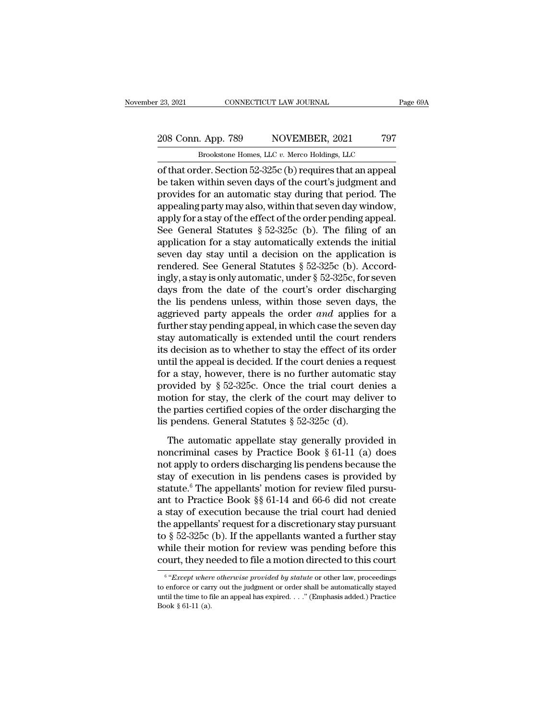#### 23, 2021 CONNECTICUT LAW JOURNAL Page 69A<br>
208 Conn. App. 789 NOVEMBER, 2021 797<br>
Brookstone Homes, LLC v. Merco Holdings, LLC CONNECTICUT LAW JOURNAL<br>Brookstone Homes, LLC *v.* Merco Holdings, LLC<br>Brookstone Homes, LLC *v.* Merco Holdings, LLC<br>Her. Section 52-325c (b) requires that an appeal

of that order. Section 52-325c (b) requires that an appear appear that order. Section 52-325c (b) requires that an appear be taken within seven days of the court's judgment and prevides for an automatic stay during that p 208 Conn. App. 789 NOVEMBER, 2021 797<br>Brookstone Homes, LLC v. Merco Holdings, LLC<br>of that order. Section 52-325c (b) requires that an appeal<br>be taken within seven days of the court's judgment and<br>provides for an automatic 208 Conn. App. 789 NOVEMBER, 2021 797<br>Brookstone Homes, LLC v. Merco Holdings, LLC<br>of that order. Section 52-325c (b) requires that an appeal<br>be taken within seven days of the court's judgment and<br>provides for an automati 208 Conn. App. 789 NOVEMBER, 2021 797<br>
Brookstone Homes, LLC  $v$ . Merco Holdings, LLC<br>
of that order. Section 52-325c (b) requires that an appeal<br>
be taken within seven days of the court's judgment and<br>
provides for an au Brookstone Homes, LLC v. Merco Holdings, LLC<br>
of that order. Section 52-325c (b) requires that an appeal<br>
be taken within seven days of the court's judgment and<br>
provides for an automatic stay during that period. The<br>
app Brookstone Homes, LLC  $v$ . Merco Holdings, LLC<br>of that order. Section 52-325c (b) requires that an appeal<br>be taken within seven days of the court's judgment and<br>provides for an automatic stay during that period. The<br>appea of that order. Section 52-325c (b) requires that an appeal<br>be taken within seven days of the court's judgment and<br>provides for an automatic stay during that period. The<br>appealing party may also, within that seven day wind be taken within seven days of the court's judgment and<br>provides for an automatic stay during that period. The<br>appealing party may also, within that seven day window,<br>apply for a stay of the effect of the order pending app provides for an automatic stay during that period. The appealing party may also, within that seven day window, apply for a stay of the effect of the order pending appeal. See General Statutes § 52-325c (b). The filing of appealing party may also, within that seven day window,<br>apply for a stay of the effect of the order pending appeal.<br>See General Statutes § 52-325c (b). The filing of an<br>application for a stay automatically extends the init apply for a stay of the effect of the order pending appeal.<br>See General Statutes § 52-325c (b). The filing of an<br>application for a stay automatically extends the initial<br>seven day stay until a decision on the application See General Statutes § 52-325c (b). The filing of an application for a stay automatically extends the initial seven day stay until a decision on the application is rendered. See General Statutes § 52-325c (b). Accordingly application for a stay automatically extends the initial<br>seven day stay until a decision on the application is<br>rendered. See General Statutes § 52-325c (b). Accord-<br>ingly, a stay is only automatic, under § 52-325c, for sev seven day stay until a decision on the application is<br>rendered. See General Statutes  $\S$  52-325c (b). Accord-<br>ingly, a stay is only automatic, under  $\S$  52-325c, for seven<br>days from the date of the court's order dischargi rendered. See General Statutes  $\S$  52-325c (b). Accordingly, a stay is only automatic, under  $\S$  52-325c, for seven days from the date of the court's order discharging the lis pendens unless, within those seven days, the ingly, a stay is only automatic, under  $\S$  52-325c, for seven<br>days from the date of the court's order discharging<br>the lis pendens unless, within those seven days, the<br>aggrieved party appeals the order *and* applies for a<br> days from the date of the court's order discharging<br>the lis pendens unless, within those seven days, the<br>aggrieved party appeals the order *and* applies for a<br>further stay pending appeal, in which case the seven day<br>stay the lis pendens unless, within those seven days, the aggrieved party appeals the order *and* applies for a further stay pending appeal, in which case the seven day stay automatically is extended until the court renders it aggrieved party appeals the order *and* applies for a<br>further stay pending appeal, in which case the seven day<br>stay automatically is extended until the court renders<br>its decision as to whether to stay the effect of its ord further stay pending appeal, in which case the seven day<br>stay automatically is extended until the court renders<br>its decision as to whether to stay the effect of its order<br>until the appeal is decided. If the court denies a stay automatically is extended until the court renders<br>its decision as to whether to stay the effect of its order<br>until the appeal is decided. If the court denies a request<br>for a stay, however, there is no further automat its decision as to whether to stay the effect of its<br>until the appeal is decided. If the court denies a re<br>for a stay, however, there is no further automati-<br>provided by  $\S 52-325c$ . Once the trial court den<br>motion for st The automatic appellate stay in the state state stay ovided by § 52-325c. Once the trial court denies a potion for stay, the clerk of the court may deliver to e parties certified copies of the order discharging the penden provided by § 52-325c. Once the trial court denies a<br>provided by § 52-325c. Once the trial court may deliver to<br>the parties certified copies of the order discharging the<br>lis pendens. General Statutes § 52-325c (d).<br>The au

motion for stay, the clerk of the court may deliver to<br>the parties certified copies of the order discharging the<br>lis pendens. General Statutes § 52-325c (d).<br>The automatic appellate stay generally provided in<br>noncriminal state is exert of the order half denotes the parties certified copies of the order discharging the<br>lis pendens. General Statutes § 52-325c (d).<br>The automatic appellate stay generally provided in<br>noncriminal cases by Pract The automatic appellate stay generally provided in<br>noncriminal cases by Practice Book  $\S 61-11$  (a) does<br>not apply to orders discharging lis pendens because the<br>stay of execution in lis pendens cases is provided by<br>statut The automatic appellate stay generally provided in<br>noncriminal cases by Practice Book § 61-11 (a) does<br>not apply to orders discharging lis pendens because the<br>stay of execution in lis pendens cases is provided by<br>statute. The automatic appellate stay generally provided in<br>noncriminal cases by Practice Book § 61-11 (a) does<br>not apply to orders discharging lis pendens because the<br>stay of execution in lis pendens cases is provided by<br>statute. noncriminal cases by Practice Book § 61-11 (a) does<br>not apply to orders discharging lis pendens because the<br>stay of execution in lis pendens cases is provided by<br>statute.<sup>6</sup> The appellants' motion for review filed pursu-<br> not apply to orders discharging lis pendens because the<br>stay of execution in lis pendens cases is provided by<br>statute.<sup>6</sup> The appellants' motion for review filed pursu-<br>ant to Practice Book §§ 61-14 and 66-6 did not create stay of execution in lis pendens cases is provided by<br>statute.<sup>6</sup> The appellants' motion for review filed pursu-<br>ant to Practice Book §§ 61-14 and 66-6 did not create<br>a stay of execution because the trial court had denied<br> statute.<sup>6</sup> The appellants' motion for review filed pursu-<br>ant to Practice Book §§ 61-14 and 66-6 did not create<br>a stay of execution because the trial court had denied<br>the appellants' request for a discretionary stay purs <sup>2</sup> except lants' request for a discretionary stay pursuant  $\S$  52-325c (b). If the appellants wanted a further stay iile their motion for review was pending before this urt, they needed to file a motion directed to this c to § 52-325c (b). If the appellants wanted a further stay<br>while their motion for review was pending before this<br>court, they needed to file a motion directed to this court<br> $\frac{1}{\sqrt{2\pi}}$   $\frac{1}{\sqrt{2\pi}}$   $\frac{1}{\sqrt{2\pi}}$   $\frac{1$ 

 $6$  "Except where otherwise provided by statute or other law, proceedings while their motion for review was pending before this court, they needed to file a motion directed to this court<br> $\frac{6}{\sqrt{6}}$ <br> $\frac{w}{Except\ where\ otherwise\ provided\ by\ static\ or\ other\ law, proceedings}$  to enforce or carry out the judgment or order shall be automatical Fourt, they not<br>  $\frac{6}{6}$   $\frac{6}{2}$   $\frac{6}{2}$   $\frac{6}{2}$   $\frac{6}{2}$   $\frac{6}{2}$   $\frac{6}{2}$   $\frac{6}{2}$   $\frac{6}{2}$   $\frac{6}{2}$   $\frac{6}{2}$   $\frac{6}{2}$   $\frac{6}{2}$   $\frac{6}{2}$   $\frac{6}{2}$   $\frac{6}{2}$   $\frac{6}{2}$   $\frac{6}{2}$   $\frac{6}{2}$   $\frac{6}{2}$   $\frac{$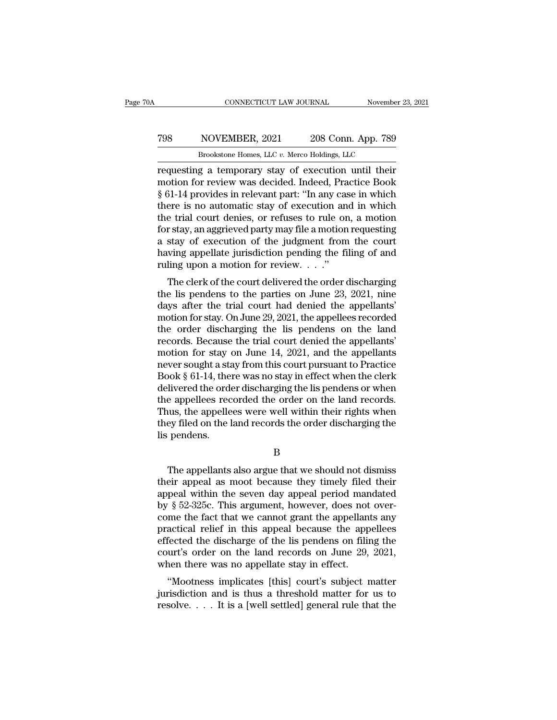#### CONNECTICUT LAW JOURNAL November 23, 2021<br>
798 NOVEMBER, 2021 208 Conn. App. 789<br>
Brookstone Homes, LLC v. Merco Holdings, LLC CONNECTICUT LAW JOURNAL November<br>
NOVEMBER, 2021 208 Conn. App. 789<br>
Brookstone Homes, LLC *v.* Merco Holdings, LLC<br> **g** a temporary stay of execution until their

CONNECTICUT LAW JOURNAL November 23, 2021<br>
T98 NOVEMBER, 2021 208 Conn. App. 789<br>
Brookstone Homes, LLC v. Merco Holdings, LLC<br>
requesting a temporary stay of execution until their<br>
motion for review was decided. Indeed, P MOVEMBER, 2021 208 Conn. App. 789<br>Brookstone Homes, LLC v. Merco Holdings, LLC<br>requesting a temporary stay of execution until their<br>motion for review was decided. Indeed, Practice Book<br>§ 61-14 provides in relevant part: "I From Solution 1998<br>
Superior Superior 2021<br>
Superior 2021<br>
Superior Superior 2021<br>
Superior Superior Controllings, LLC<br>
Superior relevant part: ''In any case in which<br>
there is no automatic stay of execution and in which<br> TO THE THE THE SUCTION THE THE SUCTION OF THE SPONSION BOOK THE SPONSION CONTROLLED THE SPONSION OF THE SPONSION SUPPLY THE SPONSION SUPPLY THAT SHOW THAT SHOW THAT SHOW THAT SHOW THAT SHOW THAT SHOW THAT SHOW THAT SHOW T Brookstone Homes, LLC v. Merco Holdings, LLC<br>requesting a temporary stay of execution until their<br>motion for review was decided. Indeed, Practice Book<br> $\S 61$ -14 provides in relevant part: "In any case in which<br>there is no Brookstone Homes, LLC v. Merco Holdings, LLC<br>requesting a temporary stay of execution until their<br>motion for review was decided. Indeed, Practice Book<br>§ 61-14 provides in relevant part: "In any case in which<br>there is no au requesting a temporary stay of execution until their<br>motion for review was decided. Indeed, Practice Book<br>§ 61-14 provides in relevant part: "In any case in which<br>there is no automatic stay of execution and in which<br>the tr motion for review was decided. Indeed, Practice Book  $\S$  61-14 provides in relevant part: "In any case in which there is no automatic stay of execution and in which the trial court denies, or refuses to rule on, a motion  $\S$  61-14 provides in relevant part: "In any case in which there is no automatic stay of execution and in which the trial court denies, or refuses to rule on, a motion for stay, an aggrieved party may file a motion reques EVERT IS NO automatic stay of execution and in which<br>e trial court denies, or refuses to rule on, a motion<br>r stay, an aggrieved party may file a motion requesting<br>stay of execution of the judgment from the court<br>wing appe the trial court denies, or refuses to rule on, a motion<br>for stay, an aggrieved party may file a motion requesting<br>a stay of execution of the judgment from the court<br>having appellate jurisdiction pending the filing of and<br>

For stay, an aggreved party may the a motion requesting<br>a stay of execution of the judgment from the court<br>having appellate jurisdiction pending the filing of and<br>ruling upon a motion for review...."<br>The clerk of the cour a stay of execution of the judgment from the court<br>having appellate jurisdiction pending the filing of and<br>ruling upon a motion for review...."<br>The clerk of the court delivered the order discharging<br>the lis pendens to the The order discharging the magnetic method of pendent of the court delivered the order discharging<br>the lis pendens to the parties on June 23, 2021, nine<br>days after the trial court had denied the appellants'<br>motion for stay The clerk of the court delivered the order discharging<br>the lis pendens to the parties on June 23, 2021, nine<br>days after the trial court had denied the appellants'<br>motion for stay. On June 29, 2021, the appellees recorded<br> The clerk of the court delivered the order discharging<br>the lis pendens to the parties on June 23, 2021, nine<br>days after the trial court had denied the appellants'<br>motion for stay. On June 29, 2021, the appellees recorded<br> the lis pendens to the parties on June 23, 2021, nine<br>days after the trial court had denied the appellants'<br>motion for stay. On June 29, 2021, the appellees recorded<br>the order discharging the lis pendens on the land<br>record days after the trial court had denied the appellants'<br>motion for stay. On June 29, 2021, the appellees recorded<br>the order discharging the lis pendens on the land<br>records. Because the trial court denied the appellants'<br>moti motion for stay. On June 29, 2021, the appellees recorded<br>the order discharging the lis pendens on the land<br>records. Because the trial court denied the appellants'<br>motion for stay on June 14, 2021, and the appellants<br>never the order discharging the lis pendens on the land<br>records. Because the trial court denied the appellants'<br>motion for stay on June 14, 2021, and the appellants<br>never sought a stay from this court pursuant to Practice<br>Book § records. Because the trial court denied the appellants'<br>motion for stay on June 14, 2021, and the appellants<br>never sought a stay from this court pursuant to Practice<br>Book § 61-14, there was no stay in effect when the clerk motion for stay on June 14, 2021, and the appellants<br>never sought a stay from this court pursuant to Practice<br>Book § 61-14, there was no stay in effect when the clerk<br>delivered the order discharging the lis pendens or when never sought a stay from this court pursuant to Practice<br>Book  $\S$  61-14, there was no stay in effect when the clerk<br>delivered the order discharging the lis pendens or when<br>the appellees recorded the order on the land reco e appellees recorded the order on the land records.<br>
uus, the appellees were well within their rights when<br>
ey filed on the land records the order discharging the<br>
pendens.<br>
B<br>
The appellants also argue that we should not

B

Thus, the appellees were well within their rights when<br>they filed on the land records the order discharging the<br>lis pendens.<br> $B$ <br>The appellants also argue that we should not dismiss<br>their appeal as moot because they timel they filed on the land records the order discharging the<br>
is pendens.<br>
B<br>
The appellants also argue that we should not dismiss<br>
their appeal as moot because they timely filed their<br>
appeal within the seven day appeal perio B<br>B<br>The appellants also argue that we should not dismiss<br>their appeal as moot because they timely filed their<br>appeal within the seven day appeal period mandated<br>by § 52-325c. This argument, however, does not over-<br>come the B<br>
The appellants also argue that we should not dismiss<br>
their appeal as moot because they timely filed their<br>
appeal within the seven day appeal period mandated<br>
by § 52-325c. This argument, however, does not over-<br>
come The appellants also argue that we should not dismiss<br>their appeal as moot because they timely filed their<br>appeal within the seven day appeal period mandated<br>by § 52-325c. This argument, however, does not over-<br>come the fa The appellants also argue that we should not dismiss<br>their appeal as moot because they timely filed their<br>appeal within the seven day appeal period mandated<br>by  $\S 52-325c$ . This argument, however, does not over-<br>come the their appeal as moot because they timely filed their<br>appeal within the seven day appeal period mandated<br>by § 52-325c. This argument, however, does not over-<br>come the fact that we cannot grant the appellants any<br>practical r appeal within the seven day appeal period man<br>by § 52-325c. This argument, however, does not<br>come the fact that we cannot grant the appellant<br>practical relief in this appeal because the app<br>effected the discharge of the li <sup>8</sup> 32-5250. This argument, nowever, toos not over-<br>
me the fact that we cannot grant the appellants any<br>
actical relief in this appeal because the appellees<br>
fected the discharge of the lis pendens on filing the<br>
urt's or Fractrical relief in this appeal because the appellees<br>effected the discharge of the lis pendens on filing the<br>court's order on the land records on June 29, 2021,<br>when there was no appellate stay in effect.<br>"Mootness impl practical feller in this appear because the appeares effected the discharge of the lis pendens on filing the court's order on the land records on June 29, 2021, when there was no appellate stay in effect.<br>
"Mootness impli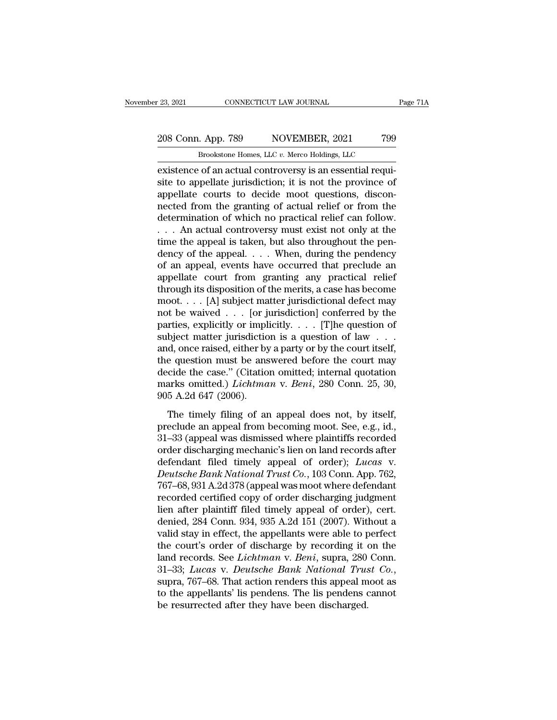23, 2021 CONNECTICUT LAW JOURNAL Page 71A<br>
208 Conn. App. 789 NOVEMBER, 2021 799<br>
Brookstone Homes, LLC v. Merco Holdings, LLC CONNECTICUT LAW JOURNAL<br>
. App. 789 NOVEMBER, 2021 799<br>
Brookstone Homes, LLC *v.* Merco Holdings, LLC<br>
. of an actual controversy is an essential requi-

existence of an actual controversy is an essential required to appellate jurisdiction; it is not the province of an actual controversy is an essential requisite to appellate jurisdiction; it is not the province of annellat 208 Conn. App. 789 NOVEMBER, 2021 799<br>Brookstone Homes, LLC v. Merco Holdings, LLC<br>existence of an actual controversy is an essential requisite to appellate jurisdiction; it is not the province of<br>appellate courts to decid 208 Conn. App. 789 NOVEMBER, 2021 799<br>Brookstone Homes, LLC  $v$ . Merco Holdings, LLC<br>existence of an actual controversy is an essential requi-<br>site to appellate jurisdiction; it is not the province of<br>appellate courts to 208 Conn. App. 789 NOVEMBER, 2021 799<br>Brookstone Homes, LLC  $v$ . Merco Holdings, LLC<br>existence of an actual controversy is an essential requi-<br>site to appellate jurisdiction; it is not the province of<br>appellate courts to Brookstone Homes, LLC v. Merco Holdings, LLC<br>existence of an actual controversy is an essential requi-<br>site to appellate jurisdiction; it is not the province of<br>appellate courts to decide moot questions, discon-<br>nected fro Brookstone Homes, LLC v. Merco Holdings, LLC<br>existence of an actual controversy is an essential requi-<br>site to appellate jurisdiction; it is not the province of<br>appellate courts to decide moot questions, discon-<br>nected fr existence of an actual controversy is an essential requisite to appellate jurisdiction; it is not the province of appellate courts to decide moot questions, disconnected from the granting of actual relief or from the dete site to appellate jurisdiction; it is not the province of<br>appellate courts to decide moot questions, discon-<br>nected from the granting of actual relief or from the<br>determination of which no practical relief can follow.<br>. . appellate courts to decide moot questions, disconnected from the granting of actual relief or from the determination of which no practical relief can follow.<br>  $\dots$  An actual controversy must exist not only at the time the nected from the granting of actual relief or from the<br>determination of which no practical relief can follow.<br>... An actual controversy must exist not only at the<br>time the appeal is taken, but also throughout the pen-<br>denc determination of which no practical relief can follow.<br>
. . . An actual controversy must exist not only at the<br>
time the appeal is taken, but also throughout the pen-<br>
dency of the appeal. . . . When, during the pendency<br> . . . An actual controversy must exist not only at the time the appeal is taken, but also throughout the pendency of the appeal. . . . When, during the pendency of an appeal, events have occurred that preclude an appellat time the appeal is taken, but also throughout the pendency of the appeal. . . . When, during the pendency of an appeal, events have occurred that preclude an appellate court from granting any practical relief through its dency of the appeal. . . . When, during the pendency<br>of an appeal, events have occurred that preclude an<br>appellate court from granting any practical relief<br>through its disposition of the merits, a case has become<br>moot. . of an appeal, events have occurred that preclude an appellate court from granting any practical relief through its disposition of the merits, a case has become moot. . . . [A] subject matter jurisdictional defect may not appellate court from granting any practical relief<br>through its disposition of the merits, a case has become<br>moot. . . . [A] subject matter jurisdictional defect may<br>not be waived . . . [or jurisdiction] conferred by the<br>p through its disposition of the merits, a case has become<br>moot.... [A] subject matter jurisdictional defect may<br>not be waived .... [or jurisdiction] conferred by the<br>parties, explicitly or implicitly.... [T]he question of<br> moot.... [A] subject matter jurisdictional defect may<br>not be waived ... [or jurisdiction] conferred by the<br>parties, explicitly or implicitly.... [T]he question of<br>subject matter jurisdiction is a question of law ...<br>and, not be waived  $\ldots$  [or jurisdiction] conferred by the parties, explicitly or implicitly.  $\ldots$  [T]he question of subject matter jurisdiction is a question of law  $\ldots$  and, once raised, either by a party or by the court parties, explicitly or impl<br>subject matter jurisdictio<br>and, once raised, either by<br>the question must be ans<br>decide the case." (Citatio<br>marks omitted.) *Lichtma*<br>905 A.2d 647 (2006).<br>The timely filing of ar d, once raised, either by a party or by the court itself,<br>d, once raised, either by a party or by the court itself,<br>e question must be answered before the court may<br>cide the case." (Citation omitted; internal quotation<br>ar the question must be answered before the court may<br>decide the case." (Citation omitted; internal quotation<br>marks omitted.) *Lichtman* v. *Beni*, 280 Conn. 25, 30,<br>905 A.2d 647 (2006).<br>The timely filing of an appeal does n

are quession mast be districted before the coal may<br>decide the case." (Citation omitted; internal quotation<br>marks omitted.) *Lichtman* v. *Beni*, 280 Conn. 25, 30,<br>905 A.2d 647 (2006).<br>The timely filing of an appeal does n marks omitted.) *Lichtman* v. *Beni*, 280 Conn. 25, 30, 905 A.2d 647 (2006).<br>The timely filing of an appeal does not, by itself, preclude an appeal from becoming moot. See, e.g., id., 31–33 (appeal was dismissed where pla definition of the timely filing of an appeal does not, by itself,<br>preclude an appeal from becoming moot. See, e.g., id.,<br>31–33 (appeal was dismissed where plaintiffs recorded<br>order discharging mechanic's lien on land recor The timely filing of an appeal does not, by itself,<br>preclude an appeal from becoming moot. See, e.g., id.,<br>31–33 (appeal was dismissed where plaintiffs recorded<br>order discharging mechanic's lien on land records after<br>defen The timely filing of an appeal does not, by itself,<br>preclude an appeal from becoming moot. See, e.g., id.,<br>31–33 (appeal was dismissed where plaintiffs recorded<br>order discharging mechanic's lien on land records after<br>defen preclude an appeal from becoming moot. See, e.g., id.,<br>31–33 (appeal was dismissed where plaintiffs recorded<br>order discharging mechanic's lien on land records after<br>defendant filed timely appeal of order); *Lucas* v.<br>*Deut* 31–33 (appeal was dismissed where plaintiffs recorded<br>order discharging mechanic's lien on land records after<br>defendant filed timely appeal of order); *Lucas* v.<br>*Deutsche Bank National Trust Co.*, 103 Conn. App. 762,<br>767– order discharging mechanic's lien on land records after<br>defendant filed timely appeal of order); Lucas v.<br>Deutsche Bank National Trust Co., 103 Conn. App. 762,<br>767–68, 931 A.2d 378 (appeal was moot where defendant<br>recorded defendant filed timely appeal of order); Lucas v.<br>Deutsche Bank National Trust Co., 103 Conn. App. 762,<br>767–68, 931 A.2d 378 (appeal was moot where defendant<br>recorded certified copy of order discharging judgment<br>lien after Deutsche Bank National Trust Co., 103 Conn. App. 762,<br>767–68, 931 A.2d 378 (appeal was moot where defendant<br>recorded certified copy of order discharging judgment<br>lien after plaintiff filed timely appeal of order), cert.<br>de 767–68, 931 A.2d 378 (appeal was moot where defendant<br>recorded certified copy of order discharging judgment<br>lien after plaintiff filed timely appeal of order), cert.<br>denied, 284 Conn. 934, 935 A.2d 151 (2007). Without a<br>va recorded certified copy of order discharging judgment<br>lien after plaintiff filed timely appeal of order), cert.<br>denied, 284 Conn. 934, 935 A.2d 151 (2007). Without a<br>valid stay in effect, the appellants were able to perfec denied, 284 Conn. 934, 935 A.2d 151 (2007). Without a<br>valid stay in effect, the appellants were able to perfect<br>the court's order of discharge by recording it on the<br>land records. See *Lichtman* v. *Beni*, supra, 280 Conn. valid stay in effect, the appellants were able to p<br>the court's order of discharge by recording it of<br>land records. See *Lichtman* v. *Beni*, supra, 280<br>31–33; *Lucas* v. *Deutsche Bank National Trus*<br>supra, 767–68. That a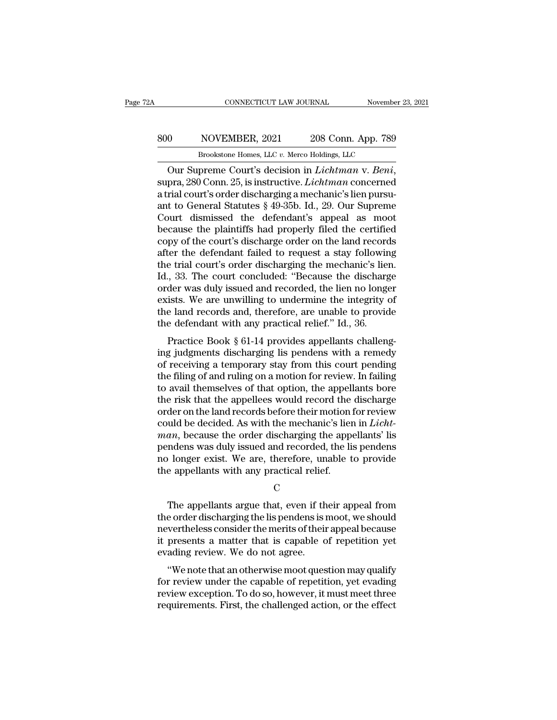#### EXECUTE CONNECTICUT LAW JOURNAL Movember 23, 2021<br>800 NOVEMBER, 2021 208 Conn. App. 789<br>Brookstone Homes, LLC v. Merco Holdings, LLC CONNECTICUT LAW JOURNAL November<br>
NOVEMBER, 2021 208 Conn. App. 789<br>
Brookstone Homes, LLC *v.* Merco Holdings, LLC<br>
preme Court's decision in *Lichtman* v *Beni*

CONNECTICUT LAW JOURNAL November 23, 2021<br>
Suppreme Court's decision in *Lichtman* v. *Beni*, supra, 280 Conn. 25, is instructive. *Lichtman* concerned a trial court's order discharging a mechanic's lien pursuemt to Gonora 800 NOVEMBER, 2021 208 Conn. App. 789<br>Brookstone Homes, LLC v. Merco Holdings, LLC<br>Our Supreme Court's decision in *Lichtman* v. *Beni*,<br>supra, 280 Conn. 25, is instructive. *Lichtman* concerned<br>a trial court's order disc 800 NOVEMBER, 2021 208 Conn. App. 789<br>Brookstone Homes, LLC v. Merco Holdings, LLC<br>Our Supreme Court's decision in *Lichtman* v. *Beni*,<br>supra, 280 Conn. 25, is instructive. *Lichtman* concerned<br>a trial court's order disc Brookstone Homes, LLC v. Merco Holdings, LLC<br>
Our Supreme Court's decision in *Lichtman* v. Beni,<br>
supra, 280 Conn. 25, is instructive. *Lichtman* concerned<br>
a trial court's order discharging a mechanic's lien pursu-<br>
ant Brookstone Homes, LLC v. Merco Holdings, LLC<br>
Our Supreme Court's decision in *Lichtman* v. *Beni*,<br>
supra, 280 Conn. 25, is instructive. *Lichtman* concerned<br>
a trial court's order discharging a mechanic's lien pursu-<br>
a Our Supreme Court's decision in *Lichtman* v. *Beni*, supra, 280 Conn. 25, is instructive. *Lichtman* concerned a trial court's order discharging a mechanic's lien pursuant to General Statutes  $\S$  49-35b. Id., 29. Our Sup supra, 280 Conn. 25, is instructive. *Lichtman* concerned<br>a trial court's order discharging a mechanic's lien pursu-<br>ant to General Statutes § 49-35b. Id., 29. Our Supreme<br>Court dismissed the defendant's appeal as moot<br>bec a trial court's order discharging a mechanic's lien pursu-<br>ant to General Statutes § 49-35b. Id., 29. Our Supreme<br>Court dismissed the defendant's appeal as moot<br>because the plaintiffs had properly filed the certified<br>copy ant to General Statutes § 49-35b. Id., 29. Our Supreme<br>Court dismissed the defendant's appeal as moot<br>because the plaintiffs had properly filed the certified<br>copy of the court's discharge order on the land records<br>after th Court dismissed the defendant's appeal as moot<br>because the plaintiffs had properly filed the certified<br>copy of the court's discharge order on the land records<br>after the defendant failed to request a stay following<br>the tria because the plaintiffs had properly filed the certified<br>copy of the court's discharge order on the land records<br>after the defendant failed to request a stay following<br>the trial court's order discharging the mechanic's lien copy of the court's discharge order on the land records<br>after the defendant failed to request a stay following<br>the trial court's order discharging the mechanic's lien.<br>Id., 33. The court concluded: "Because the discharge<br>o after the defendant failed to request a stay followir<br>the trial court's order discharging the mechanic's liet<br>Id., 33. The court concluded: "Because the discharg<br>order was duly issued and recorded, the lien no long<br>exists. Final court's order discharging the inechante's nent.<br>
, 33. The court concluded: "Because the discharge<br>
der was duly issued and recorded, the lien no longer<br>
ists. We are unwilling to undermine the integrity of<br>
e land r id., 55. The court concluded. Because the uscharge<br>order was duly issued and recorded, the lien no longer<br>exists. We are unwilling to undermine the integrity of<br>the land records and, therefore, are unable to provide<br>the de

of the land records and recorded, the field in origer<br>exists. We are unwilling to undermine the integrity of<br>the land records and, therefore, are unable to provide<br>the defendant with any practical relief." Id., 36.<br>Practic Exists. We are throwning to underfinite the integrity of<br>the land records and, therefore, are unable to provide<br>the defendant with any practical relief." Id., 36.<br>Practice Book § 61-14 provides appellants challeng-<br>ing jud the defendant with any practical relief." Id., 36.<br>
Practice Book § 61-14 provides appellants challeng-<br>
ing judgments discharging lis pendens with a remedy<br>
of receiving a temporary stay from this court pending<br>
the filin the defendant whit any practical refler. Tu., 50.<br>
Practice Book § 61-14 provides appellants challeng-<br>
ing judgments discharging lis pendens with a remedy<br>
of receiving a temporary stay from this court pending<br>
the filing Practice Book § 61-14 provides appellants challeng-<br>ing judgments discharging lis pendens with a remedy<br>of receiving a temporary stay from this court pending<br>the filing of and ruling on a motion for review. In failing<br>to ing judgments discharging lis pendens with a remedy<br>of receiving a temporary stay from this court pending<br>the filing of and ruling on a motion for review. In failing<br>to avail themselves of that option, the appellants bore<br> of receiving a temporary stay from this court pending<br>the filing of and ruling on a motion for review. In failing<br>to avail themselves of that option, the appellants bore<br>the risk that the appellees would record the dischar the filing of and ruling on a motion for review. In failing<br>to avail themselves of that option, the appellants bore<br>the risk that the appellees would record the discharge<br>order on the land records before their motion for r to avail themselves of that option, the appellants bore<br>the risk that the appellees would record the discharge<br>order on the land records before their motion for review<br>could be decided. As with the mechanic's lien in *Lich* the risk that the appellees would record the order on the land records before their motion is could be decided. As with the mechanic's lier  $man$ , because the order discharging the appendens was duly issued and recorded, th  $an$ , because the order discharging the appellants' list<br>
indens was duly issued and recorded, the list pendens<br>  $\alpha$  longer exist. We are, therefore, unable to provide<br>
e appellants with any practical relief.<br>
C<br>
The appe

#### C<sub>c</sub>

pendens was duly issued and recorded, the lis pendens<br>no longer exist. We are, therefore, unable to provide<br>the appellants with any practical relief.<br>C<br>The appellants argue that, even if their appeal from<br>the order dischar no longer exist. We are, therefore, unable to provide<br>the appellants with any practical relief.<br>C<br>The appellants argue that, even if their appeal from<br>the order discharging the lis pendens is moot, we should<br>nevertheless c charge that with any practical relief.<br>C<br>The appellants argue that, even if their appeal from<br>the order discharging the lis pendens is moot, we should<br>nevertheless consider the merits of their appeal because<br>it presents a C<br>
The appellants argue that, even if the<br>
the order discharging the lis pendens is a<br>
nevertheless consider the merits of their<br>
it presents a matter that is capable of<br>
evading review. We do not agree.<br>
"We note that an The appellants argue that, even if their appeal from<br>
e order discharging the lis pendens is moot, we should<br>
vertheless consider the merits of their appeal because<br>
presents a matter that is capable of repetition yet<br>
adi Fire appenants argue that, even if their appear from<br>the order discharging the lis pendens is moot, we should<br>nevertheless consider the merits of their appeal because<br>it presents a matter that is capable of repetition yet<br>

review the order uscharging the insperiencies is mood, we should<br>nevertheless consider the merits of their appeal because<br>it presents a matter that is capable of repetition yet<br>evading review. We do not agree.<br>"We note tha revertieress consider the merits of their appear because<br>it presents a matter that is capable of repetition yet<br>evading review. We do not agree.<br>"We note that an otherwise moot question may qualify<br>for review under the cap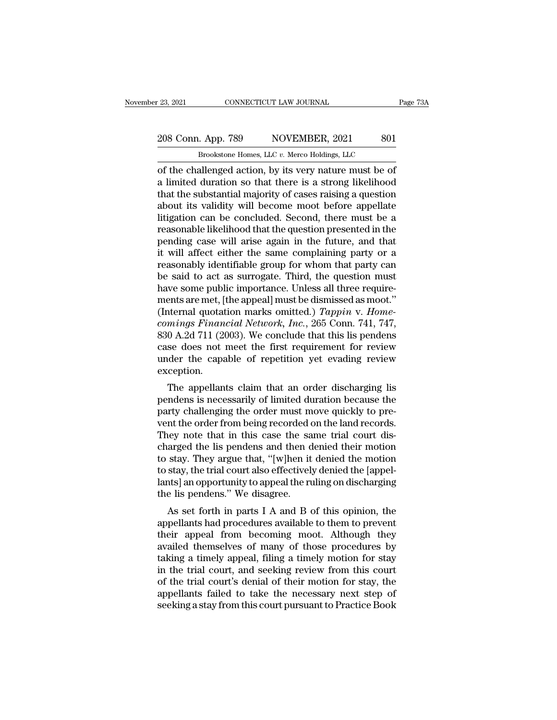#### 23, 2021 CONNECTICUT LAW JOURNAL Page 73A<br>
208 Conn. App. 789 NOVEMBER, 2021 801<br>
Brookstone Homes, LLC v. Merco Holdings, LLC CONNECTICUT LAW JOURNAL<br>Brookstone Homes, LLC *v.* Merco Holdings, LLC<br>Brookstone Homes, LLC *v.* Merco Holdings, LLC<br>allenged action by its very nature must be of

of the challenged action, by its very nature must be of<br>
a limited duration so that there is a strong likelihood<br>
that the cubistantial majority of gases raising a question<br>  $\frac{1}{\sqrt{2\pi}}$ 208 Conn. App. 789 NOVEMBER, 2021 801<br>Brookstone Homes, LLC v. Merco Holdings, LLC<br>of the challenged action, by its very nature must be of<br>a limited duration so that there is a strong likelihood<br>that the substantial majori 208 Conn. App. 789 NOVEMBER, 2021 801<br>Brookstone Homes, LLC  $v$ . Merco Holdings, LLC<br>of the challenged action, by its very nature must be of<br>a limited duration so that there is a strong likelihood<br>that the substantial maj 208 Conn. App. 789 NOVEMBER, 2021 801<br>Brookstone Homes, LLC  $v$ . Merco Holdings, LLC<br>of the challenged action, by its very nature must be of<br>a limited duration so that there is a strong likelihood<br>that the substantial maj Brookstone Homes, LLC  $v$ . Merco Holdings, LLC<br>
of the challenged action, by its very nature must be of<br>
a limited duration so that there is a strong likelihood<br>
that the substantial majority of cases raising a question<br> Brookstone Homes, LLC v. Merco Holdings, LLC<br>of the challenged action, by its very nature must be of<br>a limited duration so that there is a strong likelihood<br>that the substantial majority of cases raising a question<br>about i of the challenged action, by its very nature must be of<br>a limited duration so that there is a strong likelihood<br>that the substantial majority of cases raising a question<br>about its validity will become moot before appellate a limited duration so that there is a strong likelihood<br>that the substantial majority of cases raising a question<br>about its validity will become moot before appellate<br>litigation can be concluded. Second, there must be a<br>re that the substantial majority of cases raising a question<br>about its validity will become moot before appellate<br>litigation can be concluded. Second, there must be a<br>reasonable likelihood that the question presented in the<br>p about its validity will become moot before appellate<br>litigation can be concluded. Second, there must be a<br>reasonable likelihood that the question presented in the<br>pending case will arise again in the future, and that<br>it wi litigation can be concluded. Second, there must be a<br>reasonable likelihood that the question presented in the<br>pending case will arise again in the future, and that<br>it will affect either the same complaining party or a<br>reas reasonable likelihood that the question presented in the pending case will arise again in the future, and that<br>it will affect either the same complaining party or a<br>reasonably identifiable group for whom that party can<br>be pending case will arise again in the future, and that<br>it will affect either the same complaining party or a<br>reasonably identifiable group for whom that party can<br>be said to act as surrogate. Third, the question must<br>have s it will affect either the same complaining party or a<br>reasonably identifiable group for whom that party can<br>be said to act as surrogate. Third, the question must<br>have some public importance. Unless all three require-<br>ments reasonably identifiable group for whom that party can<br>be said to act as surrogate. Third, the question must<br>have some public importance. Unless all three require-<br>ments are met, [the appeal] must be dismissed as moot."<br>(In be said to act as surrogate. Third, the question must<br>have some public importance. Unless all three require-<br>ments are met, [the appeal] must be dismissed as moot."<br>(Internal quotation marks omitted.) *Tappin v. Home-*<br>com have some public importance. Unless all three requirements are met, [the appeal] must be dismissed as moot."<br>(Internal quotation marks omitted.) *Tappin v. Home-comings Financial Network, Inc.*, 265 Conn. 741, 747, 830 A.2 exception. mings Financial Network, Inc., 265 Conn. 741, 747,<br>0 A.2d 711 (2003). We conclude that this lis pendens<br>se does not meet the first requirement for review<br>der the capable of repetition yet evading review<br>ception.<br>The appel between the contribution of the conduct that this is pendens<br>case does not meet the first requirement for review<br>under the capable of repetition yet evading review<br>exception.<br>The appellants claim that an order discharging

book A.2d 711 (2005). We conclude that this is pendents<br>case does not meet the first requirement for review<br>under the capable of repetition yet evading review<br>exception.<br>The appellants claim that an order discharging lis<br>p case does not meet the first requirement for review<br>under the capable of repetition yet evading review<br>exception.<br>The appellants claim that an order discharging lis<br>pendens is necessarily of limited duration because the<br>pa The appellants claim that an order discharging list<br>pendens is necessarily of limited duration because the<br>party challenging the order must move quickly to pre-<br>vent the order from being recorded on the land records.<br>They Exception.<br>The appellants claim that an order discharging lis<br>pendens is necessarily of limited duration because the<br>party challenging the order must move quickly to pre-<br>vent the order from being recorded on the land reco The appellants claim that an order discharging lis<br>pendens is necessarily of limited duration because the<br>party challenging the order must move quickly to pre-<br>vent the order from being recorded on the land records.<br>They n pendens is necessarily of limited duration because the<br>party challenging the order must move quickly to pre-<br>vent the order from being recorded on the land records.<br>They note that in this case the same trial court dis-<br>cha party challenging the order must move quickly to prevent the order from being recorded on the land records.<br>They note that in this case the same trial court discharged the lis pendens and then denied their motion to stay. vent the order from being recorded d<br>They note that in this case the sa<br>charged the lis pendens and then d<br>to stay. They argue that, "[w]hen it<br>to stay, the trial court also effectively<br>lants] an opportunity to appeal the ley note that in this case the same that court us-<br>arged the lis pendens and then denied their motion<br>stay, the trial court also effectively denied the [appel-<br>nts] an opportunity to appeal the ruling on discharging<br>e lis charged the ins penders and then defied them hold<br>to stay. They argue that, "[w]hen it denied the motion<br>to stay, the trial court also effectively denied the [appel-<br>lants] an opportunity to appeal the ruling on dischargin

to stay. They argue that, [w]nen it defiled the hotion<br>to stay, the trial court also effectively denied the [appel-<br>lants] an opportunity to appeal the ruling on discharging<br>the lis pendens." We disagree.<br>As set forth in p to stay, the that court also enectively denied the [apperlants] an opportunity to appeal the ruling on discharging<br>the lis pendens." We disagree.<br>As set forth in parts I A and B of this opinion, the<br>appellants had procedur rants] an opportuntly to appear the runng on ulscriarging<br>the lis pendens." We disagree.<br>As set forth in parts I A and B of this opinion, the<br>appellants had procedures available to them to prevent<br>their appeal from becomin In the trial court of this seeking review from the appellants had procedures available to them to prevent<br>their appeal from becoming moot. Although they<br>availed themselves of many of those procedures by<br>taking a timely app As set forth in parts I A and B of this opinion, the<br>appellants had procedures available to them to prevent<br>their appeal from becoming moot. Although they<br>availed themselves of many of those procedures by<br>taking a timely a appellants had procedures available to them to prevent<br>their appeal from becoming moot. Although they<br>availed themselves of many of those procedures by<br>taking a timely appeal, filing a timely motion for stay<br>in the trial c their appeal from becoming moot. Although they<br>availed themselves of many of those procedures by<br>taking a timely appeal, filing a timely motion for stay<br>in the trial court, and seeking review from this court<br>of the trial c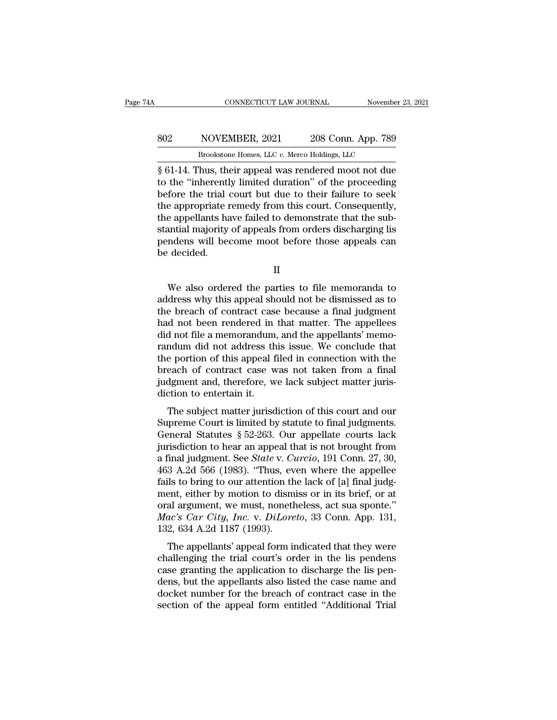#### EXECUTE CONNECTICUT LAW JOURNAL Movember 23, 2021<br>802 NOVEMBER, 2021 208 Conn. App. 789<br>Brookstone Homes, LLC v. Merco Holdings, LLC CONNECTICUT LAW JOURNAL November<br>NOVEMBER, 2021 208 Conn. App. 789<br>Brookstone Homes, LLC *v.* Merco Holdings, LLC<br>hus their appeal was rendered moot not due

CONNECTICUT LAW JOURNAL November 23, 2021<br>
SO2 NOVEMBER, 2021 208 Conn. App. 789<br>
Brookstone Homes, LLC v. Merco Holdings, LLC<br>
So 61-14. Thus, their appeal was rendered moot not due<br>
to the "inherently limited duration" o NOVEMBER, 2021 208 Conn. App. 789<br>Brookstone Homes, LLC v. Merco Holdings, LLC<br>§ 61-14. Thus, their appeal was rendered moot not due<br>to the "inherently limited duration" of the proceeding<br>before the trial court but due to  $\begin{tabular}{ c c c c} \multicolumn{1}{c}{{\bf 802}} & {\bf NOVEMBER, 2021} & {\bf 208 Conn. App. 789} \\\hline \hline {\color{red}Stoekstone Homes, LLC $v. Mero Holdings, LLC} \\\hline \S\;61-14. Thus, their appeal was rendered moot not due to the "inherently limited duration" of the proceeding before the trial court but due to their failure to seek the appropriate remedy from this court. Consequently, the amollants have failed to demonstrate that the sub-$ SO2 NOVEMBER, 2021 208 Conn. App. 789<br>Brookstone Homes, LLC  $v$ . Merco Holdings, LLC<br> $\S$  61-14. Thus, their appeal was rendered moot not due<br>to the "inherently limited duration" of the proceeding<br>before the trial court b Brookstone Homes, LLC v. Merco Holdings, LLC<br>
§ 61-14. Thus, their appeal was rendered moot not due<br>
to the "inherently limited duration" of the proceeding<br>
before the trial court but due to their failure to seek<br>
the appr Brookstone Homes, LLC  $v$ . Merco Holdings, LLC<br>  $\S$  61-14. Thus, their appeal was rendered moot not due<br>
to the "inherently limited duration" of the proceeding<br>
before the trial court but due to their failure to seek<br>
the § 61-14. Thus, their appeal was rendered moot not due<br>to the "inherently limited duration" of the proceeding<br>before the trial court but due to their failure to seek<br>the appropriate remedy from this court. Consequently,<br>the to the "inherentl<br>before the trial<br>the appropriate r<br>the appellants ha<br>stantial majority<br>pendens will bee<br>be decided. e appellants have failed to demonstrate that the sub-<br>
antial majority of appeals from orders discharging lis<br>
mdens will become moot before those appeals can<br>
decided.<br>
II<br>
We also ordered the parties to file memoranda to

II

stantial majority of appeals from orders discharging lis<br>pendens will become moot before those appeals can<br>be decided.<br>II<br>We also ordered the parties to file memoranda to<br>address why this appeal should not be dismissed as pendens will become moot before those appeals can<br>be decided.<br>II<br>We also ordered the parties to file memoranda to<br>address why this appeal should not be dismissed as to<br>the breach of contract case because a final judgment<br>h II<br>II<br>We also ordered the parties to file memoranda to<br>address why this appeal should not be dismissed as to<br>the breach of contract case because a final judgment<br>had not been rendered in that matter. The appellees<br>did not II<br>We also ordered the parties to file memoranda to<br>address why this appeal should not be dismissed as to<br>the breach of contract case because a final judgment<br>had not been rendered in that matter. The appellees<br>did not fil IT<br>
We also ordered the parties to file memoranda to<br>
address why this appeal should not be dismissed as to<br>
the breach of contract case because a final judgment<br>
had not been rendered in that matter. The appellees<br>
did no We also ordered the parties to file memoranda to<br>address why this appeal should not be dismissed as to<br>the breach of contract case because a final judgment<br>had not been rendered in that matter. The appellees<br>did not file a address why this appeal should not be dismissed as to<br>the breach of contract case because a final judgment<br>had not been rendered in that matter. The appellees<br>did not file a memorandum, and the appellants' memo-<br>randum did the breach of contract case because a final judgment<br>had not been rendered in that matter. The appellees<br>did not file a memorandum, and the appellants' memo-<br>randum did not address this issue. We conclude that<br>the portion had not been rendered in<br>did not file a memorandum<br>randum did not address th<br>the portion of this appeal f<br>breach of contract case w<br>judgment and, therefore, w<br>diction to entertain it.<br>The subject matter jurisd If the subject matter jurisdiction of this court and our prediction of this appeal filed in connection with the each of contract case was not taken from a final dgment and, therefore, we lack subject matter juristicion to Francian did not address this issue. We conclude that<br>the portion of this appeal filed in connection with the<br>breach of contract case was not taken from a final<br>judgment and, therefore, we lack subject matter juris-<br>dicti

the portion of this appear med in connection with the<br>breach of contract case was not taken from a final<br>judgment and, therefore, we lack subject matter juris-<br>diction to entertain it.<br>The subject matter jurisdiction of th indiction to contract case was not taken from a final<br>judgment and, therefore, we lack subject matter juris-<br>diction to entertain it.<br>The subject matter jurisdiction of this court and our<br>Supreme Court is limited by statu diction to entertain it.<br>The subject matter jurisdiction of this court and our<br>Supreme Court is limited by statute to final judgments.<br>General Statutes § 52-263. Our appellate courts lack<br>jurisdiction to hear an appeal tha The subject matter jurisdiction of this court and our<br>Supreme Court is limited by statute to final judgments.<br>General Statutes § 52-263. Our appellate courts lack<br>jurisdiction to hear an appeal that is not brought from<br>a The subject matter jurisdiction of this court and our Supreme Court is limited by statute to final judgments.<br>General Statutes  $\S 52-263$ . Our appellate courts lack jurisdiction to hear an appeal that is not brought from Supreme Court is limited by statute to final judgments.<br>General Statutes § 52-263. Our appellate courts lack<br>jurisdiction to hear an appeal that is not brought from<br>a final judgment. See *State* v. *Curcio*, 191 Conn. 27, General Statutes § 52-263. Our appellate courts lack<br>jurisdiction to hear an appeal that is not brought from<br>a final judgment. See *State* v. *Curcio*, 191 Conn. 27, 30,<br>463 A.2d 566 (1983). "Thus, even where the appellee jurisdiction to hear an appeal that is not brought from<br>a final judgment. See *State* v. *Curcio*, 191 Conn. 27, 30,<br>463 A.2d 566 (1983). "Thus, even where the appellee<br>fails to bring to our attention the lack of [a] final a final judgment. See *State* v. *C*<br>463 A.2d 566 (1983). "Thus, ev<br>fails to bring to our attention th<br>ment, either by motion to dism<br>oral argument, we must, nonetl<br>*Mac's Car City, Inc.* v. *DiLore*<br>132, 634 A.2d 1187 (19  $5$  A.2d  $500$  (1565). Thus, even where the appeneed<br>is to bring to our attention the lack of [a] final judgent, either by motion to dismiss or in its brief, or at<br>al argument, we must, nonetheless, act sua sponte."<br> $ac's Car City$ rans to bring to our attention the fack of [a] final judg-<br>ment, either by motion to dismiss or in its brief, or at<br>oral argument, we must, nonetheless, act sua sponte."<br> $Mac's Car City, Inc. v. DilOoreto, 33 Conn. App. 131,$ <br>132, 634 A.2d 1187 (199

ment, enter by motion to dissituss of in its brief, of at<br>oral argument, we must, nonetheless, act sua sponte."<br>Mac's Car City, Inc. v. DiLoreto, 33 Conn. App. 131,<br>132, 634 A.2d 1187 (1993).<br>The appellants' appeal form in density of the appellants also listed that they were<br>challenging the trial court's order in the lis pendens<br>case granting the trial court's order in the lis pendens<br>case granting the application to discharge the lis pen-<br> docket number for the breach of contract case in the section of the appellants' appeal form indicated that they were challenging the trial court's order in the lis pendens case granting the application to discharge the lis The appellants' appeal form indicated that they were<br>challenging the trial court's order in the lis pendens<br>case granting the application to discharge the lis pen-<br>dens, but the appellants also listed the case name and<br>doc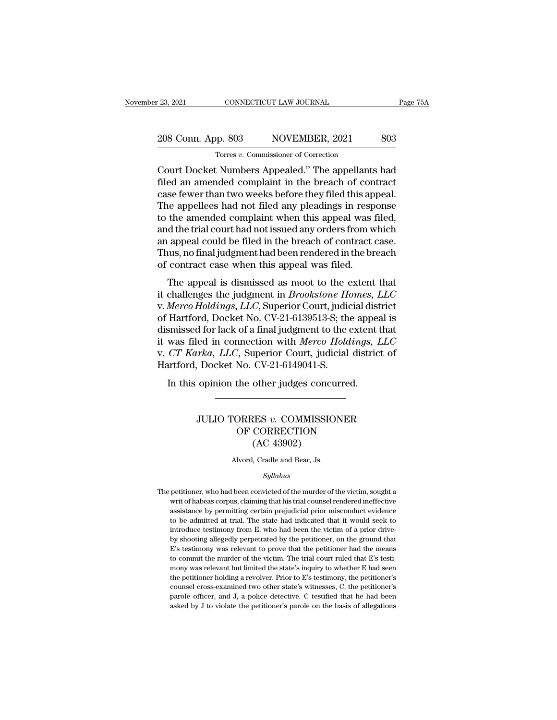## 23, 2021 CONNECTICUT LAW JOURNAL Page 75A<br>208 Conn. App. 803 NOVEMBER, 2021 803<br>Torres v. Commissioner of Correction Torres *v.* Commissioner of Correction

COURT 23, 2021 CONNECTICUT LAW JOURNAL Page 75A<br>
208 Conn. App. 803 NOVEMBER, 2021 803<br>
Torres v. Commissioner of Correction<br>
Court Docket Numbers Appealed.'' The appellants had<br>
filed an amended complaint in the breach of 208 Conn. App. 803 NOVEMBER, 2021 803<br>
Torres v. Commissioner of Correction<br>
Court Docket Numbers Appealed." The appellants had<br>
filed an amended complaint in the breach of contract<br>
case fewer than two weeks before they f 208 Conn. App. 803 NOVEMBER, 2021 803<br>
Torres v. Commissioner of Correction<br>
Court Docket Numbers Appealed." The appellants had<br>
filed an amended complaint in the breach of contract<br>
case fewer than two weeks before they f 208 Conn. App. 803 NOVEMBER, 2021 803<br>
Torres *v*. Commissioner of Correction<br>
Court Docket Numbers Appealed." The appellants had<br>
filed an amended complaint in the breach of contract<br>
case fewer than two weeks before the Tores v. Commissioner of Correction<br>Court Docket Numbers Appealed." The appellants had<br>filed an amended complaint in the breach of contract<br>case fewer than two weeks before they filed this appeal.<br>The appellees had not fil Torres v. Commissioner of Correction<br>Court Docket Numbers Appealed." The appellants had<br>filed an amended complaint in the breach of contract<br>case fewer than two weeks before they filed this appeal.<br>The appellees had not fi Court Docket Numbers Appealed." The appellants had<br>filed an amended complaint in the breach of contract<br>case fewer than two weeks before they filed this appeal.<br>The appellees had not filed any pleadings in response<br>to the filed an amended complaint in the breach of contract<br>case fewer than two weeks before they filed this appeal.<br>The appellees had not filed any pleadings in response<br>to the amended complaint when this appeal was filed,<br>and t case fewer than two weeks before they filed this appear of the appellees had not filed any pleadings in resp to the amended complaint when this appeal was fand the trial court had not issued any orders from wan appeal coul The appendixed and not incurrent any preadings in response<br>the amended complaint when this appeal was filed,<br>d the trial court had not issued any orders from which<br>appeal could be filed in the breach of contract case.<br>uus it challenges the individual of Hortford Docket No CV 21.6130513.St the appeal is directed of Hortford Docket No CV 21.6130513.St the appeal is directed of Hortford Docket No CV 21.6130513.St the appeal is directed of Hort

and the that could had not issued any orders from which<br>an appeal could be filed in the breach of contract case.<br>Thus, no final judgment had been rendered in the breach<br>of contract case when this appeal was filed.<br>The appe an appear could be fired in the breach of contract case.<br>Thus, no final judgment had been rendered in the breach<br>of contract case when this appeal was filed.<br>The appeal is dismissed as moot to the extent that<br>it challenges Thus, no many dignoment had been reintered in the brach of contract case when this appeal was filed.<br>The appeal is dismissed as moot to the extent that it challenges the judgment in *Brookstone Homes*, *LLC* v. *Merco Hol* It was filed in connect case when this appear was filed.<br>
The appeal is dismissed as moot to the extent that<br>
it challenges the judgment in *Brookstone Homes, LLC*<br>
v. *Merco Holdings, LLC*, Superior Court, judicial distri The appeal is dismissed as moot to the extent that<br>it challenges the judgment in *Brookstone Homes*, *LLC*<br>v. *Merco Holdings*, *LLC*, Superior Court, judicial district<br>of Hartford, Docket No. CV-21-6139513-S; the appeal i it challenges the judgment in *Brookstone He*<br>v. *Merco Holdings*, *LLC*, Superior Court, judic<br>of Hartford, Docket No. CV-21-6139513-S; the<br>dismissed for lack of a final judgment to the e<br>it was filed in connection with Hartford, Docket No. CV-21-6139513-S; the appears smissed for lack of a final judgment to the extent was filed in connection with *Merco Holdings*, *I* CT Karka, LLC, Superior Court, judicial district artford, Docket No. C rka, LLC, Superior Court, judicial district of<br>Docket No. CV-21-6149041-S.<br>opinion the other judges concurred.<br>JULIO TORRES *v.* COMMISSIONER<br>OF CORRECTION

#### No. CV-21-6149041-S.<br>No. CV-21-6149041-S.<br>the other judges concurred.<br>ORRES v. COMMISSIONER<br>OF CORRECTION (AC 43902) other judges concuently<br>
MES v. COMMISSIO<br>
CORRECTION<br>
(AC 43902)<br>
, Cradle and Bear, Js. JULIO TORRES *v*. COMMISSIONER<br>OF CORRECTION<br>(AC 43902)<br>Alvord, Cradle and Bear, Js.

#### *Syllabus*

 $\rm (AC\ 43902)$ <br>Alvord, Cradle and Bear, Js.<br> $Syllabus$ <br>The petitioner, who had been convicted of the murder of the victim, sought a<br>writ of habeas corpus, claiming that his trial counsel rendered ineffective Alvord, Cradle and Bear, Js.<br>
Syllabus<br>
petitioner, who had been convicted of the murder of the victim, sought a<br>
writ of habeas corpus, claiming that his trial counsel rendered ineffective<br>
assistance by permitting certai Alvord, Cradle and Bear, Js.<br>
Syllabus<br>
petitioner, who had been convicted of the murder of the victim, sought a<br>
writ of habeas corpus, claiming that his trial counsel rendered ineffective<br>
assistance by permitting certai Syllabus<br>
spetitioner, who had been convicted of the murder of the victim, sought a<br>
writ of habeas corpus, claiming that his trial counsel rendered ineffective<br>
assistance by permitting certain prejudicial prior misconduc *Syltabus*<br>
petitioner, who had been convicted of the murder of the victim, sought a<br>
writ of habeas corpus, claiming that his trial counsel rendered ineffective<br>
assistance by permitting certain prejudicial prior miscondu petitioner, who had been convicted of the murder of the victim, sought a<br>writ of habeas corpus, claiming that his trial counsel rendered ineffective<br>assistance by permitting certain prejudicial prior misconduct evidence<br>to peuto from the multimony was corpus, claiming that his trial counsel rendered ineffective assistance by permitting certain prejudicial prior misconduct evidence to be admitted at trial. The state had indicated that it woul assistance by permitting certain prejudicial prior misconduct evidence to be admitted at trial. The state had indicated that it would seek to introduce testimony from E, who had been the victim of a prior drively shooting to be admitted at trial. The state had indicated that it would seek to introduce testimony from E, who had been the victim of a prior drive-<br>by shooting allegedly perpetrated by the petitioner, on the ground that E's test introduce testimony from E, who had been the victim of a prior drive-<br>by shooting allegedly perpetrated by the petitioner, on the ground that<br>E's testimony was relevant to prove that the petitioner had the means<br>to commit by shooting allegedly perpetrated by the petitioner, on the ground that E's testimony was relevant to prove that the petitioner had the means to commit the murder of the victim. The trial court ruled that E's testimony was  $\overline{E}$ 's testimony was relevant to prove that the petitioner had the means to commit the murder of the victim. The trial court ruled that E's testimony was relevant but limited the state's inquiry to whether E had seen E's testimony was relevant to prove that the petitioner had the means to commit the murder of the victim. The trial court ruled that E's testimony was relevant but limited the state's inquiry to whether E had seen the pet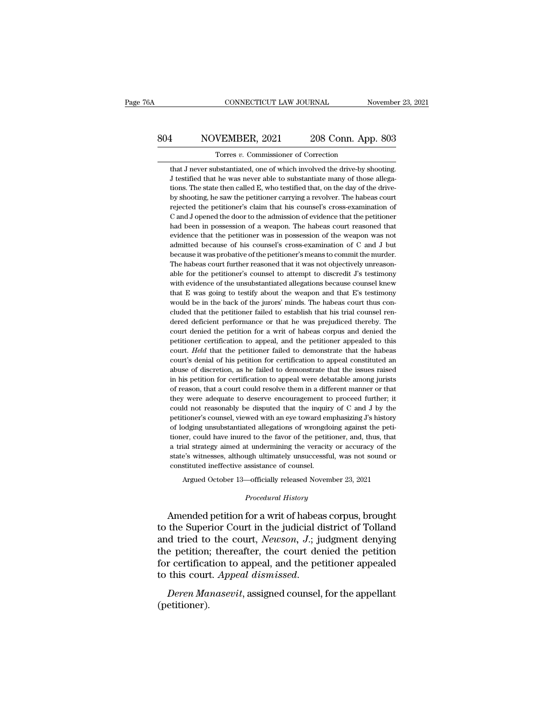## CONNECTICUT LAW JOURNAL November 23, 2021<br>804 NOVEMBER, 2021 208 Conn. App. 803<br>Torres v. Commissioner of Correction TORRECTICUT LAW JOURNAL Movember 23, 2021<br>1 NOVEMBER, 2021 208 Conn. App. 803<br>17 Torres *v.* Commissioner of Correction<br>11 That J never substantiated, one of which involved the drive-by shooting.

1 NOVEMBER, 2021 208 Conn. App. 803<br>Torres v. Commissioner of Correction<br>that J never substantiated, one of which involved the drive-by shooting.<br>J testified that he was never able to substantiate many of those allega-SOM NOVEMBER, 2021 208 Conn. App. 803<br>Torres v. Commissioner of Correction<br>that J never substantiated, one of which involved the drive-by shooting.<br>J testified that he was never able to substantiate many of those allega-<br>t 1 NOVEMBER, 2021 208 Conn. App. 803<br>Torres v. Commissioner of Correction<br>that J never substantiated, one of which involved the drive-by shooting.<br>J testified that he was never able to substantiate many of those allega-<br>tio Frame Torres v. Commissioner of Correction<br>that J never substantiated, one of which involved the drive-by shooting.<br>J testified that he was never able to substantiate many of those allega-<br>tions. The state then called E, w Torres  $v$ . Commissioner of Correction<br>that J never substantiated, one of which involved the drive-by shooting.<br>J testified that he was never able to substantiate many of those allega-<br>tions. The state then called E, who that J never substantiated, one of which involved the drive-by shooting.<br>J testified that he was never able to substantiate many of those allega-<br>tions. The state then called E, who testified that, on the day of the drive- $\overline{AB}$  is estified that he was never able to substantiate many of those allegations. The state then called E, who testified that, on the day of the drive-<br>by shooting, he saw the petitioner carrying a revolver. The habe betwish the state then called E, who testified that, on the day of the drive-<br>tions. The state then called E, who testified that, on the day of the drive-<br>by shooting, he saw the petitioner carrying a revolver. The habeas by shooting, he saw the petitioner carrying a revolver. The habeas court<br>rejected the petitioner's claim that his counsel's cross-examination of<br>C and J opened the door to the admission of evidence that the petitioner<br>had because it was probative of the petitioner's claim that his coursel's cross-examination of C and J opened the door to the admission of evidence that the petitioner had been in possession of a weapon. The habeas court reaso rejected the petitioner's claim that his counsel's cross-examination of C and J opened the door to the admission of evidence that the petitioner had been in possession of a weapon. The habeas court reasoned that evidence had been in possession of a weapon. The habeas court reasoned that evidence that the petitioner was in possession of the weapon was not admitted because of his counsel's cross-examination of  $C$  and  $J$  but because it was evidence that the petitioner was in possession of the weapon was not admitted because of his counsel's cross-examination of C and J but because it was probative of the petitioner's means to commit the murder. The habeas c admitted because of his counsel's cross-examination of C and J but<br>because it was probative of the petitioner's means to commit the murder.<br>The habeas court further reasoned that it was not objectively unreason-<br>able for because it was probative of the petitioner's means to commit the murder. The habeas court further reasoned that it was not objectively unreasonable for the petitioner's counsel to attempt to discredit  $J$ s testimony with The habeas court further reasoned that it was not objectively unreasonable for the petitioner's counsel to attempt to discredit  $J$ 's testimony with evidence of the unsubstantiated allegations because counsel knew that  $E$ able for the petitioner's counsel to attempt to discredit  $J$ s testimony with evidence of the unsubstantiated allegations because counsel knew that  $E$  was going to testify about the weapon and that  $E$ 's testimony would with evidence of the unsubstantiated allegations because counsel knew<br>that E was going to testify about the weapon and that E's testimony<br>would be in the back of the jurors' minds. The habeas court thus con-<br>cluded that t that E was going to testify about the weapon and that E's testimony would be in the back of the jurors' minds. The habeas court thus concluded that the petitioner failed to establish that his trial counsel rendered deficie would be in the back of the jurors' minds. The habeas court thus concluded that the petitioner failed to establish that his trial counsel rendered deficient performance or that he was prejudiced thereby. The court denied t cluded that the petitioner failed to establish that his trial counsel rendered deficient performance or that he was prejudiced thereby. The court denied the petition for a writ of habeas corpus and denied the petitioner ce dered deficient performance or that he was prejudiced thereby. The court denied the petition for a writ of habeas corpus and denied the petitioner certification to appeal, and the petitioner appealed to this court. *Held* court denied the petition for a writ of habeas corpus and denied the petitioner certification to appeal, and the petitioner appealed to this court. *Held* that the petitioner failed to demonstrate that the habeas court's d petitioner certification to appeal, and the petitioner appealed to this court. *Held* that the petitioner failed to demonstrate that the habeas court's denial of his petition for certification to appeal constituted an abus court. Held that the petitioner failed to demonstrate that the habeas court's denial of his petition for certification to appeal constituted an abuse of discretion, as he failed to demonstrate that the issues raised in his court's denial of his petition for certification to appeal constituted an abuse of discretion, as he failed to demonstrate that the issues raised in his petition for certification to appeal were debatable among jurists of abuse of discretion, as he failed to demonstrate that the issues raised<br>in his petition for certification to appeal were debatable among jurists<br>of reason, that a court could resolve them in a different manner or that<br>they abuse of discretion, as he failed to demonstrate that the issues raised<br>in his petition for certification to appeal were debatable among jurists<br>of reason, that a court could resolve them in a different manner or that<br>the of reason, that a court could resolve them in a different manner or that<br>they were adequate to deserve encouragement to proceed further; it<br>could not reasonably be disputed that the inquiry of  $C$  and  $J$  by the<br>petitione they were adequate to deserve encouragement to proceed further; it could not reasonably be disputed that the inquiry of  $C$  and  $J$  by the petitioner's counsel, viewed with an eye toward emphasizing  $J$ 's history of lodgi could not reasonably be disputed that the inquiry of C and J by the petitioner's counsel, viewed with an eye toward emphasizing J's history of lodging unsubstantiated allegations of wrongdoing against the petitioner, could petitioner's counsel, viewed with an eye toward en<br>of lodging unsubstantiated allegations of wrongdo<br>tioner, could have inured to the favor of the petiti<br>a trial strategy aimed at undermining the veracity<br>state's witnesses odging unsubstantiated allegations of wrongdoing against the peti-<br>er, could have inured to the favor of the petitioner, and, thus, that<br>ial strategy aimed at undermining the veracity or accuracy of the<br>e's witnesses, alth *Proper History* and the veracity or ugh ultimately unsuccessful, we<br>assistance of counsel.<br> *Procedural History*<br> **Procedural History**<br> **Procedural History** Amended petition for a writ of habeas corpus, brought the Superbourge of the state's witnesses, although ultimately unsuccessful, was not sound or constituted ineffective assistance of counsel.<br>Argued October 13—officiall

state's witnesses, although ultimately unsuccessful, was not sound or<br>
constituted ineffective assistance of coursel.<br>
Argued October 13—officially released November 23, 2021<br> *Procedural History*<br> **Amended petition for a** constituted ineffective assistance of counsel.<br>
Argued October 13—officially released November 23, 2021<br> *Procedural History*<br> **Amended petition for a writ of habeas corpus, brought<br>
to the Superior Court in the judicial d** Argued October 13—officially released November 23, 2021<br>
Procedural History<br>
Amended petition for a writ of habeas corpus, brought<br>
to the Superior Court in the judicial district of Tolland<br>
and tried to the court, Newson, *Frocedural History*<br>Amended petition for a writ of habeas corpus, brought<br>to the Superior Court in the judicial district of Tolland<br>and tried to the court, *Newson*, *J*.; judgment denying<br>the petition; thereafter, the co Amended petition for a writ of habeas corpus, brought<br>to the Superior Court in the judicial district of Tolland<br>and tried to the court, *Newson*, *J*.; judgment denying<br>the petition; thereafter, the court denied the petiti

(petitioner).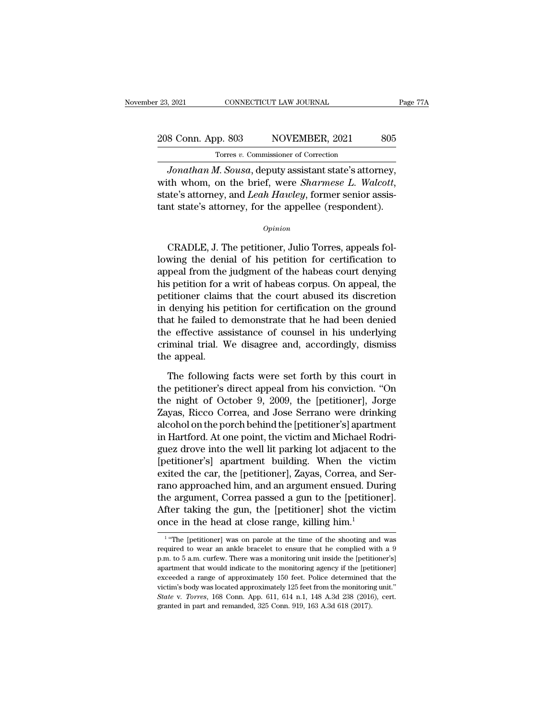## 23, 2021 CONNECTICUT LAW JOURNAL Page 77A<br>208 Conn. App. 803 NOVEMBER, 2021 805<br>Torres v. Commissioner of Correction Torres *v.* Commissioner of Correction

*Jonathan M. Sousa*, deputy assistant state's attorney,<br> *Jonathan M. Sousa*, deputy assistant state's attorney,<br> *Jonathan M. Sousa*, deputy assistant state's attorney,<br>
th whom, on the brief, were *Sharmese L. Walcott*, Xam, 2021 Movember, 2021 2005<br>
Torres *v.* Commissioner of Correction<br> *Jonathan M. Sousa*, deputy assistant state's attorney, with whom, on the brief, were *Sharmese L. Walcott*, state's attorney, and *Leah Hawley*, forme 208 Conn. App. 803 NOVEMBER, 2021 805<br>
Torres v. Commissioner of Correction<br>
Jonathan M. Sousa, deputy assistant state's attorney,<br>
with whom, on the brief, were *Sharmese L. Walcott*,<br>
state's attorney, and *Leah Hawley*, Fordinan *II*. Sousa, deputy assistant state s attorney,<br>th whom, on the brief, were *Sharmese L. Walcott*,<br>ate's attorney, and *Leah Hawley*, former senior assis-<br>to state's attorney, for the appellee (respondent).<br>Opinio

#### *Opinion*

whit whom, on the brief, were *sharmese*  $E$ . *waton,*<br>state's attorney, and *Leah Hawley*, former senior assis-<br>tant state's attorney, for the appellee (respondent).<br> $\frac{opinion}{\text{op}}$ <br>CRADLE, J. The petitioner, Julio Torres, state *s* attorney, and *Lean Trainty*, former senior assistant state's attorney, for the appellee (respondent).<br> *Opinion*<br>
CRADLE, J. The petitioner, Julio Torres, appeals fol-<br>
lowing the denial of his petition for cert opinion<br>
opinion<br>
CRADLE, J. The petitioner, Julio Torres, appeals fol-<br>
lowing the denial of his petition for certification to<br>
appeal from the judgment of the habeas court denying<br>
his petition for a writ of habeas corpu Opinion<br>CRADLE, J. The petitioner, Julio Torres, appeals fol-<br>lowing the denial of his petition for certification to<br>appeal from the judgment of the habeas court denying<br>his petition for a writ of habeas corpus. On appeal, CRADLE, J. The petitioner, Julio Torres, appeals fol-<br>lowing the denial of his petition for certification to<br>appeal from the judgment of the habeas court denying<br>his petition for a writ of habeas corpus. On appeal, the<br>pet CRADLE, J. The petitioner, Julio Torres, appeals fol-<br>lowing the denial of his petition for certification to<br>appeal from the judgment of the habeas court denying<br>his petition for a writ of habeas corpus. On appeal, the<br>pet lowing the denial of his petition for certification to<br>appeal from the judgment of the habeas court denying<br>his petition for a writ of habeas corpus. On appeal, the<br>petitioner claims that the court abused its discretion<br>in appeal from the judgment of the habeas court denying<br>his petition for a writ of habeas corpus. On appeal, the<br>petitioner claims that the court abused its discretion<br>in denying his petition for certification on the ground<br>t his petition for a<br>petitioner claim<br>in denying his p<br>that he failed to<br>the effective ass<br>criminal trial. W<br>the appeal.<br>The following denying his petition for certification on the ground<br>at he failed to demonstrate that he had been denied<br>e effective assistance of counsel in his underlying<br>iminal trial. We disagree and, accordingly, dismiss<br>e appeal.<br>The that he failed to demonstrate that he had been denied<br>the effective assistance of counsel in his underlying<br>criminal trial. We disagree and, accordingly, dismiss<br>the appeal.<br>The following facts were set forth by this court

the effective assistance of counsel in his underlying<br>criminal trial. We disagree and, accordingly, dismiss<br>the appeal.<br>The following facts were set forth by this court in<br>the petitioner's direct appeal from his conviction criminal trial. We disagree and, accordingly, dismiss<br>the appeal.<br>The following facts were set forth by this court in<br>the petitioner's direct appeal from his conviction. "On<br>the night of October 9, 2009, the [petitioner], the appeal.<br>The following facts were set forth by this court in<br>the petitioner's direct appeal from his conviction. "On<br>the night of October 9, 2009, the [petitioner], Jorge<br>Zayas, Ricco Correa, and Jose Serrano were drink The following facts were set forth by this court in<br>the petitioner's direct appeal from his conviction. "On<br>the night of October 9, 2009, the [petitioner], Jorge<br>Zayas, Ricco Correa, and Jose Serrano were drinking<br>alcohol The following facts were set forth by this court in<br>the petitioner's direct appeal from his conviction. "On<br>the night of October 9, 2009, the [petitioner], Jorge<br>Zayas, Ricco Correa, and Jose Serrano were drinking<br>alcohol the petitioner's direct appeal from his conviction. "On<br>the night of October 9, 2009, the [petitioner], Jorge<br>Zayas, Ricco Correa, and Jose Serrano were drinking<br>alcohol on the porch behind the [petitioner's] apartment<br>in the night of October 9, 2009, the [petitioner], Jorge<br>Zayas, Ricco Correa, and Jose Serrano were drinking<br>alcohol on the porch behind the [petitioner's] apartment<br>in Hartford. At one point, the victim and Michael Rodri-<br>gu Zayas, Ricco Correa, and Jose Serrano were drinking<br>alcohol on the porch behind the [petitioner's] apartment<br>in Hartford. At one point, the victim and Michael Rodri-<br>guez drove into the well lit parking lot adjacent to the alcohol on the porch behind the [petitioner's] apartment<br>in Hartford. At one point, the victim and Michael Rodri-<br>guez drove into the well lit parking lot adjacent to the<br>[petitioner's] apartment building. When the victim<br> in Hartford. At one point, the victim and Michael Rodriguez drove into the well lit parking lot adjacent to the<br>[petitioner's] apartment building. When the victim<br>exited the car, the [petitioner], Zayas, Correa, and Ser-<br>r guez drove into the well lit parking lot adjacent to<br>[petitioner's] apartment building. When the vic<br>exited the car, the [petitioner], Zayas, Correa, and S<br>rano approached him, and an argument ensued. Dur<br>the argument, Cor The argument, correa passed a gun to the [petitioner].<br>
ter taking the gun, the [petitioner] shot the victim<br>
ce in the head at close range, killing him.<sup>1</sup><br>
"The [petitioner] was on parole at the time of the shooting and the argument, Correa passed a gun to the [petitioner].<br>After taking the gun, the [petitioner] shot the victim<br>once in the head at close range, killing him.<sup>1</sup><br><sup>1</sup> "The [petitioner] was on parole at the time of the shootin

 $1$  "Tho After taking the gun, the [petitioner] shot the victim<br>once in the head at close range, killing him.<sup>1</sup><br> $^{\text{1}}$  "The [petitioner] was on parole at the time of the shooting and was<br>required to wear an ankle bracelet to en and the head at close range, killing him.<sup>1</sup><br>T<sup>1</sup> "The [petitioner] was on parole at the time of the shooting and was<br>required to wear an ankle bracelet to ensure that he complied with a 9<br>p.m. to 5 a.m. curfew. There was The same of approximately 125 feet from the monitoring unit.<br>
The sequired to wear an ankle bracelet to ensure that he complied with a 9<br>
p.m. to 5 a.m. curfew. There was a monitoring unit inside the [petitioner's]<br>
apart <sup>1</sup> "The [petitioner] was on parole at the time of the shooting and was required to wear an ankle bracelet to ensure that he complied with a  $9$  p.m. to  $5$  a.m. curfew. There was a monitoring unit inside the [petitioner' required to wear an ankle bracelet to ensure that he complied with a 9 p.m. to 5 a.m. curfew. There was a monitoring unit inside the [petitioner's] apartment that would indicate to the monitoring agency if the [petitioner] p.m. to 5 a.m. curfew. There was a monitoring unit inside the [petitioner's]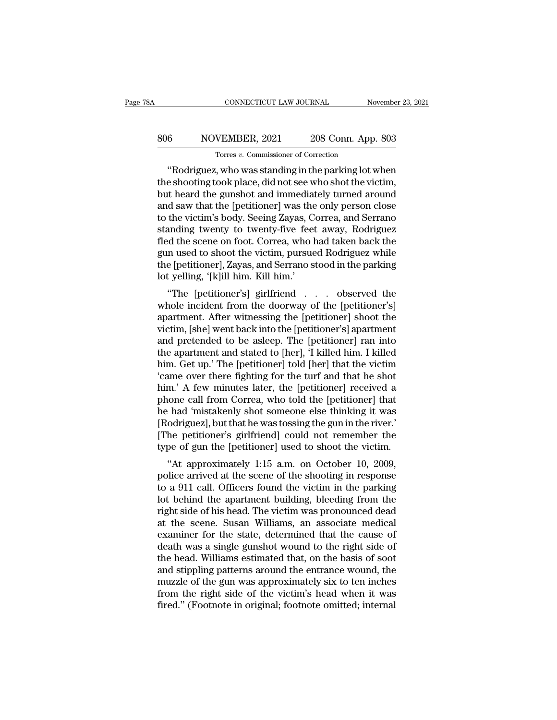## CONNECTICUT LAW JOURNAL November 23, 2021<br>806 NOVEMBER, 2021 208 Conn. App. 803<br>Torres v. Commissioner of Correction TONNECTICUT LAW JOURNAL<br>
VEMBER, 2021 208 Conn. App<br>
Torres *v*. Commissioner of Correction<br>
Using the parking lot **v**

CONNECTICUT LAW JOURNAL November 23, 2021<br>
Solution NOVEMBER, 2021 208 Conn. App. 803<br>
Torres v. Commissioner of Correction<br>
"Rodriguez, who was standing in the parking lot when<br>
e shooting took place, did not see who shot SO SONG NOVEMBER, 2021 208 Conn. App. 803<br>
Torres v. Commissioner of Correction<br>
"Rodriguez, who was standing in the parking lot when<br>
the shooting took place, did not see who shot the victim,<br>
but heard the gunshot and im 806 NOVEMBER, 2021 208 Conn. App. 803<br>Torres v. Commissioner of Correction<br>"Rodriguez, who was standing in the parking lot when<br>the shooting took place, did not see who shot the victim,<br>but heard the gunshot and immediatel  $\begin{tabular}{ c c c c} \multicolumn{1}{c}{{\text{306}}}& {\text{NOVEMBER, 2021}}& {\text{208 Conn. App. 803}}\\ \hline {\text{Torres $v$. Commissioner of Correction}}\\ \multicolumn{1}{c}{{\text{"Rodriguez, who was standing in the parking lot when}}\\ \multicolumn{1}{c}{{\text{the shooting took place, did not see who shot the victim}},}\\ \multicolumn{1}{c}{{\text{but heard the gunshot and immediately turned around}}}\\ \multicolumn{1}{c}{{\text{and saw that the [petitioner] was the only person close}}}\\ \multicolumn{1}{c}{{\text{to the victim's body. Seeing Zayas, Correa, and Serrano}}}\\ \$ Tores v. Commissioner of Correction<br>
"Rodriguez, who was standing in the parking lot when<br>
the shooting took place, did not see who shot the victim,<br>
but heard the gunshot and immediately turned around<br>
and saw that the [p Torres v. Commissioner of Correction<br>
"Rodriguez, who was standing in the parking lot when<br>
the shooting took place, did not see who shot the victim,<br>
but heard the gunshot and immediately turned around<br>
and saw that the [ "Rodriguez, who was standing in the parking lot when<br>the shooting took place, did not see who shot the victim,<br>but heard the gunshot and immediately turned around<br>and saw that the [petitioner] was the only person close<br>to the shooting took place, did not see who shot the victim,<br>but heard the gunshot and immediately turned around<br>and saw that the [petitioner] was the only person close<br>to the victim's body. Seeing Zayas, Correa, and Serrano<br> but heard the gunshot and immediately turned around<br>and saw that the [petitioner] was the only person close<br>to the victim's body. Seeing Zayas, Correa, and Serrano<br>standing twenty to twenty-five feet away, Rodriguez<br>fled t and saw that the [petitioner] was the<br>to the victim's body. Seeing Zayas, C<br>standing twenty to twenty-five fee<br>fled the scene on foot. Correa, who l<br>gun used to shoot the victim, pursue<br>the [petitioner], Zayas, and Serrano the victin's body. Seeing Zayas, Correa, and Serrano<br>
anding twenty to twenty-five feet away, Rodriguez<br>
d the scene on foot. Correa, who had taken back the<br>
n used to shoot the victim, pursued Rodriguez while<br>
e [petition standing twenty to twenty-live feet away, houriguez<br>fled the scene on foot. Correa, who had taken back the<br>gun used to shoot the victim, pursued Rodriguez while<br>the [petitioner], Zayas, and Serrano stood in the parking<br>lot

red the scene of foot. Coffea, who had taken back the<br>gun used to shoot the victim, pursued Rodriguez while<br>the [petitioner], Zayas, and Serrano stood in the parking<br>lot yelling, '[k]ill him. Kill him.'<br>"The [petitioner's] gun used to shoot the victini, pursued Rourguez while<br>the [petitioner], Zayas, and Serrano stood in the parking<br>lot yelling, '[k]ill him. Kill him.'<br>"The [petitioner's] girlfriend . . . observed the<br>whole incident from the Interpetitioner J, Zayas, and serratio stood in the parking<br>
lot yelling, '[k]ill him. Kill him.'<br>
"The [petitioner's] girlfriend . . . . observed the<br>
whole incident from the doorway of the [petitioner's]<br>
apartment. Afte for yening, [k]in film. Kill film.<br>
"The [petitioner's] girlfriend . . . observed the<br>
whole incident from the doorway of the [petitioner's]<br>
apartment. After witnessing the [petitioner] shoot the<br>
victim, [she] went back "The [petitioner's] girlfriend . . . observed the<br>whole incident from the doorway of the [petitioner's]<br>apartment. After witnessing the [petitioner] shoot the<br>victim, [she] went back into the [petitioner's] apartment<br>and whole incident from the doorway of the [petitioner's]<br>apartment. After witnessing the [petitioner] shoot the<br>victim, [she] went back into the [petitioner's] apartment<br>and pretended to be asleep. The [petitioner] ran into<br>t apartment. After witnessing the [petitioner] shoot the victim, [she] went back into the [petitioner's] apartment<br>and pretended to be asleep. The [petitioner] ran into<br>the apartment and stated to [her], 'I killed him. I kil victim, [she] went back into the [petitioner's] apartment<br>and pretended to be asleep. The [petitioner] ran into<br>the apartment and stated to [her], 'I killed him. I killed<br>him. Get up.' The [petitioner] told [her] that the and pretended to be asleep. The [petitioner] ran into<br>the apartment and stated to [her], 'I killed him. I killed<br>him. Get up.' The [petitioner] told [her] that the victim<br>'came over there fighting for the turf and that he the apartment and stated to [her], 'I killed him. I killed<br>him. Get up.' The [petitioner] told [her] that the victim<br>'came over there fighting for the turf and that he shot<br>him.' A few minutes later, the [petitioner] recei him. Get up.' The [petitioner] told [her] that the victim<br>'came over there fighting for the turf and that he shot<br>him.' A few minutes later, the [petitioner] received a<br>phone call from Correa, who told the [petitioner] tha "came over there fighting for the turf and that he shot him." A few minutes later, the [petitioner] received a phone call from Correa, who told the [petitioner] that he had "mistakenly shot someone else thinking it was [R It. A few finities fater, the [petitioner] received a<br>
one call from Correa, who told the [petitioner] that<br>
had 'mistakenly shot someone else thinking it was<br>
odriguez], but that he was tossing the gun in the river.<br>
he p phone can front correa, who tout the [petrioner] that<br>he had 'mistakenly shot someone else thinking it was<br>[Rodriguez], but that he was tossing the gun in the river.'<br>[The petitioner's girlfriend] could not remember the<br>ty

the nad inistakently shot someone else thinking it was<br>[Rodriguez], but that he was tossing the gun in the river.'<br>[The petitioner's girlfriend] could not remember the<br>type of gun the [petitioner] used to shoot the victim. [The petitioner's girlfriend] could not remember the<br>type of gun the [petitioner] used to shoot the victim.<br>"At approximately 1:15 a.m. on October 10, 2009,<br>police arrived at the scene of the shooting in response<br>to a 911 The petitioner's ginneric collect to shoot the victim.<br>
"At approximately 1:15 a.m. on October 10, 2009,<br>
police arrived at the scene of the shooting in response<br>
to a 911 call. Officers found the victim in the parking<br>
lo "At approximately 1:15 a.m. on October 10, 2009,<br>police arrived at the scene of the shooting in response<br>to a 911 call. Officers found the victim in the parking<br>lot behind the apartment building, bleeding from the<br>right si "At approximately  $1:15$  a.m. on October 10, 2009,<br>police arrived at the scene of the shooting in response<br>to a 911 call. Officers found the victim in the parking<br>lot behind the apartment building, bleeding from the<br>right police arrived at the scene of the shooting in response<br>to a 911 call. Officers found the victim in the parking<br>lot behind the apartment building, bleeding from the<br>right side of his head. The victim was pronounced dead<br>at to a 911 call. Officers found the victim in the parking<br>lot behind the apartment building, bleeding from the<br>right side of his head. The victim was pronounced dead<br>at the scene. Susan Williams, an associate medical<br>examine lot behind the apartment building, bleeding from the<br>right side of his head. The victim was pronounced dead<br>at the scene. Susan Williams, an associate medical<br>examiner for the state, determined that the cause of<br>death was right side of his head. The victim was pronounced dead<br>at the scene. Susan Williams, an associate medical<br>examiner for the state, determined that the cause of<br>death was a single gunshot wound to the right side of<br>the head. at the scene. Susan Williams, an associate medical<br>examiner for the state, determined that the cause of<br>death was a single gunshot wound to the right side of<br>the head. Williams estimated that, on the basis of soot<br>and stip examiner for the state, determined that the cause of death was a single gunshot wound to the right side of the head. Williams estimated that, on the basis of soot and stippling patterns around the entrance wound, the muzzl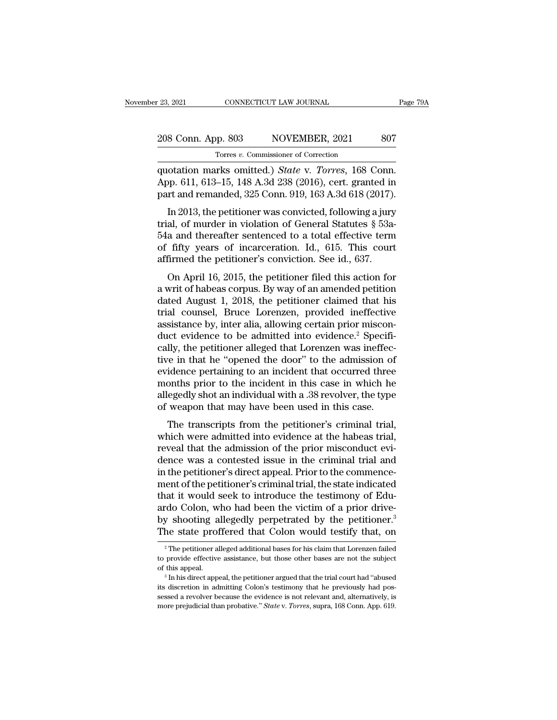## 23, 2021 CONNECTICUT LAW JOURNAL Page 79A<br>208 Conn. App. 803 NOVEMBER, 2021 807<br>Torres v. Commissioner of Correction Torres *v.* Commissioner of Correction

external connecticut the JOURNAL Page 7<br>
208 Conn. App. 803 NOVEMBER, 2021 807<br>
Torres v. Commissioner of Correction<br>
quotation marks omitted.) *State* v. *Torres*, 168 Conn.<br>
App. 611, 613–15, 148 A.3d 238 (2016), cert. g 208 Conn. App. 803 NOVEMBER, 2021 807<br>
Torres v. Commissioner of Correction<br>
quotation marks omitted.) *State* v. *Torres*, 168 Conn.<br>
App. 611, 613–15, 148 A.3d 238 (2016), cert. granted in<br>
part and remanded, 325 Conn. 9 208 Conn. App. 803 NOVEMBER, 2021 807<br>
Torres v. Commissioner of Correction<br>
quotation marks omitted.) *State v. Torres*, 168 Conn.<br>
App. 611, 613–15, 148 A.3d 238 (2016), cert. granted in<br>
part and remanded, 325 Conn. 919 8 Conn. App. 803 NOVEMBER, 2021 807<br>
Torres v. Commissioner of Correction<br>
otation marks omitted.) *State* v. *Torres*, 168 Conn.<br>
pp. 611, 613–15, 148 A.3d 238 (2016), cert. granted in<br>
rt and remanded, 325 Conn. 919, 16

Torres v. Commissioner of Correction<br>quotation marks omitted.) *State v. Torres*, 168 Conn.<br>App. 611, 613–15, 148 A.3d 238 (2016), cert. granted in<br>part and remanded, 325 Conn. 919, 163 A.3d 618 (2017).<br>In 2013, the petiti quotation marks omitted.) *State* v. *Torres*, 168 Conn.<br>App. 611, 613–15, 148 A.3d 238 (2016), cert. granted in<br>part and remanded, 325 Conn. 919, 163 A.3d 618 (2017).<br>In 2013, the petitioner was convicted, following a ju App. 611, 613–15, 148 A.3d 238 (2016), cert. granted in part and remanded, 325 Conn. 919, 163 A.3d 618 (2017).<br>In 2013, the petitioner was convicted, following a jury trial, of murder in violation of General Statutes § 53 rapp. 011, 019–19, 140 A.5d 256 (2010), cert. granted in<br>part and remanded, 325 Conn. 919, 163 A.3d 618 (2017).<br>In 2013, the petitioner was convicted, following a jury<br>trial, of murder in violation of General Statutes § 5 In 2013, the petitioner was convicted, following a jury<br>al, of murder in violation of General Statutes  $\S$  53a-<br>a and thereafter sentenced to a total effective term<br>fifty years of incarceration. Id., 615. This court<br>firme m 2010, the pethology was convicted, following a jury<br>trial, of murder in violation of General Statutes § 53a-<br>54a and thereafter sentenced to a total effective term<br>of fifty years of incarceration. Id., 615. This court<br>a

drial, or indical in violation of defieral blatates  $\frac{1}{8}$  soa-<br>54a and thereafter sentenced to a total effective term<br>of fifty years of incarceration. Id., 615. This court<br>affirmed the petitioner's conviction. See id. o-ra and dieterater sentenced to a total effective term<br>of fifty years of incarceration. Id., 615. This court<br>affirmed the petitioner's conviction. See id., 637.<br>On April 16, 2015, the petitioner filed this action for<br>a w affirmed the petitioner's conviction. See id., 637.<br>On April 16, 2015, the petitioner filed this action for<br>a writ of habeas corpus. By way of an amended petition<br>dated August 1, 2018, the petitioner claimed that his<br>tria on April 16, 2015, the petitioner filed this action for<br>a writ of habeas corpus. By way of an amended petition<br>dated August 1, 2018, the petitioner claimed that his<br>trial counsel, Bruce Lorenzen, provided ineffective<br>assi On April 16, 2015, the petitioner filed this action for<br>a writ of habeas corpus. By way of an amended petition<br>dated August 1, 2018, the petitioner claimed that his<br>trial counsel, Bruce Lorenzen, provided ineffective<br>assis a writ of habeas corpus. By way of an amended petition<br>dated August 1, 2018, the petitioner claimed that his<br>trial counsel, Bruce Lorenzen, provided ineffective<br>assistance by, inter alia, allowing certain prior miscon-<br>duc dated August 1, 2018, the petitioner claimed that his<br>trial counsel, Bruce Lorenzen, provided ineffective<br>assistance by, inter alia, allowing certain prior miscon-<br>duct evidence to be admitted into evidence.<sup>2</sup> Specifi-<br>ca trial counsel, Bruce Lorenzen, provided ineffective<br>assistance by, inter alia, allowing certain prior miscon-<br>duct evidence to be admitted into evidence.<sup>2</sup> Specifi-<br>cally, the petitioner alleged that Lorenzen was ineffecassistance by, inter alia, allowing certain prior misconduct evidence to be admitted into evidence.<sup>2</sup> Specifically, the petitioner alleged that Lorenzen was ineffective in that he "opened the door" to the admission of evi duct evidence to be admitted into evidence.<sup>2</sup> Specifically, the petitioner alleged that Lorenzen was ineffective in that he "opened the door" to the admission of evidence pertaining to an incident that occurred three mont The transcripts from the petitioner's criminal trial,<br>The transcripts from the incident that occurred three<br>onths prior to the incident in this case in which he<br>egedly shot an individual with a .38 revolver, the type<br>weapo evidence pertaining to an incident that occurred three<br>months prior to the incident in this case in which he<br>allegedly shot an individual with a .38 revolver, the type<br>of weapon that may have been used in this case.<br>The tr

revidence pertaining to an includent that occurred three<br>months prior to the incident in this case in which he<br>allegedly shot an individual with a .38 revolver, the type<br>of weapon that may have been used in this case.<br>The months prior to the included in this case in which net<br>allegedly shot an individual with a .38 revolver, the type<br>of weapon that may have been used in this case.<br>The transcripts from the petitioner's criminal trial,<br>which ance cary shot an individual width a .30 Fevoret, the type<br>of weapon that may have been used in this case.<br>The transcripts from the petitioner's criminal trial,<br>which were admitted into evidence at the habeas trial,<br>reveal of weapon that may have been used in this case.<br>The transcripts from the petitioner's criminal trial,<br>which were admitted into evidence at the habeas trial,<br>reveal that the admission of the prior misconduct evi-<br>dence was The transcripts from the petitioner's criminal trial,<br>which were admitted into evidence at the habeas trial,<br>reveal that the admission of the prior misconduct evi-<br>dence was a contested issue in the criminal trial and<br>in t which were admitted into evidence at the habeas trial,<br>reveal that the admission of the prior misconduct evi-<br>dence was a contested issue in the criminal trial and<br>in the petitioner's direct appeal. Prior to the commence-<br> reveal that the admission of the prior misconduct evidence was a contested issue in the criminal trial and<br>in the petitioner's direct appeal. Prior to the commence-<br>ment of the petitioner's criminal trial, the state indica dence was a contested issue in the criminal trial and<br>in the petitioner's direct appeal. Prior to the commence-<br>ment of the petitioner's criminal trial, the state indicated<br>that it would seek to introduce the testimony of at it would seek to introduce the testimony of Edu-<br>cdo Colon, who had been the victim of a prior drive-<br>y shooting allegedly perpetrated by the petitioner.<sup>3</sup><br>he state proffered that Colon would testify that, on<br><sup>2</sup> The p ardo Colon, who had been the victim of a prior drive-<br>by shooting allegedly perpetrated by the petitioner.<sup>3</sup><br>The state proffered that Colon would testify that, on<br><sup>2</sup> The petitioner alleged additional bases for his claim

by shooting allegedly perpetrated by the petitioner.<sup>3</sup><br>The state proffered that Colon would testify that, on<br> $\frac{1}{2}$  The petitioner alleged additional bases for his claim that Lorenzen failed<br>to provide effective assis

The state profilement that Colon's would testify that, off<br><sup>2</sup> The petitioner alleged additional bases for his claim that Lorenzen failed<br>to provide effective assistance, but those other bases are not the subject<br>of this a <sup>2</sup> The petitioner alleged additional bases for his claim that Lorenzen failed to provide effective assistance, but those other bases are not the subject of this appeal. <sup>3</sup> In his direct appeal, the petitioner argued tha to provide effective assistance, but those other bases are not the subject<br>of this appeal.<br><sup>3</sup> In his direct appeal, the petitioner argued that the trial court had "abused<br>its discretion in admitting Colon's testimony that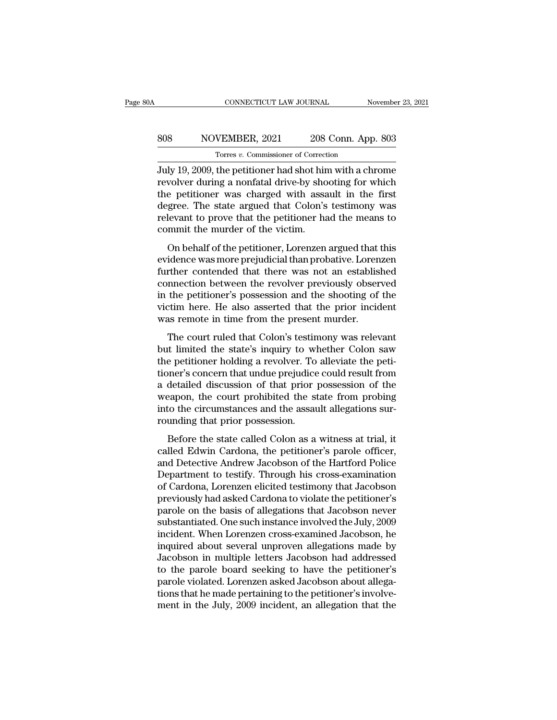## CONNECTICUT LAW JOURNAL November 23, 2021<br>808 NOVEMBER, 2021 208 Conn. App. 803<br>Torres v. Commissioner of Correction CONNECTICUT LAW JOURNAL<br>VEMBER, 2021 208 Conn. App<br>Torres *v*. Commissioner of Correction<br>the netitioner had shot him with a ch

CONNECTICUT LAW JOURNAL November 23, 2021<br>
SOS NOVEMBER, 2021 208 Conn. App. 803<br>
Torres v. Commissioner of Correction<br>
July 19, 2009, the petitioner had shot him with a chrome<br>
revolver during a nonfatal drive-by shooting Revolvember 2021 208 Conn. App. 803<br>
Torres v. Commissioner of Correction<br>
July 19, 2009, the petitioner had shot him with a chrome<br>
revolver during a nonfatal drive-by shooting for which<br>
the petitioner was charged with a SOS NOVEMBER,  $2021$   $208$  Conn. App. 803<br>Torres v. Commissioner of Correction<br>July 19, 2009, the petitioner had shot him with a chrome<br>revolver during a nonfatal drive-by shooting for which<br>the petitioner was charged wit  $\begin{tabular}{ c c c c} \multicolumn{1}{c}{{\text{308}}}& {\text{NOVEMBER, 2021}}& {\text{208 Conn. App. 803}}\\ \hline {\text{July 19, 2009, the pertinent of.} & \text{Conmissioner of.} \\ \hline \text{July 19, 2009, the pertinent had shot him with a chromosome} \\ \text{revolver during a nonfatal drive-by shooting for which the pertinent was charged with assault in the first degree.} & \text{The state argued that.} & \text{Colon's testimony was} \\ \text{relevant to prove that the pertinent had the means to commit the murder of the victim} \end{tabular}$ The California and Social Lippe set of Correction<br>July 19, 2009, the petitioner had shot him with a chrome<br>revolver during a nonfatal drive-by shooting for which<br>the petitioner was charged with assault in the first<br>degree. Torres  $v$ . Commissioner of Correct<br>July 19, 2009, the petitioner had shot hir<br>revolver during a nonfatal drive-by sho<br>the petitioner was charged with assa<br>degree. The state argued that Colon's<br>relevant to prove that the The petitioner and shot finit with a choince<br>volver during a nonfatal drive-by shooting for which<br>e petitioner was charged with assault in the first<br>gree. The state argued that Colon's testimony was<br>levant to prove that th revolver daring a nomatal drive by shooting for which<br>the petitioner was charged with assault in the first<br>degree. The state argued that Colon's testimony was<br>relevant to prove that the petitioner had the means to<br>commit t

further contended that Colon's testimony was<br>relevant to prove that the petitioner had the means to<br>commit the murder of the victim.<br>On behalf of the petitioner, Lorenzen argued that this<br>evidence was more prejudicial than relevant to prove that the petitioner had the means to<br>commit the murder of the victim.<br>On behalf of the petitioner, Lorenzen argued that this<br>evidence was more prejudicial than probative. Lorenzen<br>further contended that t Frecvant to prove that the petitioner had the metals to<br>commit the murder of the victim.<br>On behalf of the petitioner, Lorenzen argued that this<br>evidence was more prejudicial than probative. Lorenzen<br>further contended that On behalf of the petitioner, Lorenzen argued that this<br>evidence was more prejudicial than probative. Lorenzen<br>further contended that there was not an established<br>connection between the revolver previously observed<br>in the p On behalf of the petitioner, Lorenzen argued that<br>evidence was more prejudicial than probative. Loren<br>further contended that there was not an establis<br>connection between the revolver previously obser<br>in the petitioner's po refluence massimone pregaded manipulosaarve. Economic refluent<br>of the contended that there was not an established<br>the petitioner's possession and the shooting of the<br>tim here. He also asserted that the prior incident<br>as re but did a content of the state's was not an established<br>connection between the revolver previously observed<br>in the petitioner's possession and the shooting of the<br>victim here. He also asserted that the prior incident<br>was r

the petitioner's possession and the shooting of the victim here. He also asserted that the prior incident was remote in time from the present murder.<br>The court ruled that Colon's testimony was relevant but limited the stat In the performer is possession that the prior incident<br>victim here. He also asserted that the prior incident<br>was remote in time from the present murder.<br>The court ruled that Colon's testimony was relevant<br>but limited the s Western Rete. The tasso associated and the prior includent<br>was remote in time from the present murder.<br>The court ruled that Colon's testimony was relevant<br>but limited the state's inquiry to whether Colon saw<br>the petitioner The court ruled that Colon's testimony was relevant<br>but limited the state's inquiry to whether Colon saw<br>the petitioner holding a revolver. To alleviate the peti-<br>tioner's concern that undue prejudice could result from<br>a d The court ruled that Colon's testimony was relevant<br>but limited the state's inquiry to whether Colon saw<br>the petitioner holding a revolver. To alleviate the peti-<br>tioner's concern that undue prejudice could result from<br>a d but limited the state's inquiry to wl<br>the petitioner holding a revolver. To<br>tioner's concern that undue prejudice<br>a detailed discussion of that prior<br>weapon, the court prohibited the st<br>into the circumstances and the assat Franchistant and the prejudice could result from<br>detailed discussion of that prior possession of the<br>eapon, the court prohibited the state from probing<br>to the circumstances and the assault allegations sur-<br>unding that prio a detailed discussion of that prior possession of the<br>weapon, the court prohibited the state from probing<br>into the circumstances and the assault allegations sur-<br>rounding that prior possession.<br>Before the state called Colo

a detailed diseassion of that prior possession of the weapon, the court prohibited the state from probing<br>into the circumstances and the assault allegations sur-<br>rounding that prior possession.<br>Before the state called Colo method, are coard promoted are state from prosing<br>into the circumstances and the assault allegations sur-<br>rounding that prior possession.<br>Before the state called Colon as a witness at trial, it<br>called Edwin Cardona, the pe rounding that prior possession.<br>
Before the state called Colon as a witness at trial, it<br>
called Edwin Cardona, the petitioner's parole officer,<br>
and Detective Andrew Jacobson of the Hartford Police<br>
Department to testify. Before the state called Colon as a witness at trial, it<br>called Edwin Cardona, the petitioner's parole officer,<br>and Detective Andrew Jacobson of the Hartford Police<br>Department to testify. Through his cross-examination<br>of Ca Before the state called Colon as a witness at trial, it<br>called Edwin Cardona, the petitioner's parole officer,<br>and Detective Andrew Jacobson of the Hartford Police<br>Department to testify. Through his cross-examination<br>of Ca called Edwin Cardona, the petitioner's parole officer,<br>and Detective Andrew Jacobson of the Hartford Police<br>Department to testify. Through his cross-examination<br>of Cardona, Lorenzen elicited testimony that Jacobson<br>previou and Detective Andrew Jacobson of the Hartford Police<br>Department to testify. Through his cross-examination<br>of Cardona, Lorenzen elicited testimony that Jacobson<br>previously had asked Cardona to violate the petitioner's<br>parol Department to testify. Through his cross-examination<br>of Cardona, Lorenzen elicited testimony that Jacobson<br>previously had asked Cardona to violate the petitioner's<br>parole on the basis of allegations that Jacobson never<br>sub of Cardona, Lorenzen elicited testimony that Jacobson<br>previously had asked Cardona to violate the petitioner's<br>parole on the basis of allegations that Jacobson never<br>substantiated. One such instance involved the July, 2009 previously had asked Cardona to violate the petitioner's<br>parole on the basis of allegations that Jacobson never<br>substantiated. One such instance involved the July, 2009<br>incident. When Lorenzen cross-examined Jacobson, he<br>i parole on the basis of allegations that Jacobson never<br>substantiated. One such instance involved the July, 2009<br>incident. When Lorenzen cross-examined Jacobson, he<br>inquired about several unproven allegations made by<br>Jacobs substantiated. One such instance involved the July, 2009 incident. When Lorenzen cross-examined Jacobson, he inquired about several unproven allegations made by Jacobson in multiple letters Jacobson had addressed to the pa incident. When Lorenzen cross-examined Jacobson, he<br>inquired about several unproven allegations made by<br>Jacobson in multiple letters Jacobson had addressed<br>to the parole board seeking to have the petitioner's<br>parole violat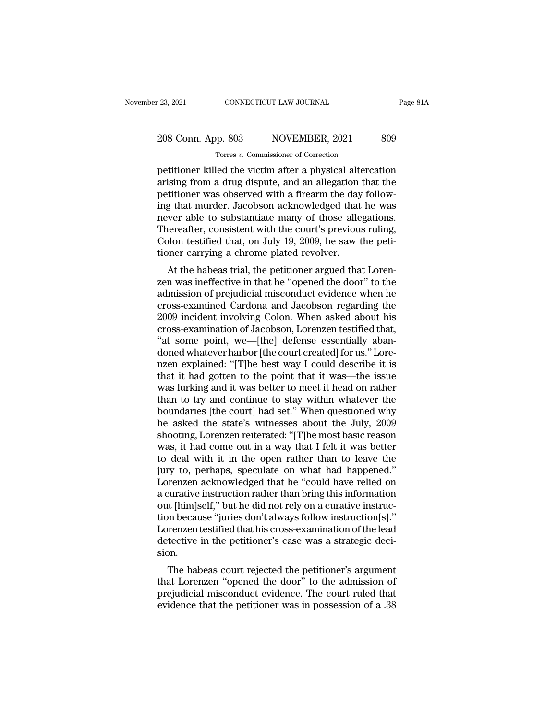## 23, 2021 CONNECTICUT LAW JOURNAL Page 81A<br>208 Conn. App. 803 NOVEMBER, 2021 809<br>Torres v. Commissioner of Correction Torres *v.* Commissioner of Correction

Page 81A<br>
208 Conn. App. 803 NOVEMBER, 2021 809<br>
Torres v. Commissioner of Correction<br>
petitioner killed the victim after a physical altercation<br>
arising from a drug dispute, and an allegation that the<br>
positioner was obse 208 Conn. App. 803 NOVEMBER, 2021 809<br>Torres v. Commissioner of Correction<br>petitioner killed the victim after a physical altercation<br>arising from a drug dispute, and an allegation that the<br>petitioner was observed with a f 208 Conn. App. 803 NOVEMBER, 2021 809<br>
Torres *v*. Commissioner of Correction<br>
petitioner killed the victim after a physical altercation<br>
arising from a drug dispute, and an allegation that the<br>
petitioner was observed wi 208 Conn. App. 803 NOVEMBER, 2021 809<br>
Torres  $v$ . Commissioner of Correction<br>
petitioner killed the victim after a physical altercation<br>
arising from a drug dispute, and an allegation that the<br>
petitioner was observed wi Tores v. Commissioner of Correction<br>petitioner killed the victim after a physical altercation<br>arising from a drug dispute, and an allegation that the<br>petitioner was observed with a firearm the day follow-<br>ing that murder. Tores v. Commissioner of Correction<br>petitioner killed the victim after a physical altercation<br>arising from a drug dispute, and an allegation that the<br>petitioner was observed with a firearm the day follow-<br>ing that murder. petitioner killed the victim after a physical altercation<br>arising from a drug dispute, and an allegation that the<br>petitioner was observed with a firearm the day follow-<br>ing that murder. Jacobson acknowledged that he was<br>ne arising from a drug dispute, and an allegation<br>petitioner was observed with a firearm the day<br>ing that murder. Jacobson acknowledged that<br>never able to substantiate many of those alle<br>Thereafter, consistent with the court' rationer was observed with a firearm the day follow-<br>g that murder. Jacobson acknowledged that he was<br>wer able to substantiate many of those allegations.<br>nereafter, consistent with the court's previous ruling,<br>plon testifi ing that intrider. Jacobson acknowledged that he was<br>never able to substantiate many of those allegations.<br>Thereafter, consistent with the court's previous ruling,<br>Colon testified that, on July 19, 2009, he saw the peti-<br>t

rever able to substantiate many of those anegations.<br>Thereafter, consistent with the court's previous ruling,<br>Colon testified that, on July 19, 2009, he saw the peti-<br>tioner carrying a chrome plated revolver.<br>At the habeas Thereatter, consistent with the court's previous runng,<br>Colon testified that, on July 19, 2009, he saw the peti-<br>tioner carrying a chrome plated revolver.<br>At the habeas trial, the petitioner argued that Loren-<br>zen was inef Colon testined that, on July 19, 2009, he saw the peu-<br>tioner carrying a chrome plated revolver.<br>At the habeas trial, the petitioner argued that Loren-<br>zen was ineffective in that he "opened the door" to the<br>admission of p cross-examination of Jacobson, Lorenzen was ineffective in that he "opened the door" to the admission of prejudicial misconduct evidence when he cross-examined Cardona and Jacobson regarding the 2009 incident involving Col At the habeas trial, the petitioner argued that Lorenzen was ineffective in that he "opened the door" to the admission of prejudicial misconduct evidence when he cross-examined Cardona and Jacobson regarding the 2009 incid zen was ineffective in that he "opened the door" to the admission of prejudicial misconduct evidence when he cross-examined Cardona and Jacobson regarding the 2009 incident involving Colon. When asked about his cross-exami admission of prejudicial misconduct evidence when he<br>cross-examined Cardona and Jacobson regarding the<br>2009 incident involving Colon. When asked about his<br>cross-examination of Jacobson, Lorenzen testified that,<br>"at some po cross-examined Cardona and Jacobson regarding the<br>2009 incident involving Colon. When asked about his<br>cross-examination of Jacobson, Lorenzen testified that,<br>"at some point, we—[the] defense essentially aban-<br>doned whateve 2009 incident involving Colon. When asked about his<br>cross-examination of Jacobson, Lorenzen testified that,<br>"at some point, we—[the] defense essentially aban-<br>doned whatever harbor [the court created] for us." Lore-<br>nzen e cross-examination of Jacobson, Lorenzen testified that,<br>"at some point, we—[the] defense essentially aban-<br>doned whatever harbor [the court created] for us." Lore-<br>nzen explained: "[T]he best way I could describe it is<br>tha "at some point, we—[the] defense essentially aban-<br>doned whatever harbor [the court created] for us." Lore-<br>nzen explained: "[T]he best way I could describe it is<br>that it had gotten to the point that it was—the issue<br>was l doned whatever harbor [the court created] for us." Lore-<br>nzen explained: "[T]he best way I could describe it is<br>that it had gotten to the point that it was—the issue<br>was lurking and it was better to meet it head on rather<br> nzen explained: "[T]he best way I could describe it is<br>that it had gotten to the point that it was—the issue<br>was lurking and it was better to meet it head on rather<br>than to try and continue to stay within whatever the<br>boun that it had gotten to the point that it was—the issue<br>was lurking and it was better to meet it head on rather<br>than to try and continue to stay within whatever the<br>boundaries [the court] had set." When questioned why<br>he ask was lurking and it was better to meet it head on rather<br>than to try and continue to stay within whatever the<br>boundaries [the court] had set." When questioned why<br>he asked the state's witnesses about the July, 2009<br>shooting than to try and continue to stay within whatever the<br>boundaries [the court] had set." When questioned why<br>he asked the state's witnesses about the July, 2009<br>shooting, Lorenzen reiterated: "[T]he most basic reason<br>was, it boundaries [the court] had set." When questioned why<br>he asked the state's witnesses about the July, 2009<br>shooting, Lorenzen reiterated: "[T]he most basic reason<br>was, it had come out in a way that I felt it was better<br>to de he asked the state's witnesses about the July, 2009<br>shooting, Lorenzen reiterated: "[T]he most basic reason<br>was, it had come out in a way that I felt it was better<br>to deal with it in the open rather than to leave the<br>jury shooting, Lorenzen reiterated: "[T]he most basic reason<br>was, it had come out in a way that I felt it was better<br>to deal with it in the open rather than to leave the<br>jury to, perhaps, speculate on what had happened."<br>Lorenz was, it had come out in a way that I felt it was better<br>to deal with it in the open rather than to leave the<br>jury to, perhaps, speculate on what had happened."<br>Lorenzen acknowledged that he "could have relied on<br>a curative to deal with it in the open rather than to leave the<br>jury to, perhaps, speculate on what had happened."<br>Lorenzen acknowledged that he "could have relied on<br>a curative instruction rather than bring this information<br>out [him jury to, perhaps, speculate on what had happened."<br>Lorenzen acknowledged that he "could have relied on<br>a curative instruction rather than bring this information<br>out [him]self," but he did not rely on a curative instruc-<br>ti sion. t [him]self," but he did not rely on a curative instruction<br>t [him]self," but he did not rely on a curative instruction<br>prenzen testified that his cross-examination of the lead<br>tective in the petitioner's case was a strate out [infigen, but he did not rely on a curative instruction]]."<br>Lorenzen testified that his cross-examination of the lead<br>detective in the petitioner's case was a strategic deci-<br>sion.<br>The habeas court rejected the petitio

prefude that his cross-examination of the lead<br>detective in the petitioner's case was a strategic deci-<br>sion.<br>The habeas court rejected the petitioner's argument<br>that Lorenzen "opened the door" to the admission of<br>prejudic Examination of the lead<br>detective in the petitioner's case was a strategic deci-<br>sion.<br>The habeas court rejected the petitioner's argument<br>that Lorenzen "opened the door" to the admission of<br>prejudicial misconduct evidence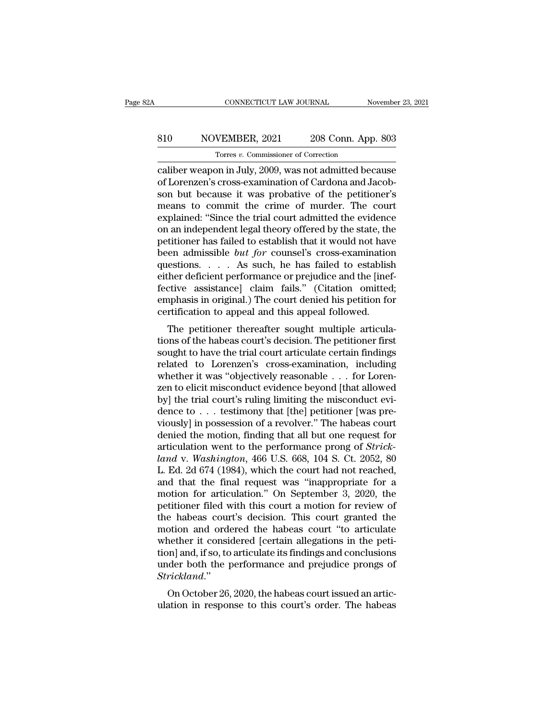## CONNECTICUT LAW JOURNAL November 23, 2021<br>810 NOVEMBER, 2021 208 Conn. App. 803<br>Torres v. Commissioner of Correction TONNECTICUT LAW JOURNAL<br>
VEMBER, 2021 208 Conn. App<br>
Torres *v.* Commissioner of Correction<br>
In in July 2009 was not admitted bec

CONNECTICUT LAW JOURNAL November 23, 2021<br>
S10 NOVEMBER, 2021 208 Conn. App. 803<br>
Torres v. Commissioner of Correction<br>
Caliber weapon in July, 2009, was not admitted because<br>
of Lorenzen's cross-examination of Cardona and 810 NOVEMBER, 2021 208 Conn. App. 803<br>
Torres *v.* Commissioner of Correction<br>
caliber weapon in July, 2009, was not admitted because<br>
of Lorenzen's cross-examination of Cardona and Jacob-<br>
son but because it was probative son but because it was probative of the petitioner's S10 NOVEMBER, 2021 208 Conn. App. 803<br>
Torres v. Commissioner of Correction<br>
caliber weapon in July, 2009, was not admitted because<br>
of Lorenzen's cross-examination of Cardona and Jacob-<br>
son but because it was probative Torres v. Commissioner of Correction<br>
caliber weapon in July, 2009, was not admitted because<br>
of Lorenzen's cross-examination of Cardona and Jacob-<br>
son but because it was probative of the petitioner's<br>
means to commit th Torres v. Commissioner of Correction<br>
caliber weapon in July, 2009, was not admitted because<br>
of Lorenzen's cross-examination of Cardona and Jacob-<br>
son but because it was probative of the petitioner's<br>
means to commit th caliber weapon in July, 2009, was not admitted because<br>of Lorenzen's cross-examination of Cardona and Jacob-<br>son but because it was probative of the petitioner's<br>means to commit the crime of murder. The court<br>explained: "S of Lorenzen's cross-examination of Cardona and Jacobson but because it was probative of the petitioner's<br>means to commit the crime of murder. The court<br>explained: "Since the trial court admitted the evidence<br>on an independ son but because it was probative of the petitioner's<br>means to commit the crime of murder. The court<br>explained: "Since the trial court admitted the evidence<br>on an independent legal theory offered by the state, the<br>petitione means to commit the crime of murder. The court<br>explained: "Since the trial court admitted the evidence<br>on an independent legal theory offered by the state, the<br>petitioner has failed to establish that it would not have<br>bee explained: "Since the trial court admitted the evidence<br>on an independent legal theory offered by the state, the<br>petitioner has failed to establish that it would not have<br>been admissible *but for* counsel's cross-examinati on an independent legal theory offered by the state, the<br>petitioner has failed to establish that it would not have<br>been admissible *but for* counsel's cross-examination<br>questions. . . . As such, he has failed to establish<br> petitioner has failed to establish that it would not have<br>been admissible *but for* counsel's cross-examination<br>questions. . . . As such, he has failed to establis<br>either deficient performance or prejudice and the [inet<br>fe The petitioner of the has failed to establish<br>ther deficient performance or prejudice and the [inef-<br>ctive assistance] claim fails." (Citation omitted;<br>uphasis in original.) The court denied his petition for<br>reflication t questions. . . . . As such, he has failed to establish<br>either deficient performance or prejudice and the [inef-<br>fective assistance] claim fails." (Citation omitted;<br>emphasis in original.) The court denied his petition for<br>

Fractive assistance] claim fails." (Citation omitted;<br>emphasis in original.) The court denied his petition for<br>certification to appeal and this appeal followed.<br>The petitioner thereafter sought multiple articula-<br>tions of rective assistance] claim fails. (Chation ontitied,<br>emphasis in original.) The court denied his petition for<br>certification to appeal and this appeal followed.<br>The petitioner thereafter sought multiple articula-<br>tions of th emphasis in original.) The court defiled his petition for<br>certification to appeal and this appeal followed.<br>The petitioner thereafter sought multiple articula-<br>tions of the habeas court's decision. The petitioner first<br>sou The petitioner thereafter sought multiple articulations of the habeas court's decision. The petitioner first<br>sought to have the trial court articulate certain findings<br>related to Lorenzen's cross-examination, including<br>whe The petitioner thereafter sought multiple articulations of the habeas court's decision. The petitioner first sought to have the trial court articulate certain findings related to Lorenzen's cross-examination, including wh tions of the habeas court's decision. The petitioner first<br>sought to have the trial court articulate certain findings<br>related to Lorenzen's cross-examination, including<br>whether it was "objectively reasonable . . . for Lor sought to have the trial court articulate certain findings<br>related to Lorenzen's cross-examination, including<br>whether it was "objectively reasonable . . . for Loren-<br>zen to elicit misconduct evidence beyond [that allowed<br>b related to Lorenzen's cross-examination, including<br>whether it was "objectively reasonable . . . for Lorenzen to elicit misconduct evidence beyond [that allowed<br>by] the trial court's ruling limiting the misconduct evi-<br>den whether it was "objectively reasonable . . . for Lorenzen to elicit misconduct evidence beyond [that allowed<br>by] the trial court's ruling limiting the misconduct evi-<br>dence to . . . testimony that [the] petitioner [was pre zen to elicit misconduct evidence beyond [that allowed<br>by] the trial court's ruling limiting the misconduct evi-<br>dence to . . . testimony that [the] petitioner [was pre-<br>viously] in possession of a revolver." The habeas co by] the trial court's ruling limiting the misconduct evidence to . . . testimony that [the] petitioner [was previously] in possession of a revolver." The habeas court denied the motion, finding that all but one request fo dence to . . . testimony that [the] petitioner [was previously] in possession of a revolver." The habeas court<br>denied the motion, finding that all but one request for<br>articulation went to the performance prong of *Strick*viously] in possession of a revolver." The habeas court<br>denied the motion, finding that all but one request for<br>articulation went to the performance prong of *Strick-*<br>land v. Washington, 466 U.S. 668, 104 S. Ct. 2052, 80<br> denied the motion, finding that all but one request for articulation went to the performance prong of *Strick-land* v. *Washington*, 466 U.S. 668, 104 S. Ct. 2052, 80 L. Ed. 2d 674 (1984), which the court had not reached, articulation went to the performance prong of *Strick-*<br>land v. Washington, 466 U.S. 668, 104 S. Ct. 2052, 80<br>L. Ed. 2d 674 (1984), which the court had not reached,<br>and that the final request was "inappropriate for a<br>motio land v. Washington, 466 U.S. 668, 104 S. Ct. 2052, 80<br>L. Ed. 2d 674 (1984), which the court had not reached,<br>and that the final request was "inappropriate for a<br>motion for articulation." On September 3, 2020, the<br>petitione L. Ed. 2d 674 (1984), which the court had not reached, and that the final request was "inappropriate for a motion for articulation." On September 3, 2020, the petitioner filed with this court a motion for review of the hab and that the final request was "inappropriate for a<br>motion for articulation." On September 3, 2020, the<br>petitioner filed with this court a motion for review of<br>the habeas court's decision. This court granted the<br>motion and motion for articulation." On September 3, 2020, the petitioner filed with this court a motion for review of the habeas court's decision. This court granted the motion and ordered the habeas court "to articulate whether it *Strickland*.'' e habeas court's decision. This court granted the<br>otion and ordered the habeas court "to articulate<br>nether it considered [certain allegations in the peti-<br>on] and, if so, to articulate its findings and conclusions<br>der both motion and ordered the habeas court to articulate<br>whether it considered [certain allegations in the peti-<br>tion] and, if so, to articulate its findings and conclusions<br>under both the performance and prejudice prongs of<br>*Str*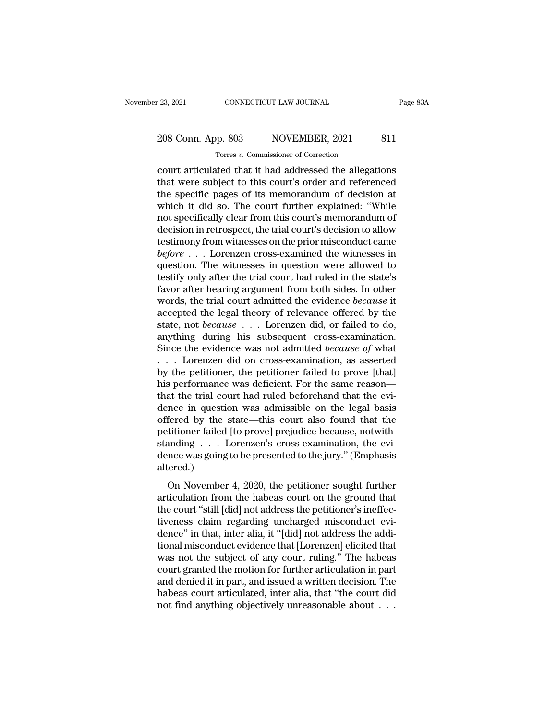## 23, 2021 CONNECTICUT LAW JOURNAL Page 83A<br>208 Conn. App. 803 NOVEMBER, 2021 811<br>Torres v. Commissioner of Correction Torres *v.* Commissioner of Correction

examples and the connect connect transformation of the same and the small of the small of the allegations of the allegations of the small of the small of the small of the small of the small of the small of the small of the 208 Conn. App. 803 NOVEMBER, 2021 811<br>
Torres v. Commissioner of Correction<br>
court articulated that it had addressed the allegations<br>
that were subject to this court's order and referenced<br>
the specific pages of its memora 208 Conn. App. 803 NOVEMBER, 2021 811<br>
Torres v. Commissioner of Correction<br>
court articulated that it had addressed the allegations<br>
that were subject to this court's order and referenced<br>
the specific pages of its memor 208 Conn. App. 803 NOVEMBER, 2021 811<br>
Torres v. Commissioner of Correction<br>
court articulated that it had addressed the allegations<br>
that were subject to this court's order and referenced<br>
the specific pages of its memor The second separation of the second court articulated that it had addressed the allegations<br>that were subject to this court's order and referenced<br>the specific pages of its memorandum of decision at<br>which it did so. The co Tores v. Commissioner of Correction<br>
court articulated that it had addressed the allegations<br>
that were subject to this court's order and referenced<br>
the specific pages of its memorandum of decision at<br>
which it did so. T court articulated that it had addressed the allegations<br>that were subject to this court's order and referenced<br>the specific pages of its memorandum of decision at<br>which it did so. The court further explained: "While<br>not sp that were subject to this court's order and referenced<br>the specific pages of its memorandum of decision at<br>which it did so. The court further explained: "While<br>not specifically clear from this court's memorandum of<br>decisio the specific pages of its memorandum of decision at<br>which it did so. The court further explained: "While<br>not specifically clear from this court's memorandum of<br>decision in retrospect, the trial court's decision to allow<br>te which it did so. The court further explained: "While<br>not specifically clear from this court's memorandum of<br>decision in retrospect, the trial court's decision to allow<br>testimony from witnesses on the prior misconduct came not specifically clear from this court's memorandum of<br>decision in retrospect, the trial court's decision to allow<br>testimony from witnesses on the prior misconduct came<br> $before \ldots$  Lorenzen cross-examined the witnesses in<br>ques decision in retrospect, the trial court's decision to allow<br>testimony from witnesses on the prior misconduct came<br>*before* . . . Lorenzen cross-examined the witnesses in<br>question. The witnesses in question were allowed to<br> testimony from witnesses on the prior misconduct came<br> *before* . . . Lorenzen cross-examined the witnesses in<br>
question. The witnesses in question were allowed to<br>
testify only after the trial court had ruled in the stat before . . . Lorenzen cross-examined the witnesses in question. The witnesses in question were allowed to testify only after the trial court had ruled in the state's favor after hearing argument from both sides. In other w question. The witnesses in question were allowed to<br>testify only after the trial court had ruled in the state's<br>favor after hearing argument from both sides. In other<br>words, the trial court admitted the evidence *because* testify only after the trial court had ruled in the state's<br>favor after hearing argument from both sides. In other<br>words, the trial court admitted the evidence *because* it<br>accepted the legal theory of relevance offered by favor after hearing argument from both sides. In other<br>words, the trial court admitted the evidence *because* it<br>accepted the legal theory of relevance offered by the<br>state, not *because* . . . Lorenzen did, or failed to words, the trial court admitted the evidence *because* it accepted the legal theory of relevance offered by the state, not *because* . . . Lorenzen did, or failed to do, anything during his subsequent cross-examination. S accepted the legal theory of relevance offered by the<br>state, not *because*  $\ldots$  Lorenzen did, or failed to do,<br>anything during his subsequent cross-examination.<br>Since the evidence was not admitted *because of* what<br> $\ldots$ state, not *because* . . . Lorenzen did, or failed to do, anything during his subsequent cross-examination.<br>Since the evidence was not admitted *because of* what . . . Lorenzen did on cross-examination, as asserted by the anything during his subsequent cross-examination.<br>Since the evidence was not admitted *because of* what<br>... Lorenzen did on cross-examination, as asserted<br>by the petitioner, the petitioner failed to prove [that]<br>his perfo Since the evidence was not admitted *because of* what<br>  $\ldots$  Lorenzen did on cross-examination, as asserted<br>
by the petitioner, the petitioner failed to prove [that]<br>
his performance was deficient. For the same reason—<br>
t ... Lorenzen did on cross-examination, as asserted<br>by the petitioner, the petitioner failed to prove [that]<br>his performance was deficient. For the same reason—<br>that the trial court had ruled beforehand that the evi-<br>dence by the petitioner, the petitioner failed to prove [that]<br>his performance was deficient. For the same reason—<br>that the trial court had ruled beforehand that the evi-<br>dence in question was admissible on the legal basis<br>offer his performance was deficient. For the same reason—<br>that the trial court had ruled beforehand that the evi-<br>dence in question was admissible on the legal basis<br>offered by the state—this court also found that the<br>petitioner altered.) Fered by the state—this court also found that the<br>fered by the state—this court also found that the<br>titioner failed [to prove] prejudice because, notwith-<br>anding . . . Lorenzen's cross-examination, the evi-<br>nce was going t petitioner failed [to prove] prejudice because, notwithstanding  $\ldots$  Lorenzen's cross-examination, the evidence was going to be presented to the jury." (Emphasis altered.)<br>On November 4, 2020, the petitioner sought furth

standing  $\ldots$  Lorenzen's cross-examination, the evidence was going to be presented to the jury." (Emphasis altered.)<br>On November 4, 2020, the petitioner sought further articulation from the habeas court on the ground tha dence was going to be presented to the jury." (Emphasis altered.)<br>On November 4, 2020, the petitioner sought further<br>articulation from the habeas court on the ground that<br>the court "still [did] not address the petitioner' altered.)<br>
On November 4, 2020, the petitioner sought further<br>
articulation from the habeas court on the ground that<br>
the court "still [did] not address the petitioner's ineffec-<br>
tiveness claim regarding uncharged miscond on November 4, 2020, the petitioner sought further<br>articulation from the habeas court on the ground that<br>the court "still [did] not address the petitioner's ineffec-<br>tiveness claim regarding uncharged misconduct evi-<br>dence On November 4, 2020, the petitioner sought further<br>articulation from the habeas court on the ground that<br>the court "still [did] not address the petitioner's ineffec-<br>tiveness claim regarding uncharged misconduct evi-<br>dence articulation from the habeas court on the ground that<br>the court "still [did] not address the petitioner's ineffec-<br>tiveness claim regarding uncharged misconduct evi-<br>dence" in that, inter alia, it "[did] not address the ad the court "still [did] not address the petitioner's ineffectiveness claim regarding uncharged misconduct evidence" in that, inter alia, it "[did] not address the additional misconduct evidence that [Lorenzen] elicited that tiveness claim regarding uncharged misconduct evi-<br>dence" in that, inter alia, it "[did] not address the addi-<br>tional misconduct evidence that [Lorenzen] elicited that<br>was not the subject of any court ruling." The habeas<br>c dence" in that, inter alia, it "[did] not address the additional misconduct evidence that [Lorenzen] elicited that was not the subject of any court ruling." The habeas court granted the motion for further articulation in p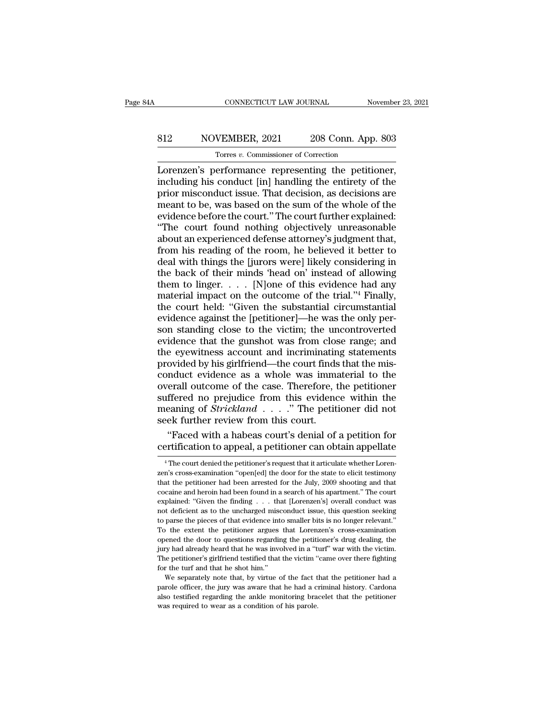# CONNECTICUT LAW JOURNAL November 23, 2021<br>812 NOVEMBER, 2021 208 Conn. App. 803<br>Torres v. Commissioner of Correction

CONNECTICUT LAW JOURNAL November 23, 2021<br> **S12** NOVEMBER, 2021 208 Conn. App. 803<br>
Torres *v.* Commissioner of Correction<br>
Lorenzen's performance representing the petitioner, CONNECTICUT LAW JOURNAL November 23, 2<br>
S12 NOVEMBER, 2021 208 Conn. App. 803<br>
Torres v. Commissioner of Correction<br>
Lorenzen's performance representing the petitioner,<br>
including his conduct [in] handling the entirety of S12 NOVEMBER, 2021 208 Conn. App. 803<br>
Torres *v*. Commissioner of Correction<br>
Lorenzen's performance representing the petitioner,<br>
including his conduct [in] handling the entirety of the<br>
prior misconduct issue. That dec Prior misconduct issue. That decisions are meant to be, was based on the sum of the misconduct issue. That decision, as decisions are meant to be, was based on the sum of the whole of the evidence before the court "The co MOVEMBER, 2021 208 Conn. App. 803<br>
Torres *v*. Commissioner of Correction<br>
Lorenzen's performance representing the petitioner,<br>
including his conduct [in] handling the entirety of the<br>
prior misconduct issue. That decisio Fores v. Commissioner of Correction<br>
Lorenzen's performance representing the petitioner,<br>
including his conduct [in] handling the entirety of the<br>
prior misconduct issue. That decision, as decisions are<br>
meant to be, was Torres *v*. Commissioner of Correction<br>
Lorenzen's performance representing the petitioner,<br>
including his conduct [in] handling the entirety of the<br>
prior misconduct issue. That decision, as decisions are<br>
meant to be, w Lorenzen's performance representing the petitioner,<br>including his conduct [in] handling the entirety of the<br>prior misconduct issue. That decision, as decisions are<br>meant to be, was based on the sum of the whole of the<br>evid including his conduct [in] handling the entirety of the<br>prior misconduct issue. That decision, as decisions are<br>meant to be, was based on the sum of the whole of the<br>evidence before the court." The court further explained: prior misconduct issue. That decision, as decisions are<br>meant to be, was based on the sum of the whole of the<br>evidence before the court." The court further explained:<br>"The court found nothing objectively unreasonable<br>about meant to be, was based on the sum of the whole of the<br>evidence before the court." The court further explained:<br>"The court found nothing objectively unreasonable<br>about an experienced defense attorney's judgment that,<br>from evidence before the court." The court further explained:<br>"The court found nothing objectively unreasonable<br>about an experienced defense attorney's judgment that,<br>from his reading of the room, he believed it better to<br>deal "The court found nothing objectively unreasonable<br>about an experienced defense attorney's judgment that,<br>from his reading of the room, he believed it better to<br>deal with things the [jurors were] likely considering in<br>the about an experienced defense attorney's judgment that,<br>from his reading of the room, he believed it better to<br>deal with things the [jurors were] likely considering in<br>the back of their minds 'head on' instead of allowing<br> about an experienced defense attorney's judgment that, from his reading of the room, he believed it better to deal with things the [jurors were] likely considering in the back of their minds 'head on' instead of allowing deal with things the [jurors were] likely considering in<br>the back of their minds 'head on' instead of allowing<br>them to linger. . . . . [N]one of this evidence had any<br>material impact on the outcome of the trial."<sup>4</sup> Finall the back of their minds 'head on' instead of allowing<br>them to linger..... [N]one of this evidence had any<br>material impact on the outcome of the trial."<sup>4</sup> Finally,<br>the court held: "Given the substantial circumstantial<br>evi them to linger.  $\dots$  [N]one of this evidence had any<br>material impact on the outcome of the trial."4 Finally,<br>the court held: "Given the substantial circumstantial<br>evidence against the [petitioner]—he was the only per-<br>son the court held: "Given the substantial circumstantial<br>evidence against the [petitioner]—he was the only per-<br>son standing close to the victim; the uncontroverted<br>evidence that the gunshot was from close range; and<br>the eyew the court held: "Given the substantial circumstantial<br>evidence against the [petitioner]—he was the only per-<br>son standing close to the victim; the uncontroverted<br>evidence that the gunshot was from close range; and<br>the eyew evidence against the [petitioner]—he was the only per-<br>son standing close to the victim; the uncontroverted<br>evidence that the gunshot was from close range; and<br>the eyewitness account and incriminating statements<br>provided b son standing close to the victim; the uncontroverted<br>evidence that the gunshot was from close range; and<br>the eyewitness account and incriminating statements<br>provided by his girlfriend—the court finds that the mis-<br>conduct evidence that the gunshot was from close range; and<br>the eyewitness account and incriminating statements<br>provided by his girlfriend—the court finds that the mis-<br>conduct evidence as a whole was immaterial to the<br>overall out suffered no prejudice from this evidence within the meaning of  $Strickland \dots$ ." The petitioner did not seek further review from this court. % ovided by his girlfriend—the court finds that the mis-<br>
nduct evidence as a whole was immaterial to the<br>
erall outcome of the case. Therefore, the petitioner<br>
ffered no prejudice from this evidence within the<br>
eaning of conduct evidence as a whole was immaterial to the<br>overall outcome of the case. Therefore, the petitioner<br>suffered no prejudice from this evidence within the<br>meaning of *Strickland* . . . . " The petitioner did not<br>seek fu

earling of *Strickland* . . . . . The petitioner did notice the further review from this court.<br>
"Faced with a habeas court's denial of a petition for ertification to appeal, a petitioner can obtain appellate  $\frac{4}{1}$ <sup>4</sup>.

seek further review from this court.<br>
"Faced with a habeas court's denial of a petition for<br>
certification to appeal, a petitioner can obtain appellate<br>
<sup>4</sup>The court denied the petitioner's request that it articulate wheth "Faced with a habeas court's denial of a petition for certification to appeal, a petitioner can obtain appellate<br> $\overline{ }^4$ The court denied the petitioner's request that it articulate whether Lorenzen's cross-examination " corrification to appeal, a petitioner can obtain appellate<br>
<sup>4</sup> The court denied the petitioner's request that it articulate whether Lorenzen's cross-examination "open[ed] the door for the state to elicit testimony<br>
that t Certification to appear, a petitioner can obtain appenate<br>  $^{4}$ The court denied the petitioner's request that it articulate whether Lorenzen's cross-examination "open[ed] the door for the state to elicit testimony<br>
that <sup>4</sup> The court denied the petitioner's request that it articulate whether Lorenzen's cross-examination "open[ed] the door for the state to elicit testimony that the petitioner had been arrested for the July, 2009 shooting zen's cross-examination "open[ed] the door for the state to elicit testimony<br>that the petitioner had been arrested for the July, 2009 shooting and that<br>cocaine and heroin had been found in a search of his apartment.'' The that the petitioner had been arrested for the July, 2009 shooting and that cocaine and heroin had been arrested for the July, 2009 shooting and that cocaine and heroin had been found in a search of his apartment." The cour cocaine and heroin had been found in a search of his apartment." The court<br>explained: "Given the finding . . . that [Lorenzen's] overall conduct was<br>not deficient as to the uncharged misconduct issue, this question seeking explained: "Given the finding . . . that [Lorenzen's] overall conduct was not deficient as to the uncharged misconduct issue, this question seeking to parse the pieces of that evidence into smaller bits is no longer releva Experience was the uncharged misconduct issue, this question seeking to parse the pieces of that evidence into smaller bits is no longer relevant."<br>To the extent the petitioner argues that Lorenzen's cross-examination open to parse the pieces of that evidence into smaller bits is no longer relevant."<br>To the extent the petitioner argues that Lorenzen's cross-examination<br>opened the door to questions regarding the petitioner's drug dealing, th For the extent the petitioner argues that Lorenzen's cross-examination<br>ened the door to questions regarding the petitioner's drug dealing, the<br>repy had already heard that he was involved in a "turf" war with the victim.<br>e parole of the door to questions regarding the pettitioner's drug dealing, the jury had already heard that he was involved in a "turf" war with the victim. The petitioner's girlfriend testified that the victim "came over th

beyond already heard that he was involved in a "turf" war with the victim.<br>The petitioner's girlfriend testified that the victim "came over there fighting<br>for the turf and that he shot him."<br>We separately note that, by vir The petitioner's girlfriend testified that the victim "The petitioner's girlfriend testified that the victim "<br>for the turf and that he shot him."<br>We separately note that, by virtue of the fact t<br>parole officer, the jury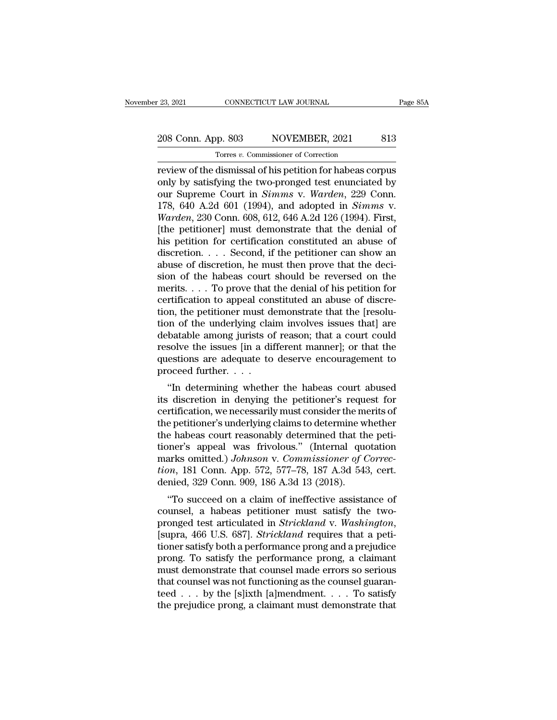## 23, 2021 CONNECTICUT LAW JOURNAL Page 85A<br>208 Conn. App. 803 NOVEMBER, 2021 813<br>Torres v. Commissioner of Correction Torres *v.* Commissioner of Correction

review of the dismissal of his petition for habeas corpus<br>
Page 85A<br>
Torres v. Commissioner of Correction<br>
Torres v. Commissioner of Correction<br>
Torres v. Commissioner of Correction<br>
Section for habeas corpus<br>
only by sati 208 Conn. App. 803 NOVEMBER, 2021 813<br>
Torres v. Commissioner of Correction<br>
Treview of the dismissal of his petition for habeas corpus<br>
only by satisfying the two-pronged test enunciated by<br>
our Supreme Court in *Simms* v 208 Conn. App. 803 NOVEMBER, 2021 813<br>
Torres *v*. Commissioner of Correction<br>
review of the dismissal of his petition for habeas corpus<br>
only by satisfying the two-pronged test enunciated by<br>
our Supreme Court in *Simms* 208 Conn. App. 803 NOVEMBER, 2021 813<br>
Torres *v*. Commissioner of Correction<br>
review of the dismissal of his petition for habeas corpus<br>
only by satisfying the two-pronged test enunciated by<br>
our Supreme Court in *Simms Tores v. Commissioner of Correction*<br> *Tores v. Commissioner of Correction*<br> **Warden**, 229 Conn.<br> **Warden**, 230 Conn. 608, 612, 646 A.2d 126 (1994). First,<br> **Warden**, 230 Conn. 608, 612, 646 A.2d 126 (1994). First,<br> **Ward** Torres v. Commissioner of Correction<br>
review of the dismissal of his petition for habeas corpus<br>
only by satisfying the two-pronged test enunciated by<br>
our Supreme Court in Simms v. Warden, 229 Conn.<br>
178, 640 A.2d 601 (1 review of the dismissal of his petition for habeas corpus<br>only by satisfying the two-pronged test enunciated by<br>our Supreme Court in *Simms* v. *Warden*, 229 Conn.<br>178, 640 A.2d 601 (1994), and adopted in *Simms* v.<br>*Warde* only by satisfying the two-pronged test enunciated by<br>our Supreme Court in *Simms* v. *Warden*, 229 Conn.<br>178, 640 A.2d 601 (1994), and adopted in *Simms* v.<br>*Warden*, 230 Conn. 608, 612, 646 A.2d 126 (1994). First,<br>[the p our Supreme Court in *Simms* v. *Warden*, 229 Conn. 178, 640 A.2d 601 (1994), and adopted in *Simms* v. *Warden*, 230 Conn. 608, 612, 646 A.2d 126 (1994). First, [the petitioner] must demonstrate that the denial of his pe 178, 640 A.2d 601 (1994), and adopted in *Simms* v.<br>Warden, 230 Conn. 608, 612, 646 A.2d 126 (1994). First,<br>[the petitioner] must demonstrate that the denial of<br>his petition for certification constituted an abuse of<br>discr *Warden*, 230 Conn. 608, 612, 646 A.2d 126 (1994). First,<br>[the petitioner] must demonstrate that the denial of<br>his petition for certification constituted an abuse of<br>discretion. . . . Second, if the petitioner can show an [the petitioner] must demonstrate that the denial of<br>his petition for certification constituted an abuse of<br>discretion. . . . Second, if the petitioner can show an<br>abuse of discretion, he must then prove that the deci-<br>si his petition for certification constituted an abuse of discretion. . . . Second, if the petitioner can show an abuse of discretion, he must then prove that the decision of the habeas court should be reversed on the merits discretion. . . . Second, if the petitioner can show an abuse of discretion, he must then prove that the decision of the habeas court should be reversed on the merits. . . . To prove that the denial of his petition for ce abuse of discretion, he must then prove that the decision of the habeas court should be reversed on the merits. . . . To prove that the denial of his petition for certification to appeal constituted an abuse of discretion sion of the habeas court should be reversed on the<br>merits.... To prove that the denial of his petition for<br>certification to appeal constituted an abuse of discre-<br>tion, the petitioner must demonstrate that the [resolu-<br>ti merits. . . . To prove that the denial of his petition for certification to appeal constituted an abuse of discretion, the petitioner must demonstrate that the [resolution of the underlying claim involves issues that] are certification to appeal con<br>tion, the petitioner must d<br>tion of the underlying clai<br>debatable among jurists of<br>resolve the issues [in a dii<br>questions are adequate to<br>proceed further....<br>"In determining whethe In, the permoter must denonstrate that the [resolu-<br>
on of the underlying claim involves issues that] are<br>
batable among jurists of reason; that a court could<br>
solve the issues [in a different manner]; or that the<br>
estion from the underlying claim involves issues that] are<br>debatable among jurists of reason; that a court could<br>resolve the issues [in a different manner]; or that the<br>questions are adequate to deserve encouragement to<br>proceed f

debatable altiong jurists of reason, that a court could<br>resolve the issues [in a different manner]; or that the<br>questions are adequate to deserve encouragement to<br>proceed further. . . .<br>"In determining whether the habeas c the petitioner's among the final matter in the petitioner's determining whether the habeas court abused<br>its discretion in denying the petitioner's request for<br>certification, we necessarily must consider the merits of<br>the p questions are adequate to deserve encouragement to<br>proceed further....<br>"In determining whether the habeas court abused<br>its discretion in denying the petitioner's request for<br>certification, we necessarily must consider the "In determining whether the habeas court abused<br>its discretion in denying the petitioner's request for<br>certification, we necessarily must consider the merits of<br>the petitioner's underlying claims to determine whether<br>the "In determining whether the habeas court abused<br>its discretion in denying the petitioner's request for<br>certification, we necessarily must consider the merits of<br>the petitioner's underlying claims to determine whether<br>the h its discretion in denying the petitioner's request for<br>certification, we necessarily must consider the merits of<br>the petitioner's underlying claims to determine whether<br>the habeas court reasonably determined that the peticertification, we necessarily must consider the methe petitioner's underlying claims to determine w<br>the habeas court reasonably determined that th<br>tioner's appeal was frivolous." (Internal que<br>marks omitted.) Johnson v. Co Exercise and the petitioner's underlying claims to determine whether<br>
e habeas court reasonably determined that the peti-<br>
ner's appeal was frivolous." (Internal quotation<br>
arks omitted.) Johnson v. Commissioner of Correctioner's appeal was frivolous." (Internal quotation<br>marks omitted.) Johnson v. Commissioner of Correc-<br>tion, 181 Conn. App. 572, 577–78, 187 A.3d 543, cert.<br>denied, 329 Conn. 909, 186 A.3d 13 (2018).<br>"To succeed on a claim

provided test articulated in *Strickland* v. *Washington*, 181 Conn. App. 572, 577–78, 187 A.3d 543, cert.<br>denied, 329 Conn. 909, 186 A.3d 13 (2018).<br>"To succeed on a claim of ineffective assistance of<br>counsel, a habeas pe tion, 151 Colli. App. 972, 977–76, 167 A.5d 945, Cert.<br>denied, 329 Conn. 909, 186 A.3d 13 (2018).<br>"To succeed on a claim of ineffective assistance of<br>counsel, a habeas petitioner must satisfy the two-<br>pronged test articula defined, 529 Collif. 909, 160 A.5d 15 (2016).<br>
"To succeed on a claim of ineffective assistance of<br>
counsel, a habeas petitioner must satisfy the two-<br>
pronged test articulated in *Strickland* v. Washington,<br>
[supra, 466 U "To succeed on a claim of ineffective assistance of<br>counsel, a habeas petitioner must satisfy the two-<br>pronged test articulated in *Strickland* v. Washington,<br>[supra, 466 U.S. 687]. *Strickland* requires that a peti-<br>tion counsel, a habeas petitioner must satisfy the two-<br>pronged test articulated in *Strickland* v. *Washington*,<br>[supra, 466 U.S. 687]. *Strickland* requires that a peti-<br>tioner satisfy both a performance prong and a prejudic pronged test articulated in *Strickland* v. *Washington*,<br>[supra, 466 U.S. 687]. *Strickland* requires that a peti-<br>tioner satisfy both a performance prong and a prejudice<br>prong. To satisfy the performance prong, a claima [supra, 466 U.S. 687]. *Strickland* requires that a petitioner satisfy both a performance prong and a prejudice prong. To satisfy the performance prong, a claimant must demonstrate that counsel made errors so serious that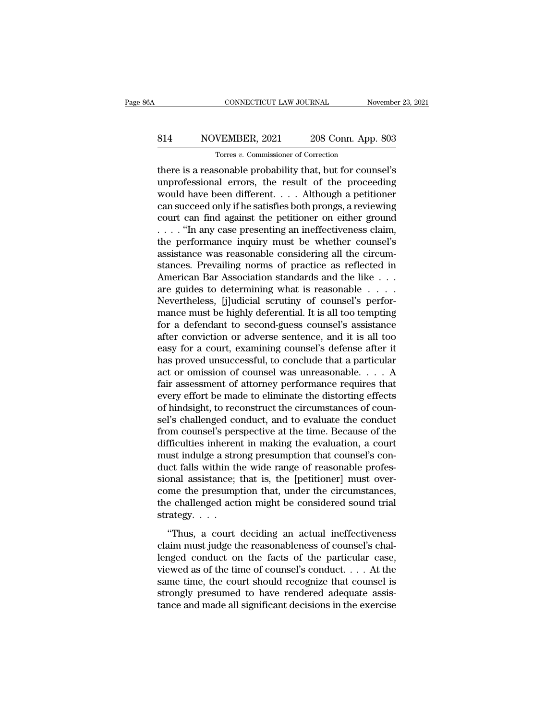## CONNECTICUT LAW JOURNAL November 23, 2021<br>814 NOVEMBER, 2021 208 Conn. App. 803<br>Torres v. Commissioner of Correction TORRECTICUT LAW JOURNAL<br>
VEMBER, 2021 208 Conn. App<br>
Torres *v.* Commissioner of Correction<br>
Sonable probability that but for cour

CONNECTICUT LAW JOURNAL November 23, 2021<br>
S14 NOVEMBER, 2021 208 Conn. App. 803<br>
Torres v. Commissioner of Correction<br>
there is a reasonable probability that, but for counsel's<br>
unprofessional errors, the result of the pr NOVEMBER, 2021 208 Conn. App. 803<br>
Torres v. Commissioner of Correction<br>
there is a reasonable probability that, but for counsel's<br>
unprofessional errors, the result of the proceeding<br>
would have been different. . . . Alth 814 NOVEMBER, 2021 208 Conn. App. 803<br>
Torres v. Commissioner of Correction<br>
there is a reasonable probability that, but for counsel's<br>
unprofessional errors, the result of the proceeding<br>
would have been different.... Alt 814 NOVEMBER, 2021 208 Conn. App. 803<br>
Torres *v*. Commissioner of Correction<br>
there is a reasonable probability that, but for counsel's<br>
unprofessional errors, the result of the proceeding<br>
would have been different. . . Tores v. Commissioner of Correction<br>there is a reasonable probability that, but for counsel's<br>unprofessional errors, the result of the proceeding<br>would have been different.... Although a petitioner<br>can succeed only if he s Tores v. Commissioner of Correction<br>
there is a reasonable probability that, but for counsel's<br>
unprofessional errors, the result of the proceeding<br>
would have been different.... Although a petitioner<br>
can succeed only if there is a reasonable probability that, but for counsel's<br>unprofessional errors, the result of the proceeding<br>would have been different. . . . Although a petitioner<br>can succeed only if he satisfies both prongs, a reviewin unprofessional errors, the result of the proceeding<br>would have been different. . . . Although a petitioner<br>can succeed only if he satisfies both prongs, a reviewing<br>court can find against the petitioner on either ground<br>would have been different. . . . Although a petitioner<br>can succeed only if he satisfies both prongs, a reviewing<br>court can find against the petitioner on either ground<br>. . . . "In any case presenting an ineffectiveness cl can succeed only if he satisfies both prongs, a reviewing<br>court can find against the petitioner on either ground<br> $\dots$  "In any case presenting an ineffectiveness claim,<br>the performance inquiry must be whether counsel's<br>ass court can find against the petitioner on either ground<br>
.... "In any case presenting an ineffectiveness claim,<br>
the performance inquiry must be whether counsel's<br>
assistance was reasonable considering all the circum-<br>
sta  $\ldots$  "In any case presenting an ineffectiveness claim,<br>the performance inquiry must be whether counsel's<br>assistance was reasonable considering all the circum-<br>stances. Prevailing norms of practice as reflected in<br>America the performance inquiry must be whether counsel's<br>assistance was reasonable considering all the circum-<br>stances. Prevailing norms of practice as reflected in<br>American Bar Association standards and the like . . .<br>are guides assistance was reasonable considering all the circum-<br>stances. Prevailing norms of practice as reflected in<br>American Bar Association standards and the like . . . .<br>are guides to determining what is reasonable . . . . .<br>Nev stances. Prevailing norms of practice as reflected in American Bar Association standards and the like  $\dots$  are guides to determining what is reasonable  $\dots$ .<br>Nevertheless, [j]udicial scrutiny of counsel's performance must American Bar Association standards and the like . . .<br>are guides to determining what is reasonable . . . .<br>Nevertheless, [j]udicial scrutiny of counsel's perfor-<br>mance must be highly deferential. It is all too tempting<br>fo are guides to determining what is reasonable . . . . .<br>Nevertheless, [j]udicial scrutiny of counsel's performance must be highly deferential. It is all too tempting<br>for a defendant to second-guess counsel's assistance<br>afte Nevertheless, [j]udicial scrutiny of counsel's perfor-<br>mance must be highly deferential. It is all too tempting<br>for a defendant to second-guess counsel's assistance<br>after conviction or adverse sentence, and it is all too<br>e mance must be highly deferential. It is all too tempting<br>for a defendant to second-guess counsel's assistance<br>after conviction or adverse sentence, and it is all too<br>easy for a court, examining counsel's defense after it<br> for a defendant to second-guess counsel's assistance<br>after conviction or adverse sentence, and it is all too<br>easy for a court, examining counsel's defense after it<br>has proved unsuccessful, to conclude that a particular<br>act after conviction or adverse sentence, and it is all too easy for a court, examining counsel's defense after it has proved unsuccessful, to conclude that a particular act or omission of counsel was unreasonable.... A fair easy for a court, examining counsel's defense after it<br>has proved unsuccessful, to conclude that a particular<br>act or omission of counsel was unreasonable.  $\dots$  A<br>fair assessment of attorney performance requires that<br>every has proved unsuccessful, to conclude that a particular<br>act or omission of counsel was unreasonable.  $\dots$  A<br>fair assessment of attorney performance requires that<br>every effort be made to eliminate the distorting effects<br>of act or omission of counsel was unreasonable. . . . . A<br>fair assessment of attorney performance requires that<br>every effort be made to eliminate the distorting effects<br>of hindsight, to reconstruct the circumstances of counfair assessment of attorney performance requires that<br>every effort be made to eliminate the distorting effects<br>of hindsight, to reconstruct the circumstances of coun-<br>sel's challenged conduct, and to evaluate the conduct<br>f every effort be made to eliminate the distorting effects<br>of hindsight, to reconstruct the circumstances of coun-<br>sel's challenged conduct, and to evaluate the conduct<br>from counsel's perspective at the time. Because of the<br> of hindsight, to reconstruct the circumstances of counsel's challenged conduct, and to evaluate the conduct from counsel's perspective at the time. Because of the difficulties inherent in making the evaluation, a court mus sel's challenged conduct, and to evaluate the conduct<br>from counsel's perspective at the time. Because of the<br>difficulties inherent in making the evaluation, a court<br>must indulge a strong presumption that counsel's con-<br>duc from counsel's perspective at the time. Because of the difficulties inherent in making the evaluation, a court must indulge a strong presumption that counsel's conduct falls within the wide range of reasonable professiona difficulties inheren<br>must indulge a stro<br>duct falls within th<br>sional assistance;<br>come the presump<br>the challenged acti<br>strategy. . . . .<br>"Thus, a court the matrix of the matrix of the periodic profes-<br>
interfalls within the wide range of reasonable profes-<br>
matrix over-<br>
me the presumption that, under the circumstances,<br>
e challenged action might be considered sound trial claim must include that is, the [petitioner] must over-<br>come the presumption that, under the circumstances,<br>the challenged action might be considered sound trial<br>strategy....<br>"Thus, a court deciding an actual ineffectivene

come the presumption that, under the circumstances,<br>the challenged action might be considered sound trial<br>strategy....<br>"Thus, a court deciding an actual ineffectiveness<br>claim must judge the reasonableness of counsel's cha viewed as of the time of counsel's conducted sound trial<br>strategy....<br>"Thus, a court deciding an actual ineffectiveness<br>claim must judge the reasonableness of counsel's chal-<br>lenged conduct on the facts of the particular strategy....<br>"Thus, a court deciding an actual ineffectiveness<br>claim must judge the reasonableness of counsel's chal-<br>lenged conduct on the facts of the particular case,<br>viewed as of the time of counsel's conduct.... At th "Thus, a court deciding an actual ineffectiveness<br>claim must judge the reasonableness of counsel's chal-<br>lenged conduct on the facts of the particular case,<br>viewed as of the time of counsel's conduct.... At the<br>same time, "Thus, a court deciding an actual ineffectiveness<br>claim must judge the reasonableness of counsel's chal-<br>lenged conduct on the facts of the particular case,<br>viewed as of the time of counsel's conduct.... At the<br>same time,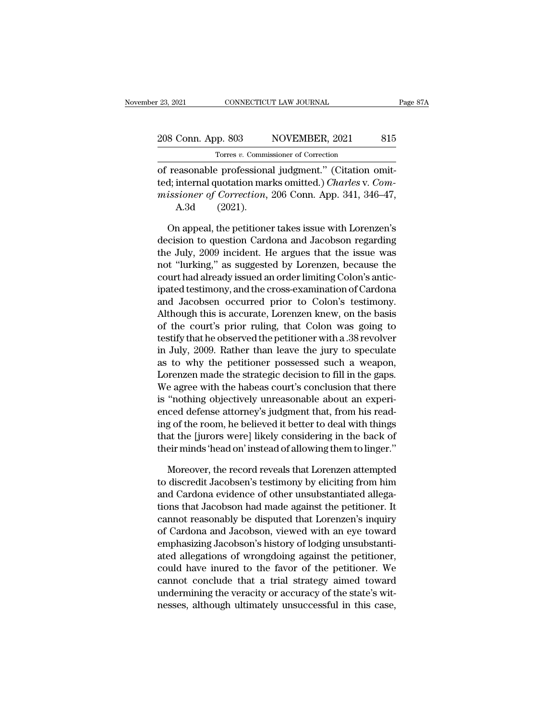| r 23, 2021         | CONNECTICUT LAW JOURNAL                              |     |
|--------------------|------------------------------------------------------|-----|
| 208 Conn. App. 803 | NOVEMBER, 2021                                       | 815 |
|                    | Torres v. Commissioner of Correction                 |     |
|                    | of reasonable professional judgment" (Citation omit- |     |

of reasonable professional judgment." (Citation omitted; internal quotation marks omitted.) Charles v. Commission of Correction of reasonable professional judgment." (Citation omitted; internal quotation marks omitted.) Ch 208 Conn. App. 803 NOVEMBER, 2021 815<br>
Torres *v*. Commissioner of Correction<br>
of reasonable professional judgment." (Citation omit-<br>
ted; internal quotation marks omitted.) *Charles* v. Com-<br>
missioner of Correction, 206 <sup>208</sup> Conn. App. 803 MOVEMBER, 2021 815<br>
<sup>Torres</sup> *v*. Commissioner of Correction<br>
of reasonable professional judgment." (Citation omit-<br>
ted; internal quotation marks omitted.) *Charles* v. *Commissioner of Correction*, 2 Conn. App. 803<br>
Torres v. Commin<br>
easonable professions<br>
internal quotation max<br>
sioner of Correction,<br>
A.3d (2021).<br>
n appeal. the petitions Torres v. Commissioner of Correction<br>
reasonable professional judgment." (Citation omit-<br>
distinctly internal quotation marks omitted.) Charles v. Com-<br>
issioner of Correction, 206 Conn. App. 341, 346–47,<br>
A.3d (2021).<br>
O of reasonable professional judgment." (Citation omit-<br>ted; internal quotation marks omitted.) *Charles v. Com-*<br>missioner of Correction, 206 Conn. App. 341, 346–47,<br>A.3d (2021).<br>On appeal, the petitioner takes issue with L

ted; internal quotation marks omitted.) *Charles v. Commissioner of Correction*, 206 Conn. App. 341, 346–47,<br>A.3d (2021).<br>On appeal, the petitioner takes issue with Lorenzen's<br>decision to question Cardona and Jacobson rega missioner of Correction, 206 Conn. App. 341, 346–47,<br>A.3d (2021).<br>On appeal, the petitioner takes issue with Lorenzen's<br>decision to question Cardona and Jacobson regarding<br>the July, 2009 incident. He argues that the issue A.3d (2021).<br>
On appeal, the petitioner takes issue with Lorenzen's<br>
decision to question Cardona and Jacobson regarding<br>
the July, 2009 incident. He argues that the issue was<br>
not "lurking," as suggested by Lorenzen, beca On appeal, the petitioner takes issue with Lorenzen's<br>decision to question Cardona and Jacobson regarding<br>the July, 2009 incident. He argues that the issue was<br>not "lurking," as suggested by Lorenzen, because the<br>court had On appeal, the petitioner takes issue with Lorenzen's<br>decision to question Cardona and Jacobson regarding<br>the July, 2009 incident. He argues that the issue was<br>not "lurking," as suggested by Lorenzen, because the<br>court had decision to question Cardona and Jacobson regarding<br>the July, 2009 incident. He argues that the issue was<br>not "lurking," as suggested by Lorenzen, because the<br>court had already issued an order limiting Colon's antic-<br>ipate the July, 2009 incident. He argues that the issue was<br>not "lurking," as suggested by Lorenzen, because the<br>court had already issued an order limiting Colon's antic-<br>ipated testimony, and the cross-examination of Cardona<br>an not "lurking," as suggested by Lorenzen, because the<br>court had already issued an order limiting Colon's antic-<br>ipated testimony, and the cross-examination of Cardona<br>and Jacobsen occurred prior to Colon's testimony.<br>Althou court had already issued an order limiting Colon's antic-<br>ipated testimony, and the cross-examination of Cardona<br>and Jacobsen occurred prior to Colon's testimony.<br>Although this is accurate, Lorenzen knew, on the basis<br>of t ipated testimony, and the cross-examination of Cardona<br>and Jacobsen occurred prior to Colon's testimony.<br>Although this is accurate, Lorenzen knew, on the basis<br>of the court's prior ruling, that Colon was going to<br>testify t and Jacobsen occurred prior to Colon's testimony.<br>Although this is accurate, Lorenzen knew, on the basis<br>of the court's prior ruling, that Colon was going to<br>testify that he observed the petitioner with a .38 revolver<br>in J Although this is accurate, Lorenzen knew, on the basis<br>of the court's prior ruling, that Colon was going to<br>testify that he observed the petitioner with a .38 revolver<br>in July, 2009. Rather than leave the jury to speculate of the court's prior ruling, that Colon was going to<br>testify that he observed the petitioner with a .38 revolver<br>in July, 2009. Rather than leave the jury to speculate<br>as to why the petitioner possessed such a weapon,<br>Lore testify that he observed the petitioner with a .38 revolver<br>in July, 2009. Rather than leave the jury to speculate<br>as to why the petitioner possessed such a weapon,<br>Lorenzen made the strategic decision to fill in the gaps. in July, 2009. Rather than leave the jury to speculate<br>as to why the petitioner possessed such a weapon,<br>Lorenzen made the strategic decision to fill in the gaps.<br>We agree with the habeas court's conclusion that there<br>is " as to why the petitioner possessed such a weapon,<br>Lorenzen made the strategic decision to fill in the gaps.<br>We agree with the habeas court's conclusion that there<br>is "nothing objectively unreasonable about an experi-<br>enced Lorenzen made the strategic decision to fill in the gaps.<br>We agree with the habeas court's conclusion that there<br>is "nothing objectively unreasonable about an experi-<br>enced defense attorney's judgment that, from his read-<br> "nothing objectively unreasonable about an expericed defense attorney's judgment that, from his read-<br>g of the room, he believed it better to deal with things<br>at the [jurors were] likely considering in the back of<br>eir mind enced defense attorney's judgment that, from his read-<br>ing of the room, he believed it better to deal with things<br>that the [jurors were] likely considering in the back of<br>their minds 'head on' instead of allowing them to l

ing of the room, he believed it better to deal with things<br>that the [jurors were] likely considering in the back of<br>their minds 'head on' instead of allowing them to linger.'<br>Moreover, the record reveals that Lorenzen atte that the [jurors were] likely considering in the back of<br>their minds 'head on' instead of allowing them to linger."<br>Moreover, the record reveals that Lorenzen attempted<br>to discredit Jacobsen's testimony by eliciting from h their minds 'head on' instead of allowing them to linger."<br>
Moreover, the record reveals that Lorenzen attempted<br>
to discredit Jacobsen's testimony by eliciting from him<br>
and Cardona evidence of other unsubstantiated alleg Moreover, the record reveals that Lorenzen attempted<br>to discredit Jacobsen's testimony by eliciting from him<br>and Cardona evidence of other unsubstantiated allega-<br>tions that Jacobson had made against the petitioner. It<br>can Moreover, the record reveals that Lorenzen attempted<br>to discredit Jacobsen's testimony by eliciting from him<br>and Cardona evidence of other unsubstantiated allega-<br>tions that Jacobson had made against the petitioner. It<br>can to discredit Jacobsen's testimony by eliciting from him<br>and Cardona evidence of other unsubstantiated allega-<br>tions that Jacobson had made against the petitioner. It<br>cannot reasonably be disputed that Lorenzen's inquiry<br>of and Cardona evidence of other unsubstantiated allegations that Jacobson had made against the petitioner. It cannot reasonably be disputed that Lorenzen's inquiry of Cardona and Jacobson, viewed with an eye toward emphasizi tions that Jacobson had made against the petitioner. It<br>cannot reasonably be disputed that Lorenzen's inquiry<br>of Cardona and Jacobson, viewed with an eye toward<br>emphasizing Jacobson's history of lodging unsubstanti-<br>ated a cannot reasonably be disputed that Lorenzen's inquiry<br>of Cardona and Jacobson, viewed with an eye toward<br>emphasizing Jacobson's history of lodging unsubstanti-<br>ated allegations of wrongdoing against the petitioner,<br>could h of Cardona and Jacobson, viewed with an eye toward<br>emphasizing Jacobson's history of lodging unsubstanti-<br>ated allegations of wrongdoing against the petitioner,<br>could have inured to the favor of the petitioner. We<br>cannot c